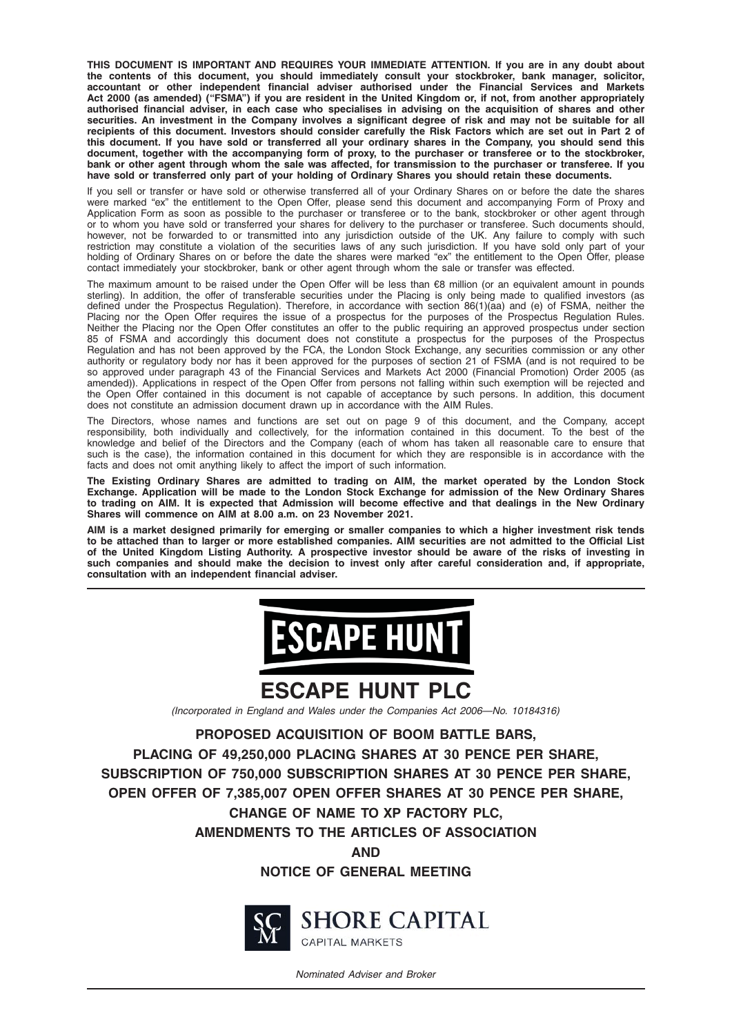THIS DOCUMENT IS IMPORTANT AND REQUIRES YOUR IMMEDIATE ATTENTION. If you are in any doubt about the contents of this document, you should immediately consult your stockbroker, bank manager, solicitor, accountant or other independent financial adviser authorised under the Financial Services and Markets Act 2000 (as amended) ("FSMA") if you are resident in the United Kingdom or, if not, from another appropriately authorised financial adviser, in each case who specialises in advising on the acquisition of shares and other securities. An investment in the Company involves a significant degree of risk and may not be suitable for all recipients of this document. Investors should consider carefully the Risk Factors which are set out in Part 2 of this document. If you have sold or transferred all your ordinary shares in the Company, you should send this document, together with the accompanying form of proxy, to the purchaser or transferee or to the stockbroker, bank or other agent through whom the sale was affected, for transmission to the purchaser or transferee. If you have sold or transferred only part of your holding of Ordinary Shares you should retain these documents.

If you sell or transfer or have sold or otherwise transferred all of your Ordinary Shares on or before the date the shares were marked "ex" the entitlement to the Open Offer, please send this document and accompanying Form of Proxy and Application Form as soon as possible to the purchaser or transferee or to the bank, stockbroker or other agent through or to whom you have sold or transferred your shares for delivery to the purchaser or transferee. Such documents should, however, not be forwarded to or transmitted into any jurisdiction outside of the UK. Any failure to comply with such restriction may constitute a violation of the securities laws of any such jurisdiction. If you have sold only part of your holding of Ordinary Shares on or before the date the shares were marked "ex" the entitlement to the Open Offer, please contact immediately your stockbroker, bank or other agent through whom the sale or transfer was effected.

The maximum amount to be raised under the Open Offer will be less than €8 million (or an equivalent amount in pounds sterling). In addition, the offer of transferable securities under the Placing is only being made to qualified investors (as defined under the Prospectus Regulation). Therefore, in accordance with section 86(1)(aa) and (e) of FSMA, neither the Placing nor the Open Offer requires the issue of a prospectus for the purposes of the Prospectus Regulation Rules. Neither the Placing nor the Open Offer constitutes an offer to the public requiring an approved prospectus under section 85 of FSMA and accordingly this document does not constitute a prospectus for the purposes of the Prospectus Regulation and has not been approved by the FCA, the London Stock Exchange, any securities commission or any other authority or regulatory body nor has it been approved for the purposes of section 21 of FSMA (and is not required to be so approved under paragraph 43 of the Financial Services and Markets Act 2000 (Financial Promotion) Order 2005 (as amended)). Applications in respect of the Open Offer from persons not falling within such exemption will be rejected and the Open Offer contained in this document is not capable of acceptance by such persons. In addition, this document does not constitute an admission document drawn up in accordance with the AIM Rules.

The Directors, whose names and functions are set out on page 9 of this document, and the Company, accept responsibility, both individually and collectively, for the information contained in this document. To the best of the knowledge and belief of the Directors and the Company (each of whom has taken all reasonable care to ensure that such is the case), the information contained in this document for which they are responsible is in accordance with the facts and does not omit anything likely to affect the import of such information.

The Existing Ordinary Shares are admitted to trading on AIM, the market operated by the London Stock Exchange. Application will be made to the London Stock Exchange for admission of the New Ordinary Shares to trading on AIM. It is expected that Admission will become effective and that dealings in the New Ordinary Shares will commence on AIM at 8.00 a.m. on 23 November 2021.

AIM is a market designed primarily for emerging or smaller companies to which a higher investment risk tends to be attached than to larger or more established companies. AIM securities are not admitted to the Official List of the United Kingdom Listing Authority. A prospective investor should be aware of the risks of investing in such companies and should make the decision to invest only after careful consideration and, if appropriate, consultation with an independent financial adviser.



# ESCAPE HUNT PLC

(Incorporated in England and Wales under the Companies Act 2006*—*No. 10184316)

PROPOSED ACQUISITION OF BOOM BATTLE BARS,

PLACING OF 49,250,000 PLACING SHARES AT 30 PENCE PER SHARE, SUBSCRIPTION OF 750,000 SUBSCRIPTION SHARES AT 30 PENCE PER SHARE, OPEN OFFER OF 7,385,007 OPEN OFFER SHARES AT 30 PENCE PER SHARE, CHANGE OF NAME TO XP FACTORY PLC,

AMENDMENTS TO THE ARTICLES OF ASSOCIATION

AND

NOTICE OF GENERAL MEETING



**SHORE CAPITAL CAPITAL MARKETS** 

Nominated Adviser and Broker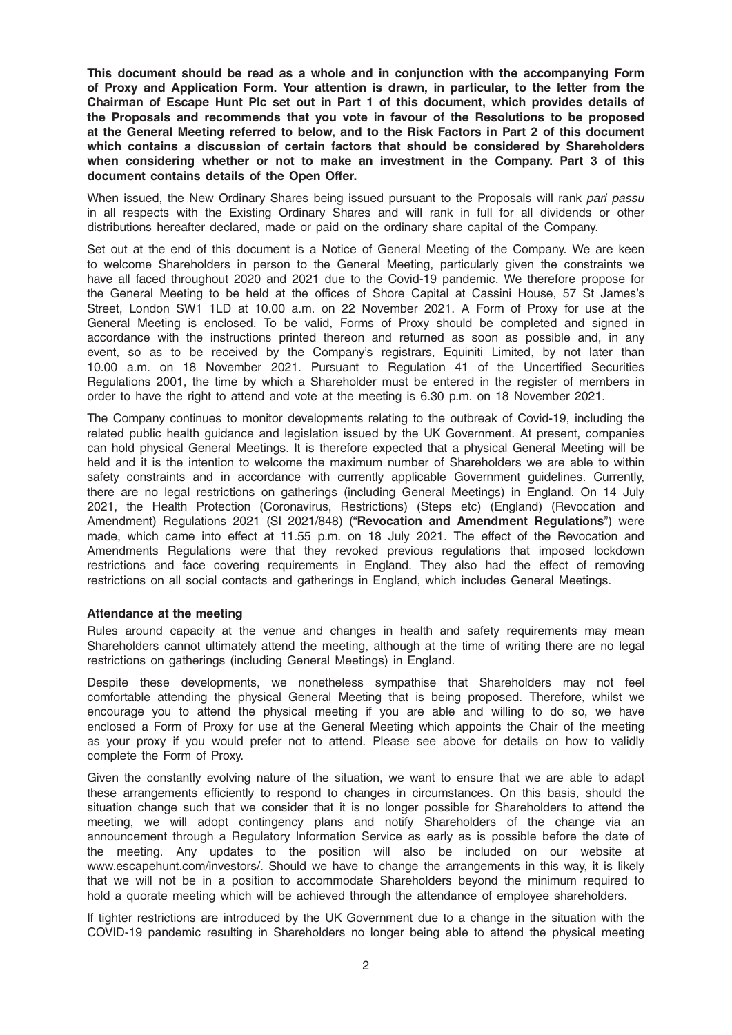This document should be read as a whole and in conjunction with the accompanying Form of Proxy and Application Form. Your attention is drawn, in particular, to the letter from the Chairman of Escape Hunt Plc set out in Part 1 of this document, which provides details of the Proposals and recommends that you vote in favour of the Resolutions to be proposed at the General Meeting referred to below, and to the Risk Factors in Part 2 of this document which contains a discussion of certain factors that should be considered by Shareholders when considering whether or not to make an investment in the Company. Part 3 of this document contains details of the Open Offer.

When issued, the New Ordinary Shares being issued pursuant to the Proposals will rank pari passu in all respects with the Existing Ordinary Shares and will rank in full for all dividends or other distributions hereafter declared, made or paid on the ordinary share capital of the Company.

Set out at the end of this document is a Notice of General Meeting of the Company. We are keen to welcome Shareholders in person to the General Meeting, particularly given the constraints we have all faced throughout 2020 and 2021 due to the Covid-19 pandemic. We therefore propose for the General Meeting to be held at the offices of Shore Capital at Cassini House, 57 St James's Street, London SW1 1LD at 10.00 a.m. on 22 November 2021. A Form of Proxy for use at the General Meeting is enclosed. To be valid, Forms of Proxy should be completed and signed in accordance with the instructions printed thereon and returned as soon as possible and, in any event, so as to be received by the Company's registrars, Equiniti Limited, by not later than 10.00 a.m. on 18 November 2021. Pursuant to Regulation 41 of the Uncertified Securities Regulations 2001, the time by which a Shareholder must be entered in the register of members in order to have the right to attend and vote at the meeting is 6.30 p.m. on 18 November 2021.

The Company continues to monitor developments relating to the outbreak of Covid-19, including the related public health guidance and legislation issued by the UK Government. At present, companies can hold physical General Meetings. It is therefore expected that a physical General Meeting will be held and it is the intention to welcome the maximum number of Shareholders we are able to within safety constraints and in accordance with currently applicable Government guidelines. Currently, there are no legal restrictions on gatherings (including General Meetings) in England. On 14 July 2021, the Health Protection (Coronavirus, Restrictions) (Steps etc) (England) (Revocation and Amendment) Regulations 2021 (SI 2021/848) ("Revocation and Amendment Regulations") were made, which came into effect at 11.55 p.m. on 18 July 2021. The effect of the Revocation and Amendments Regulations were that they revoked previous regulations that imposed lockdown restrictions and face covering requirements in England. They also had the effect of removing restrictions on all social contacts and gatherings in England, which includes General Meetings.

#### Attendance at the meeting

Rules around capacity at the venue and changes in health and safety requirements may mean Shareholders cannot ultimately attend the meeting, although at the time of writing there are no legal restrictions on gatherings (including General Meetings) in England.

Despite these developments, we nonetheless sympathise that Shareholders may not feel comfortable attending the physical General Meeting that is being proposed. Therefore, whilst we encourage you to attend the physical meeting if you are able and willing to do so, we have enclosed a Form of Proxy for use at the General Meeting which appoints the Chair of the meeting as your proxy if you would prefer not to attend. Please see above for details on how to validly complete the Form of Proxy.

Given the constantly evolving nature of the situation, we want to ensure that we are able to adapt these arrangements efficiently to respond to changes in circumstances. On this basis, should the situation change such that we consider that it is no longer possible for Shareholders to attend the meeting, we will adopt contingency plans and notify Shareholders of the change via an announcement through a Regulatory Information Service as early as is possible before the date of the meeting. Any updates to the position will also be included on our website at www.escapehunt.com/investors/. Should we have to change the arrangements in this way, it is likely that we will not be in a position to accommodate Shareholders beyond the minimum required to hold a quorate meeting which will be achieved through the attendance of employee shareholders.

If tighter restrictions are introduced by the UK Government due to a change in the situation with the COVID-19 pandemic resulting in Shareholders no longer being able to attend the physical meeting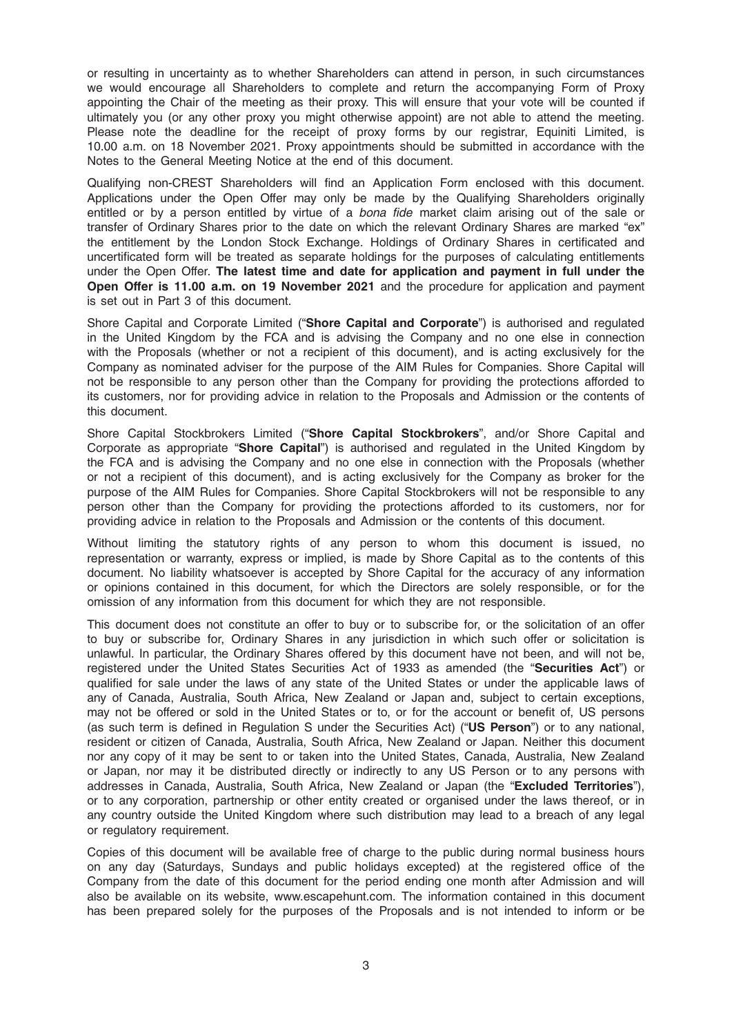or resulting in uncertainty as to whether Shareholders can attend in person, in such circumstances we would encourage all Shareholders to complete and return the accompanying Form of Proxy appointing the Chair of the meeting as their proxy. This will ensure that your vote will be counted if ultimately you (or any other proxy you might otherwise appoint) are not able to attend the meeting. Please note the deadline for the receipt of proxy forms by our registrar, Equiniti Limited, is 10.00 a.m. on 18 November 2021. Proxy appointments should be submitted in accordance with the Notes to the General Meeting Notice at the end of this document.

Qualifying non-CREST Shareholders will find an Application Form enclosed with this document. Applications under the Open Offer may only be made by the Qualifying Shareholders originally entitled or by a person entitled by virtue of a bona fide market claim arising out of the sale or transfer of Ordinary Shares prior to the date on which the relevant Ordinary Shares are marked "ex" the entitlement by the London Stock Exchange. Holdings of Ordinary Shares in certificated and uncertificated form will be treated as separate holdings for the purposes of calculating entitlements under the Open Offer. The latest time and date for application and payment in full under the Open Offer is 11.00 a.m. on 19 November 2021 and the procedure for application and payment is set out in Part 3 of this document.

Shore Capital and Corporate Limited ("Shore Capital and Corporate") is authorised and regulated in the United Kingdom by the FCA and is advising the Company and no one else in connection with the Proposals (whether or not a recipient of this document), and is acting exclusively for the Company as nominated adviser for the purpose of the AIM Rules for Companies. Shore Capital will not be responsible to any person other than the Company for providing the protections afforded to its customers, nor for providing advice in relation to the Proposals and Admission or the contents of this document.

Shore Capital Stockbrokers Limited ("Shore Capital Stockbrokers", and/or Shore Capital and Corporate as appropriate "Shore Capital") is authorised and regulated in the United Kingdom by the FCA and is advising the Company and no one else in connection with the Proposals (whether or not a recipient of this document), and is acting exclusively for the Company as broker for the purpose of the AIM Rules for Companies. Shore Capital Stockbrokers will not be responsible to any person other than the Company for providing the protections afforded to its customers, nor for providing advice in relation to the Proposals and Admission or the contents of this document.

Without limiting the statutory rights of any person to whom this document is issued, no representation or warranty, express or implied, is made by Shore Capital as to the contents of this document. No liability whatsoever is accepted by Shore Capital for the accuracy of any information or opinions contained in this document, for which the Directors are solely responsible, or for the omission of any information from this document for which they are not responsible.

This document does not constitute an offer to buy or to subscribe for, or the solicitation of an offer to buy or subscribe for, Ordinary Shares in any jurisdiction in which such offer or solicitation is unlawful. In particular, the Ordinary Shares offered by this document have not been, and will not be, registered under the United States Securities Act of 1933 as amended (the "Securities Act") or qualified for sale under the laws of any state of the United States or under the applicable laws of any of Canada, Australia, South Africa, New Zealand or Japan and, subject to certain exceptions, may not be offered or sold in the United States or to, or for the account or benefit of, US persons (as such term is defined in Regulation S under the Securities Act) ("US Person") or to any national, resident or citizen of Canada, Australia, South Africa, New Zealand or Japan. Neither this document nor any copy of it may be sent to or taken into the United States, Canada, Australia, New Zealand or Japan, nor may it be distributed directly or indirectly to any US Person or to any persons with addresses in Canada, Australia, South Africa, New Zealand or Japan (the "Excluded Territories"), or to any corporation, partnership or other entity created or organised under the laws thereof, or in any country outside the United Kingdom where such distribution may lead to a breach of any legal or regulatory requirement.

Copies of this document will be available free of charge to the public during normal business hours on any day (Saturdays, Sundays and public holidays excepted) at the registered office of the Company from the date of this document for the period ending one month after Admission and will also be available on its website, www.escapehunt.com. The information contained in this document has been prepared solely for the purposes of the Proposals and is not intended to inform or be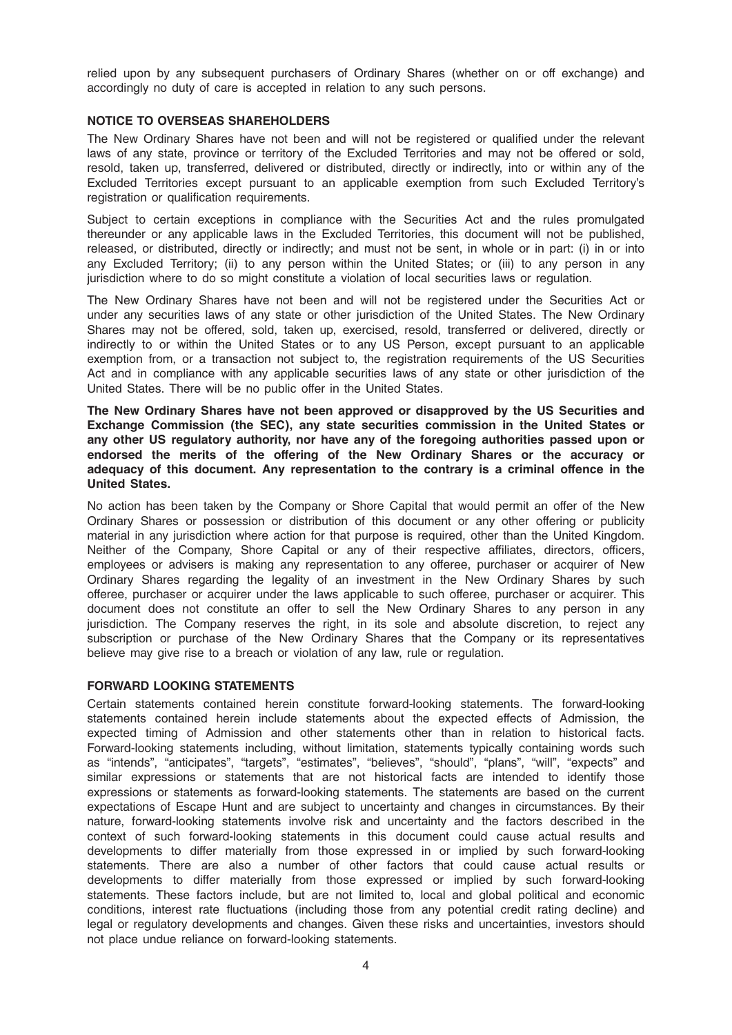relied upon by any subsequent purchasers of Ordinary Shares (whether on or off exchange) and accordingly no duty of care is accepted in relation to any such persons.

#### NOTICE TO OVERSEAS SHAREHOLDERS

The New Ordinary Shares have not been and will not be registered or qualified under the relevant laws of any state, province or territory of the Excluded Territories and may not be offered or sold, resold, taken up, transferred, delivered or distributed, directly or indirectly, into or within any of the Excluded Territories except pursuant to an applicable exemption from such Excluded Territory's registration or qualification requirements.

Subject to certain exceptions in compliance with the Securities Act and the rules promulgated thereunder or any applicable laws in the Excluded Territories, this document will not be published, released, or distributed, directly or indirectly; and must not be sent, in whole or in part: (i) in or into any Excluded Territory; (ii) to any person within the United States; or (iii) to any person in any jurisdiction where to do so might constitute a violation of local securities laws or regulation.

The New Ordinary Shares have not been and will not be registered under the Securities Act or under any securities laws of any state or other jurisdiction of the United States. The New Ordinary Shares may not be offered, sold, taken up, exercised, resold, transferred or delivered, directly or indirectly to or within the United States or to any US Person, except pursuant to an applicable exemption from, or a transaction not subject to, the registration requirements of the US Securities Act and in compliance with any applicable securities laws of any state or other jurisdiction of the United States. There will be no public offer in the United States.

The New Ordinary Shares have not been approved or disapproved by the US Securities and Exchange Commission (the SEC), any state securities commission in the United States or any other US regulatory authority, nor have any of the foregoing authorities passed upon or endorsed the merits of the offering of the New Ordinary Shares or the accuracy or adequacy of this document. Any representation to the contrary is a criminal offence in the United States.

No action has been taken by the Company or Shore Capital that would permit an offer of the New Ordinary Shares or possession or distribution of this document or any other offering or publicity material in any jurisdiction where action for that purpose is required, other than the United Kingdom. Neither of the Company, Shore Capital or any of their respective affiliates, directors, officers, employees or advisers is making any representation to any offeree, purchaser or acquirer of New Ordinary Shares regarding the legality of an investment in the New Ordinary Shares by such offeree, purchaser or acquirer under the laws applicable to such offeree, purchaser or acquirer. This document does not constitute an offer to sell the New Ordinary Shares to any person in any jurisdiction. The Company reserves the right, in its sole and absolute discretion, to reject any subscription or purchase of the New Ordinary Shares that the Company or its representatives believe may give rise to a breach or violation of any law, rule or regulation.

#### FORWARD LOOKING STATEMENTS

Certain statements contained herein constitute forward-looking statements. The forward-looking statements contained herein include statements about the expected effects of Admission, the expected timing of Admission and other statements other than in relation to historical facts. Forward-looking statements including, without limitation, statements typically containing words such as "intends", "anticipates", "targets", "estimates", "believes", "should", "plans", "will", "expects" and similar expressions or statements that are not historical facts are intended to identify those expressions or statements as forward-looking statements. The statements are based on the current expectations of Escape Hunt and are subject to uncertainty and changes in circumstances. By their nature, forward-looking statements involve risk and uncertainty and the factors described in the context of such forward-looking statements in this document could cause actual results and developments to differ materially from those expressed in or implied by such forward-looking statements. There are also a number of other factors that could cause actual results or developments to differ materially from those expressed or implied by such forward-looking statements. These factors include, but are not limited to, local and global political and economic conditions, interest rate fluctuations (including those from any potential credit rating decline) and legal or regulatory developments and changes. Given these risks and uncertainties, investors should not place undue reliance on forward-looking statements.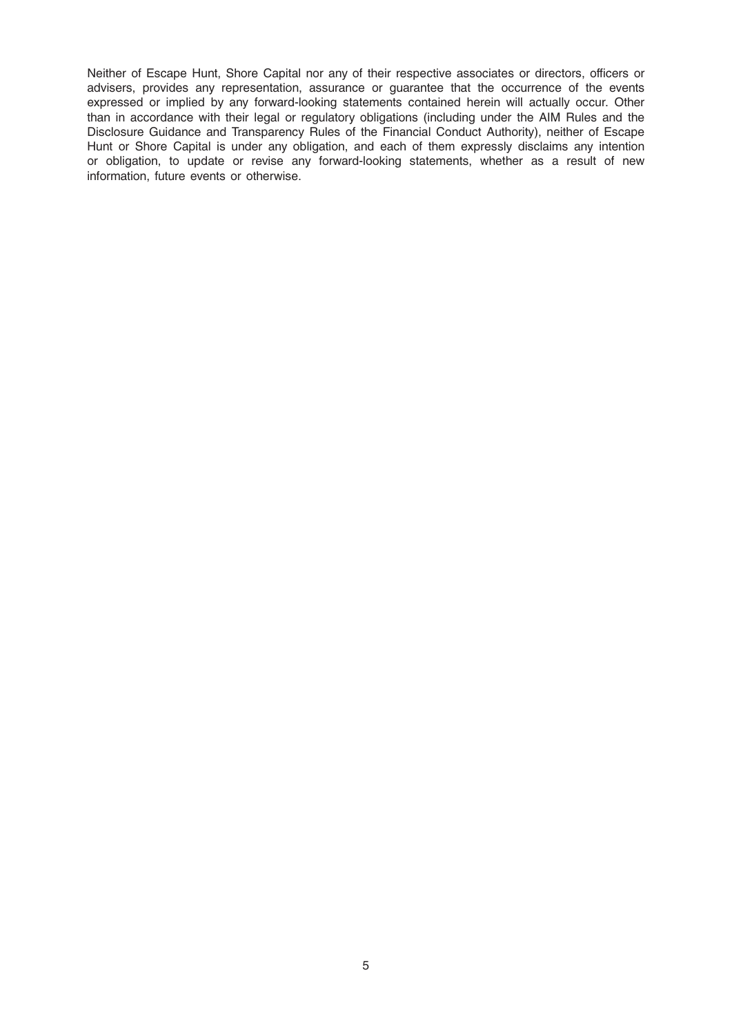Neither of Escape Hunt, Shore Capital nor any of their respective associates or directors, officers or advisers, provides any representation, assurance or guarantee that the occurrence of the events expressed or implied by any forward-looking statements contained herein will actually occur. Other than in accordance with their legal or regulatory obligations (including under the AIM Rules and the Disclosure Guidance and Transparency Rules of the Financial Conduct Authority), neither of Escape Hunt or Shore Capital is under any obligation, and each of them expressly disclaims any intention or obligation, to update or revise any forward-looking statements, whether as a result of new information, future events or otherwise.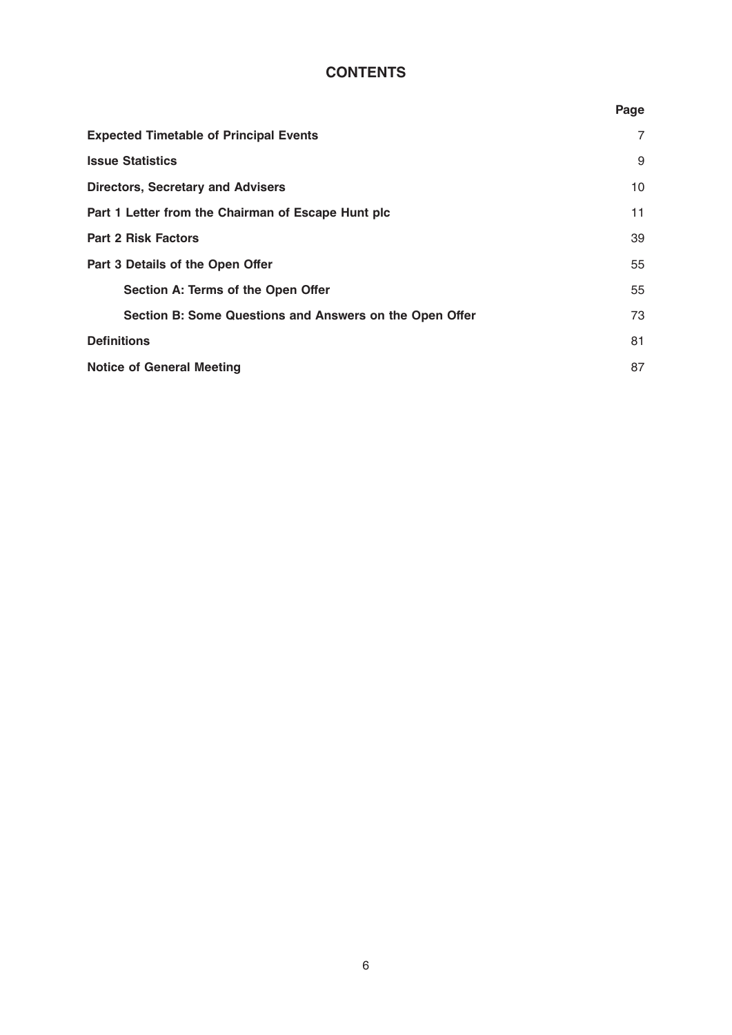# **CONTENTS**

|                                                         | Page |
|---------------------------------------------------------|------|
| <b>Expected Timetable of Principal Events</b>           | 7    |
| <b>Issue Statistics</b>                                 | 9    |
| <b>Directors, Secretary and Advisers</b>                | 10   |
| Part 1 Letter from the Chairman of Escape Hunt plc      | 11   |
| <b>Part 2 Risk Factors</b>                              | 39   |
| Part 3 Details of the Open Offer                        | 55   |
| Section A: Terms of the Open Offer                      | 55   |
| Section B: Some Questions and Answers on the Open Offer | 73   |
| <b>Definitions</b>                                      | 81   |
| <b>Notice of General Meeting</b>                        | 87   |
|                                                         |      |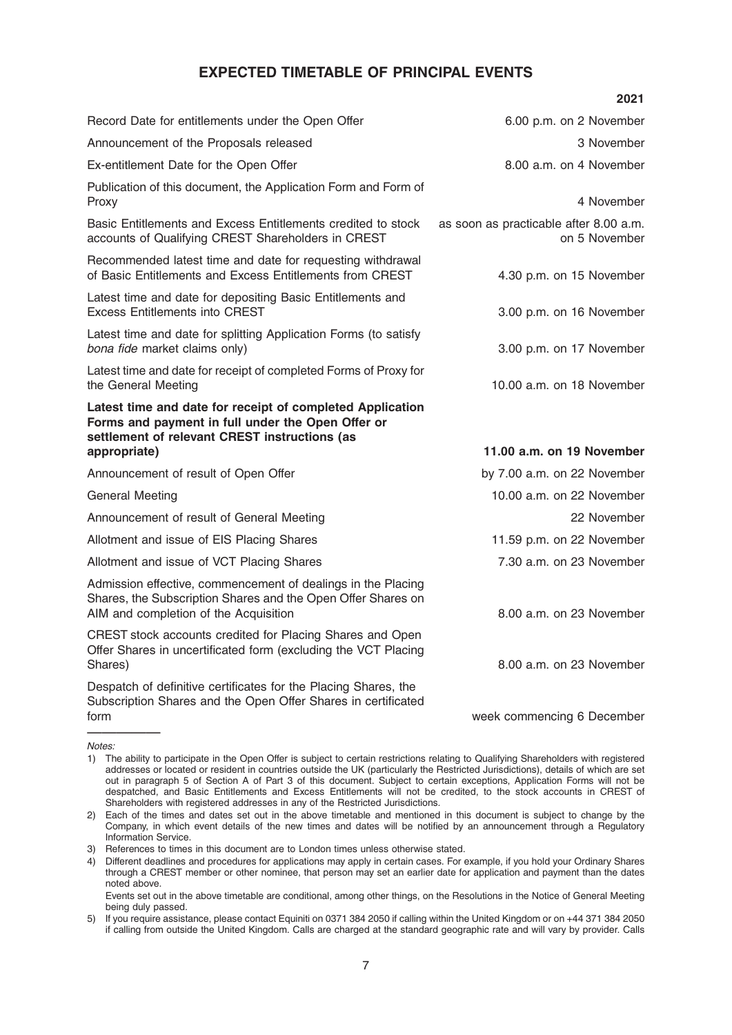# EXPECTED TIMETABLE OF PRINCIPAL EVENTS

|                                                                                                                                                                                 | 2021                                                    |
|---------------------------------------------------------------------------------------------------------------------------------------------------------------------------------|---------------------------------------------------------|
| Record Date for entitlements under the Open Offer                                                                                                                               | 6.00 p.m. on 2 November                                 |
| Announcement of the Proposals released                                                                                                                                          | 3 November                                              |
| Ex-entitlement Date for the Open Offer                                                                                                                                          | 8.00 a.m. on 4 November                                 |
| Publication of this document, the Application Form and Form of<br>Proxy                                                                                                         | 4 November                                              |
| Basic Entitlements and Excess Entitlements credited to stock<br>accounts of Qualifying CREST Shareholders in CREST                                                              | as soon as practicable after 8.00 a.m.<br>on 5 November |
| Recommended latest time and date for requesting withdrawal<br>of Basic Entitlements and Excess Entitlements from CREST                                                          | 4.30 p.m. on 15 November                                |
| Latest time and date for depositing Basic Entitlements and<br><b>Excess Entitlements into CREST</b>                                                                             | 3.00 p.m. on 16 November                                |
| Latest time and date for splitting Application Forms (to satisfy<br>bona fide market claims only)                                                                               | 3.00 p.m. on 17 November                                |
| Latest time and date for receipt of completed Forms of Proxy for<br>the General Meeting                                                                                         | 10.00 a.m. on 18 November                               |
| Latest time and date for receipt of completed Application<br>Forms and payment in full under the Open Offer or<br>settlement of relevant CREST instructions (as<br>appropriate) | 11.00 a.m. on 19 November                               |
| Announcement of result of Open Offer                                                                                                                                            | by 7.00 a.m. on 22 November                             |
| General Meeting                                                                                                                                                                 | 10.00 a.m. on 22 November                               |
| Announcement of result of General Meeting                                                                                                                                       | 22 November                                             |
| Allotment and issue of EIS Placing Shares                                                                                                                                       | 11.59 p.m. on 22 November                               |
| Allotment and issue of VCT Placing Shares                                                                                                                                       | 7.30 a.m. on 23 November                                |
| Admission effective, commencement of dealings in the Placing<br>Shares, the Subscription Shares and the Open Offer Shares on<br>AIM and completion of the Acquisition           | 8.00 a.m. on 23 November                                |
| CREST stock accounts credited for Placing Shares and Open<br>Offer Shares in uncertificated form (excluding the VCT Placing<br>Shares)                                          | 8.00 a.m. on 23 November                                |
| Despatch of definitive certificates for the Placing Shares, the<br>Subscription Shares and the Open Offer Shares in certificated<br>form                                        | week commencing 6 December                              |
|                                                                                                                                                                                 |                                                         |

Notes:

<sup>1)</sup> The ability to participate in the Open Offer is subject to certain restrictions relating to Qualifying Shareholders with registered addresses or located or resident in countries outside the UK (particularly the Restricted Jurisdictions), details of which are set out in paragraph 5 of Section A of Part 3 of this document. Subject to certain exceptions, Application Forms will not be despatched, and Basic Entitlements and Excess Entitlements will not be credited, to the stock accounts in CREST of Shareholders with registered addresses in any of the Restricted Jurisdictions.

<sup>2)</sup> Each of the times and dates set out in the above timetable and mentioned in this document is subject to change by the Company, in which event details of the new times and dates will be notified by an announcement through a Regulatory Information Service.

<sup>3)</sup> References to times in this document are to London times unless otherwise stated.

<sup>4)</sup> Different deadlines and procedures for applications may apply in certain cases. For example, if you hold your Ordinary Shares through a CREST member or other nominee, that person may set an earlier date for application and payment than the dates noted above.

Events set out in the above timetable are conditional, among other things, on the Resolutions in the Notice of General Meeting being duly passed.

<sup>5)</sup> If you require assistance, please contact Equiniti on 0371 384 2050 if calling within the United Kingdom or on +44 371 384 2050 if calling from outside the United Kingdom. Calls are charged at the standard geographic rate and will vary by provider. Calls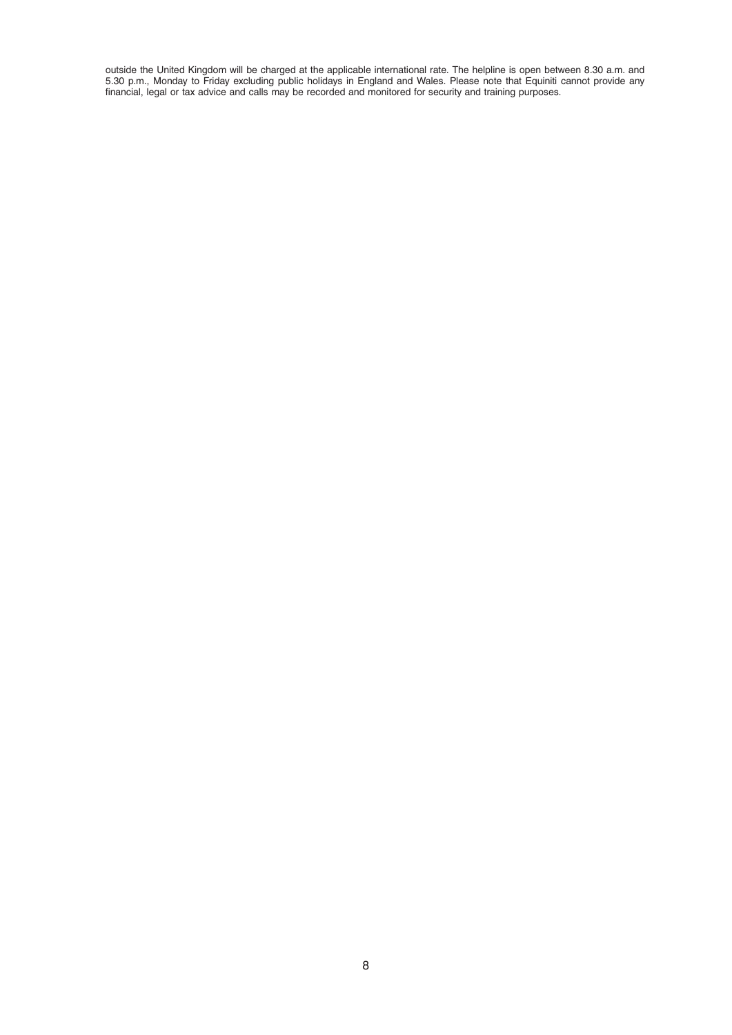outside the United Kingdom will be charged at the applicable international rate. The helpline is open between 8.30 a.m. and 5.30 p.m., Monday to Friday excluding public holidays in England and Wales. Please note that Equiniti cannot provide any financial, legal or tax advice and calls may be recorded and monitored for security and training purposes.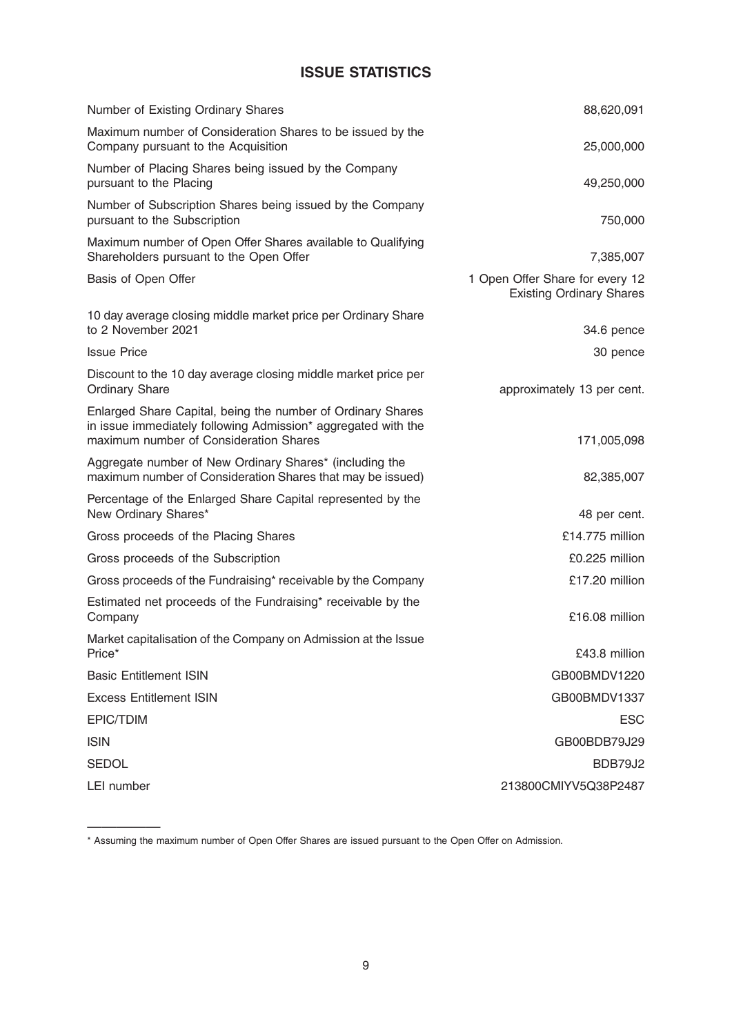# ISSUE STATISTICS

| Number of Existing Ordinary Shares                                                                                                                                     | 88,620,091                                                         |
|------------------------------------------------------------------------------------------------------------------------------------------------------------------------|--------------------------------------------------------------------|
| Maximum number of Consideration Shares to be issued by the<br>Company pursuant to the Acquisition                                                                      | 25,000,000                                                         |
| Number of Placing Shares being issued by the Company<br>pursuant to the Placing                                                                                        | 49,250,000                                                         |
| Number of Subscription Shares being issued by the Company<br>pursuant to the Subscription                                                                              | 750,000                                                            |
| Maximum number of Open Offer Shares available to Qualifying<br>Shareholders pursuant to the Open Offer                                                                 | 7,385,007                                                          |
| Basis of Open Offer                                                                                                                                                    | 1 Open Offer Share for every 12<br><b>Existing Ordinary Shares</b> |
| 10 day average closing middle market price per Ordinary Share<br>to 2 November 2021                                                                                    | 34.6 pence                                                         |
| <b>Issue Price</b>                                                                                                                                                     | 30 pence                                                           |
| Discount to the 10 day average closing middle market price per<br><b>Ordinary Share</b>                                                                                | approximately 13 per cent.                                         |
| Enlarged Share Capital, being the number of Ordinary Shares<br>in issue immediately following Admission* aggregated with the<br>maximum number of Consideration Shares | 171,005,098                                                        |
| Aggregate number of New Ordinary Shares* (including the<br>maximum number of Consideration Shares that may be issued)                                                  | 82,385,007                                                         |
| Percentage of the Enlarged Share Capital represented by the<br>New Ordinary Shares*                                                                                    | 48 per cent.                                                       |
| Gross proceeds of the Placing Shares                                                                                                                                   | £14.775 million                                                    |
| Gross proceeds of the Subscription                                                                                                                                     | £0.225 million                                                     |
| Gross proceeds of the Fundraising* receivable by the Company                                                                                                           | £17.20 million                                                     |
| Estimated net proceeds of the Fundraising* receivable by the<br>Company                                                                                                | £16.08 million                                                     |
| Market capitalisation of the Company on Admission at the Issue<br>Price*                                                                                               | £43.8 million                                                      |
| <b>Basic Entitlement ISIN</b>                                                                                                                                          | GB00BMDV1220                                                       |
| <b>Excess Entitlement ISIN</b>                                                                                                                                         | GB00BMDV1337                                                       |
| EPIC/TDIM                                                                                                                                                              | <b>ESC</b>                                                         |
| <b>ISIN</b>                                                                                                                                                            | GB00BDB79J29                                                       |
| <b>SEDOL</b>                                                                                                                                                           | BDB79J2                                                            |
| LEI number                                                                                                                                                             | 213800CMIYV5Q38P2487                                               |

<sup>—————</sup> \* Assuming the maximum number of Open Offer Shares are issued pursuant to the Open Offer on Admission.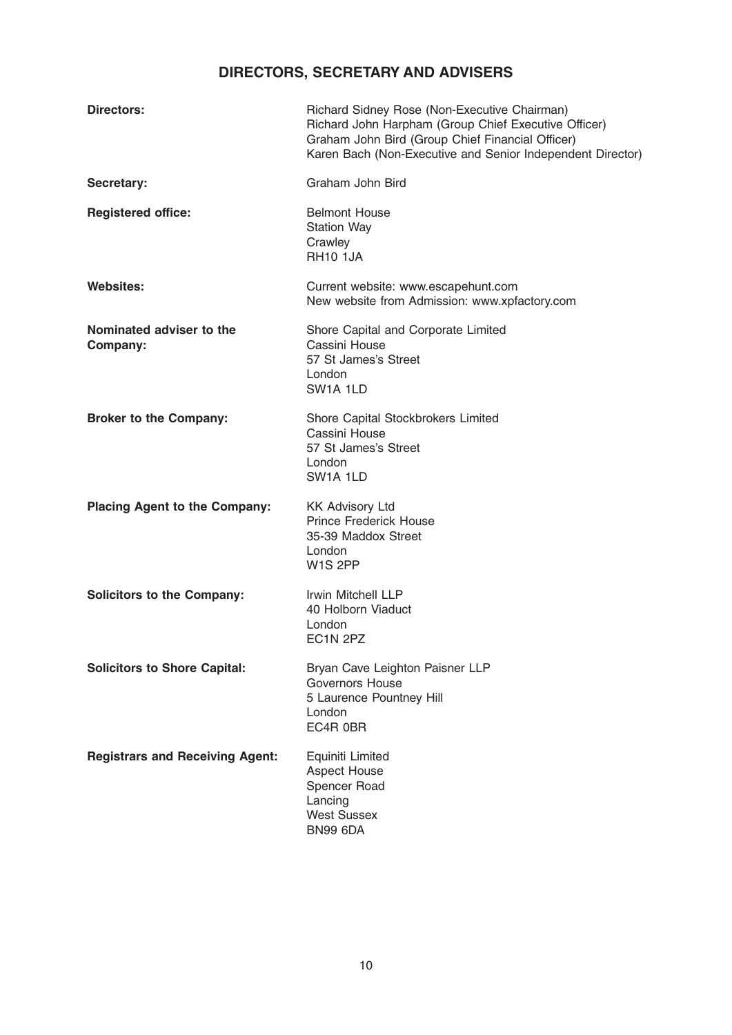# DIRECTORS, SECRETARY AND ADVISERS

| <b>Directors:</b>                      | Richard Sidney Rose (Non-Executive Chairman)<br>Richard John Harpham (Group Chief Executive Officer)<br>Graham John Bird (Group Chief Financial Officer)<br>Karen Bach (Non-Executive and Senior Independent Director) |
|----------------------------------------|------------------------------------------------------------------------------------------------------------------------------------------------------------------------------------------------------------------------|
| Secretary:                             | Graham John Bird                                                                                                                                                                                                       |
| <b>Registered office:</b>              | <b>Belmont House</b><br><b>Station Way</b><br>Crawley<br><b>RH10 1JA</b>                                                                                                                                               |
| <b>Websites:</b>                       | Current website: www.escapehunt.com<br>New website from Admission: www.xpfactory.com                                                                                                                                   |
| Nominated adviser to the<br>Company:   | Shore Capital and Corporate Limited<br>Cassini House<br>57 St James's Street<br>London<br>SW <sub>1</sub> A <sub>1</sub> LD                                                                                            |
| <b>Broker to the Company:</b>          | Shore Capital Stockbrokers Limited<br>Cassini House<br>57 St James's Street<br>London<br>SW <sub>1</sub> A 1LD                                                                                                         |
| <b>Placing Agent to the Company:</b>   | <b>KK Advisory Ltd</b><br>Prince Frederick House<br>35-39 Maddox Street<br>London<br>W <sub>1</sub> S <sub>2PP</sub>                                                                                                   |
| <b>Solicitors to the Company:</b>      | Irwin Mitchell LLP<br>40 Holborn Viaduct<br>London<br>EC <sub>1</sub> N <sub>2PZ</sub>                                                                                                                                 |
| <b>Solicitors to Shore Capital:</b>    | Bryan Cave Leighton Paisner LLP<br><b>Governors House</b><br>5 Laurence Pountney Hill<br>London<br>EC4R 0BR                                                                                                            |
| <b>Registrars and Receiving Agent:</b> | Equiniti Limited<br><b>Aspect House</b><br>Spencer Road<br>Lancing<br><b>West Sussex</b><br><b>BN99 6DA</b>                                                                                                            |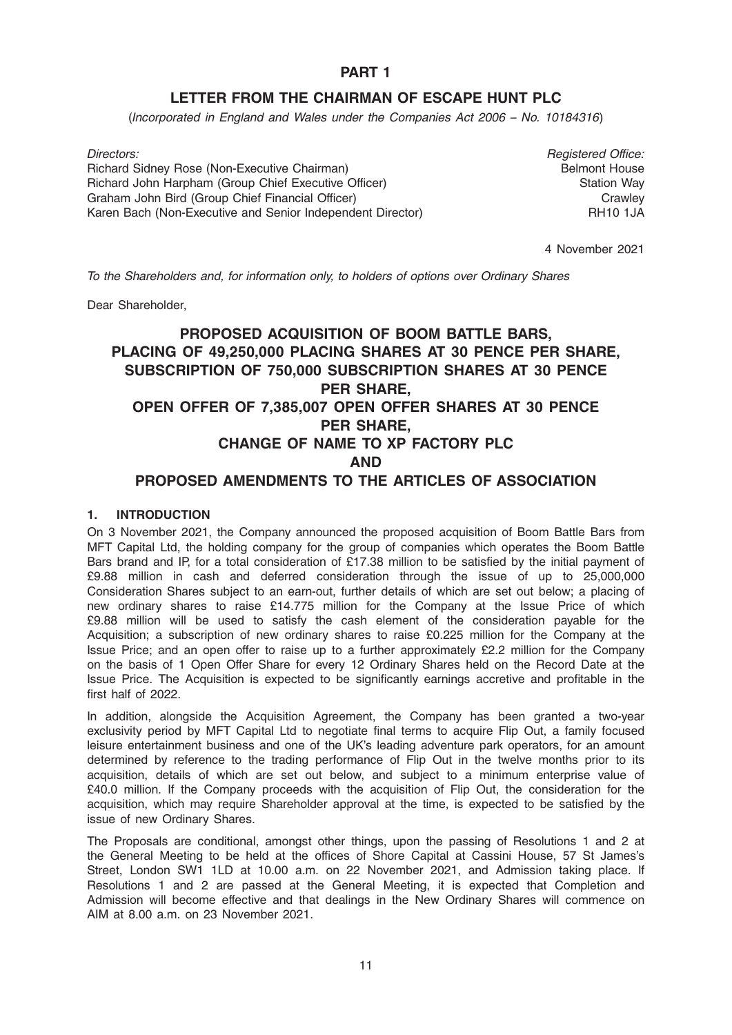# PART 1

# LETTER FROM THE CHAIRMAN OF ESCAPE HUNT PLC

(Incorporated in England and Wales under the Companies Act 2006 – No. 10184316)

Directors: **Registered Office: Registered Office:** Richard Sidney Rose (Non-Executive Chairman) Richard John Harpham (Group Chief Executive Officer) Graham John Bird (Group Chief Financial Officer) Karen Bach (Non-Executive and Senior Independent Director)

Belmont House Station Way **Crawley** RH10 1JA

4 November 2021

To the Shareholders and, for information only, to holders of options over Ordinary Shares

Dear Shareholder,

# PROPOSED ACQUISITION OF BOOM BATTLE BARS, PLACING OF 49,250,000 PLACING SHARES AT 30 PENCE PER SHARE, SUBSCRIPTION OF 750,000 SUBSCRIPTION SHARES AT 30 PENCE PER SHARE, OPEN OFFER OF 7,385,007 OPEN OFFER SHARES AT 30 PENCE PER SHARE, CHANGE OF NAME TO XP FACTORY PLC AND PROPOSED AMENDMENTS TO THE ARTICLES OF ASSOCIATION

### 1. INTRODUCTION

On 3 November 2021, the Company announced the proposed acquisition of Boom Battle Bars from MFT Capital Ltd, the holding company for the group of companies which operates the Boom Battle Bars brand and IP, for a total consideration of £17.38 million to be satisfied by the initial payment of £9.88 million in cash and deferred consideration through the issue of up to 25,000,000 Consideration Shares subject to an earn-out, further details of which are set out below; a placing of new ordinary shares to raise £14.775 million for the Company at the Issue Price of which £9.88 million will be used to satisfy the cash element of the consideration payable for the Acquisition; a subscription of new ordinary shares to raise £0.225 million for the Company at the Issue Price; and an open offer to raise up to a further approximately £2.2 million for the Company on the basis of 1 Open Offer Share for every 12 Ordinary Shares held on the Record Date at the Issue Price. The Acquisition is expected to be significantly earnings accretive and profitable in the first half of 2022.

In addition, alongside the Acquisition Agreement, the Company has been granted a two-year exclusivity period by MFT Capital Ltd to negotiate final terms to acquire Flip Out, a family focused leisure entertainment business and one of the UK's leading adventure park operators, for an amount determined by reference to the trading performance of Flip Out in the twelve months prior to its acquisition, details of which are set out below, and subject to a minimum enterprise value of £40.0 million. If the Company proceeds with the acquisition of Flip Out, the consideration for the acquisition, which may require Shareholder approval at the time, is expected to be satisfied by the issue of new Ordinary Shares.

The Proposals are conditional, amongst other things, upon the passing of Resolutions 1 and 2 at the General Meeting to be held at the offices of Shore Capital at Cassini House, 57 St James's Street, London SW1 1LD at 10.00 a.m. on 22 November 2021, and Admission taking place. If Resolutions 1 and 2 are passed at the General Meeting, it is expected that Completion and Admission will become effective and that dealings in the New Ordinary Shares will commence on AIM at 8.00 a.m. on 23 November 2021.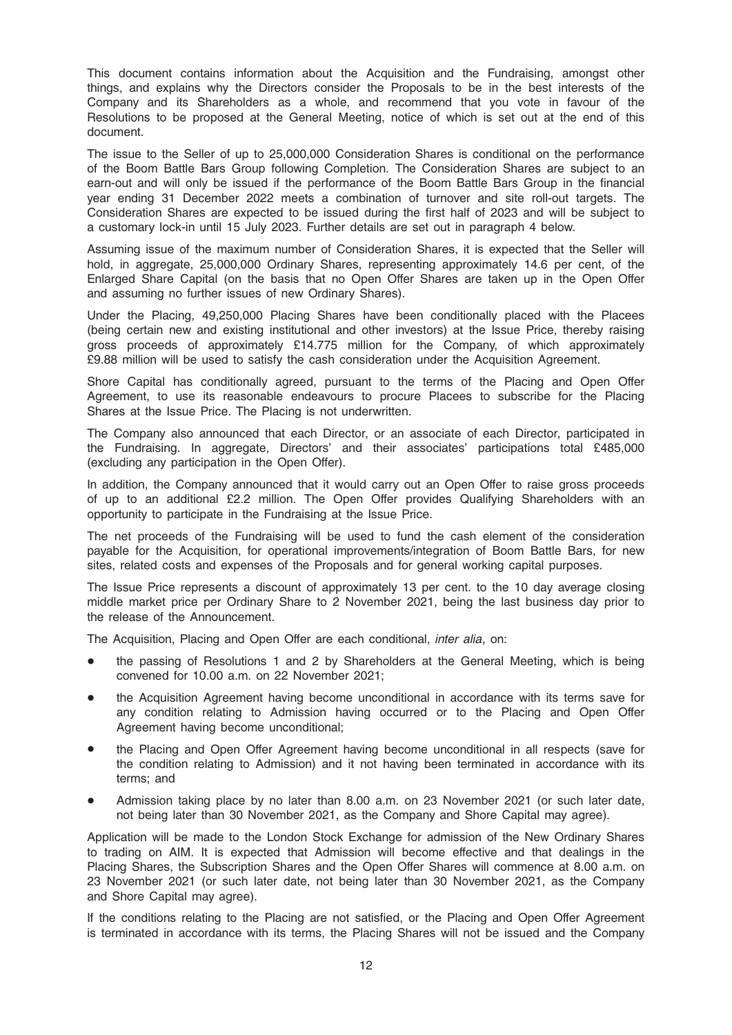This document contains information about the Acquisition and the Fundraising, amongst other things, and explains why the Directors consider the Proposals to be in the best interests of the Company and its Shareholders as a whole, and recommend that you vote in favour of the Resolutions to be proposed at the General Meeting, notice of which is set out at the end of this document.

The issue to the Seller of up to 25,000,000 Consideration Shares is conditional on the performance of the Boom Battle Bars Group following Completion. The Consideration Shares are subject to an earn-out and will only be issued if the performance of the Boom Battle Bars Group in the financial year ending 31 December 2022 meets a combination of turnover and site roll-out targets. The Consideration Shares are expected to be issued during the first half of 2023 and will be subject to a customary lock-in until 15 July 2023. Further details are set out in paragraph 4 below.

Assuming issue of the maximum number of Consideration Shares, it is expected that the Seller will hold, in aggregate, 25,000,000 Ordinary Shares, representing approximately 14.6 per cent, of the Enlarged Share Capital (on the basis that no Open Offer Shares are taken up in the Open Offer and assuming no further issues of new Ordinary Shares).

Under the Placing, 49,250,000 Placing Shares have been conditionally placed with the Placees (being certain new and existing institutional and other investors) at the Issue Price, thereby raising gross proceeds of approximately £14.775 million for the Company, of which approximately £9.88 million will be used to satisfy the cash consideration under the Acquisition Agreement.

Shore Capital has conditionally agreed, pursuant to the terms of the Placing and Open Offer Agreement, to use its reasonable endeavours to procure Placees to subscribe for the Placing Shares at the Issue Price. The Placing is not underwritten.

The Company also announced that each Director, or an associate of each Director, participated in the Fundraising. In aggregate, Directors' and their associates' participations total £485,000 (excluding any participation in the Open Offer).

In addition, the Company announced that it would carry out an Open Offer to raise gross proceeds of up to an additional £2.2 million. The Open Offer provides Qualifying Shareholders with an opportunity to participate in the Fundraising at the Issue Price.

The net proceeds of the Fundraising will be used to fund the cash element of the consideration payable for the Acquisition, for operational improvements/integration of Boom Battle Bars, for new sites, related costs and expenses of the Proposals and for general working capital purposes.

The Issue Price represents a discount of approximately 13 per cent. to the 10 day average closing middle market price per Ordinary Share to 2 November 2021, being the last business day prior to the release of the Announcement.

The Acquisition, Placing and Open Offer are each conditional, inter alia, on:

- the passing of Resolutions 1 and 2 by Shareholders at the General Meeting, which is being convened for 10.00 a.m. on 22 November 2021;
- the Acquisition Agreement having become unconditional in accordance with its terms save for any condition relating to Admission having occurred or to the Placing and Open Offer Agreement having become unconditional;
- the Placing and Open Offer Agreement having become unconditional in all respects (save for the condition relating to Admission) and it not having been terminated in accordance with its terms; and
- Admission taking place by no later than 8.00 a.m. on 23 November 2021 (or such later date, not being later than 30 November 2021, as the Company and Shore Capital may agree).

Application will be made to the London Stock Exchange for admission of the New Ordinary Shares to trading on AIM. It is expected that Admission will become effective and that dealings in the Placing Shares, the Subscription Shares and the Open Offer Shares will commence at 8.00 a.m. on 23 November 2021 (or such later date, not being later than 30 November 2021, as the Company and Shore Capital may agree).

If the conditions relating to the Placing are not satisfied, or the Placing and Open Offer Agreement is terminated in accordance with its terms, the Placing Shares will not be issued and the Company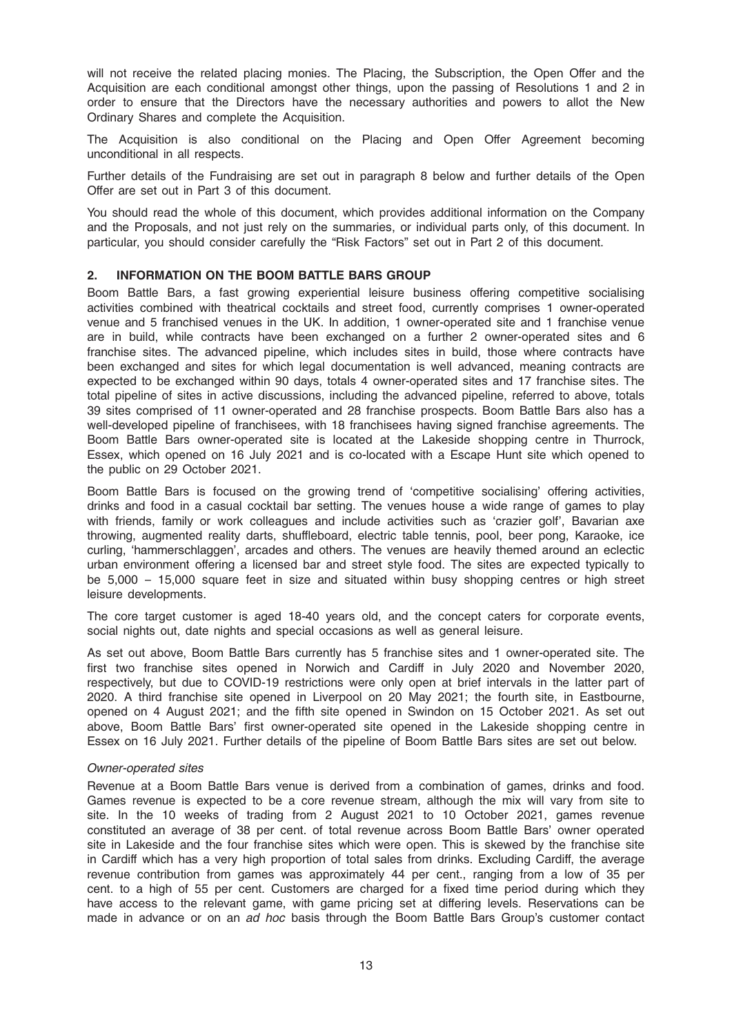will not receive the related placing monies. The Placing, the Subscription, the Open Offer and the Acquisition are each conditional amongst other things, upon the passing of Resolutions 1 and 2 in order to ensure that the Directors have the necessary authorities and powers to allot the New Ordinary Shares and complete the Acquisition.

The Acquisition is also conditional on the Placing and Open Offer Agreement becoming unconditional in all respects.

Further details of the Fundraising are set out in paragraph 8 below and further details of the Open Offer are set out in Part 3 of this document.

You should read the whole of this document, which provides additional information on the Company and the Proposals, and not just rely on the summaries, or individual parts only, of this document. In particular, you should consider carefully the "Risk Factors" set out in Part 2 of this document.

### 2. INFORMATION ON THE BOOM BATTLE BARS GROUP

Boom Battle Bars, a fast growing experiential leisure business offering competitive socialising activities combined with theatrical cocktails and street food, currently comprises 1 owner-operated venue and 5 franchised venues in the UK. In addition, 1 owner-operated site and 1 franchise venue are in build, while contracts have been exchanged on a further 2 owner-operated sites and 6 franchise sites. The advanced pipeline, which includes sites in build, those where contracts have been exchanged and sites for which legal documentation is well advanced, meaning contracts are expected to be exchanged within 90 days, totals 4 owner-operated sites and 17 franchise sites. The total pipeline of sites in active discussions, including the advanced pipeline, referred to above, totals 39 sites comprised of 11 owner-operated and 28 franchise prospects. Boom Battle Bars also has a well-developed pipeline of franchisees, with 18 franchisees having signed franchise agreements. The Boom Battle Bars owner-operated site is located at the Lakeside shopping centre in Thurrock, Essex, which opened on 16 July 2021 and is co-located with a Escape Hunt site which opened to the public on 29 October 2021.

Boom Battle Bars is focused on the growing trend of 'competitive socialising' offering activities, drinks and food in a casual cocktail bar setting. The venues house a wide range of games to play with friends, family or work colleagues and include activities such as 'crazier golf', Bavarian axe throwing, augmented reality darts, shuffleboard, electric table tennis, pool, beer pong, Karaoke, ice curling, 'hammerschlaggen', arcades and others. The venues are heavily themed around an eclectic urban environment offering a licensed bar and street style food. The sites are expected typically to be 5,000 – 15,000 square feet in size and situated within busy shopping centres or high street leisure developments.

The core target customer is aged 18-40 years old, and the concept caters for corporate events, social nights out, date nights and special occasions as well as general leisure.

As set out above, Boom Battle Bars currently has 5 franchise sites and 1 owner-operated site. The first two franchise sites opened in Norwich and Cardiff in July 2020 and November 2020, respectively, but due to COVID-19 restrictions were only open at brief intervals in the latter part of 2020. A third franchise site opened in Liverpool on 20 May 2021; the fourth site, in Eastbourne, opened on 4 August 2021; and the fifth site opened in Swindon on 15 October 2021. As set out above, Boom Battle Bars' first owner-operated site opened in the Lakeside shopping centre in Essex on 16 July 2021. Further details of the pipeline of Boom Battle Bars sites are set out below.

#### Owner-operated sites

Revenue at a Boom Battle Bars venue is derived from a combination of games, drinks and food. Games revenue is expected to be a core revenue stream, although the mix will vary from site to site. In the 10 weeks of trading from 2 August 2021 to 10 October 2021, games revenue constituted an average of 38 per cent. of total revenue across Boom Battle Bars' owner operated site in Lakeside and the four franchise sites which were open. This is skewed by the franchise site in Cardiff which has a very high proportion of total sales from drinks. Excluding Cardiff, the average revenue contribution from games was approximately 44 per cent., ranging from a low of 35 per cent. to a high of 55 per cent. Customers are charged for a fixed time period during which they have access to the relevant game, with game pricing set at differing levels. Reservations can be made in advance or on an ad hoc basis through the Boom Battle Bars Group's customer contact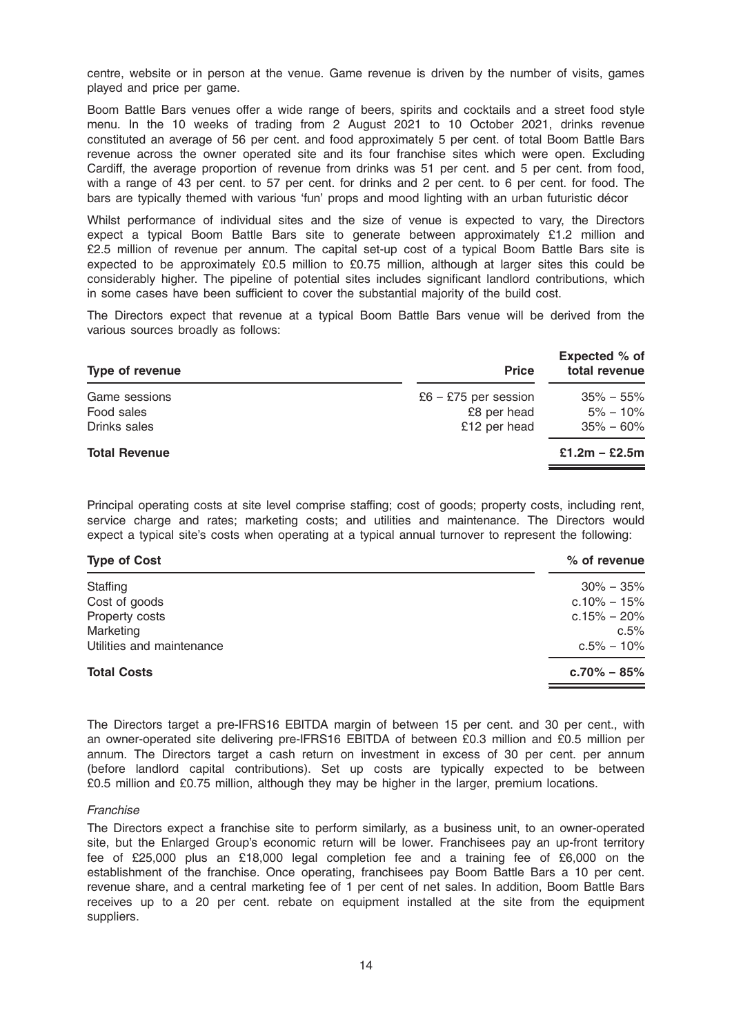centre, website or in person at the venue. Game revenue is driven by the number of visits, games played and price per game.

Boom Battle Bars venues offer a wide range of beers, spirits and cocktails and a street food style menu. In the 10 weeks of trading from 2 August 2021 to 10 October 2021, drinks revenue constituted an average of 56 per cent. and food approximately 5 per cent. of total Boom Battle Bars revenue across the owner operated site and its four franchise sites which were open. Excluding Cardiff, the average proportion of revenue from drinks was 51 per cent. and 5 per cent. from food, with a range of 43 per cent. to 57 per cent. for drinks and 2 per cent. to 6 per cent. for food. The bars are typically themed with various 'fun' props and mood lighting with an urban futuristic décor

Whilst performance of individual sites and the size of venue is expected to vary, the Directors expect a typical Boom Battle Bars site to generate between approximately £1.2 million and £2.5 million of revenue per annum. The capital set-up cost of a typical Boom Battle Bars site is expected to be approximately £0.5 million to £0.75 million, although at larger sites this could be considerably higher. The pipeline of potential sites includes significant landlord contributions, which in some cases have been sufficient to cover the substantial majority of the build cost.

The Directors expect that revenue at a typical Boom Battle Bars venue will be derived from the various sources broadly as follows:

| <b>Type of revenue</b>                      | <b>Price</b>                                        | Expected % of<br>total revenue                 |
|---------------------------------------------|-----------------------------------------------------|------------------------------------------------|
| Game sessions<br>Food sales<br>Drinks sales | £6 – £75 per session<br>£8 per head<br>£12 per head | $35\% - 55\%$<br>$5\% - 10\%$<br>$35\% - 60\%$ |
| <b>Total Revenue</b>                        |                                                     | $£1.2m - £2.5m$                                |

Principal operating costs at site level comprise staffing; cost of goods; property costs, including rent, service charge and rates; marketing costs; and utilities and maintenance. The Directors would expect a typical site's costs when operating at a typical annual turnover to represent the following:

| $%$ of revenue  |
|-----------------|
| $30\% - 35\%$   |
| $c.10\% - 15\%$ |
| $c.15\% - 20\%$ |
| c.5%            |
| $c.5\% - 10\%$  |
| $c.70\% - 85\%$ |
|                 |

The Directors target a pre-IFRS16 EBITDA margin of between 15 per cent. and 30 per cent., with an owner-operated site delivering pre-IFRS16 EBITDA of between £0.3 million and £0.5 million per annum. The Directors target a cash return on investment in excess of 30 per cent. per annum (before landlord capital contributions). Set up costs are typically expected to be between £0.5 million and £0.75 million, although they may be higher in the larger, premium locations.

#### **Franchise**

The Directors expect a franchise site to perform similarly, as a business unit, to an owner-operated site, but the Enlarged Group's economic return will be lower. Franchisees pay an up-front territory fee of £25,000 plus an £18,000 legal completion fee and a training fee of £6,000 on the establishment of the franchise. Once operating, franchisees pay Boom Battle Bars a 10 per cent. revenue share, and a central marketing fee of 1 per cent of net sales. In addition, Boom Battle Bars receives up to a 20 per cent. rebate on equipment installed at the site from the equipment suppliers.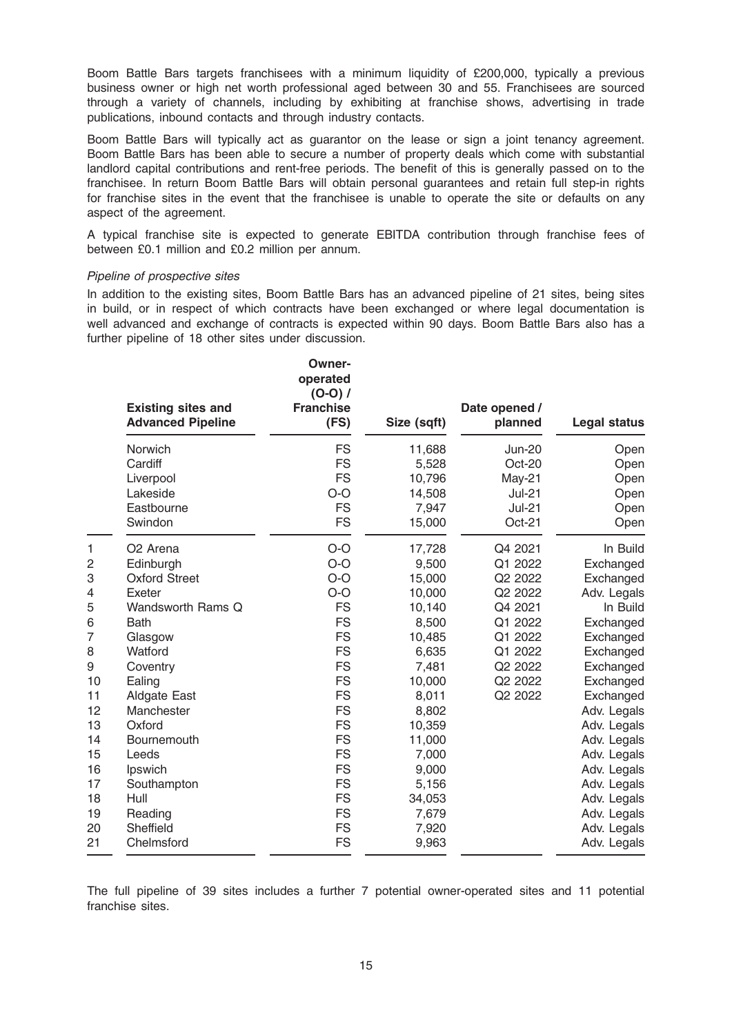Boom Battle Bars targets franchisees with a minimum liquidity of £200,000, typically a previous business owner or high net worth professional aged between 30 and 55. Franchisees are sourced through a variety of channels, including by exhibiting at franchise shows, advertising in trade publications, inbound contacts and through industry contacts.

Boom Battle Bars will typically act as guarantor on the lease or sign a joint tenancy agreement. Boom Battle Bars has been able to secure a number of property deals which come with substantial landlord capital contributions and rent-free periods. The benefit of this is generally passed on to the franchisee. In return Boom Battle Bars will obtain personal guarantees and retain full step-in rights for franchise sites in the event that the franchisee is unable to operate the site or defaults on any aspect of the agreement.

A typical franchise site is expected to generate EBITDA contribution through franchise fees of between £0.1 million and £0.2 million per annum.

#### Pipeline of prospective sites

In addition to the existing sites, Boom Battle Bars has an advanced pipeline of 21 sites, being sites in build, or in respect of which contracts have been exchanged or where legal documentation is well advanced and exchange of contracts is expected within 90 days. Boom Battle Bars also has a further pipeline of 18 other sites under discussion.

|    | <b>Existing sites and</b><br><b>Advanced Pipeline</b> | <b>Owner-</b><br>operated<br>$(O-O) /$<br><b>Franchise</b><br>(FS) | Size (sqft) | Date opened /<br>planned | <b>Legal status</b> |
|----|-------------------------------------------------------|--------------------------------------------------------------------|-------------|--------------------------|---------------------|
|    | Norwich                                               | <b>FS</b>                                                          | 11,688      | <b>Jun-20</b>            | Open                |
|    | Cardiff                                               | <b>FS</b>                                                          | 5,528       | Oct-20                   | Open                |
|    | Liverpool                                             | <b>FS</b>                                                          | 10,796      | May-21                   | Open                |
|    | Lakeside                                              | $O-O$                                                              | 14,508      | <b>Jul-21</b>            | Open                |
|    | Eastbourne                                            | <b>FS</b>                                                          | 7,947       | <b>Jul-21</b>            | Open                |
|    | Swindon                                               | <b>FS</b>                                                          | 15,000      | Oct-21                   | Open                |
| 1  | O <sub>2</sub> Arena                                  | $O-O$                                                              | 17,728      | Q4 2021                  | In Build            |
| 2  | Edinburgh                                             | $O-O$                                                              | 9,500       | Q1 2022                  | Exchanged           |
| 3  | <b>Oxford Street</b>                                  | $O-O$                                                              | 15,000      | Q2 2022                  | Exchanged           |
| 4  | Exeter                                                | $O-O$                                                              | 10,000      | Q2 2022                  | Adv. Legals         |
| 5  | Wandsworth Rams Q                                     | <b>FS</b>                                                          | 10,140      | Q4 2021                  | In Build            |
| 6  | <b>Bath</b>                                           | <b>FS</b>                                                          | 8,500       | Q1 2022                  | Exchanged           |
| 7  | Glasgow                                               | <b>FS</b>                                                          | 10,485      | Q1 2022                  | Exchanged           |
| 8  | Watford                                               | <b>FS</b>                                                          | 6,635       | Q1 2022                  | Exchanged           |
| 9  | Coventry                                              | <b>FS</b>                                                          | 7,481       | Q2 2022                  | Exchanged           |
| 10 | Ealing                                                | <b>FS</b>                                                          | 10,000      | Q2 2022                  | Exchanged           |
| 11 | Aldgate East                                          | <b>FS</b>                                                          | 8,011       | Q2 2022                  | Exchanged           |
| 12 | Manchester                                            | <b>FS</b>                                                          | 8,802       |                          | Adv. Legals         |
| 13 | Oxford                                                | <b>FS</b>                                                          | 10,359      |                          | Adv. Legals         |
| 14 | <b>Bournemouth</b>                                    | <b>FS</b>                                                          | 11,000      |                          | Adv. Legals         |
| 15 | Leeds                                                 | <b>FS</b>                                                          | 7,000       |                          | Adv. Legals         |
| 16 | Ipswich                                               | <b>FS</b>                                                          | 9,000       |                          | Adv. Legals         |
| 17 | Southampton                                           | <b>FS</b>                                                          | 5,156       |                          | Adv. Legals         |
| 18 | Hull                                                  | <b>FS</b>                                                          | 34,053      |                          | Adv. Legals         |
| 19 | Reading                                               | <b>FS</b>                                                          | 7,679       |                          | Adv. Legals         |
| 20 | Sheffield                                             | <b>FS</b>                                                          | 7,920       |                          | Adv. Legals         |
| 21 | Chelmsford                                            | <b>FS</b>                                                          | 9,963       |                          | Adv. Legals         |

The full pipeline of 39 sites includes a further 7 potential owner-operated sites and 11 potential franchise sites.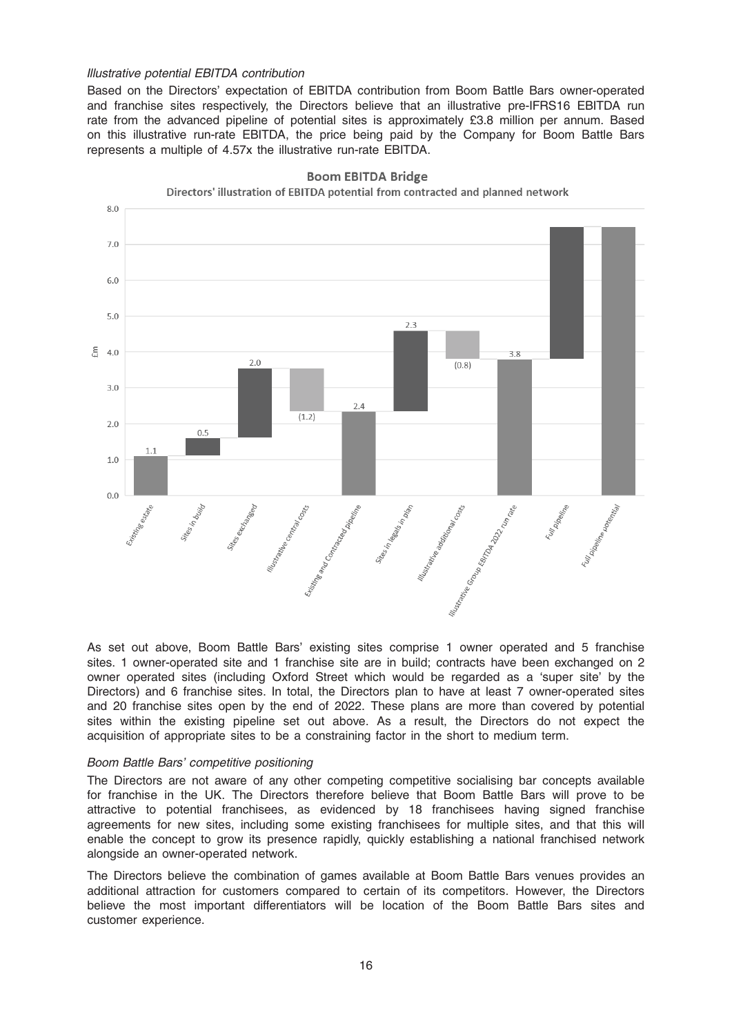#### Illustrative potential EBITDA contribution

Based on the Directors' expectation of EBITDA contribution from Boom Battle Bars owner-operated and franchise sites respectively, the Directors believe that an illustrative pre-IFRS16 EBITDA run rate from the advanced pipeline of potential sites is approximately £3.8 million per annum. Based on this illustrative run-rate EBITDA, the price being paid by the Company for Boom Battle Bars represents a multiple of 4.57x the illustrative run-rate EBITDA.



**Boom EBITDA Bridge** Directors' illustration of EBITDA potential from contracted and planned network

As set out above, Boom Battle Bars' existing sites comprise 1 owner operated and 5 franchise sites. 1 owner-operated site and 1 franchise site are in build; contracts have been exchanged on 2 owner operated sites (including Oxford Street which would be regarded as a 'super site' by the Directors) and 6 franchise sites. In total, the Directors plan to have at least 7 owner-operated sites and 20 franchise sites open by the end of 2022. These plans are more than covered by potential sites within the existing pipeline set out above. As a result, the Directors do not expect the acquisition of appropriate sites to be a constraining factor in the short to medium term.

#### Boom Battle Bars' competitive positioning

The Directors are not aware of any other competing competitive socialising bar concepts available for franchise in the UK. The Directors therefore believe that Boom Battle Bars will prove to be attractive to potential franchisees, as evidenced by 18 franchisees having signed franchise agreements for new sites, including some existing franchisees for multiple sites, and that this will enable the concept to grow its presence rapidly, quickly establishing a national franchised network alongside an owner-operated network.

The Directors believe the combination of games available at Boom Battle Bars venues provides an additional attraction for customers compared to certain of its competitors. However, the Directors believe the most important differentiators will be location of the Boom Battle Bars sites and customer experience.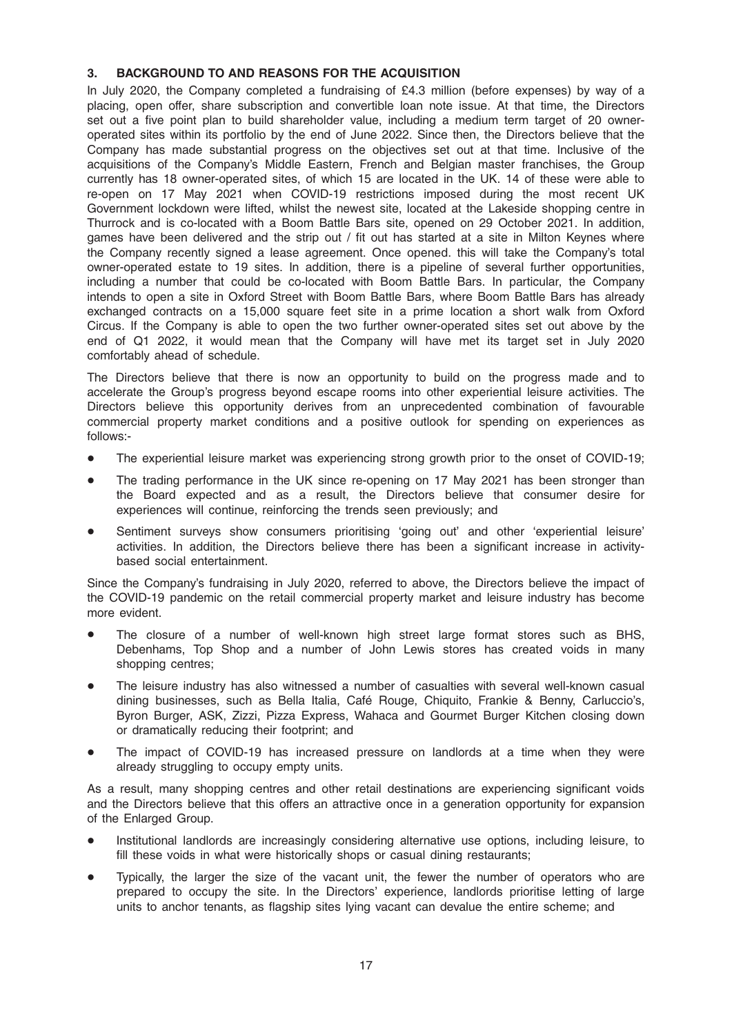# 3. BACKGROUND TO AND REASONS FOR THE ACQUISITION

In July 2020, the Company completed a fundraising of £4.3 million (before expenses) by way of a placing, open offer, share subscription and convertible loan note issue. At that time, the Directors set out a five point plan to build shareholder value, including a medium term target of 20 owneroperated sites within its portfolio by the end of June 2022. Since then, the Directors believe that the Company has made substantial progress on the objectives set out at that time. Inclusive of the acquisitions of the Company's Middle Eastern, French and Belgian master franchises, the Group currently has 18 owner-operated sites, of which 15 are located in the UK. 14 of these were able to re-open on 17 May 2021 when COVID-19 restrictions imposed during the most recent UK Government lockdown were lifted, whilst the newest site, located at the Lakeside shopping centre in Thurrock and is co-located with a Boom Battle Bars site, opened on 29 October 2021. In addition, games have been delivered and the strip out / fit out has started at a site in Milton Keynes where the Company recently signed a lease agreement. Once opened. this will take the Company's total owner-operated estate to 19 sites. In addition, there is a pipeline of several further opportunities, including a number that could be co-located with Boom Battle Bars. In particular, the Company intends to open a site in Oxford Street with Boom Battle Bars, where Boom Battle Bars has already exchanged contracts on a 15,000 square feet site in a prime location a short walk from Oxford Circus. If the Company is able to open the two further owner-operated sites set out above by the end of Q1 2022, it would mean that the Company will have met its target set in July 2020 comfortably ahead of schedule.

The Directors believe that there is now an opportunity to build on the progress made and to accelerate the Group's progress beyond escape rooms into other experiential leisure activities. The Directors believe this opportunity derives from an unprecedented combination of favourable commercial property market conditions and a positive outlook for spending on experiences as follows:-

- The experiential leisure market was experiencing strong growth prior to the onset of COVID-19;
- The trading performance in the UK since re-opening on 17 May 2021 has been stronger than the Board expected and as a result, the Directors believe that consumer desire for experiences will continue, reinforcing the trends seen previously; and
- Sentiment surveys show consumers prioritising 'going out' and other 'experiential leisure' activities. In addition, the Directors believe there has been a significant increase in activitybased social entertainment.

Since the Company's fundraising in July 2020, referred to above, the Directors believe the impact of the COVID-19 pandemic on the retail commercial property market and leisure industry has become more evident.

- The closure of a number of well-known high street large format stores such as BHS, Debenhams, Top Shop and a number of John Lewis stores has created voids in many shopping centres;
- The leisure industry has also witnessed a number of casualties with several well-known casual dining businesses, such as Bella Italia, Café Rouge, Chiquito, Frankie & Benny, Carluccio's, Byron Burger, ASK, Zizzi, Pizza Express, Wahaca and Gourmet Burger Kitchen closing down or dramatically reducing their footprint; and
- The impact of COVID-19 has increased pressure on landlords at a time when they were already struggling to occupy empty units.

As a result, many shopping centres and other retail destinations are experiencing significant voids and the Directors believe that this offers an attractive once in a generation opportunity for expansion of the Enlarged Group.

- Institutional landlords are increasingly considering alternative use options, including leisure, to fill these voids in what were historically shops or casual dining restaurants;
- Typically, the larger the size of the vacant unit, the fewer the number of operators who are prepared to occupy the site. In the Directors' experience, landlords prioritise letting of large units to anchor tenants, as flagship sites lying vacant can devalue the entire scheme; and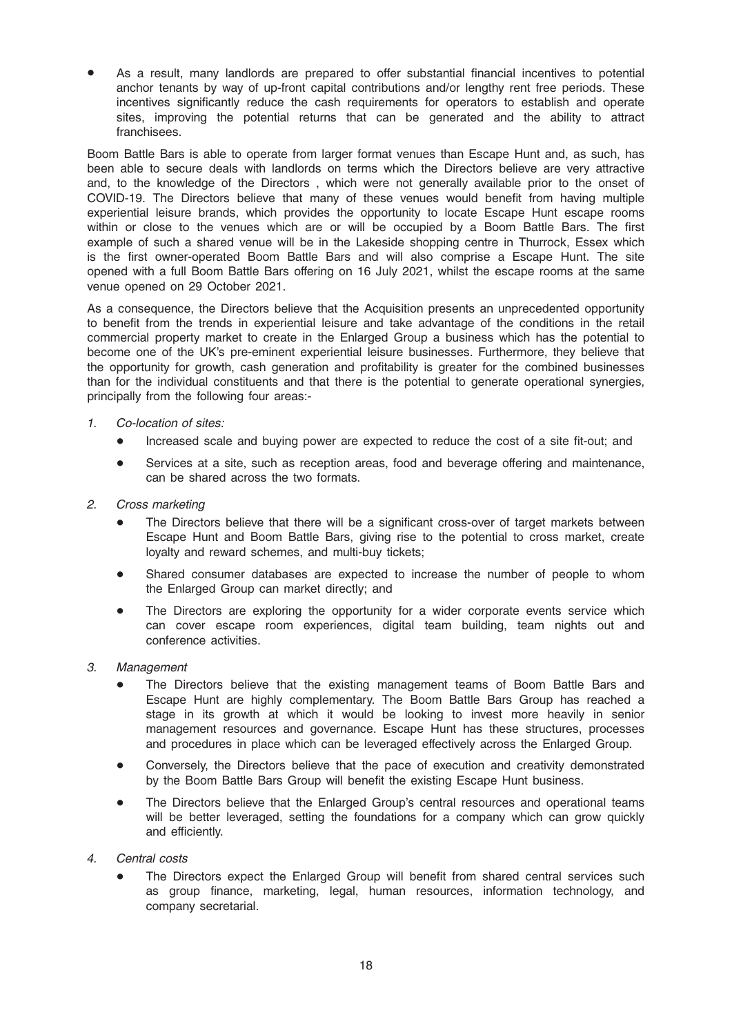As a result, many landlords are prepared to offer substantial financial incentives to potential anchor tenants by way of up-front capital contributions and/or lengthy rent free periods. These incentives significantly reduce the cash requirements for operators to establish and operate sites, improving the potential returns that can be generated and the ability to attract franchisees.

Boom Battle Bars is able to operate from larger format venues than Escape Hunt and, as such, has been able to secure deals with landlords on terms which the Directors believe are very attractive and, to the knowledge of the Directors , which were not generally available prior to the onset of COVID-19. The Directors believe that many of these venues would benefit from having multiple experiential leisure brands, which provides the opportunity to locate Escape Hunt escape rooms within or close to the venues which are or will be occupied by a Boom Battle Bars. The first example of such a shared venue will be in the Lakeside shopping centre in Thurrock, Essex which is the first owner-operated Boom Battle Bars and will also comprise a Escape Hunt. The site opened with a full Boom Battle Bars offering on 16 July 2021, whilst the escape rooms at the same venue opened on 29 October 2021.

As a consequence, the Directors believe that the Acquisition presents an unprecedented opportunity to benefit from the trends in experiential leisure and take advantage of the conditions in the retail commercial property market to create in the Enlarged Group a business which has the potential to become one of the UK's pre-eminent experiential leisure businesses. Furthermore, they believe that the opportunity for growth, cash generation and profitability is greater for the combined businesses than for the individual constituents and that there is the potential to generate operational synergies, principally from the following four areas:-

- 1. Co-location of sites:
	- Increased scale and buying power are expected to reduce the cost of a site fit-out; and
	- \* Services at a site, such as reception areas, food and beverage offering and maintenance, can be shared across the two formats.
- 2. Cross marketing
	- The Directors believe that there will be a significant cross-over of target markets between Escape Hunt and Boom Battle Bars, giving rise to the potential to cross market, create loyalty and reward schemes, and multi-buy tickets;
	- Shared consumer databases are expected to increase the number of people to whom the Enlarged Group can market directly; and
	- The Directors are exploring the opportunity for a wider corporate events service which can cover escape room experiences, digital team building, team nights out and conference activities.
- 3. Management
	- The Directors believe that the existing management teams of Boom Battle Bars and Escape Hunt are highly complementary. The Boom Battle Bars Group has reached a stage in its growth at which it would be looking to invest more heavily in senior management resources and governance. Escape Hunt has these structures, processes and procedures in place which can be leveraged effectively across the Enlarged Group.
	- Conversely, the Directors believe that the pace of execution and creativity demonstrated by the Boom Battle Bars Group will benefit the existing Escape Hunt business.
	- The Directors believe that the Enlarged Group's central resources and operational teams will be better leveraged, setting the foundations for a company which can grow quickly and efficiently.
- 4. Central costs
	- The Directors expect the Enlarged Group will benefit from shared central services such as group finance, marketing, legal, human resources, information technology, and company secretarial.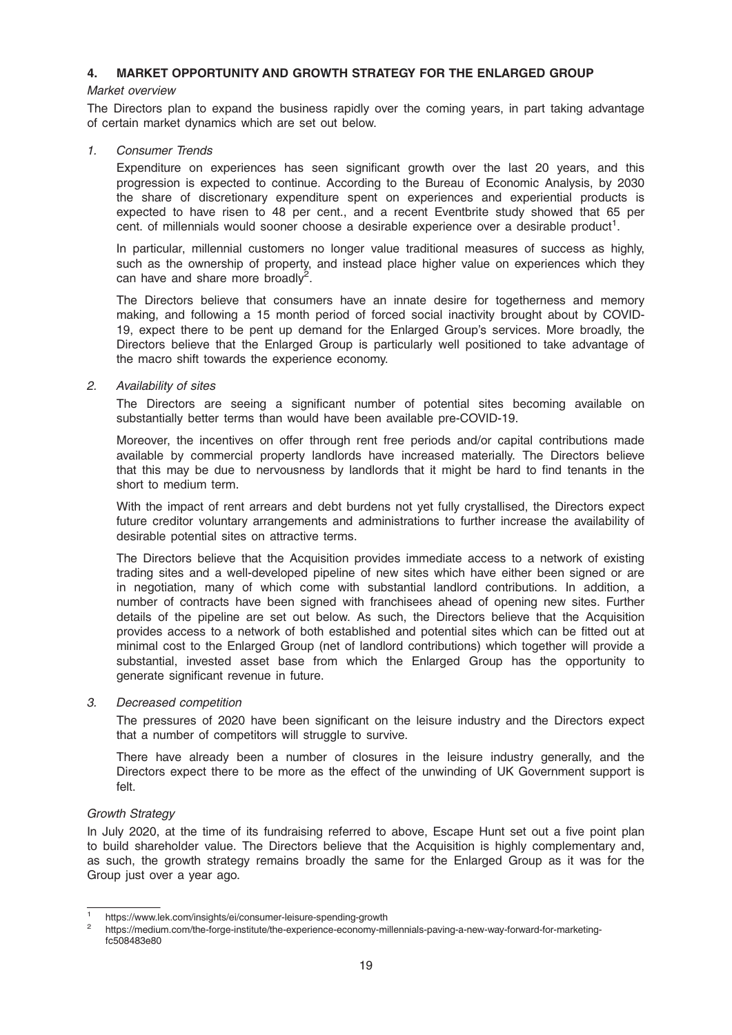### 4. MARKET OPPORTUNITY AND GROWTH STRATEGY FOR THE ENLARGED GROUP

#### Market overview

The Directors plan to expand the business rapidly over the coming years, in part taking advantage of certain market dynamics which are set out below.

#### 1. Consumer Trends

Expenditure on experiences has seen significant growth over the last 20 years, and this progression is expected to continue. According to the Bureau of Economic Analysis, by 2030 the share of discretionary expenditure spent on experiences and experiential products is expected to have risen to 48 per cent., and a recent Eventbrite study showed that 65 per cent. of millennials would sooner choose a desirable experience over a desirable product<sup>1</sup>.

In particular, millennial customers no longer value traditional measures of success as highly, such as the ownership of property, and instead place higher value on experiences which they can have and share more broadly<sup>2</sup>.

The Directors believe that consumers have an innate desire for togetherness and memory making, and following a 15 month period of forced social inactivity brought about by COVID-19, expect there to be pent up demand for the Enlarged Group's services. More broadly, the Directors believe that the Enlarged Group is particularly well positioned to take advantage of the macro shift towards the experience economy.

#### 2. Availability of sites

The Directors are seeing a significant number of potential sites becoming available on substantially better terms than would have been available pre-COVID-19.

Moreover, the incentives on offer through rent free periods and/or capital contributions made available by commercial property landlords have increased materially. The Directors believe that this may be due to nervousness by landlords that it might be hard to find tenants in the short to medium term.

With the impact of rent arrears and debt burdens not yet fully crystallised, the Directors expect future creditor voluntary arrangements and administrations to further increase the availability of desirable potential sites on attractive terms.

The Directors believe that the Acquisition provides immediate access to a network of existing trading sites and a well-developed pipeline of new sites which have either been signed or are in negotiation, many of which come with substantial landlord contributions. In addition, a number of contracts have been signed with franchisees ahead of opening new sites. Further details of the pipeline are set out below. As such, the Directors believe that the Acquisition provides access to a network of both established and potential sites which can be fitted out at minimal cost to the Enlarged Group (net of landlord contributions) which together will provide a substantial, invested asset base from which the Enlarged Group has the opportunity to generate significant revenue in future.

#### 3. Decreased competition

The pressures of 2020 have been significant on the leisure industry and the Directors expect that a number of competitors will struggle to survive.

There have already been a number of closures in the leisure industry generally, and the Directors expect there to be more as the effect of the unwinding of UK Government support is felt.

# Growth Strategy

In July 2020, at the time of its fundraising referred to above, Escape Hunt set out a five point plan to build shareholder value. The Directors believe that the Acquisition is highly complementary and, as such, the growth strategy remains broadly the same for the Enlarged Group as it was for the Group just over a year ago.

https://www.lek.com/insights/ei/consumer-leisure-spending-growth<br>https://medium.com/the-forge-institute/the-experience-economy-millennials-paving-a-new-way-forward-for-marketingfc508483e80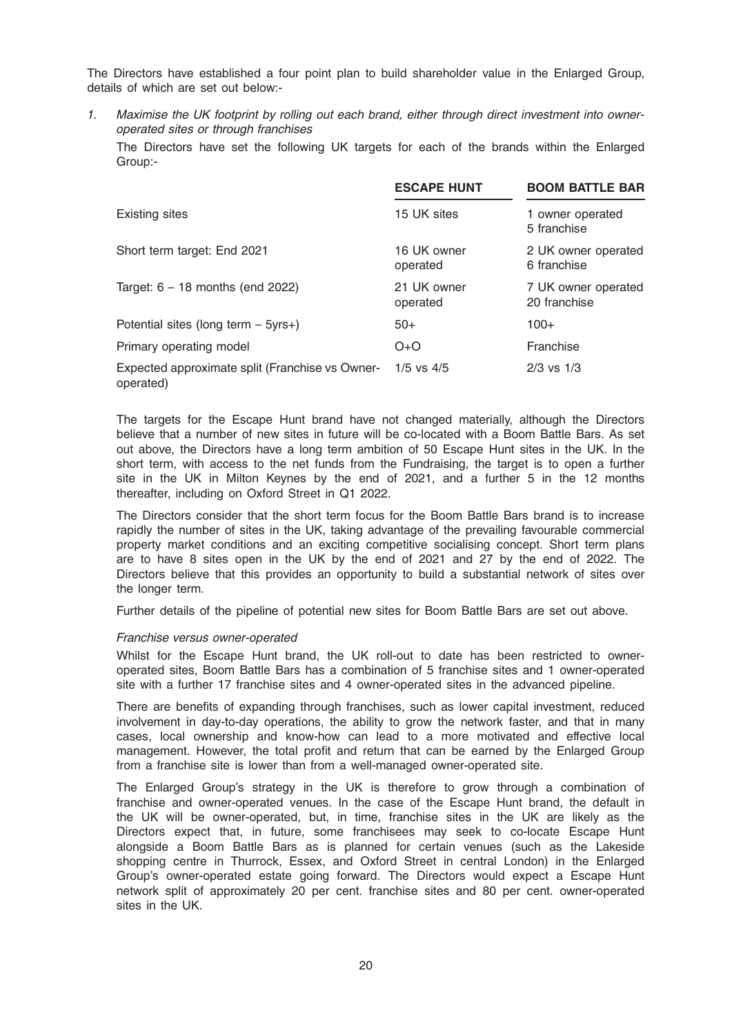The Directors have established a four point plan to build shareholder value in the Enlarged Group, details of which are set out below:-

1. Maximise the UK footprint by rolling out each brand, either through direct investment into owneroperated sites or through franchises The Directors have set the following UK targets for each of the brands within the Enlarged Group:-

|                                                              | <b>ESCAPE HUNT</b>      | <b>BOOM BATTLE BAR</b>              |
|--------------------------------------------------------------|-------------------------|-------------------------------------|
| Existing sites                                               | 15 UK sites             | 1 owner operated<br>5 franchise     |
| Short term target: End 2021                                  | 16 UK owner<br>operated | 2 UK owner operated<br>6 franchise  |
| Target: $6 - 18$ months (end 2022)                           | 21 UK owner<br>operated | 7 UK owner operated<br>20 franchise |
| Potential sites (long term $-5yrs+$ )                        | $50+$                   | $100+$                              |
| Primary operating model                                      | $O+O$                   | Franchise                           |
| Expected approximate split (Franchise vs Owner-<br>operated) | $1/5$ vs $4/5$          | $2/3$ vs $1/3$                      |

The targets for the Escape Hunt brand have not changed materially, although the Directors believe that a number of new sites in future will be co-located with a Boom Battle Bars. As set out above, the Directors have a long term ambition of 50 Escape Hunt sites in the UK. In the short term, with access to the net funds from the Fundraising, the target is to open a further site in the UK in Milton Keynes by the end of 2021, and a further 5 in the 12 months thereafter, including on Oxford Street in Q1 2022.

The Directors consider that the short term focus for the Boom Battle Bars brand is to increase rapidly the number of sites in the UK, taking advantage of the prevailing favourable commercial property market conditions and an exciting competitive socialising concept. Short term plans are to have 8 sites open in the UK by the end of 2021 and 27 by the end of 2022. The Directors believe that this provides an opportunity to build a substantial network of sites over the longer term.

Further details of the pipeline of potential new sites for Boom Battle Bars are set out above.

#### Franchise versus owner-operated

Whilst for the Escape Hunt brand, the UK roll-out to date has been restricted to owneroperated sites, Boom Battle Bars has a combination of 5 franchise sites and 1 owner-operated site with a further 17 franchise sites and 4 owner-operated sites in the advanced pipeline.

There are benefits of expanding through franchises, such as lower capital investment, reduced involvement in day-to-day operations, the ability to grow the network faster, and that in many cases, local ownership and know-how can lead to a more motivated and effective local management. However, the total profit and return that can be earned by the Enlarged Group from a franchise site is lower than from a well-managed owner-operated site.

The Enlarged Group's strategy in the UK is therefore to grow through a combination of franchise and owner-operated venues. In the case of the Escape Hunt brand, the default in the UK will be owner-operated, but, in time, franchise sites in the UK are likely as the Directors expect that, in future, some franchisees may seek to co-locate Escape Hunt alongside a Boom Battle Bars as is planned for certain venues (such as the Lakeside shopping centre in Thurrock, Essex, and Oxford Street in central London) in the Enlarged Group's owner-operated estate going forward. The Directors would expect a Escape Hunt network split of approximately 20 per cent. franchise sites and 80 per cent. owner-operated sites in the UK.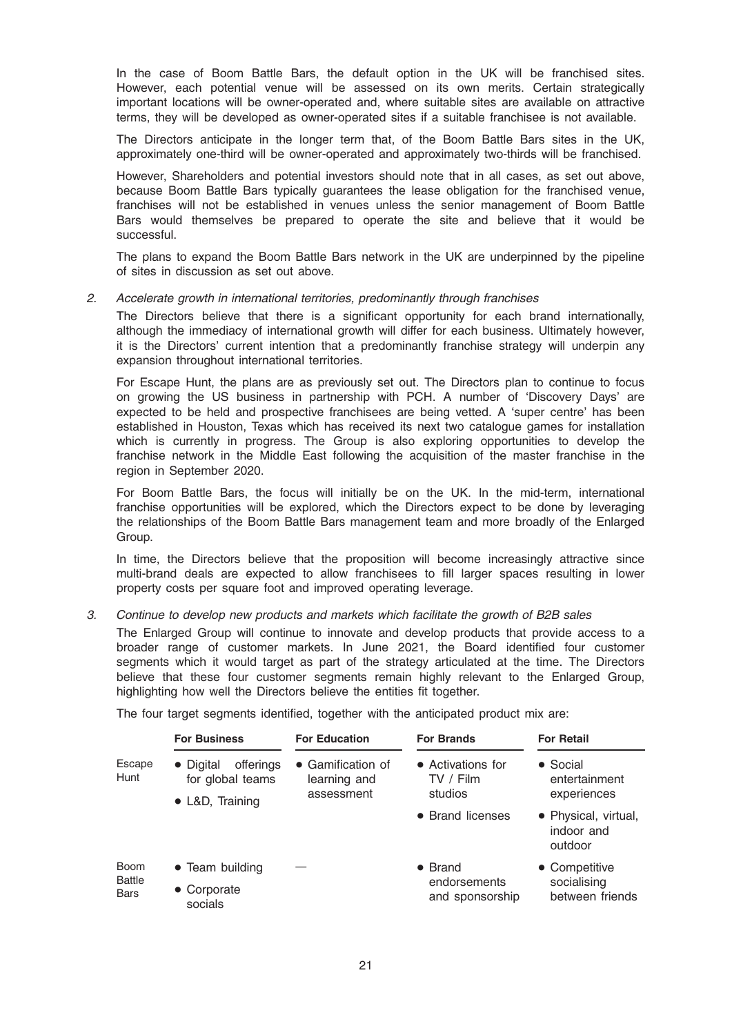In the case of Boom Battle Bars, the default option in the UK will be franchised sites. However, each potential venue will be assessed on its own merits. Certain strategically important locations will be owner-operated and, where suitable sites are available on attractive terms, they will be developed as owner-operated sites if a suitable franchisee is not available.

The Directors anticipate in the longer term that, of the Boom Battle Bars sites in the UK, approximately one-third will be owner-operated and approximately two-thirds will be franchised.

However, Shareholders and potential investors should note that in all cases, as set out above, because Boom Battle Bars typically guarantees the lease obligation for the franchised venue, franchises will not be established in venues unless the senior management of Boom Battle Bars would themselves be prepared to operate the site and believe that it would be successful.

The plans to expand the Boom Battle Bars network in the UK are underpinned by the pipeline of sites in discussion as set out above.

#### 2. Accelerate growth in international territories, predominantly through franchises

The Directors believe that there is a significant opportunity for each brand internationally, although the immediacy of international growth will differ for each business. Ultimately however, it is the Directors' current intention that a predominantly franchise strategy will underpin any expansion throughout international territories.

For Escape Hunt, the plans are as previously set out. The Directors plan to continue to focus on growing the US business in partnership with PCH. A number of 'Discovery Days' are expected to be held and prospective franchisees are being vetted. A 'super centre' has been established in Houston, Texas which has received its next two catalogue games for installation which is currently in progress. The Group is also exploring opportunities to develop the franchise network in the Middle East following the acquisition of the master franchise in the region in September 2020.

For Boom Battle Bars, the focus will initially be on the UK. In the mid-term, international franchise opportunities will be explored, which the Directors expect to be done by leveraging the relationships of the Boom Battle Bars management team and more broadly of the Enlarged Group.

In time, the Directors believe that the proposition will become increasingly attractive since multi-brand deals are expected to allow franchisees to fill larger spaces resulting in lower property costs per square foot and improved operating leverage.

#### 3. Continue to develop new products and markets which facilitate the growth of B2B sales

The Enlarged Group will continue to innovate and develop products that provide access to a broader range of customer markets. In June 2021, the Board identified four customer segments which it would target as part of the strategy articulated at the time. The Directors believe that these four customer segments remain highly relevant to the Enlarged Group, highlighting how well the Directors believe the entities fit together.

The four target segments identified, together with the anticipated product mix are:

|                                      | <b>For Business</b>                        | <b>For Education</b>                            | <b>For Brands</b>                         | <b>For Retail</b>                                |
|--------------------------------------|--------------------------------------------|-------------------------------------------------|-------------------------------------------|--------------------------------------------------|
| Escape<br>Hunt                       | offerings<br>• Digital<br>for global teams | • Gamification of<br>learning and<br>assessment | • Activations for<br>TV / Film<br>studios | $\bullet$ Social<br>entertainment<br>experiences |
|                                      | • L&D, Training                            |                                                 | • Brand licenses                          | • Physical, virtual,<br>indoor and<br>outdoor    |
| <b>Boom</b><br>Battle<br><b>Bars</b> | • Team building                            |                                                 | $\bullet$ Brand                           | • Competitive                                    |
|                                      | • Corporate<br>socials                     |                                                 | endorsements<br>and sponsorship           | socialising<br>between friends                   |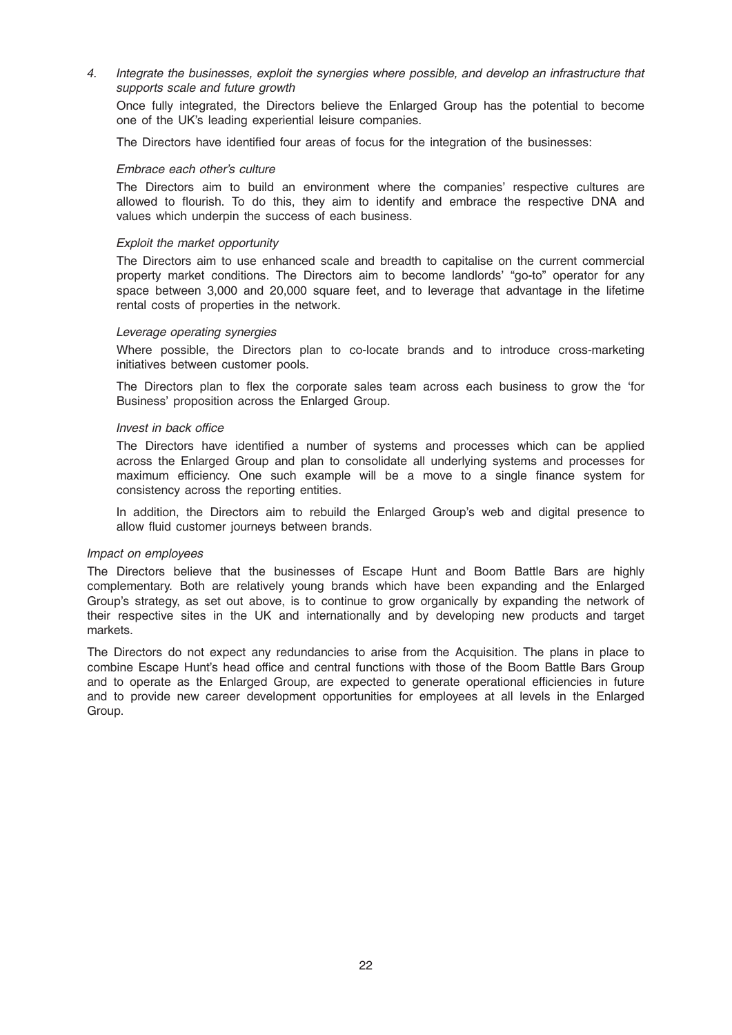4. Integrate the businesses, exploit the synergies where possible, and develop an infrastructure that supports scale and future growth

Once fully integrated, the Directors believe the Enlarged Group has the potential to become one of the UK's leading experiential leisure companies.

The Directors have identified four areas of focus for the integration of the businesses:

#### Embrace each other's culture

The Directors aim to build an environment where the companies' respective cultures are allowed to flourish. To do this, they aim to identify and embrace the respective DNA and values which underpin the success of each business.

#### Exploit the market opportunity

The Directors aim to use enhanced scale and breadth to capitalise on the current commercial property market conditions. The Directors aim to become landlords' "go-to" operator for any space between 3,000 and 20,000 square feet, and to leverage that advantage in the lifetime rental costs of properties in the network.

#### Leverage operating synergies

Where possible, the Directors plan to co-locate brands and to introduce cross-marketing initiatives between customer pools.

The Directors plan to flex the corporate sales team across each business to grow the 'for Business' proposition across the Enlarged Group.

#### Invest in back office

The Directors have identified a number of systems and processes which can be applied across the Enlarged Group and plan to consolidate all underlying systems and processes for maximum efficiency. One such example will be a move to a single finance system for consistency across the reporting entities.

In addition, the Directors aim to rebuild the Enlarged Group's web and digital presence to allow fluid customer journeys between brands.

#### Impact on employees

The Directors believe that the businesses of Escape Hunt and Boom Battle Bars are highly complementary. Both are relatively young brands which have been expanding and the Enlarged Group's strategy, as set out above, is to continue to grow organically by expanding the network of their respective sites in the UK and internationally and by developing new products and target markets.

The Directors do not expect any redundancies to arise from the Acquisition. The plans in place to combine Escape Hunt's head office and central functions with those of the Boom Battle Bars Group and to operate as the Enlarged Group, are expected to generate operational efficiencies in future and to provide new career development opportunities for employees at all levels in the Enlarged Group.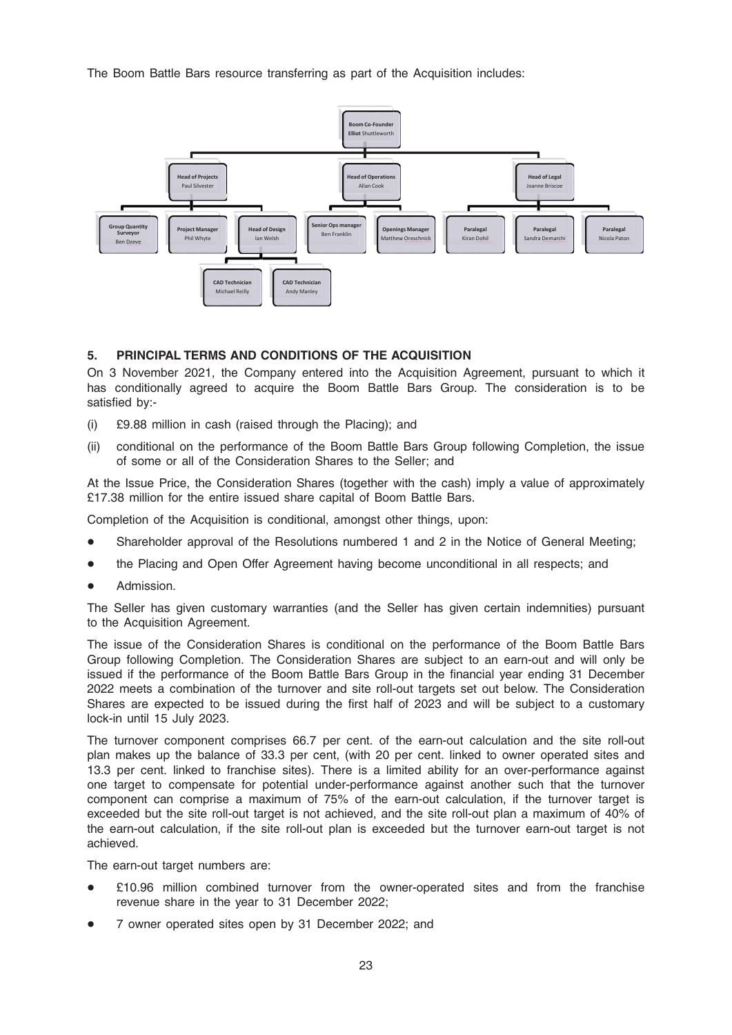The Boom Battle Bars resource transferring as part of the Acquisition includes:



# 5. PRINCIPAL TERMS AND CONDITIONS OF THE ACQUISITION

On 3 November 2021, the Company entered into the Acquisition Agreement, pursuant to which it has conditionally agreed to acquire the Boom Battle Bars Group. The consideration is to be satisfied by:-

- (i) £9.88 million in cash (raised through the Placing); and
- (ii) conditional on the performance of the Boom Battle Bars Group following Completion, the issue of some or all of the Consideration Shares to the Seller; and

At the Issue Price, the Consideration Shares (together with the cash) imply a value of approximately £17.38 million for the entire issued share capital of Boom Battle Bars.

Completion of the Acquisition is conditional, amongst other things, upon:

- Shareholder approval of the Resolutions numbered 1 and 2 in the Notice of General Meeting;
- the Placing and Open Offer Agreement having become unconditional in all respects; and
- Admission.

The Seller has given customary warranties (and the Seller has given certain indemnities) pursuant to the Acquisition Agreement.

The issue of the Consideration Shares is conditional on the performance of the Boom Battle Bars Group following Completion. The Consideration Shares are subject to an earn-out and will only be issued if the performance of the Boom Battle Bars Group in the financial year ending 31 December 2022 meets a combination of the turnover and site roll-out targets set out below. The Consideration Shares are expected to be issued during the first half of 2023 and will be subject to a customary lock-in until 15 July 2023.

The turnover component comprises 66.7 per cent. of the earn-out calculation and the site roll-out plan makes up the balance of 33.3 per cent, (with 20 per cent. linked to owner operated sites and 13.3 per cent. linked to franchise sites). There is a limited ability for an over-performance against one target to compensate for potential under-performance against another such that the turnover component can comprise a maximum of 75% of the earn-out calculation, if the turnover target is exceeded but the site roll-out target is not achieved, and the site roll-out plan a maximum of 40% of the earn-out calculation, if the site roll-out plan is exceeded but the turnover earn-out target is not achieved.

The earn-out target numbers are:

- $£10.96$  million combined turnover from the owner-operated sites and from the franchise revenue share in the year to 31 December 2022;
- 7 owner operated sites open by 31 December 2022; and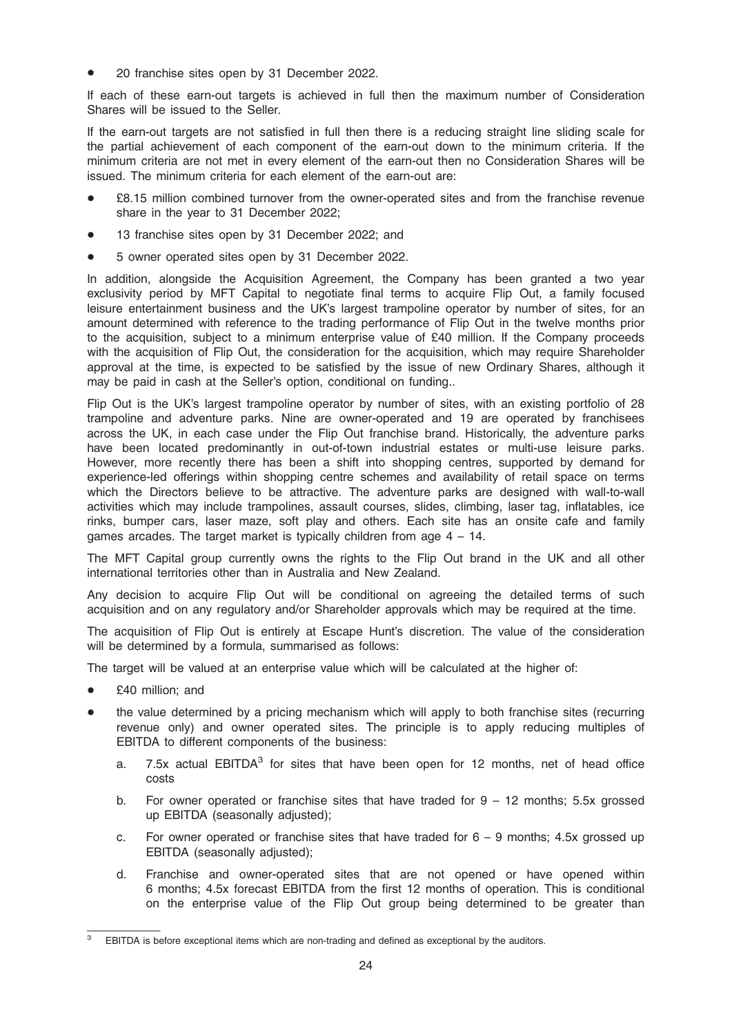20 franchise sites open by 31 December 2022.

If each of these earn-out targets is achieved in full then the maximum number of Consideration Shares will be issued to the Seller.

If the earn-out targets are not satisfied in full then there is a reducing straight line sliding scale for the partial achievement of each component of the earn-out down to the minimum criteria. If the minimum criteria are not met in every element of the earn-out then no Consideration Shares will be issued. The minimum criteria for each element of the earn-out are:

- £8.15 million combined turnover from the owner-operated sites and from the franchise revenue share in the year to 31 December 2022;
- 13 franchise sites open by 31 December 2022; and
- 5 owner operated sites open by 31 December 2022.

In addition, alongside the Acquisition Agreement, the Company has been granted a two year exclusivity period by MFT Capital to negotiate final terms to acquire Flip Out, a family focused leisure entertainment business and the UK's largest trampoline operator by number of sites, for an amount determined with reference to the trading performance of Flip Out in the twelve months prior to the acquisition, subject to a minimum enterprise value of £40 million. If the Company proceeds with the acquisition of Flip Out, the consideration for the acquisition, which may require Shareholder approval at the time, is expected to be satisfied by the issue of new Ordinary Shares, although it may be paid in cash at the Seller's option, conditional on funding..

Flip Out is the UK's largest trampoline operator by number of sites, with an existing portfolio of 28 trampoline and adventure parks. Nine are owner-operated and 19 are operated by franchisees across the UK, in each case under the Flip Out franchise brand. Historically, the adventure parks have been located predominantly in out-of-town industrial estates or multi-use leisure parks. However, more recently there has been a shift into shopping centres, supported by demand for experience-led offerings within shopping centre schemes and availability of retail space on terms which the Directors believe to be attractive. The adventure parks are designed with wall-to-wall activities which may include trampolines, assault courses, slides, climbing, laser tag, inflatables, ice rinks, bumper cars, laser maze, soft play and others. Each site has an onsite cafe and family games arcades. The target market is typically children from age  $4 - 14$ .

The MFT Capital group currently owns the rights to the Flip Out brand in the UK and all other international territories other than in Australia and New Zealand.

Any decision to acquire Flip Out will be conditional on agreeing the detailed terms of such acquisition and on any regulatory and/or Shareholder approvals which may be required at the time.

The acquisition of Flip Out is entirely at Escape Hunt's discretion. The value of the consideration will be determined by a formula, summarised as follows:

The target will be valued at an enterprise value which will be calculated at the higher of:

- £40 million; and
- the value determined by a pricing mechanism which will apply to both franchise sites (recurring revenue only) and owner operated sites. The principle is to apply reducing multiples of EBITDA to different components of the business:
	- a. 7.5x actual EBITDA<sup>3</sup> for sites that have been open for 12 months, net of head office costs
	- b. For owner operated or franchise sites that have traded for  $9 12$  months; 5.5x grossed up EBITDA (seasonally adjusted);
	- c. For owner operated or franchise sites that have traded for  $6 9$  months; 4.5x grossed up EBITDA (seasonally adjusted);
	- d. Franchise and owner-operated sites that are not opened or have opened within 6 months; 4.5x forecast EBITDA from the first 12 months of operation. This is conditional on the enterprise value of the Flip Out group being determined to be greater than

EBITDA is before exceptional items which are non-trading and defined as exceptional by the auditors.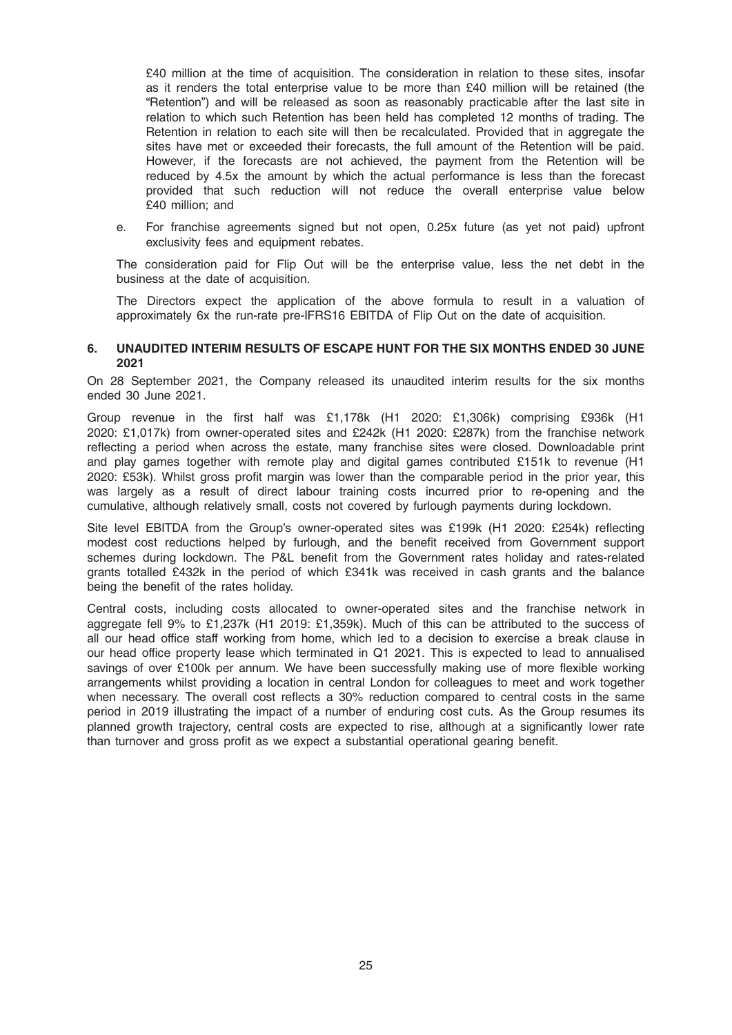£40 million at the time of acquisition. The consideration in relation to these sites, insofar as it renders the total enterprise value to be more than £40 million will be retained (the "Retention") and will be released as soon as reasonably practicable after the last site in relation to which such Retention has been held has completed 12 months of trading. The Retention in relation to each site will then be recalculated. Provided that in aggregate the sites have met or exceeded their forecasts, the full amount of the Retention will be paid. However, if the forecasts are not achieved, the payment from the Retention will be reduced by 4.5x the amount by which the actual performance is less than the forecast provided that such reduction will not reduce the overall enterprise value below £40 million; and

e. For franchise agreements signed but not open, 0.25x future (as yet not paid) upfront exclusivity fees and equipment rebates.

The consideration paid for Flip Out will be the enterprise value, less the net debt in the business at the date of acquisition.

The Directors expect the application of the above formula to result in a valuation of approximately 6x the run-rate pre-IFRS16 EBITDA of Flip Out on the date of acquisition.

### 6. UNAUDITED INTERIM RESULTS OF ESCAPE HUNT FOR THE SIX MONTHS ENDED 30 JUNE 2021

On 28 September 2021, the Company released its unaudited interim results for the six months ended 30 June 2021.

Group revenue in the first half was £1,178k (H1 2020: £1,306k) comprising £936k (H1 2020: £1,017k) from owner-operated sites and £242k (H1 2020: £287k) from the franchise network reflecting a period when across the estate, many franchise sites were closed. Downloadable print and play games together with remote play and digital games contributed £151k to revenue (H1 2020: £53k). Whilst gross profit margin was lower than the comparable period in the prior year, this was largely as a result of direct labour training costs incurred prior to re-opening and the cumulative, although relatively small, costs not covered by furlough payments during lockdown.

Site level EBITDA from the Group's owner-operated sites was £199k (H1 2020: £254k) reflecting modest cost reductions helped by furlough, and the benefit received from Government support schemes during lockdown. The P&L benefit from the Government rates holiday and rates-related grants totalled £432k in the period of which £341k was received in cash grants and the balance being the benefit of the rates holiday.

Central costs, including costs allocated to owner-operated sites and the franchise network in aggregate fell 9% to £1,237k (H1 2019: £1,359k). Much of this can be attributed to the success of all our head office staff working from home, which led to a decision to exercise a break clause in our head office property lease which terminated in Q1 2021. This is expected to lead to annualised savings of over £100k per annum. We have been successfully making use of more flexible working arrangements whilst providing a location in central London for colleagues to meet and work together when necessary. The overall cost reflects a 30% reduction compared to central costs in the same period in 2019 illustrating the impact of a number of enduring cost cuts. As the Group resumes its planned growth trajectory, central costs are expected to rise, although at a significantly lower rate than turnover and gross profit as we expect a substantial operational gearing benefit.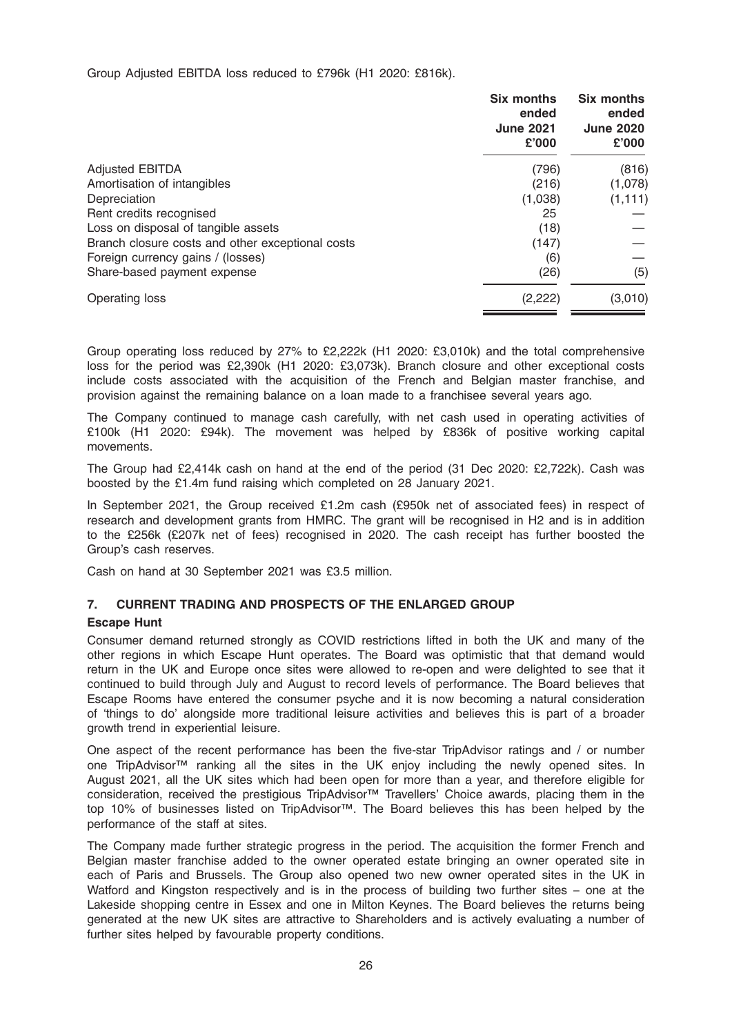Group Adjusted EBITDA loss reduced to £796k (H1 2020: £816k).

|                                                  | <b>Six months</b><br>ended<br><b>June 2021</b><br>£'000 | <b>Six months</b><br>ended<br><b>June 2020</b><br>£'000 |
|--------------------------------------------------|---------------------------------------------------------|---------------------------------------------------------|
| <b>Adjusted EBITDA</b>                           | (796)                                                   | (816)                                                   |
| Amortisation of intangibles                      | (216)                                                   | (1,078)                                                 |
| Depreciation                                     | (1,038)                                                 | (1, 111)                                                |
| Rent credits recognised                          | 25                                                      |                                                         |
| Loss on disposal of tangible assets              | (18)                                                    |                                                         |
| Branch closure costs and other exceptional costs | (147)                                                   |                                                         |
| Foreign currency gains / (losses)                | (6)                                                     |                                                         |
| Share-based payment expense                      | (26)                                                    | (5)                                                     |
| Operating loss                                   | (2,222)                                                 | (3,010)                                                 |
|                                                  |                                                         |                                                         |

Group operating loss reduced by 27% to £2,222k (H1 2020: £3,010k) and the total comprehensive loss for the period was £2,390k (H1 2020: £3,073k). Branch closure and other exceptional costs include costs associated with the acquisition of the French and Belgian master franchise, and provision against the remaining balance on a loan made to a franchisee several years ago.

The Company continued to manage cash carefully, with net cash used in operating activities of £100k (H1 2020: £94k). The movement was helped by £836k of positive working capital movements.

The Group had £2,414k cash on hand at the end of the period (31 Dec 2020: £2,722k). Cash was boosted by the £1.4m fund raising which completed on 28 January 2021.

In September 2021, the Group received £1.2m cash (£950k net of associated fees) in respect of research and development grants from HMRC. The grant will be recognised in H2 and is in addition to the £256k (£207k net of fees) recognised in 2020. The cash receipt has further boosted the Group's cash reserves.

Cash on hand at 30 September 2021 was £3.5 million.

# 7. CURRENT TRADING AND PROSPECTS OF THE ENLARGED GROUP

# Escape Hunt

Consumer demand returned strongly as COVID restrictions lifted in both the UK and many of the other regions in which Escape Hunt operates. The Board was optimistic that that demand would return in the UK and Europe once sites were allowed to re-open and were delighted to see that it continued to build through July and August to record levels of performance. The Board believes that Escape Rooms have entered the consumer psyche and it is now becoming a natural consideration of 'things to do' alongside more traditional leisure activities and believes this is part of a broader growth trend in experiential leisure.

One aspect of the recent performance has been the five-star TripAdvisor ratings and / or number one TripAdvisor™ ranking all the sites in the UK enjoy including the newly opened sites. In August 2021, all the UK sites which had been open for more than a year, and therefore eligible for consideration, received the prestigious TripAdvisor™ Travellers' Choice awards, placing them in the top 10% of businesses listed on TripAdvisor™. The Board believes this has been helped by the performance of the staff at sites.

The Company made further strategic progress in the period. The acquisition the former French and Belgian master franchise added to the owner operated estate bringing an owner operated site in each of Paris and Brussels. The Group also opened two new owner operated sites in the UK in Watford and Kingston respectively and is in the process of building two further sites – one at the Lakeside shopping centre in Essex and one in Milton Keynes. The Board believes the returns being generated at the new UK sites are attractive to Shareholders and is actively evaluating a number of further sites helped by favourable property conditions.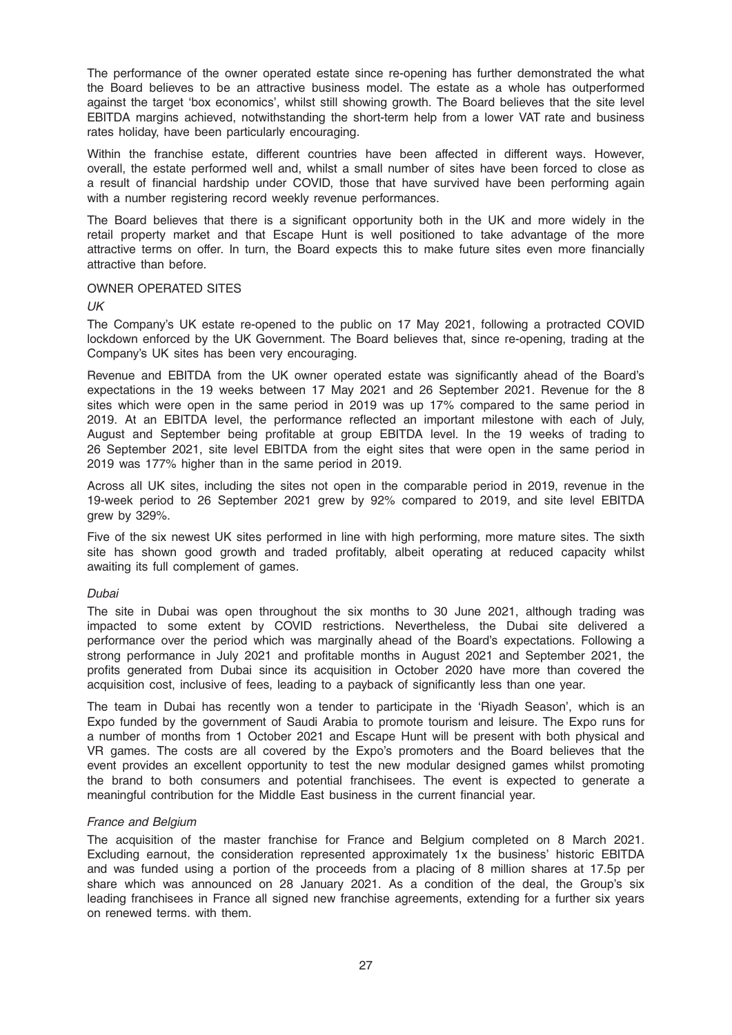The performance of the owner operated estate since re-opening has further demonstrated the what the Board believes to be an attractive business model. The estate as a whole has outperformed against the target 'box economics', whilst still showing growth. The Board believes that the site level EBITDA margins achieved, notwithstanding the short-term help from a lower VAT rate and business rates holiday, have been particularly encouraging.

Within the franchise estate, different countries have been affected in different ways. However, overall, the estate performed well and, whilst a small number of sites have been forced to close as a result of financial hardship under COVID, those that have survived have been performing again with a number registering record weekly revenue performances.

The Board believes that there is a significant opportunity both in the UK and more widely in the retail property market and that Escape Hunt is well positioned to take advantage of the more attractive terms on offer. In turn, the Board expects this to make future sites even more financially attractive than before.

#### OWNER OPERATED SITES

UK

The Company's UK estate re-opened to the public on 17 May 2021, following a protracted COVID lockdown enforced by the UK Government. The Board believes that, since re-opening, trading at the Company's UK sites has been very encouraging.

Revenue and EBITDA from the UK owner operated estate was significantly ahead of the Board's expectations in the 19 weeks between 17 May 2021 and 26 September 2021. Revenue for the 8 sites which were open in the same period in 2019 was up 17% compared to the same period in 2019. At an EBITDA level, the performance reflected an important milestone with each of July, August and September being profitable at group EBITDA level. In the 19 weeks of trading to 26 September 2021, site level EBITDA from the eight sites that were open in the same period in 2019 was 177% higher than in the same period in 2019.

Across all UK sites, including the sites not open in the comparable period in 2019, revenue in the 19-week period to 26 September 2021 grew by 92% compared to 2019, and site level EBITDA grew by 329%.

Five of the six newest UK sites performed in line with high performing, more mature sites. The sixth site has shown good growth and traded profitably, albeit operating at reduced capacity whilst awaiting its full complement of games.

#### Dubai

The site in Dubai was open throughout the six months to 30 June 2021, although trading was impacted to some extent by COVID restrictions. Nevertheless, the Dubai site delivered a performance over the period which was marginally ahead of the Board's expectations. Following a strong performance in July 2021 and profitable months in August 2021 and September 2021, the profits generated from Dubai since its acquisition in October 2020 have more than covered the acquisition cost, inclusive of fees, leading to a payback of significantly less than one year.

The team in Dubai has recently won a tender to participate in the 'Riyadh Season', which is an Expo funded by the government of Saudi Arabia to promote tourism and leisure. The Expo runs for a number of months from 1 October 2021 and Escape Hunt will be present with both physical and VR games. The costs are all covered by the Expo's promoters and the Board believes that the event provides an excellent opportunity to test the new modular designed games whilst promoting the brand to both consumers and potential franchisees. The event is expected to generate a meaningful contribution for the Middle East business in the current financial year.

# France and Belgium

The acquisition of the master franchise for France and Belgium completed on 8 March 2021. Excluding earnout, the consideration represented approximately 1x the business' historic EBITDA and was funded using a portion of the proceeds from a placing of 8 million shares at 17.5p per share which was announced on 28 January 2021. As a condition of the deal, the Group's six leading franchisees in France all signed new franchise agreements, extending for a further six years on renewed terms. with them.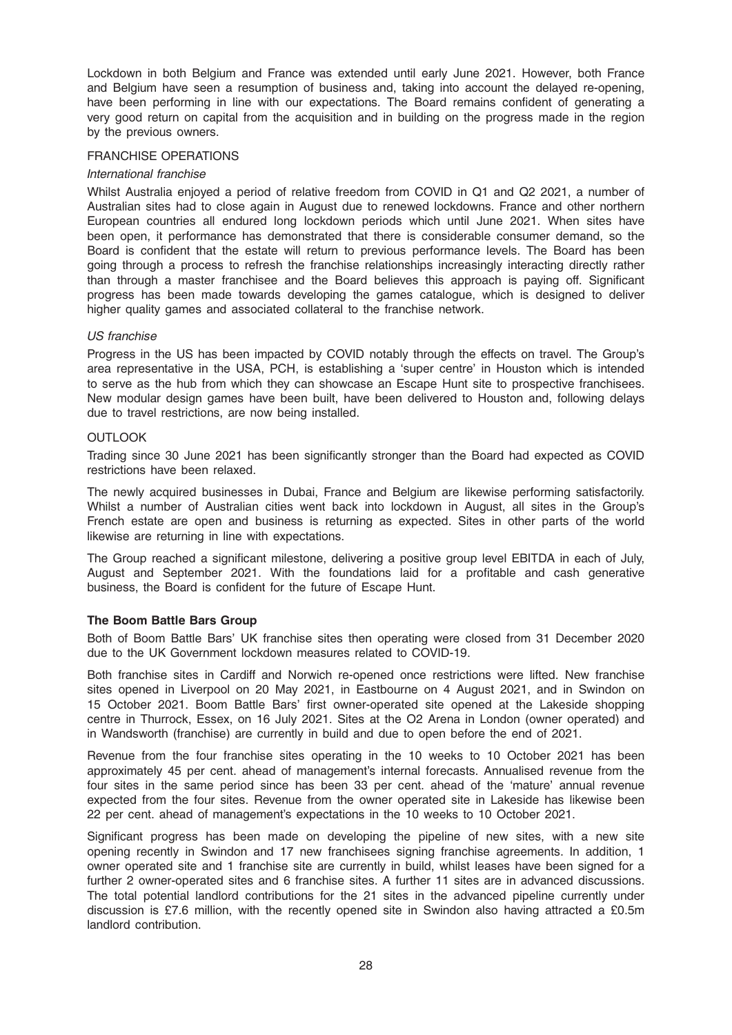Lockdown in both Belgium and France was extended until early June 2021. However, both France and Belgium have seen a resumption of business and, taking into account the delayed re-opening, have been performing in line with our expectations. The Board remains confident of generating a very good return on capital from the acquisition and in building on the progress made in the region by the previous owners.

#### FRANCHISE OPERATIONS

### International franchise

Whilst Australia enjoyed a period of relative freedom from COVID in Q1 and Q2 2021, a number of Australian sites had to close again in August due to renewed lockdowns. France and other northern European countries all endured long lockdown periods which until June 2021. When sites have been open, it performance has demonstrated that there is considerable consumer demand, so the Board is confident that the estate will return to previous performance levels. The Board has been going through a process to refresh the franchise relationships increasingly interacting directly rather than through a master franchisee and the Board believes this approach is paying off. Significant progress has been made towards developing the games catalogue, which is designed to deliver higher quality games and associated collateral to the franchise network.

#### US franchise

Progress in the US has been impacted by COVID notably through the effects on travel. The Group's area representative in the USA, PCH, is establishing a 'super centre' in Houston which is intended to serve as the hub from which they can showcase an Escape Hunt site to prospective franchisees. New modular design games have been built, have been delivered to Houston and, following delays due to travel restrictions, are now being installed.

### **OUTLOOK**

Trading since 30 June 2021 has been significantly stronger than the Board had expected as COVID restrictions have been relaxed.

The newly acquired businesses in Dubai, France and Belgium are likewise performing satisfactorily. Whilst a number of Australian cities went back into lockdown in August, all sites in the Group's French estate are open and business is returning as expected. Sites in other parts of the world likewise are returning in line with expectations.

The Group reached a significant milestone, delivering a positive group level EBITDA in each of July, August and September 2021. With the foundations laid for a profitable and cash generative business, the Board is confident for the future of Escape Hunt.

# The Boom Battle Bars Group

Both of Boom Battle Bars' UK franchise sites then operating were closed from 31 December 2020 due to the UK Government lockdown measures related to COVID-19.

Both franchise sites in Cardiff and Norwich re-opened once restrictions were lifted. New franchise sites opened in Liverpool on 20 May 2021, in Eastbourne on 4 August 2021, and in Swindon on 15 October 2021. Boom Battle Bars' first owner-operated site opened at the Lakeside shopping centre in Thurrock, Essex, on 16 July 2021. Sites at the O2 Arena in London (owner operated) and in Wandsworth (franchise) are currently in build and due to open before the end of 2021.

Revenue from the four franchise sites operating in the 10 weeks to 10 October 2021 has been approximately 45 per cent. ahead of management's internal forecasts. Annualised revenue from the four sites in the same period since has been 33 per cent. ahead of the 'mature' annual revenue expected from the four sites. Revenue from the owner operated site in Lakeside has likewise been 22 per cent. ahead of management's expectations in the 10 weeks to 10 October 2021.

Significant progress has been made on developing the pipeline of new sites, with a new site opening recently in Swindon and 17 new franchisees signing franchise agreements. In addition, 1 owner operated site and 1 franchise site are currently in build, whilst leases have been signed for a further 2 owner-operated sites and 6 franchise sites. A further 11 sites are in advanced discussions. The total potential landlord contributions for the 21 sites in the advanced pipeline currently under discussion is £7.6 million, with the recently opened site in Swindon also having attracted a £0.5m landlord contribution.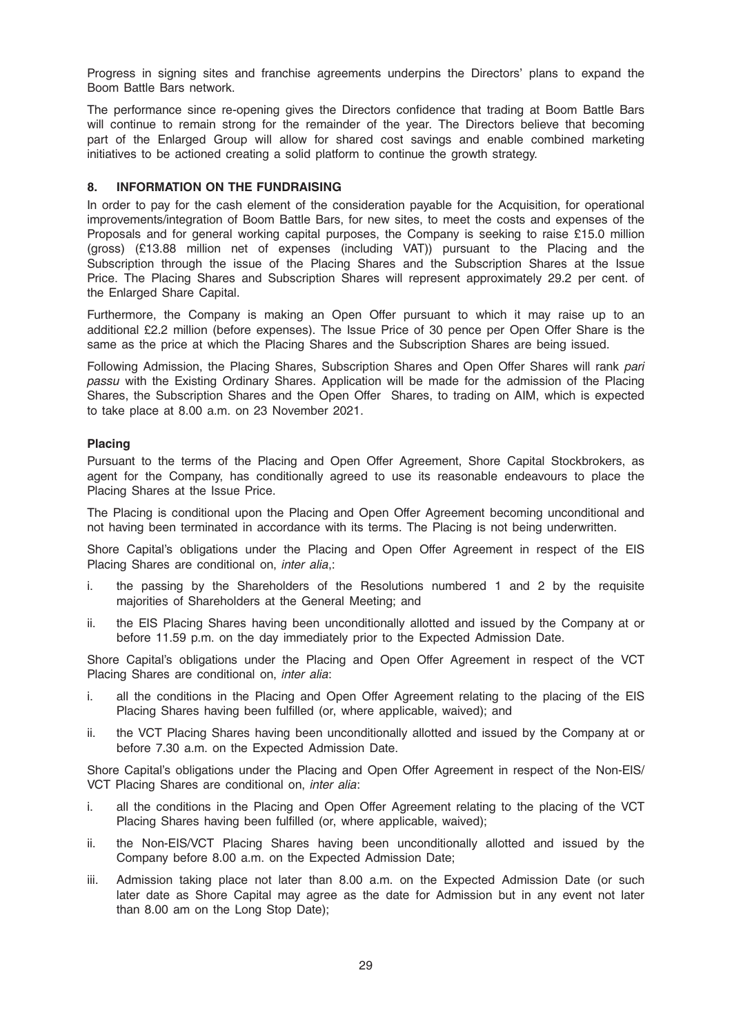Progress in signing sites and franchise agreements underpins the Directors' plans to expand the Boom Battle Bars network.

The performance since re-opening gives the Directors confidence that trading at Boom Battle Bars will continue to remain strong for the remainder of the year. The Directors believe that becoming part of the Enlarged Group will allow for shared cost savings and enable combined marketing initiatives to be actioned creating a solid platform to continue the growth strategy.

### 8. INFORMATION ON THE FUNDRAISING

In order to pay for the cash element of the consideration payable for the Acquisition, for operational improvements/integration of Boom Battle Bars, for new sites, to meet the costs and expenses of the Proposals and for general working capital purposes, the Company is seeking to raise £15.0 million (gross) (£13.88 million net of expenses (including VAT)) pursuant to the Placing and the Subscription through the issue of the Placing Shares and the Subscription Shares at the Issue Price. The Placing Shares and Subscription Shares will represent approximately 29.2 per cent. of the Enlarged Share Capital.

Furthermore, the Company is making an Open Offer pursuant to which it may raise up to an additional £2.2 million (before expenses). The Issue Price of 30 pence per Open Offer Share is the same as the price at which the Placing Shares and the Subscription Shares are being issued.

Following Admission, the Placing Shares, Subscription Shares and Open Offer Shares will rank pari passu with the Existing Ordinary Shares. Application will be made for the admission of the Placing Shares, the Subscription Shares and the Open Offer Shares, to trading on AIM, which is expected to take place at 8.00 a.m. on 23 November 2021.

### Placing

Pursuant to the terms of the Placing and Open Offer Agreement, Shore Capital Stockbrokers, as agent for the Company, has conditionally agreed to use its reasonable endeavours to place the Placing Shares at the Issue Price.

The Placing is conditional upon the Placing and Open Offer Agreement becoming unconditional and not having been terminated in accordance with its terms. The Placing is not being underwritten.

Shore Capital's obligations under the Placing and Open Offer Agreement in respect of the EIS Placing Shares are conditional on, inter alia,:

- i. the passing by the Shareholders of the Resolutions numbered 1 and 2 by the requisite majorities of Shareholders at the General Meeting; and
- ii. the EIS Placing Shares having been unconditionally allotted and issued by the Company at or before 11.59 p.m. on the day immediately prior to the Expected Admission Date.

Shore Capital's obligations under the Placing and Open Offer Agreement in respect of the VCT Placing Shares are conditional on, inter alia:

- i. all the conditions in the Placing and Open Offer Agreement relating to the placing of the EIS Placing Shares having been fulfilled (or, where applicable, waived); and
- ii. the VCT Placing Shares having been unconditionally allotted and issued by the Company at or before 7.30 a.m. on the Expected Admission Date.

Shore Capital's obligations under the Placing and Open Offer Agreement in respect of the Non-EIS/ VCT Placing Shares are conditional on, inter alia:

- i. all the conditions in the Placing and Open Offer Agreement relating to the placing of the VCT Placing Shares having been fulfilled (or, where applicable, waived);
- ii. the Non-EIS/VCT Placing Shares having been unconditionally allotted and issued by the Company before 8.00 a.m. on the Expected Admission Date;
- iii. Admission taking place not later than 8.00 a.m. on the Expected Admission Date (or such later date as Shore Capital may agree as the date for Admission but in any event not later than 8.00 am on the Long Stop Date);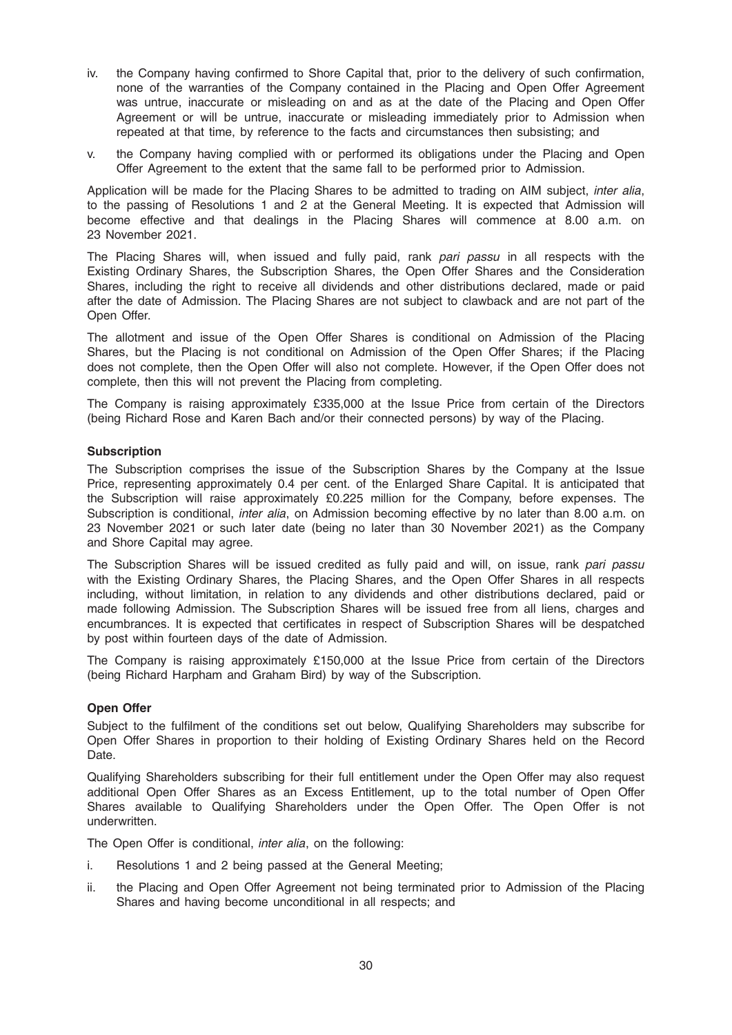- iv. the Company having confirmed to Shore Capital that, prior to the delivery of such confirmation, none of the warranties of the Company contained in the Placing and Open Offer Agreement was untrue, inaccurate or misleading on and as at the date of the Placing and Open Offer Agreement or will be untrue, inaccurate or misleading immediately prior to Admission when repeated at that time, by reference to the facts and circumstances then subsisting; and
- v. the Company having complied with or performed its obligations under the Placing and Open Offer Agreement to the extent that the same fall to be performed prior to Admission.

Application will be made for the Placing Shares to be admitted to trading on AIM subject, inter alia, to the passing of Resolutions 1 and 2 at the General Meeting. It is expected that Admission will become effective and that dealings in the Placing Shares will commence at 8.00 a.m. on 23 November 2021.

The Placing Shares will, when issued and fully paid, rank pari passu in all respects with the Existing Ordinary Shares, the Subscription Shares, the Open Offer Shares and the Consideration Shares, including the right to receive all dividends and other distributions declared, made or paid after the date of Admission. The Placing Shares are not subject to clawback and are not part of the Open Offer.

The allotment and issue of the Open Offer Shares is conditional on Admission of the Placing Shares, but the Placing is not conditional on Admission of the Open Offer Shares; if the Placing does not complete, then the Open Offer will also not complete. However, if the Open Offer does not complete, then this will not prevent the Placing from completing.

The Company is raising approximately £335,000 at the Issue Price from certain of the Directors (being Richard Rose and Karen Bach and/or their connected persons) by way of the Placing.

### **Subscription**

The Subscription comprises the issue of the Subscription Shares by the Company at the Issue Price, representing approximately 0.4 per cent. of the Enlarged Share Capital. It is anticipated that the Subscription will raise approximately £0.225 million for the Company, before expenses. The Subscription is conditional, inter alia, on Admission becoming effective by no later than 8.00 a.m. on 23 November 2021 or such later date (being no later than 30 November 2021) as the Company and Shore Capital may agree.

The Subscription Shares will be issued credited as fully paid and will, on issue, rank pari passu with the Existing Ordinary Shares, the Placing Shares, and the Open Offer Shares in all respects including, without limitation, in relation to any dividends and other distributions declared, paid or made following Admission. The Subscription Shares will be issued free from all liens, charges and encumbrances. It is expected that certificates in respect of Subscription Shares will be despatched by post within fourteen days of the date of Admission.

The Company is raising approximately £150,000 at the Issue Price from certain of the Directors (being Richard Harpham and Graham Bird) by way of the Subscription.

#### Open Offer

Subject to the fulfilment of the conditions set out below, Qualifying Shareholders may subscribe for Open Offer Shares in proportion to their holding of Existing Ordinary Shares held on the Record Date.

Qualifying Shareholders subscribing for their full entitlement under the Open Offer may also request additional Open Offer Shares as an Excess Entitlement, up to the total number of Open Offer Shares available to Qualifying Shareholders under the Open Offer. The Open Offer is not underwritten.

The Open Offer is conditional, *inter alia*, on the following:

- i. Resolutions 1 and 2 being passed at the General Meeting;
- ii. the Placing and Open Offer Agreement not being terminated prior to Admission of the Placing Shares and having become unconditional in all respects; and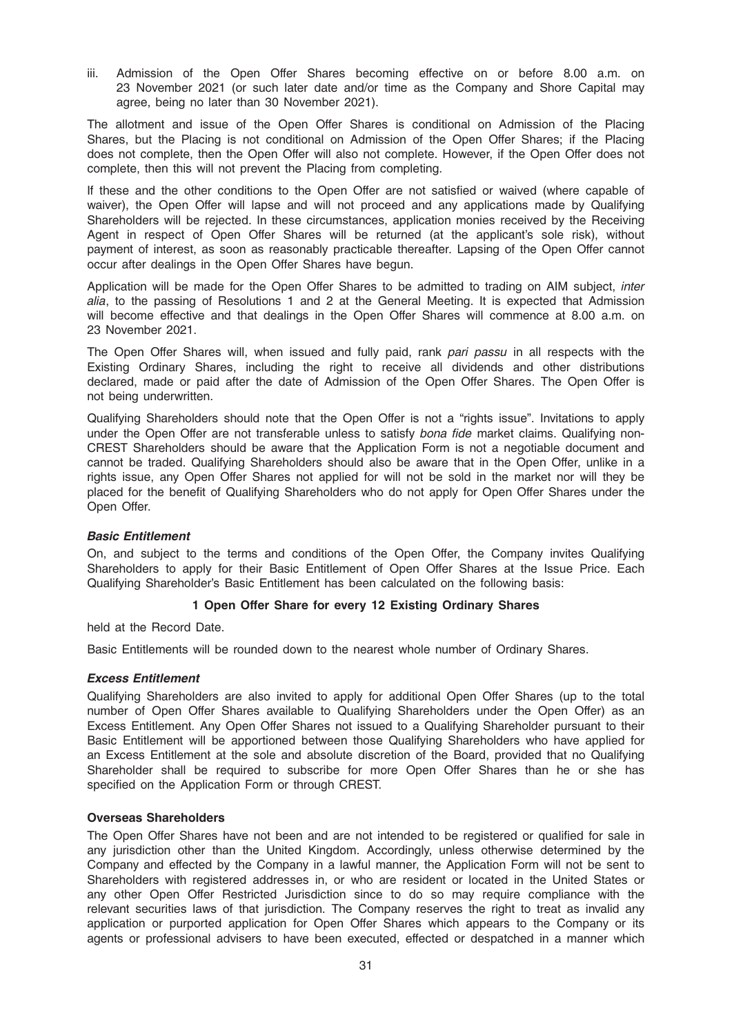iii. Admission of the Open Offer Shares becoming effective on or before 8.00 a.m. on 23 November 2021 (or such later date and/or time as the Company and Shore Capital may agree, being no later than 30 November 2021).

The allotment and issue of the Open Offer Shares is conditional on Admission of the Placing Shares, but the Placing is not conditional on Admission of the Open Offer Shares; if the Placing does not complete, then the Open Offer will also not complete. However, if the Open Offer does not complete, then this will not prevent the Placing from completing.

If these and the other conditions to the Open Offer are not satisfied or waived (where capable of waiver), the Open Offer will lapse and will not proceed and any applications made by Qualifying Shareholders will be rejected. In these circumstances, application monies received by the Receiving Agent in respect of Open Offer Shares will be returned (at the applicant's sole risk), without payment of interest, as soon as reasonably practicable thereafter. Lapsing of the Open Offer cannot occur after dealings in the Open Offer Shares have begun.

Application will be made for the Open Offer Shares to be admitted to trading on AIM subject, *inter* alia, to the passing of Resolutions 1 and 2 at the General Meeting. It is expected that Admission will become effective and that dealings in the Open Offer Shares will commence at 8.00 a.m. on 23 November 2021.

The Open Offer Shares will, when issued and fully paid, rank pari passu in all respects with the Existing Ordinary Shares, including the right to receive all dividends and other distributions declared, made or paid after the date of Admission of the Open Offer Shares. The Open Offer is not being underwritten.

Qualifying Shareholders should note that the Open Offer is not a "rights issue". Invitations to apply under the Open Offer are not transferable unless to satisfy bona fide market claims. Qualifying non-CREST Shareholders should be aware that the Application Form is not a negotiable document and cannot be traded. Qualifying Shareholders should also be aware that in the Open Offer, unlike in a rights issue, any Open Offer Shares not applied for will not be sold in the market nor will they be placed for the benefit of Qualifying Shareholders who do not apply for Open Offer Shares under the Open Offer.

# Basic Entitlement

On, and subject to the terms and conditions of the Open Offer, the Company invites Qualifying Shareholders to apply for their Basic Entitlement of Open Offer Shares at the Issue Price. Each Qualifying Shareholder's Basic Entitlement has been calculated on the following basis:

# 1 Open Offer Share for every 12 Existing Ordinary Shares

held at the Record Date.

Basic Entitlements will be rounded down to the nearest whole number of Ordinary Shares.

# Excess Entitlement

Qualifying Shareholders are also invited to apply for additional Open Offer Shares (up to the total number of Open Offer Shares available to Qualifying Shareholders under the Open Offer) as an Excess Entitlement. Any Open Offer Shares not issued to a Qualifying Shareholder pursuant to their Basic Entitlement will be apportioned between those Qualifying Shareholders who have applied for an Excess Entitlement at the sole and absolute discretion of the Board, provided that no Qualifying Shareholder shall be required to subscribe for more Open Offer Shares than he or she has specified on the Application Form or through CREST.

# Overseas Shareholders

The Open Offer Shares have not been and are not intended to be registered or qualified for sale in any jurisdiction other than the United Kingdom. Accordingly, unless otherwise determined by the Company and effected by the Company in a lawful manner, the Application Form will not be sent to Shareholders with registered addresses in, or who are resident or located in the United States or any other Open Offer Restricted Jurisdiction since to do so may require compliance with the relevant securities laws of that jurisdiction. The Company reserves the right to treat as invalid any application or purported application for Open Offer Shares which appears to the Company or its agents or professional advisers to have been executed, effected or despatched in a manner which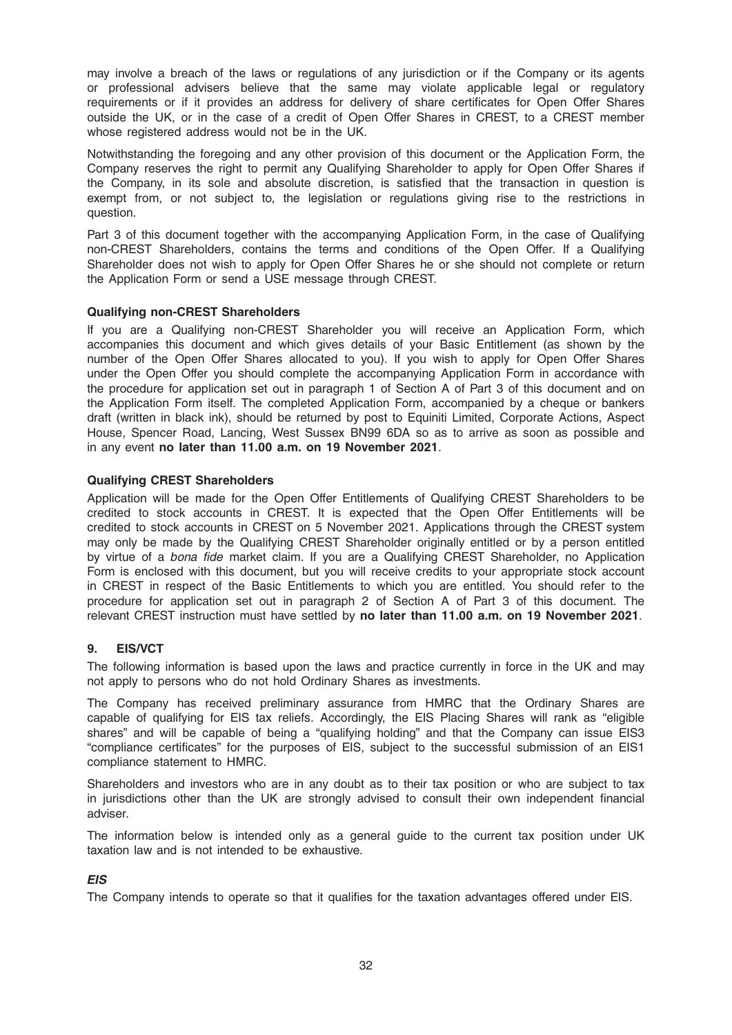may involve a breach of the laws or regulations of any jurisdiction or if the Company or its agents or professional advisers believe that the same may violate applicable legal or regulatory requirements or if it provides an address for delivery of share certificates for Open Offer Shares outside the UK, or in the case of a credit of Open Offer Shares in CREST, to a CREST member whose registered address would not be in the UK.

Notwithstanding the foregoing and any other provision of this document or the Application Form, the Company reserves the right to permit any Qualifying Shareholder to apply for Open Offer Shares if the Company, in its sole and absolute discretion, is satisfied that the transaction in question is exempt from, or not subject to, the legislation or regulations giving rise to the restrictions in question.

Part 3 of this document together with the accompanying Application Form, in the case of Qualifying non-CREST Shareholders, contains the terms and conditions of the Open Offer. If a Qualifying Shareholder does not wish to apply for Open Offer Shares he or she should not complete or return the Application Form or send a USE message through CREST.

# Qualifying non-CREST Shareholders

If you are a Qualifying non-CREST Shareholder you will receive an Application Form, which accompanies this document and which gives details of your Basic Entitlement (as shown by the number of the Open Offer Shares allocated to you). If you wish to apply for Open Offer Shares under the Open Offer you should complete the accompanying Application Form in accordance with the procedure for application set out in paragraph 1 of Section A of Part 3 of this document and on the Application Form itself. The completed Application Form, accompanied by a cheque or bankers draft (written in black ink), should be returned by post to Equiniti Limited, Corporate Actions, Aspect House, Spencer Road, Lancing, West Sussex BN99 6DA so as to arrive as soon as possible and in any event no later than 11.00 a.m. on 19 November 2021.

### Qualifying CREST Shareholders

Application will be made for the Open Offer Entitlements of Qualifying CREST Shareholders to be credited to stock accounts in CREST. It is expected that the Open Offer Entitlements will be credited to stock accounts in CREST on 5 November 2021. Applications through the CREST system may only be made by the Qualifying CREST Shareholder originally entitled or by a person entitled by virtue of a bona fide market claim. If you are a Qualifying CREST Shareholder, no Application Form is enclosed with this document, but you will receive credits to your appropriate stock account in CREST in respect of the Basic Entitlements to which you are entitled. You should refer to the procedure for application set out in paragraph 2 of Section A of Part 3 of this document. The relevant CREST instruction must have settled by no later than 11.00 a.m. on 19 November 2021.

# 9. EIS/VCT

The following information is based upon the laws and practice currently in force in the UK and may not apply to persons who do not hold Ordinary Shares as investments.

The Company has received preliminary assurance from HMRC that the Ordinary Shares are capable of qualifying for EIS tax reliefs. Accordingly, the EIS Placing Shares will rank as "eligible shares" and will be capable of being a "qualifying holding" and that the Company can issue EIS3 "compliance certificates" for the purposes of EIS, subject to the successful submission of an EIS1 compliance statement to HMRC.

Shareholders and investors who are in any doubt as to their tax position or who are subject to tax in jurisdictions other than the UK are strongly advised to consult their own independent financial adviser.

The information below is intended only as a general guide to the current tax position under UK taxation law and is not intended to be exhaustive.

# **EIS**

The Company intends to operate so that it qualifies for the taxation advantages offered under EIS.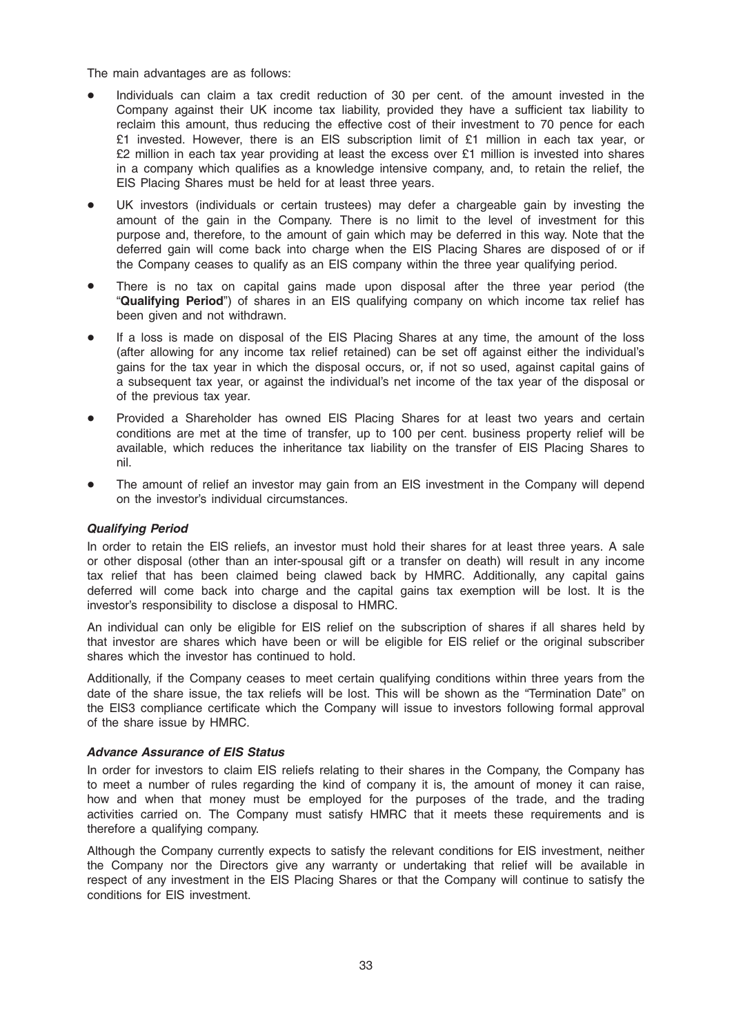The main advantages are as follows:

- Individuals can claim a tax credit reduction of 30 per cent. of the amount invested in the Company against their UK income tax liability, provided they have a sufficient tax liability to reclaim this amount, thus reducing the effective cost of their investment to 70 pence for each £1 invested. However, there is an EIS subscription limit of £1 million in each tax year, or £2 million in each tax year providing at least the excess over £1 million is invested into shares in a company which qualifies as a knowledge intensive company, and, to retain the relief, the EIS Placing Shares must be held for at least three years.
- UK investors (individuals or certain trustees) may defer a chargeable gain by investing the amount of the gain in the Company. There is no limit to the level of investment for this purpose and, therefore, to the amount of gain which may be deferred in this way. Note that the deferred gain will come back into charge when the EIS Placing Shares are disposed of or if the Company ceases to qualify as an EIS company within the three year qualifying period.
- There is no tax on capital gains made upon disposal after the three year period (the "Qualifying Period") of shares in an EIS qualifying company on which income tax relief has been given and not withdrawn.
- If a loss is made on disposal of the EIS Placing Shares at any time, the amount of the loss (after allowing for any income tax relief retained) can be set off against either the individual's gains for the tax year in which the disposal occurs, or, if not so used, against capital gains of a subsequent tax year, or against the individual's net income of the tax year of the disposal or of the previous tax year.
- Provided a Shareholder has owned EIS Placing Shares for at least two years and certain conditions are met at the time of transfer, up to 100 per cent. business property relief will be available, which reduces the inheritance tax liability on the transfer of EIS Placing Shares to nil.
- The amount of relief an investor may gain from an EIS investment in the Company will depend on the investor's individual circumstances.

#### Qualifying Period

In order to retain the EIS reliefs, an investor must hold their shares for at least three years. A sale or other disposal (other than an inter-spousal gift or a transfer on death) will result in any income tax relief that has been claimed being clawed back by HMRC. Additionally, any capital gains deferred will come back into charge and the capital gains tax exemption will be lost. It is the investor's responsibility to disclose a disposal to HMRC.

An individual can only be eligible for EIS relief on the subscription of shares if all shares held by that investor are shares which have been or will be eligible for EIS relief or the original subscriber shares which the investor has continued to hold.

Additionally, if the Company ceases to meet certain qualifying conditions within three years from the date of the share issue, the tax reliefs will be lost. This will be shown as the "Termination Date" on the EIS3 compliance certificate which the Company will issue to investors following formal approval of the share issue by HMRC.

#### Advance Assurance of EIS Status

In order for investors to claim EIS reliefs relating to their shares in the Company, the Company has to meet a number of rules regarding the kind of company it is, the amount of money it can raise, how and when that money must be employed for the purposes of the trade, and the trading activities carried on. The Company must satisfy HMRC that it meets these requirements and is therefore a qualifying company.

Although the Company currently expects to satisfy the relevant conditions for EIS investment, neither the Company nor the Directors give any warranty or undertaking that relief will be available in respect of any investment in the EIS Placing Shares or that the Company will continue to satisfy the conditions for EIS investment.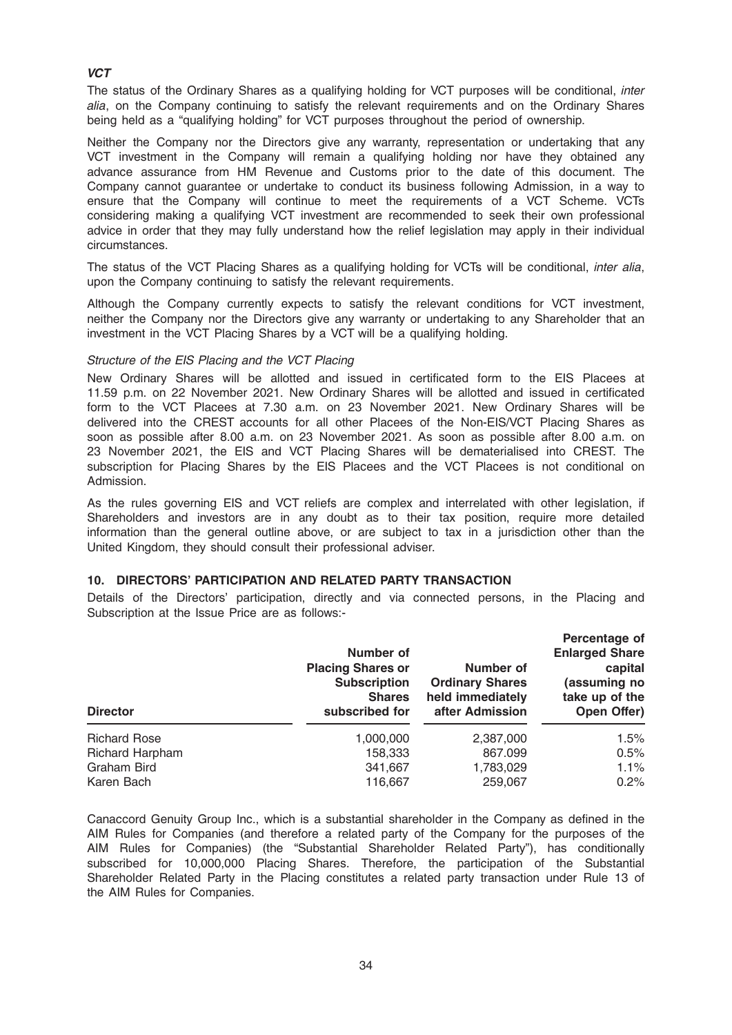# **VCT**

The status of the Ordinary Shares as a qualifying holding for VCT purposes will be conditional, *inter* alia, on the Company continuing to satisfy the relevant requirements and on the Ordinary Shares being held as a "qualifying holding" for VCT purposes throughout the period of ownership.

Neither the Company nor the Directors give any warranty, representation or undertaking that any VCT investment in the Company will remain a qualifying holding nor have they obtained any advance assurance from HM Revenue and Customs prior to the date of this document. The Company cannot guarantee or undertake to conduct its business following Admission, in a way to ensure that the Company will continue to meet the requirements of a VCT Scheme. VCTs considering making a qualifying VCT investment are recommended to seek their own professional advice in order that they may fully understand how the relief legislation may apply in their individual circumstances.

The status of the VCT Placing Shares as a qualifying holding for VCTs will be conditional, *inter alia*, upon the Company continuing to satisfy the relevant requirements.

Although the Company currently expects to satisfy the relevant conditions for VCT investment, neither the Company nor the Directors give any warranty or undertaking to any Shareholder that an investment in the VCT Placing Shares by a VCT will be a qualifying holding.

#### Structure of the EIS Placing and the VCT Placing

New Ordinary Shares will be allotted and issued in certificated form to the EIS Placees at 11.59 p.m. on 22 November 2021. New Ordinary Shares will be allotted and issued in certificated form to the VCT Placees at 7.30 a.m. on 23 November 2021. New Ordinary Shares will be delivered into the CREST accounts for all other Placees of the Non-EIS/VCT Placing Shares as soon as possible after 8.00 a.m. on 23 November 2021. As soon as possible after 8.00 a.m. on 23 November 2021, the EIS and VCT Placing Shares will be dematerialised into CREST. The subscription for Placing Shares by the EIS Placees and the VCT Placees is not conditional on Admission.

As the rules governing EIS and VCT reliefs are complex and interrelated with other legislation, if Shareholders and investors are in any doubt as to their tax position, require more detailed information than the general outline above, or are subject to tax in a jurisdiction other than the United Kingdom, they should consult their professional adviser.

#### 10. DIRECTORS' PARTICIPATION AND RELATED PARTY TRANSACTION

Details of the Directors' participation, directly and via connected persons, in the Placing and Subscription at the Issue Price are as follows:-

| <b>Director</b>     | Number of<br><b>Placing Shares or</b><br><b>Subscription</b><br><b>Shares</b><br>subscribed for | Number of<br><b>Ordinary Shares</b><br>held immediately<br>after Admission | Percentage of<br><b>Enlarged Share</b><br>capital<br>(assuming no<br>take up of the<br>Open Offer) |
|---------------------|-------------------------------------------------------------------------------------------------|----------------------------------------------------------------------------|----------------------------------------------------------------------------------------------------|
| <b>Richard Rose</b> | 1,000,000                                                                                       | 2,387,000                                                                  | $1.5\%$                                                                                            |
| Richard Harpham     | 158,333                                                                                         | 867.099                                                                    | 0.5%                                                                                               |
| Graham Bird         | 341,667                                                                                         | 1,783,029                                                                  | $1.1\%$                                                                                            |
| Karen Bach          | 116.667                                                                                         | 259,067                                                                    | 0.2%                                                                                               |

Canaccord Genuity Group Inc., which is a substantial shareholder in the Company as defined in the AIM Rules for Companies (and therefore a related party of the Company for the purposes of the AIM Rules for Companies) (the "Substantial Shareholder Related Party"), has conditionally subscribed for 10,000,000 Placing Shares. Therefore, the participation of the Substantial Shareholder Related Party in the Placing constitutes a related party transaction under Rule 13 of the AIM Rules for Companies.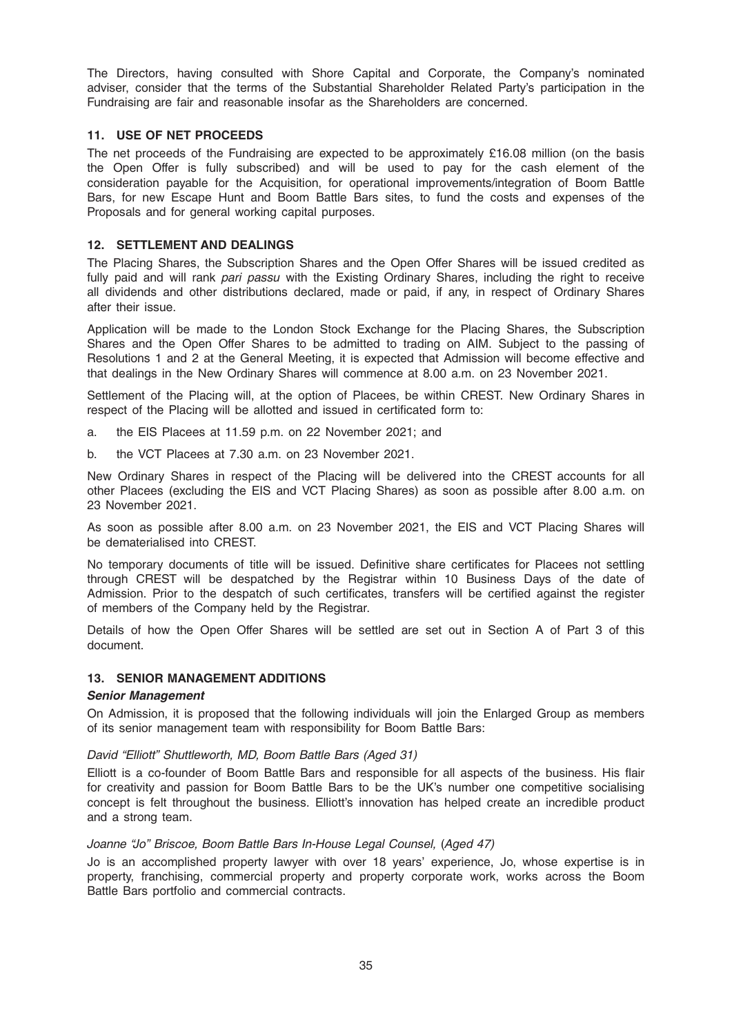The Directors, having consulted with Shore Capital and Corporate, the Company's nominated adviser, consider that the terms of the Substantial Shareholder Related Party's participation in the Fundraising are fair and reasonable insofar as the Shareholders are concerned.

### 11. USE OF NET PROCEEDS

The net proceeds of the Fundraising are expected to be approximately £16.08 million (on the basis the Open Offer is fully subscribed) and will be used to pay for the cash element of the consideration payable for the Acquisition, for operational improvements/integration of Boom Battle Bars, for new Escape Hunt and Boom Battle Bars sites, to fund the costs and expenses of the Proposals and for general working capital purposes.

#### 12. SETTLEMENT AND DEALINGS

The Placing Shares, the Subscription Shares and the Open Offer Shares will be issued credited as fully paid and will rank pari passu with the Existing Ordinary Shares, including the right to receive all dividends and other distributions declared, made or paid, if any, in respect of Ordinary Shares after their issue.

Application will be made to the London Stock Exchange for the Placing Shares, the Subscription Shares and the Open Offer Shares to be admitted to trading on AIM. Subject to the passing of Resolutions 1 and 2 at the General Meeting, it is expected that Admission will become effective and that dealings in the New Ordinary Shares will commence at 8.00 a.m. on 23 November 2021.

Settlement of the Placing will, at the option of Placees, be within CREST. New Ordinary Shares in respect of the Placing will be allotted and issued in certificated form to:

- a. the EIS Placees at 11.59 p.m. on 22 November 2021; and
- b. the VCT Placees at 7.30 a.m. on 23 November 2021.

New Ordinary Shares in respect of the Placing will be delivered into the CREST accounts for all other Placees (excluding the EIS and VCT Placing Shares) as soon as possible after 8.00 a.m. on 23 November 2021.

As soon as possible after 8.00 a.m. on 23 November 2021, the EIS and VCT Placing Shares will be dematerialised into CREST.

No temporary documents of title will be issued. Definitive share certificates for Placees not settling through CREST will be despatched by the Registrar within 10 Business Days of the date of Admission. Prior to the despatch of such certificates, transfers will be certified against the register of members of the Company held by the Registrar.

Details of how the Open Offer Shares will be settled are set out in Section A of Part 3 of this document.

#### 13. SENIOR MANAGEMENT ADDITIONS

#### Senior Management

On Admission, it is proposed that the following individuals will join the Enlarged Group as members of its senior management team with responsibility for Boom Battle Bars:

#### David "Elliott" Shuttleworth, MD, Boom Battle Bars (Aged 31)

Elliott is a co-founder of Boom Battle Bars and responsible for all aspects of the business. His flair for creativity and passion for Boom Battle Bars to be the UK's number one competitive socialising concept is felt throughout the business. Elliott's innovation has helped create an incredible product and a strong team.

#### Joanne "Jo" Briscoe, Boom Battle Bars In-House Legal Counsel, (Aged 47)

Jo is an accomplished property lawyer with over 18 years' experience, Jo, whose expertise is in property, franchising, commercial property and property corporate work, works across the Boom Battle Bars portfolio and commercial contracts.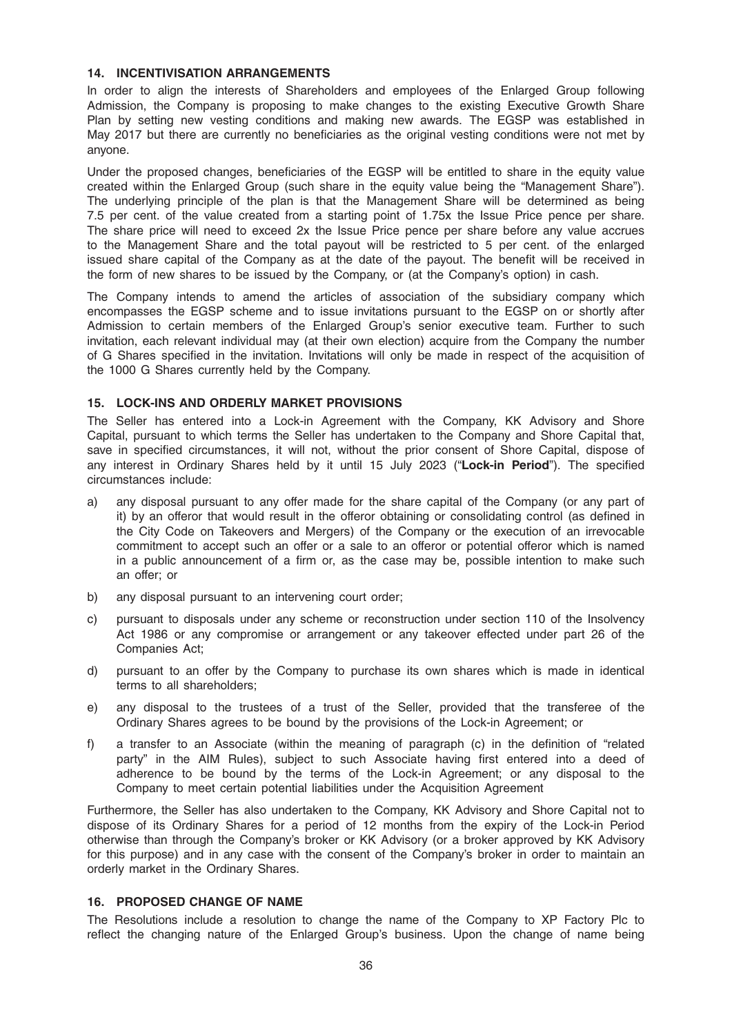#### 14. INCENTIVISATION ARRANGEMENTS

In order to align the interests of Shareholders and employees of the Enlarged Group following Admission, the Company is proposing to make changes to the existing Executive Growth Share Plan by setting new vesting conditions and making new awards. The EGSP was established in May 2017 but there are currently no beneficiaries as the original vesting conditions were not met by anyone.

Under the proposed changes, beneficiaries of the EGSP will be entitled to share in the equity value created within the Enlarged Group (such share in the equity value being the "Management Share"). The underlying principle of the plan is that the Management Share will be determined as being 7.5 per cent. of the value created from a starting point of 1.75x the Issue Price pence per share. The share price will need to exceed 2x the Issue Price pence per share before any value accrues to the Management Share and the total payout will be restricted to 5 per cent. of the enlarged issued share capital of the Company as at the date of the payout. The benefit will be received in the form of new shares to be issued by the Company, or (at the Company's option) in cash.

The Company intends to amend the articles of association of the subsidiary company which encompasses the EGSP scheme and to issue invitations pursuant to the EGSP on or shortly after Admission to certain members of the Enlarged Group's senior executive team. Further to such invitation, each relevant individual may (at their own election) acquire from the Company the number of G Shares specified in the invitation. Invitations will only be made in respect of the acquisition of the 1000 G Shares currently held by the Company.

### 15. LOCK-INS AND ORDERLY MARKET PROVISIONS

The Seller has entered into a Lock-in Agreement with the Company, KK Advisory and Shore Capital, pursuant to which terms the Seller has undertaken to the Company and Shore Capital that, save in specified circumstances, it will not, without the prior consent of Shore Capital, dispose of any interest in Ordinary Shares held by it until 15 July 2023 ("Lock-in Period"). The specified circumstances include:

- a) any disposal pursuant to any offer made for the share capital of the Company (or any part of it) by an offeror that would result in the offeror obtaining or consolidating control (as defined in the City Code on Takeovers and Mergers) of the Company or the execution of an irrevocable commitment to accept such an offer or a sale to an offeror or potential offeror which is named in a public announcement of a firm or, as the case may be, possible intention to make such an offer; or
- b) any disposal pursuant to an intervening court order;
- c) pursuant to disposals under any scheme or reconstruction under section 110 of the Insolvency Act 1986 or any compromise or arrangement or any takeover effected under part 26 of the Companies Act;
- d) pursuant to an offer by the Company to purchase its own shares which is made in identical terms to all shareholders;
- e) any disposal to the trustees of a trust of the Seller, provided that the transferee of the Ordinary Shares agrees to be bound by the provisions of the Lock-in Agreement; or
- f) a transfer to an Associate (within the meaning of paragraph (c) in the definition of "related party" in the AIM Rules), subject to such Associate having first entered into a deed of adherence to be bound by the terms of the Lock-in Agreement; or any disposal to the Company to meet certain potential liabilities under the Acquisition Agreement

Furthermore, the Seller has also undertaken to the Company, KK Advisory and Shore Capital not to dispose of its Ordinary Shares for a period of 12 months from the expiry of the Lock-in Period otherwise than through the Company's broker or KK Advisory (or a broker approved by KK Advisory for this purpose) and in any case with the consent of the Company's broker in order to maintain an orderly market in the Ordinary Shares.

#### 16. PROPOSED CHANGE OF NAME

The Resolutions include a resolution to change the name of the Company to XP Factory Plc to reflect the changing nature of the Enlarged Group's business. Upon the change of name being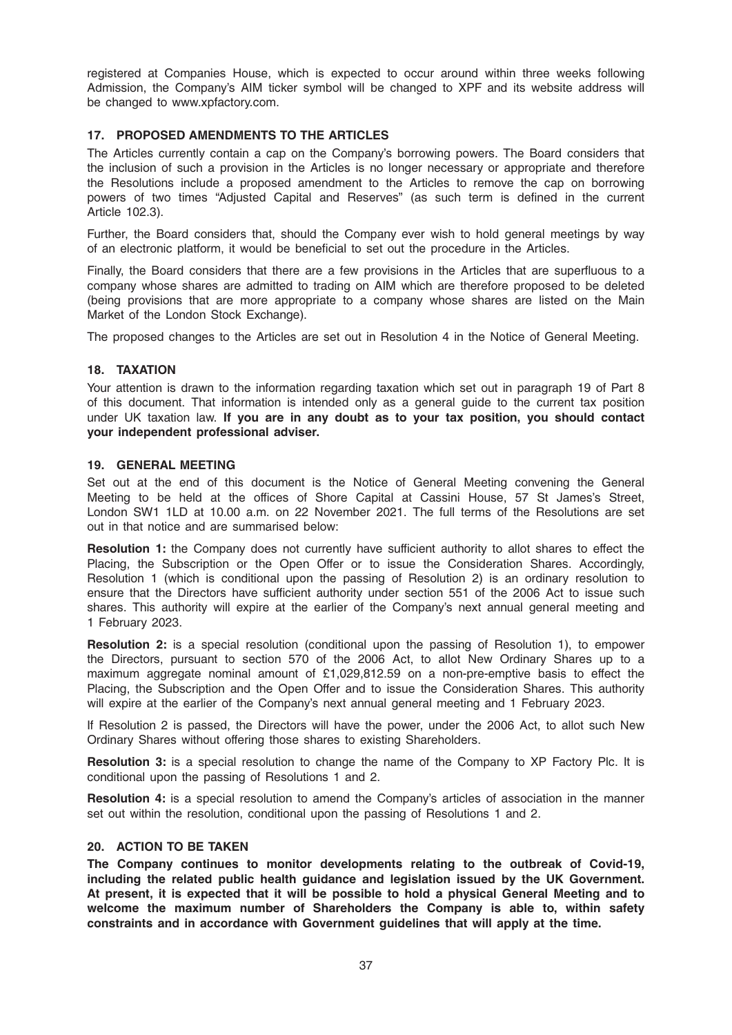registered at Companies House, which is expected to occur around within three weeks following Admission, the Company's AIM ticker symbol will be changed to XPF and its website address will be changed to www.xpfactory.com.

# 17. PROPOSED AMENDMENTS TO THE ARTICLES

The Articles currently contain a cap on the Company's borrowing powers. The Board considers that the inclusion of such a provision in the Articles is no longer necessary or appropriate and therefore the Resolutions include a proposed amendment to the Articles to remove the cap on borrowing powers of two times "Adjusted Capital and Reserves" (as such term is defined in the current Article 102.3).

Further, the Board considers that, should the Company ever wish to hold general meetings by way of an electronic platform, it would be beneficial to set out the procedure in the Articles.

Finally, the Board considers that there are a few provisions in the Articles that are superfluous to a company whose shares are admitted to trading on AIM which are therefore proposed to be deleted (being provisions that are more appropriate to a company whose shares are listed on the Main Market of the London Stock Exchange).

The proposed changes to the Articles are set out in Resolution 4 in the Notice of General Meeting.

### 18. TAXATION

Your attention is drawn to the information regarding taxation which set out in paragraph 19 of Part 8 of this document. That information is intended only as a general guide to the current tax position under UK taxation law. If you are in any doubt as to your tax position, you should contact your independent professional adviser.

### 19. GENERAL MEETING

Set out at the end of this document is the Notice of General Meeting convening the General Meeting to be held at the offices of Shore Capital at Cassini House, 57 St James's Street, London SW1 1LD at 10.00 a.m. on 22 November 2021. The full terms of the Resolutions are set out in that notice and are summarised below:

Resolution 1: the Company does not currently have sufficient authority to allot shares to effect the Placing, the Subscription or the Open Offer or to issue the Consideration Shares. Accordingly, Resolution 1 (which is conditional upon the passing of Resolution 2) is an ordinary resolution to ensure that the Directors have sufficient authority under section 551 of the 2006 Act to issue such shares. This authority will expire at the earlier of the Company's next annual general meeting and 1 February 2023.

Resolution 2: is a special resolution (conditional upon the passing of Resolution 1), to empower the Directors, pursuant to section 570 of the 2006 Act, to allot New Ordinary Shares up to a maximum aggregate nominal amount of £1,029,812.59 on a non-pre-emptive basis to effect the Placing, the Subscription and the Open Offer and to issue the Consideration Shares. This authority will expire at the earlier of the Company's next annual general meeting and 1 February 2023.

If Resolution 2 is passed, the Directors will have the power, under the 2006 Act, to allot such New Ordinary Shares without offering those shares to existing Shareholders.

Resolution 3: is a special resolution to change the name of the Company to XP Factory Plc. It is conditional upon the passing of Resolutions 1 and 2.

Resolution 4: is a special resolution to amend the Company's articles of association in the manner set out within the resolution, conditional upon the passing of Resolutions 1 and 2.

### 20. ACTION TO BE TAKEN

The Company continues to monitor developments relating to the outbreak of Covid-19, including the related public health guidance and legislation issued by the UK Government. At present, it is expected that it will be possible to hold a physical General Meeting and to welcome the maximum number of Shareholders the Company is able to, within safety constraints and in accordance with Government guidelines that will apply at the time.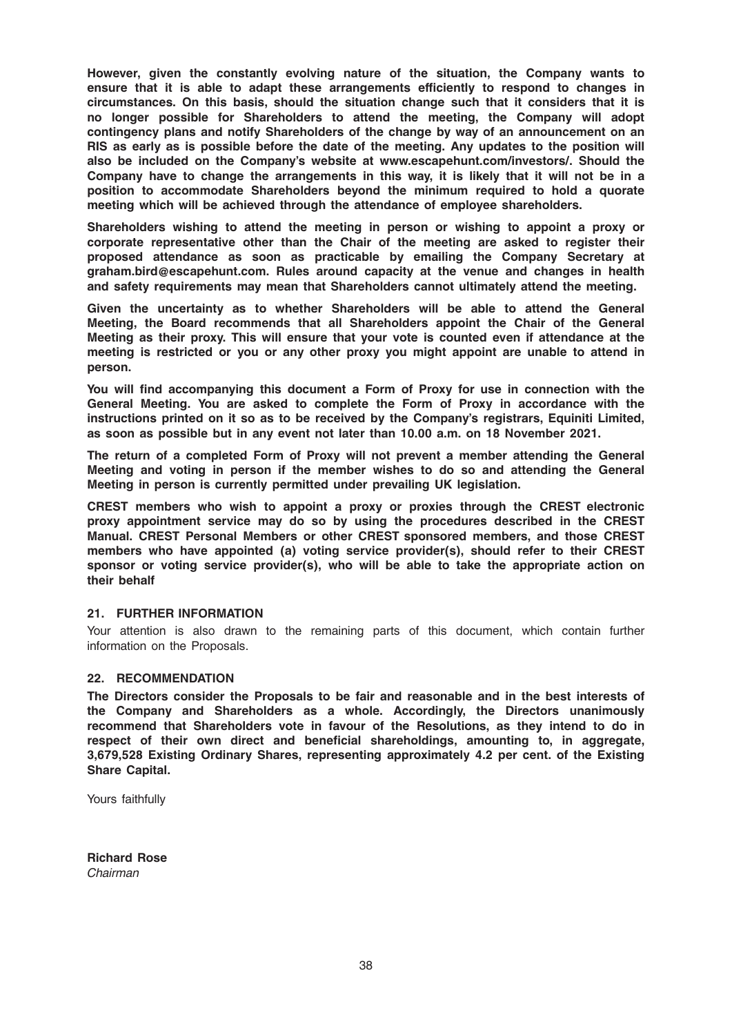However, given the constantly evolving nature of the situation, the Company wants to ensure that it is able to adapt these arrangements efficiently to respond to changes in circumstances. On this basis, should the situation change such that it considers that it is no longer possible for Shareholders to attend the meeting, the Company will adopt contingency plans and notify Shareholders of the change by way of an announcement on an RIS as early as is possible before the date of the meeting. Any updates to the position will also be included on the Company's website at www.escapehunt.com/investors/. Should the Company have to change the arrangements in this way, it is likely that it will not be in a position to accommodate Shareholders beyond the minimum required to hold a quorate meeting which will be achieved through the attendance of employee shareholders.

Shareholders wishing to attend the meeting in person or wishing to appoint a proxy or corporate representative other than the Chair of the meeting are asked to register their proposed attendance as soon as practicable by emailing the Company Secretary at graham.bird@escapehunt.com. Rules around capacity at the venue and changes in health and safety requirements may mean that Shareholders cannot ultimately attend the meeting.

Given the uncertainty as to whether Shareholders will be able to attend the General Meeting, the Board recommends that all Shareholders appoint the Chair of the General Meeting as their proxy. This will ensure that your vote is counted even if attendance at the meeting is restricted or you or any other proxy you might appoint are unable to attend in person.

You will find accompanying this document a Form of Proxy for use in connection with the General Meeting. You are asked to complete the Form of Proxy in accordance with the instructions printed on it so as to be received by the Company's registrars, Equiniti Limited, as soon as possible but in any event not later than 10.00 a.m. on 18 November 2021.

The return of a completed Form of Proxy will not prevent a member attending the General Meeting and voting in person if the member wishes to do so and attending the General Meeting in person is currently permitted under prevailing UK legislation.

CREST members who wish to appoint a proxy or proxies through the CREST electronic proxy appointment service may do so by using the procedures described in the CREST Manual. CREST Personal Members or other CREST sponsored members, and those CREST members who have appointed (a) voting service provider(s), should refer to their CREST sponsor or voting service provider(s), who will be able to take the appropriate action on their behalf

### 21. FURTHER INFORMATION

Your attention is also drawn to the remaining parts of this document, which contain further information on the Proposals.

### 22. RECOMMENDATION

The Directors consider the Proposals to be fair and reasonable and in the best interests of the Company and Shareholders as a whole. Accordingly, the Directors unanimously recommend that Shareholders vote in favour of the Resolutions, as they intend to do in respect of their own direct and beneficial shareholdings, amounting to, in aggregate, 3,679,528 Existing Ordinary Shares, representing approximately 4.2 per cent. of the Existing Share Capital.

Yours faithfully

Richard Rose Chairman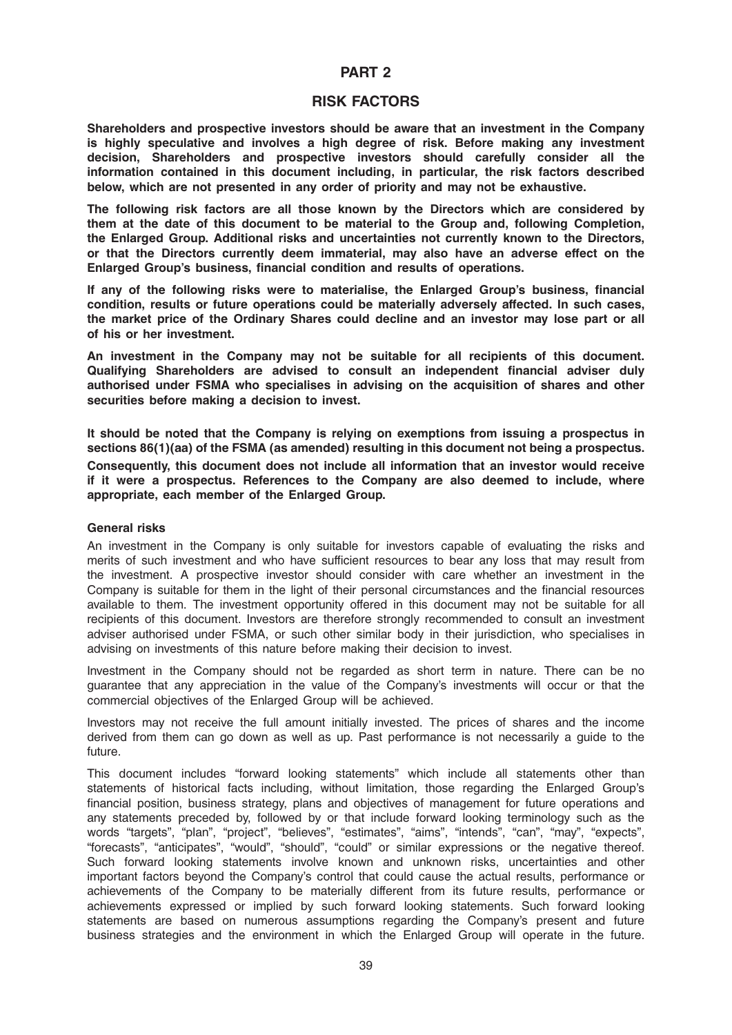# PART 2

### RISK FACTORS

Shareholders and prospective investors should be aware that an investment in the Company is highly speculative and involves a high degree of risk. Before making any investment decision, Shareholders and prospective investors should carefully consider all the information contained in this document including, in particular, the risk factors described below, which are not presented in any order of priority and may not be exhaustive.

The following risk factors are all those known by the Directors which are considered by them at the date of this document to be material to the Group and, following Completion, the Enlarged Group. Additional risks and uncertainties not currently known to the Directors, or that the Directors currently deem immaterial, may also have an adverse effect on the Enlarged Group's business, financial condition and results of operations.

If any of the following risks were to materialise, the Enlarged Group's business, financial condition, results or future operations could be materially adversely affected. In such cases, the market price of the Ordinary Shares could decline and an investor may lose part or all of his or her investment.

An investment in the Company may not be suitable for all recipients of this document. Qualifying Shareholders are advised to consult an independent financial adviser duly authorised under FSMA who specialises in advising on the acquisition of shares and other securities before making a decision to invest.

It should be noted that the Company is relying on exemptions from issuing a prospectus in sections 86(1)(aa) of the FSMA (as amended) resulting in this document not being a prospectus. Consequently, this document does not include all information that an investor would receive if it were a prospectus. References to the Company are also deemed to include, where appropriate, each member of the Enlarged Group.

#### General risks

An investment in the Company is only suitable for investors capable of evaluating the risks and merits of such investment and who have sufficient resources to bear any loss that may result from the investment. A prospective investor should consider with care whether an investment in the Company is suitable for them in the light of their personal circumstances and the financial resources available to them. The investment opportunity offered in this document may not be suitable for all recipients of this document. Investors are therefore strongly recommended to consult an investment adviser authorised under FSMA, or such other similar body in their jurisdiction, who specialises in advising on investments of this nature before making their decision to invest.

Investment in the Company should not be regarded as short term in nature. There can be no guarantee that any appreciation in the value of the Company's investments will occur or that the commercial objectives of the Enlarged Group will be achieved.

Investors may not receive the full amount initially invested. The prices of shares and the income derived from them can go down as well as up. Past performance is not necessarily a guide to the future.

This document includes "forward looking statements" which include all statements other than statements of historical facts including, without limitation, those regarding the Enlarged Group's financial position, business strategy, plans and objectives of management for future operations and any statements preceded by, followed by or that include forward looking terminology such as the words "targets", "plan", "project", "believes", "estimates", "aims", "intends", "can", "may", "expects", "forecasts", "anticipates", "would", "should", "could" or similar expressions or the negative thereof. Such forward looking statements involve known and unknown risks, uncertainties and other important factors beyond the Company's control that could cause the actual results, performance or achievements of the Company to be materially different from its future results, performance or achievements expressed or implied by such forward looking statements. Such forward looking statements are based on numerous assumptions regarding the Company's present and future business strategies and the environment in which the Enlarged Group will operate in the future.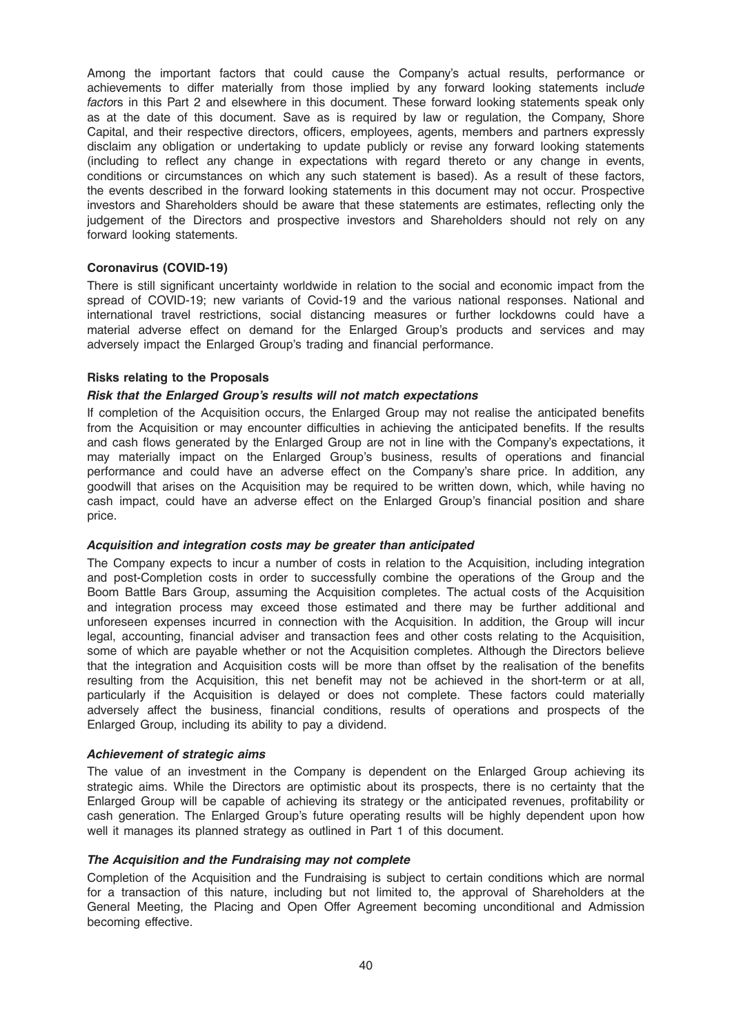Among the important factors that could cause the Company's actual results, performance or achievements to differ materially from those implied by any forward looking statements include factors in this Part 2 and elsewhere in this document. These forward looking statements speak only as at the date of this document. Save as is required by law or regulation, the Company, Shore Capital, and their respective directors, officers, employees, agents, members and partners expressly disclaim any obligation or undertaking to update publicly or revise any forward looking statements (including to reflect any change in expectations with regard thereto or any change in events, conditions or circumstances on which any such statement is based). As a result of these factors, the events described in the forward looking statements in this document may not occur. Prospective investors and Shareholders should be aware that these statements are estimates, reflecting only the judgement of the Directors and prospective investors and Shareholders should not rely on any forward looking statements.

#### Coronavirus (COVID-19)

There is still significant uncertainty worldwide in relation to the social and economic impact from the spread of COVID-19; new variants of Covid-19 and the various national responses. National and international travel restrictions, social distancing measures or further lockdowns could have a material adverse effect on demand for the Enlarged Group's products and services and may adversely impact the Enlarged Group's trading and financial performance.

#### Risks relating to the Proposals

#### Risk that the Enlarged Group's results will not match expectations

If completion of the Acquisition occurs, the Enlarged Group may not realise the anticipated benefits from the Acquisition or may encounter difficulties in achieving the anticipated benefits. If the results and cash flows generated by the Enlarged Group are not in line with the Company's expectations, it may materially impact on the Enlarged Group's business, results of operations and financial performance and could have an adverse effect on the Company's share price. In addition, any goodwill that arises on the Acquisition may be required to be written down, which, while having no cash impact, could have an adverse effect on the Enlarged Group's financial position and share price.

#### Acquisition and integration costs may be greater than anticipated

The Company expects to incur a number of costs in relation to the Acquisition, including integration and post-Completion costs in order to successfully combine the operations of the Group and the Boom Battle Bars Group, assuming the Acquisition completes. The actual costs of the Acquisition and integration process may exceed those estimated and there may be further additional and unforeseen expenses incurred in connection with the Acquisition. In addition, the Group will incur legal, accounting, financial adviser and transaction fees and other costs relating to the Acquisition, some of which are payable whether or not the Acquisition completes. Although the Directors believe that the integration and Acquisition costs will be more than offset by the realisation of the benefits resulting from the Acquisition, this net benefit may not be achieved in the short-term or at all, particularly if the Acquisition is delayed or does not complete. These factors could materially adversely affect the business, financial conditions, results of operations and prospects of the Enlarged Group, including its ability to pay a dividend.

#### Achievement of strategic aims

The value of an investment in the Company is dependent on the Enlarged Group achieving its strategic aims. While the Directors are optimistic about its prospects, there is no certainty that the Enlarged Group will be capable of achieving its strategy or the anticipated revenues, profitability or cash generation. The Enlarged Group's future operating results will be highly dependent upon how well it manages its planned strategy as outlined in Part 1 of this document.

# The Acquisition and the Fundraising may not complete

Completion of the Acquisition and the Fundraising is subject to certain conditions which are normal for a transaction of this nature, including but not limited to, the approval of Shareholders at the General Meeting, the Placing and Open Offer Agreement becoming unconditional and Admission becoming effective.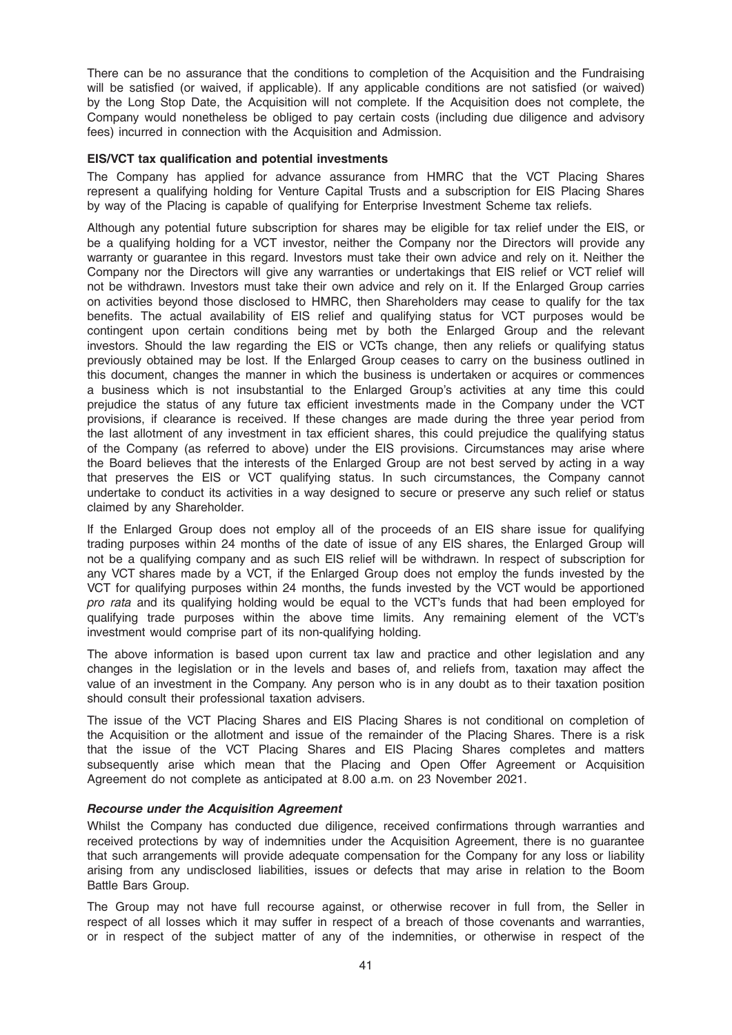There can be no assurance that the conditions to completion of the Acquisition and the Fundraising will be satisfied (or waived, if applicable). If any applicable conditions are not satisfied (or waived) by the Long Stop Date, the Acquisition will not complete. If the Acquisition does not complete, the Company would nonetheless be obliged to pay certain costs (including due diligence and advisory fees) incurred in connection with the Acquisition and Admission.

### EIS/VCT tax qualification and potential investments

The Company has applied for advance assurance from HMRC that the VCT Placing Shares represent a qualifying holding for Venture Capital Trusts and a subscription for EIS Placing Shares by way of the Placing is capable of qualifying for Enterprise Investment Scheme tax reliefs.

Although any potential future subscription for shares may be eligible for tax relief under the EIS, or be a qualifying holding for a VCT investor, neither the Company nor the Directors will provide any warranty or guarantee in this regard. Investors must take their own advice and rely on it. Neither the Company nor the Directors will give any warranties or undertakings that EIS relief or VCT relief will not be withdrawn. Investors must take their own advice and rely on it. If the Enlarged Group carries on activities beyond those disclosed to HMRC, then Shareholders may cease to qualify for the tax benefits. The actual availability of EIS relief and qualifying status for VCT purposes would be contingent upon certain conditions being met by both the Enlarged Group and the relevant investors. Should the law regarding the EIS or VCTs change, then any reliefs or qualifying status previously obtained may be lost. If the Enlarged Group ceases to carry on the business outlined in this document, changes the manner in which the business is undertaken or acquires or commences a business which is not insubstantial to the Enlarged Group's activities at any time this could prejudice the status of any future tax efficient investments made in the Company under the VCT provisions, if clearance is received. If these changes are made during the three year period from the last allotment of any investment in tax efficient shares, this could prejudice the qualifying status of the Company (as referred to above) under the EIS provisions. Circumstances may arise where the Board believes that the interests of the Enlarged Group are not best served by acting in a way that preserves the EIS or VCT qualifying status. In such circumstances, the Company cannot undertake to conduct its activities in a way designed to secure or preserve any such relief or status claimed by any Shareholder.

If the Enlarged Group does not employ all of the proceeds of an EIS share issue for qualifying trading purposes within 24 months of the date of issue of any EIS shares, the Enlarged Group will not be a qualifying company and as such EIS relief will be withdrawn. In respect of subscription for any VCT shares made by a VCT, if the Enlarged Group does not employ the funds invested by the VCT for qualifying purposes within 24 months, the funds invested by the VCT would be apportioned pro rata and its qualifying holding would be equal to the VCT's funds that had been employed for qualifying trade purposes within the above time limits. Any remaining element of the VCT's investment would comprise part of its non-qualifying holding.

The above information is based upon current tax law and practice and other legislation and any changes in the legislation or in the levels and bases of, and reliefs from, taxation may affect the value of an investment in the Company. Any person who is in any doubt as to their taxation position should consult their professional taxation advisers.

The issue of the VCT Placing Shares and EIS Placing Shares is not conditional on completion of the Acquisition or the allotment and issue of the remainder of the Placing Shares. There is a risk that the issue of the VCT Placing Shares and EIS Placing Shares completes and matters subsequently arise which mean that the Placing and Open Offer Agreement or Acquisition Agreement do not complete as anticipated at 8.00 a.m. on 23 November 2021.

# Recourse under the Acquisition Agreement

Whilst the Company has conducted due diligence, received confirmations through warranties and received protections by way of indemnities under the Acquisition Agreement, there is no guarantee that such arrangements will provide adequate compensation for the Company for any loss or liability arising from any undisclosed liabilities, issues or defects that may arise in relation to the Boom Battle Bars Group.

The Group may not have full recourse against, or otherwise recover in full from, the Seller in respect of all losses which it may suffer in respect of a breach of those covenants and warranties, or in respect of the subject matter of any of the indemnities, or otherwise in respect of the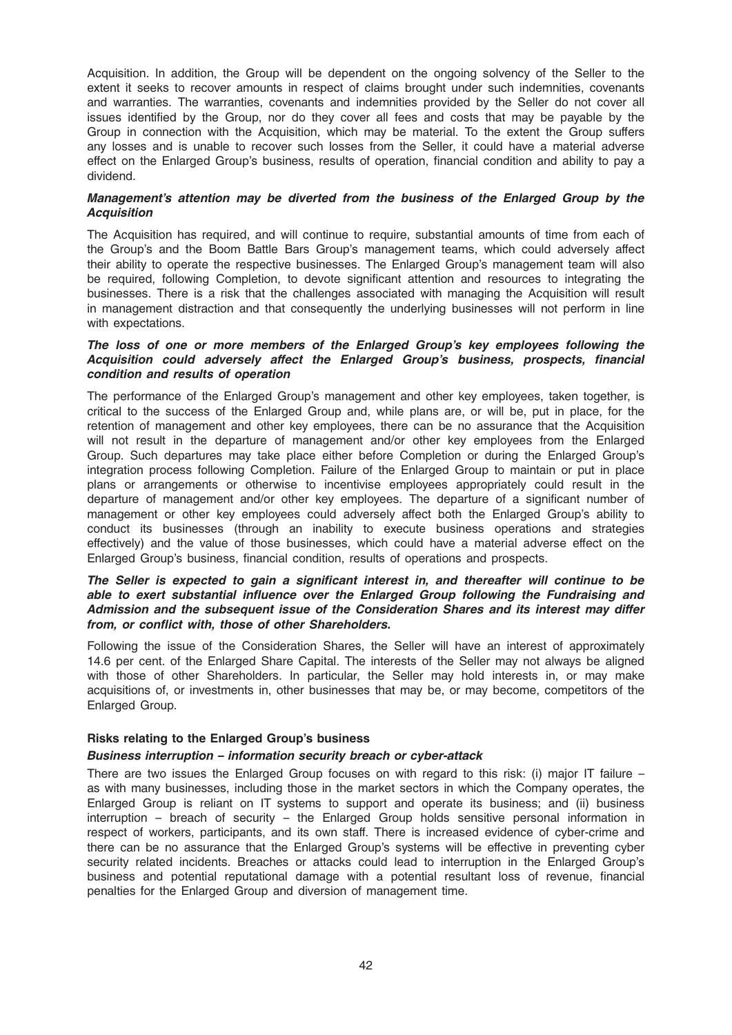Acquisition. In addition, the Group will be dependent on the ongoing solvency of the Seller to the extent it seeks to recover amounts in respect of claims brought under such indemnities, covenants and warranties. The warranties, covenants and indemnities provided by the Seller do not cover all issues identified by the Group, nor do they cover all fees and costs that may be payable by the Group in connection with the Acquisition, which may be material. To the extent the Group suffers any losses and is unable to recover such losses from the Seller, it could have a material adverse effect on the Enlarged Group's business, results of operation, financial condition and ability to pay a dividend.

### Management's attention may be diverted from the business of the Enlarged Group by the **Acquisition**

The Acquisition has required, and will continue to require, substantial amounts of time from each of the Group's and the Boom Battle Bars Group's management teams, which could adversely affect their ability to operate the respective businesses. The Enlarged Group's management team will also be required, following Completion, to devote significant attention and resources to integrating the businesses. There is a risk that the challenges associated with managing the Acquisition will result in management distraction and that consequently the underlying businesses will not perform in line with expectations.

### The loss of one or more members of the Enlarged Group's key employees following the Acquisition could adversely affect the Enlarged Group's business, prospects, financial condition and results of operation

The performance of the Enlarged Group's management and other key employees, taken together, is critical to the success of the Enlarged Group and, while plans are, or will be, put in place, for the retention of management and other key employees, there can be no assurance that the Acquisition will not result in the departure of management and/or other key employees from the Enlarged Group. Such departures may take place either before Completion or during the Enlarged Group's integration process following Completion. Failure of the Enlarged Group to maintain or put in place plans or arrangements or otherwise to incentivise employees appropriately could result in the departure of management and/or other key employees. The departure of a significant number of management or other key employees could adversely affect both the Enlarged Group's ability to conduct its businesses (through an inability to execute business operations and strategies effectively) and the value of those businesses, which could have a material adverse effect on the Enlarged Group's business, financial condition, results of operations and prospects.

### The Seller is expected to gain a significant interest in, and thereafter will continue to be able to exert substantial influence over the Enlarged Group following the Fundraising and Admission and the subsequent issue of the Consideration Shares and its interest may differ from, or conflict with, those of other Shareholders.

Following the issue of the Consideration Shares, the Seller will have an interest of approximately 14.6 per cent. of the Enlarged Share Capital. The interests of the Seller may not always be aligned with those of other Shareholders. In particular, the Seller may hold interests in, or may make acquisitions of, or investments in, other businesses that may be, or may become, competitors of the Enlarged Group.

# Risks relating to the Enlarged Group's business

#### Business interruption – information security breach or cyber-attack

There are two issues the Enlarged Group focuses on with regard to this risk: (i) major IT failure as with many businesses, including those in the market sectors in which the Company operates, the Enlarged Group is reliant on IT systems to support and operate its business; and (ii) business interruption – breach of security – the Enlarged Group holds sensitive personal information in respect of workers, participants, and its own staff. There is increased evidence of cyber-crime and there can be no assurance that the Enlarged Group's systems will be effective in preventing cyber security related incidents. Breaches or attacks could lead to interruption in the Enlarged Group's business and potential reputational damage with a potential resultant loss of revenue, financial penalties for the Enlarged Group and diversion of management time.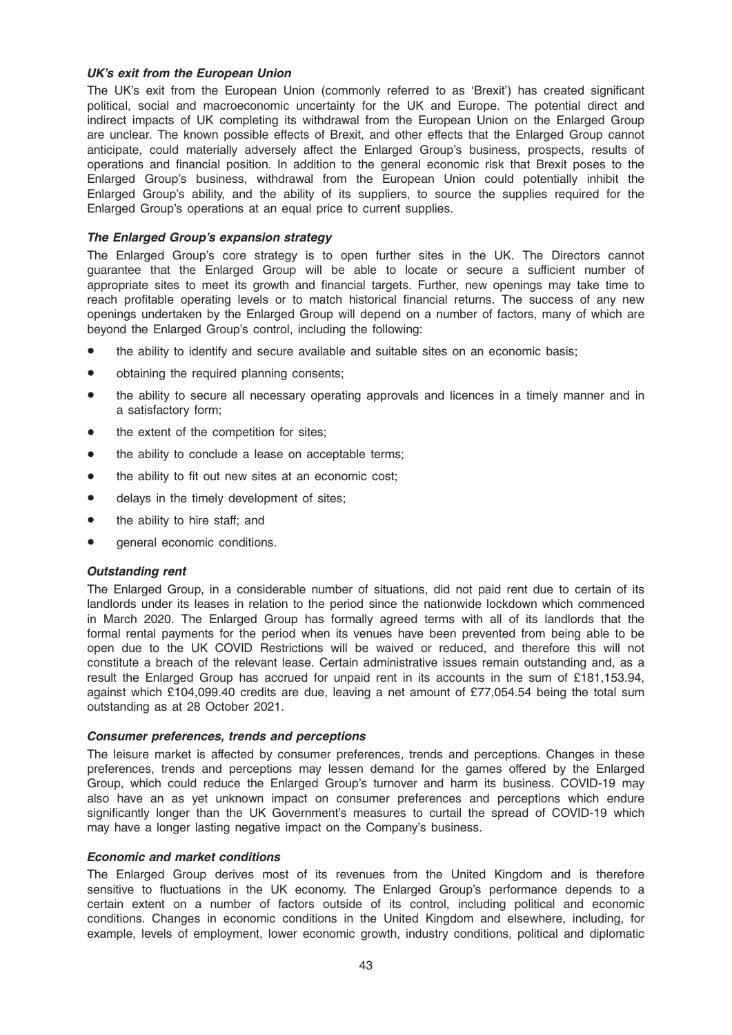### UK's exit from the European Union

The UK's exit from the European Union (commonly referred to as 'Brexit') has created significant political, social and macroeconomic uncertainty for the UK and Europe. The potential direct and indirect impacts of UK completing its withdrawal from the European Union on the Enlarged Group are unclear. The known possible effects of Brexit, and other effects that the Enlarged Group cannot anticipate, could materially adversely affect the Enlarged Group's business, prospects, results of operations and financial position. In addition to the general economic risk that Brexit poses to the Enlarged Group's business, withdrawal from the European Union could potentially inhibit the Enlarged Group's ability, and the ability of its suppliers, to source the supplies required for the Enlarged Group's operations at an equal price to current supplies.

### The Enlarged Group's expansion strategy

The Enlarged Group's core strategy is to open further sites in the UK. The Directors cannot guarantee that the Enlarged Group will be able to locate or secure a sufficient number of appropriate sites to meet its growth and financial targets. Further, new openings may take time to reach profitable operating levels or to match historical financial returns. The success of any new openings undertaken by the Enlarged Group will depend on a number of factors, many of which are beyond the Enlarged Group's control, including the following:

- the ability to identify and secure available and suitable sites on an economic basis;
- obtaining the required planning consents;
- the ability to secure all necessary operating approvals and licences in a timely manner and in a satisfactory form;
- the extent of the competition for sites:
- the ability to conclude a lease on acceptable terms;
- the ability to fit out new sites at an economic cost;
- delays in the timely development of sites;
- the ability to hire staff; and
- general economic conditions.

#### Outstanding rent

The Enlarged Group, in a considerable number of situations, did not paid rent due to certain of its landlords under its leases in relation to the period since the nationwide lockdown which commenced in March 2020. The Enlarged Group has formally agreed terms with all of its landlords that the formal rental payments for the period when its venues have been prevented from being able to be open due to the UK COVID Restrictions will be waived or reduced, and therefore this will not constitute a breach of the relevant lease. Certain administrative issues remain outstanding and, as a result the Enlarged Group has accrued for unpaid rent in its accounts in the sum of £181,153.94, against which £104,099.40 credits are due, leaving a net amount of £77,054.54 being the total sum outstanding as at 28 October 2021.

#### Consumer preferences, trends and perceptions

The leisure market is affected by consumer preferences, trends and perceptions. Changes in these preferences, trends and perceptions may lessen demand for the games offered by the Enlarged Group, which could reduce the Enlarged Group's turnover and harm its business. COVID-19 may also have an as yet unknown impact on consumer preferences and perceptions which endure significantly longer than the UK Government's measures to curtail the spread of COVID-19 which may have a longer lasting negative impact on the Company's business.

#### Economic and market conditions

The Enlarged Group derives most of its revenues from the United Kingdom and is therefore sensitive to fluctuations in the UK economy. The Enlarged Group's performance depends to a certain extent on a number of factors outside of its control, including political and economic conditions. Changes in economic conditions in the United Kingdom and elsewhere, including, for example, levels of employment, lower economic growth, industry conditions, political and diplomatic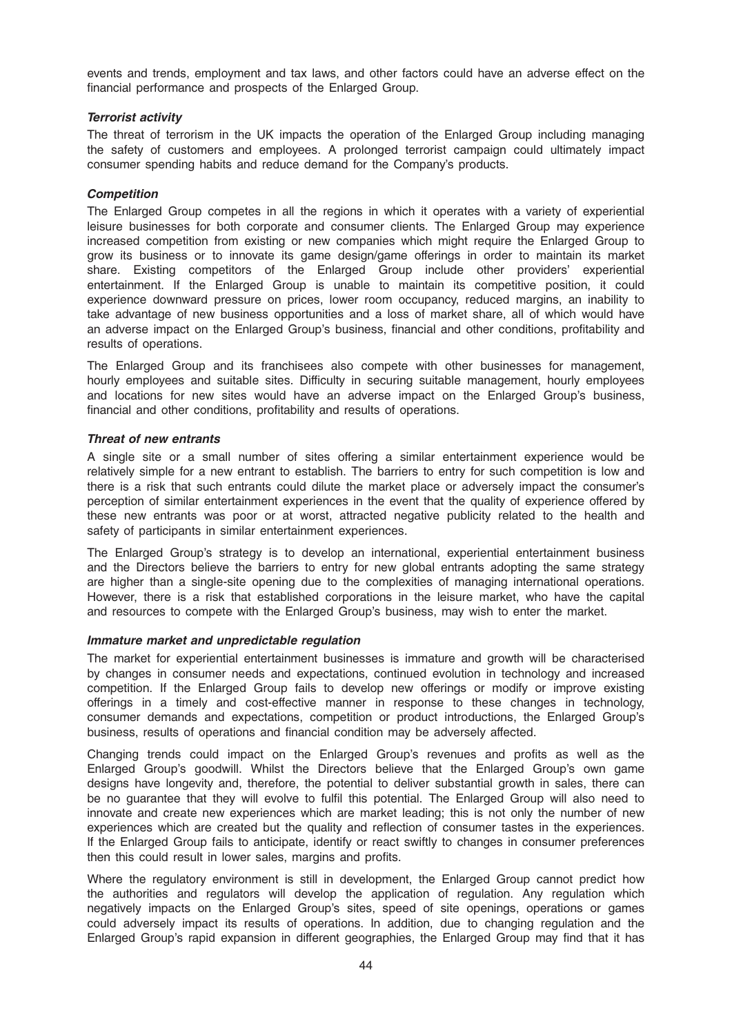events and trends, employment and tax laws, and other factors could have an adverse effect on the financial performance and prospects of the Enlarged Group.

### Terrorist activity

The threat of terrorism in the UK impacts the operation of the Enlarged Group including managing the safety of customers and employees. A prolonged terrorist campaign could ultimately impact consumer spending habits and reduce demand for the Company's products.

### **Competition**

The Enlarged Group competes in all the regions in which it operates with a variety of experiential leisure businesses for both corporate and consumer clients. The Enlarged Group may experience increased competition from existing or new companies which might require the Enlarged Group to grow its business or to innovate its game design/game offerings in order to maintain its market share. Existing competitors of the Enlarged Group include other providers' experiential entertainment. If the Enlarged Group is unable to maintain its competitive position, it could experience downward pressure on prices, lower room occupancy, reduced margins, an inability to take advantage of new business opportunities and a loss of market share, all of which would have an adverse impact on the Enlarged Group's business, financial and other conditions, profitability and results of operations.

The Enlarged Group and its franchisees also compete with other businesses for management, hourly employees and suitable sites. Difficulty in securing suitable management, hourly employees and locations for new sites would have an adverse impact on the Enlarged Group's business, financial and other conditions, profitability and results of operations.

### Threat of new entrants

A single site or a small number of sites offering a similar entertainment experience would be relatively simple for a new entrant to establish. The barriers to entry for such competition is low and there is a risk that such entrants could dilute the market place or adversely impact the consumer's perception of similar entertainment experiences in the event that the quality of experience offered by these new entrants was poor or at worst, attracted negative publicity related to the health and safety of participants in similar entertainment experiences.

The Enlarged Group's strategy is to develop an international, experiential entertainment business and the Directors believe the barriers to entry for new global entrants adopting the same strategy are higher than a single-site opening due to the complexities of managing international operations. However, there is a risk that established corporations in the leisure market, who have the capital and resources to compete with the Enlarged Group's business, may wish to enter the market.

#### Immature market and unpredictable regulation

The market for experiential entertainment businesses is immature and growth will be characterised by changes in consumer needs and expectations, continued evolution in technology and increased competition. If the Enlarged Group fails to develop new offerings or modify or improve existing offerings in a timely and cost-effective manner in response to these changes in technology, consumer demands and expectations, competition or product introductions, the Enlarged Group's business, results of operations and financial condition may be adversely affected.

Changing trends could impact on the Enlarged Group's revenues and profits as well as the Enlarged Group's goodwill. Whilst the Directors believe that the Enlarged Group's own game designs have longevity and, therefore, the potential to deliver substantial growth in sales, there can be no guarantee that they will evolve to fulfil this potential. The Enlarged Group will also need to innovate and create new experiences which are market leading; this is not only the number of new experiences which are created but the quality and reflection of consumer tastes in the experiences. If the Enlarged Group fails to anticipate, identify or react swiftly to changes in consumer preferences then this could result in lower sales, margins and profits.

Where the regulatory environment is still in development, the Enlarged Group cannot predict how the authorities and regulators will develop the application of regulation. Any regulation which negatively impacts on the Enlarged Group's sites, speed of site openings, operations or games could adversely impact its results of operations. In addition, due to changing regulation and the Enlarged Group's rapid expansion in different geographies, the Enlarged Group may find that it has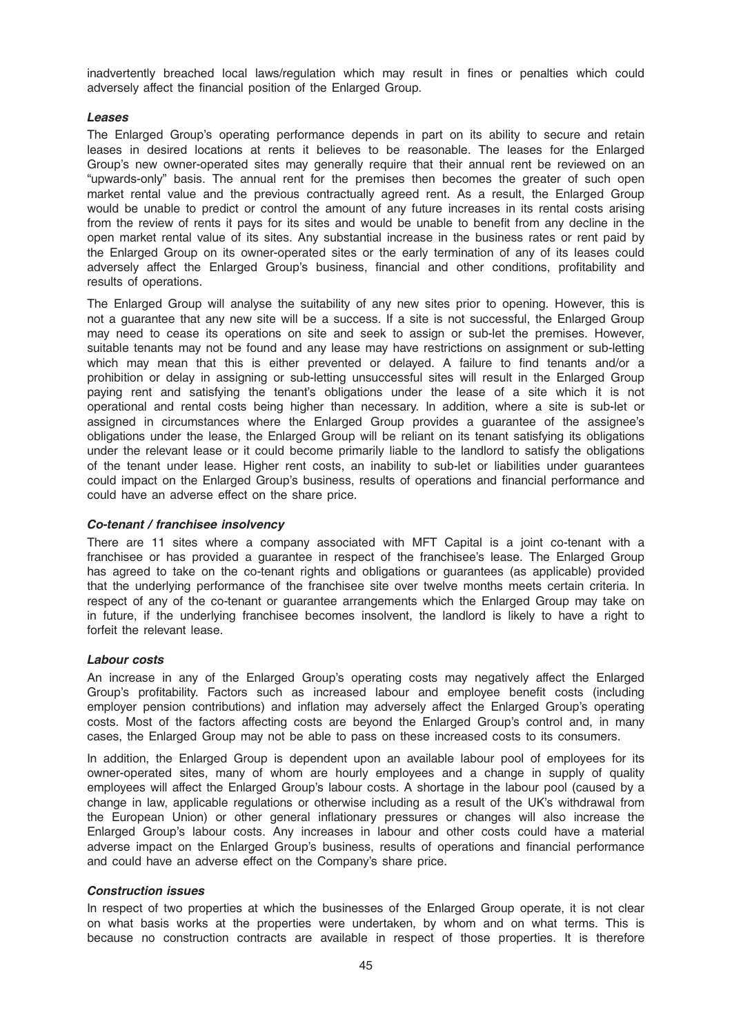inadvertently breached local laws/regulation which may result in fines or penalties which could adversely affect the financial position of the Enlarged Group.

### Leases

The Enlarged Group's operating performance depends in part on its ability to secure and retain leases in desired locations at rents it believes to be reasonable. The leases for the Enlarged Group's new owner-operated sites may generally require that their annual rent be reviewed on an "upwards-only" basis. The annual rent for the premises then becomes the greater of such open market rental value and the previous contractually agreed rent. As a result, the Enlarged Group would be unable to predict or control the amount of any future increases in its rental costs arising from the review of rents it pays for its sites and would be unable to benefit from any decline in the open market rental value of its sites. Any substantial increase in the business rates or rent paid by the Enlarged Group on its owner-operated sites or the early termination of any of its leases could adversely affect the Enlarged Group's business, financial and other conditions, profitability and results of operations.

The Enlarged Group will analyse the suitability of any new sites prior to opening. However, this is not a guarantee that any new site will be a success. If a site is not successful, the Enlarged Group may need to cease its operations on site and seek to assign or sub-let the premises. However, suitable tenants may not be found and any lease may have restrictions on assignment or sub-letting which may mean that this is either prevented or delayed. A failure to find tenants and/or a prohibition or delay in assigning or sub-letting unsuccessful sites will result in the Enlarged Group paying rent and satisfying the tenant's obligations under the lease of a site which it is not operational and rental costs being higher than necessary. In addition, where a site is sub-let or assigned in circumstances where the Enlarged Group provides a guarantee of the assignee's obligations under the lease, the Enlarged Group will be reliant on its tenant satisfying its obligations under the relevant lease or it could become primarily liable to the landlord to satisfy the obligations of the tenant under lease. Higher rent costs, an inability to sub-let or liabilities under guarantees could impact on the Enlarged Group's business, results of operations and financial performance and could have an adverse effect on the share price.

## Co-tenant / franchisee insolvency

There are 11 sites where a company associated with MFT Capital is a joint co-tenant with a franchisee or has provided a guarantee in respect of the franchisee's lease. The Enlarged Group has agreed to take on the co-tenant rights and obligations or guarantees (as applicable) provided that the underlying performance of the franchisee site over twelve months meets certain criteria. In respect of any of the co-tenant or guarantee arrangements which the Enlarged Group may take on in future, if the underlying franchisee becomes insolvent, the landlord is likely to have a right to forfeit the relevant lease.

#### Labour costs

An increase in any of the Enlarged Group's operating costs may negatively affect the Enlarged Group's profitability. Factors such as increased labour and employee benefit costs (including employer pension contributions) and inflation may adversely affect the Enlarged Group's operating costs. Most of the factors affecting costs are beyond the Enlarged Group's control and, in many cases, the Enlarged Group may not be able to pass on these increased costs to its consumers.

In addition, the Enlarged Group is dependent upon an available labour pool of employees for its owner-operated sites, many of whom are hourly employees and a change in supply of quality employees will affect the Enlarged Group's labour costs. A shortage in the labour pool (caused by a change in law, applicable regulations or otherwise including as a result of the UK's withdrawal from the European Union) or other general inflationary pressures or changes will also increase the Enlarged Group's labour costs. Any increases in labour and other costs could have a material adverse impact on the Enlarged Group's business, results of operations and financial performance and could have an adverse effect on the Company's share price.

#### Construction issues

In respect of two properties at which the businesses of the Enlarged Group operate, it is not clear on what basis works at the properties were undertaken, by whom and on what terms. This is because no construction contracts are available in respect of those properties. It is therefore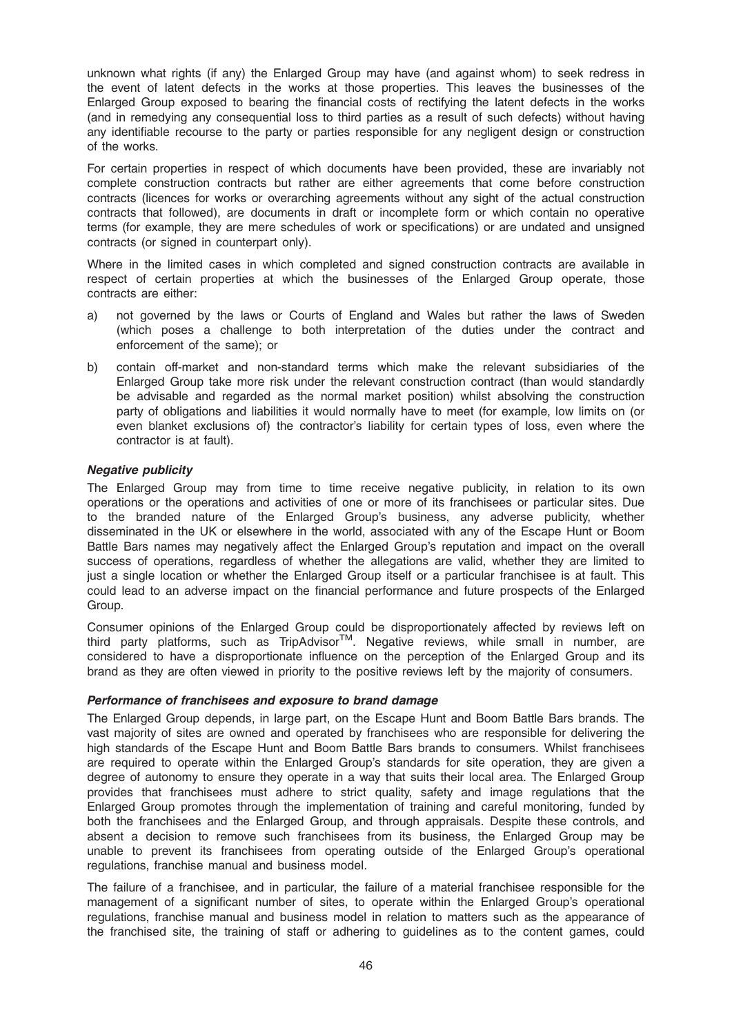unknown what rights (if any) the Enlarged Group may have (and against whom) to seek redress in the event of latent defects in the works at those properties. This leaves the businesses of the Enlarged Group exposed to bearing the financial costs of rectifying the latent defects in the works (and in remedying any consequential loss to third parties as a result of such defects) without having any identifiable recourse to the party or parties responsible for any negligent design or construction of the works.

For certain properties in respect of which documents have been provided, these are invariably not complete construction contracts but rather are either agreements that come before construction contracts (licences for works or overarching agreements without any sight of the actual construction contracts that followed), are documents in draft or incomplete form or which contain no operative terms (for example, they are mere schedules of work or specifications) or are undated and unsigned contracts (or signed in counterpart only).

Where in the limited cases in which completed and signed construction contracts are available in respect of certain properties at which the businesses of the Enlarged Group operate, those contracts are either:

- a) not governed by the laws or Courts of England and Wales but rather the laws of Sweden (which poses a challenge to both interpretation of the duties under the contract and enforcement of the same); or
- b) contain off-market and non-standard terms which make the relevant subsidiaries of the Enlarged Group take more risk under the relevant construction contract (than would standardly be advisable and regarded as the normal market position) whilst absolving the construction party of obligations and liabilities it would normally have to meet (for example, low limits on (or even blanket exclusions of) the contractor's liability for certain types of loss, even where the contractor is at fault).

### Negative publicity

The Enlarged Group may from time to time receive negative publicity, in relation to its own operations or the operations and activities of one or more of its franchisees or particular sites. Due to the branded nature of the Enlarged Group's business, any adverse publicity, whether disseminated in the UK or elsewhere in the world, associated with any of the Escape Hunt or Boom Battle Bars names may negatively affect the Enlarged Group's reputation and impact on the overall success of operations, regardless of whether the allegations are valid, whether they are limited to just a single location or whether the Enlarged Group itself or a particular franchisee is at fault. This could lead to an adverse impact on the financial performance and future prospects of the Enlarged Group.

Consumer opinions of the Enlarged Group could be disproportionately affected by reviews left on third party platforms, such as TripAdvisor™. Negative reviews, while small in number, are considered to have a disproportionate influence on the perception of the Enlarged Group and its brand as they are often viewed in priority to the positive reviews left by the majority of consumers.

#### Performance of franchisees and exposure to brand damage

The Enlarged Group depends, in large part, on the Escape Hunt and Boom Battle Bars brands. The vast majority of sites are owned and operated by franchisees who are responsible for delivering the high standards of the Escape Hunt and Boom Battle Bars brands to consumers. Whilst franchisees are required to operate within the Enlarged Group's standards for site operation, they are given a degree of autonomy to ensure they operate in a way that suits their local area. The Enlarged Group provides that franchisees must adhere to strict quality, safety and image regulations that the Enlarged Group promotes through the implementation of training and careful monitoring, funded by both the franchisees and the Enlarged Group, and through appraisals. Despite these controls, and absent a decision to remove such franchisees from its business, the Enlarged Group may be unable to prevent its franchisees from operating outside of the Enlarged Group's operational regulations, franchise manual and business model.

The failure of a franchisee, and in particular, the failure of a material franchisee responsible for the management of a significant number of sites, to operate within the Enlarged Group's operational regulations, franchise manual and business model in relation to matters such as the appearance of the franchised site, the training of staff or adhering to guidelines as to the content games, could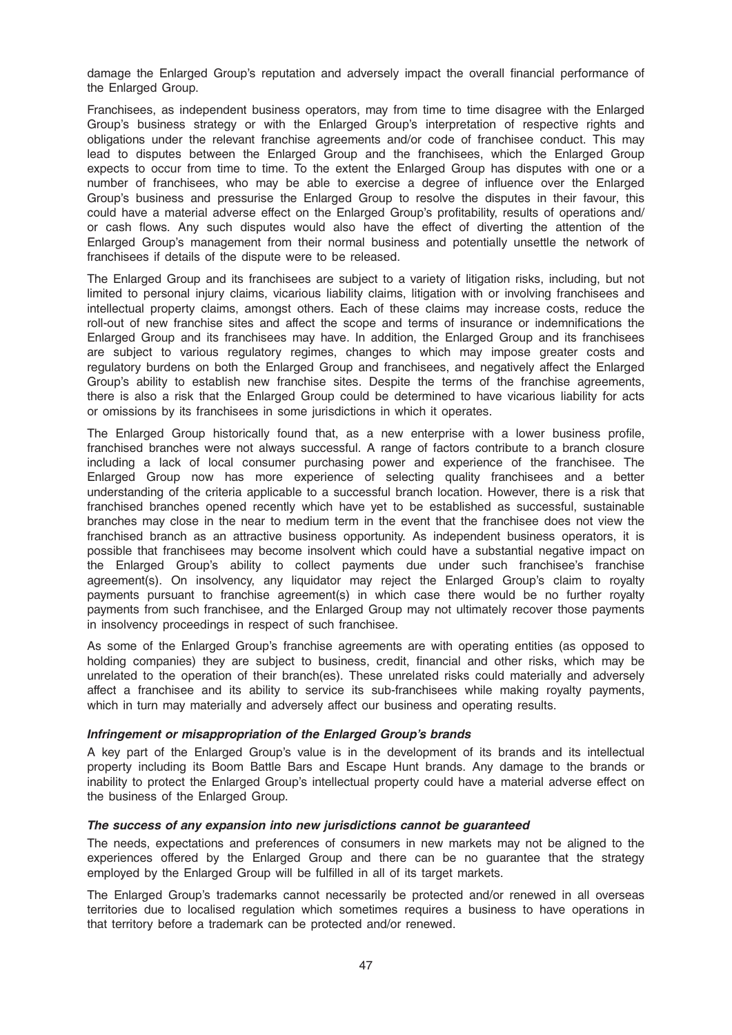damage the Enlarged Group's reputation and adversely impact the overall financial performance of the Enlarged Group.

Franchisees, as independent business operators, may from time to time disagree with the Enlarged Group's business strategy or with the Enlarged Group's interpretation of respective rights and obligations under the relevant franchise agreements and/or code of franchisee conduct. This may lead to disputes between the Enlarged Group and the franchisees, which the Enlarged Group expects to occur from time to time. To the extent the Enlarged Group has disputes with one or a number of franchisees, who may be able to exercise a degree of influence over the Enlarged Group's business and pressurise the Enlarged Group to resolve the disputes in their favour, this could have a material adverse effect on the Enlarged Group's profitability, results of operations and/ or cash flows. Any such disputes would also have the effect of diverting the attention of the Enlarged Group's management from their normal business and potentially unsettle the network of franchisees if details of the dispute were to be released.

The Enlarged Group and its franchisees are subject to a variety of litigation risks, including, but not limited to personal injury claims, vicarious liability claims, litigation with or involving franchisees and intellectual property claims, amongst others. Each of these claims may increase costs, reduce the roll-out of new franchise sites and affect the scope and terms of insurance or indemnifications the Enlarged Group and its franchisees may have. In addition, the Enlarged Group and its franchisees are subject to various regulatory regimes, changes to which may impose greater costs and regulatory burdens on both the Enlarged Group and franchisees, and negatively affect the Enlarged Group's ability to establish new franchise sites. Despite the terms of the franchise agreements, there is also a risk that the Enlarged Group could be determined to have vicarious liability for acts or omissions by its franchisees in some jurisdictions in which it operates.

The Enlarged Group historically found that, as a new enterprise with a lower business profile, franchised branches were not always successful. A range of factors contribute to a branch closure including a lack of local consumer purchasing power and experience of the franchisee. The Enlarged Group now has more experience of selecting quality franchisees and a better understanding of the criteria applicable to a successful branch location. However, there is a risk that franchised branches opened recently which have yet to be established as successful, sustainable branches may close in the near to medium term in the event that the franchisee does not view the franchised branch as an attractive business opportunity. As independent business operators, it is possible that franchisees may become insolvent which could have a substantial negative impact on the Enlarged Group's ability to collect payments due under such franchisee's franchise agreement(s). On insolvency, any liquidator may reject the Enlarged Group's claim to royalty payments pursuant to franchise agreement(s) in which case there would be no further royalty payments from such franchisee, and the Enlarged Group may not ultimately recover those payments in insolvency proceedings in respect of such franchisee.

As some of the Enlarged Group's franchise agreements are with operating entities (as opposed to holding companies) they are subject to business, credit, financial and other risks, which may be unrelated to the operation of their branch(es). These unrelated risks could materially and adversely affect a franchisee and its ability to service its sub-franchisees while making royalty payments, which in turn may materially and adversely affect our business and operating results.

#### Infringement or misappropriation of the Enlarged Group's brands

A key part of the Enlarged Group's value is in the development of its brands and its intellectual property including its Boom Battle Bars and Escape Hunt brands. Any damage to the brands or inability to protect the Enlarged Group's intellectual property could have a material adverse effect on the business of the Enlarged Group.

## The success of any expansion into new jurisdictions cannot be guaranteed

The needs, expectations and preferences of consumers in new markets may not be aligned to the experiences offered by the Enlarged Group and there can be no guarantee that the strategy employed by the Enlarged Group will be fulfilled in all of its target markets.

The Enlarged Group's trademarks cannot necessarily be protected and/or renewed in all overseas territories due to localised regulation which sometimes requires a business to have operations in that territory before a trademark can be protected and/or renewed.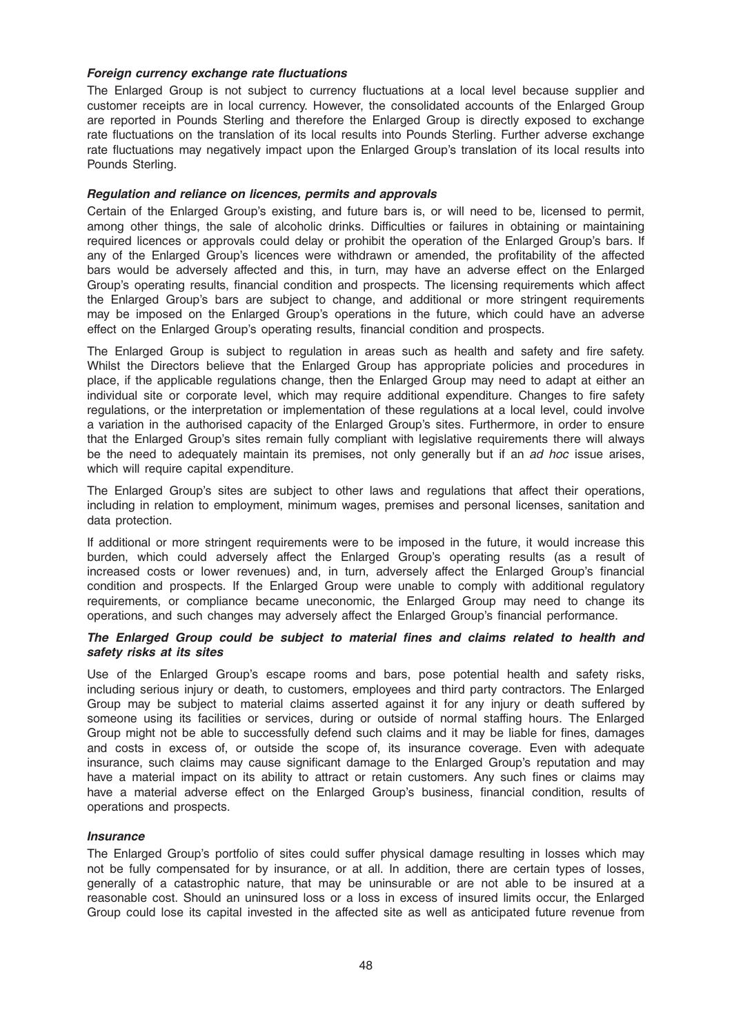### Foreign currency exchange rate fluctuations

The Enlarged Group is not subject to currency fluctuations at a local level because supplier and customer receipts are in local currency. However, the consolidated accounts of the Enlarged Group are reported in Pounds Sterling and therefore the Enlarged Group is directly exposed to exchange rate fluctuations on the translation of its local results into Pounds Sterling. Further adverse exchange rate fluctuations may negatively impact upon the Enlarged Group's translation of its local results into Pounds Sterling.

### Regulation and reliance on licences, permits and approvals

Certain of the Enlarged Group's existing, and future bars is, or will need to be, licensed to permit, among other things, the sale of alcoholic drinks. Difficulties or failures in obtaining or maintaining required licences or approvals could delay or prohibit the operation of the Enlarged Group's bars. If any of the Enlarged Group's licences were withdrawn or amended, the profitability of the affected bars would be adversely affected and this, in turn, may have an adverse effect on the Enlarged Group's operating results, financial condition and prospects. The licensing requirements which affect the Enlarged Group's bars are subject to change, and additional or more stringent requirements may be imposed on the Enlarged Group's operations in the future, which could have an adverse effect on the Enlarged Group's operating results, financial condition and prospects.

The Enlarged Group is subject to regulation in areas such as health and safety and fire safety. Whilst the Directors believe that the Enlarged Group has appropriate policies and procedures in place, if the applicable regulations change, then the Enlarged Group may need to adapt at either an individual site or corporate level, which may require additional expenditure. Changes to fire safety regulations, or the interpretation or implementation of these regulations at a local level, could involve a variation in the authorised capacity of the Enlarged Group's sites. Furthermore, in order to ensure that the Enlarged Group's sites remain fully compliant with legislative requirements there will always be the need to adequately maintain its premises, not only generally but if an *ad hoc* issue arises, which will require capital expenditure.

The Enlarged Group's sites are subject to other laws and regulations that affect their operations, including in relation to employment, minimum wages, premises and personal licenses, sanitation and data protection.

If additional or more stringent requirements were to be imposed in the future, it would increase this burden, which could adversely affect the Enlarged Group's operating results (as a result of increased costs or lower revenues) and, in turn, adversely affect the Enlarged Group's financial condition and prospects. If the Enlarged Group were unable to comply with additional regulatory requirements, or compliance became uneconomic, the Enlarged Group may need to change its operations, and such changes may adversely affect the Enlarged Group's financial performance.

# The Enlarged Group could be subject to material fines and claims related to health and safety risks at its sites

Use of the Enlarged Group's escape rooms and bars, pose potential health and safety risks, including serious injury or death, to customers, employees and third party contractors. The Enlarged Group may be subject to material claims asserted against it for any injury or death suffered by someone using its facilities or services, during or outside of normal staffing hours. The Enlarged Group might not be able to successfully defend such claims and it may be liable for fines, damages and costs in excess of, or outside the scope of, its insurance coverage. Even with adequate insurance, such claims may cause significant damage to the Enlarged Group's reputation and may have a material impact on its ability to attract or retain customers. Any such fines or claims may have a material adverse effect on the Enlarged Group's business, financial condition, results of operations and prospects.

#### **Insurance**

The Enlarged Group's portfolio of sites could suffer physical damage resulting in losses which may not be fully compensated for by insurance, or at all. In addition, there are certain types of losses, generally of a catastrophic nature, that may be uninsurable or are not able to be insured at a reasonable cost. Should an uninsured loss or a loss in excess of insured limits occur, the Enlarged Group could lose its capital invested in the affected site as well as anticipated future revenue from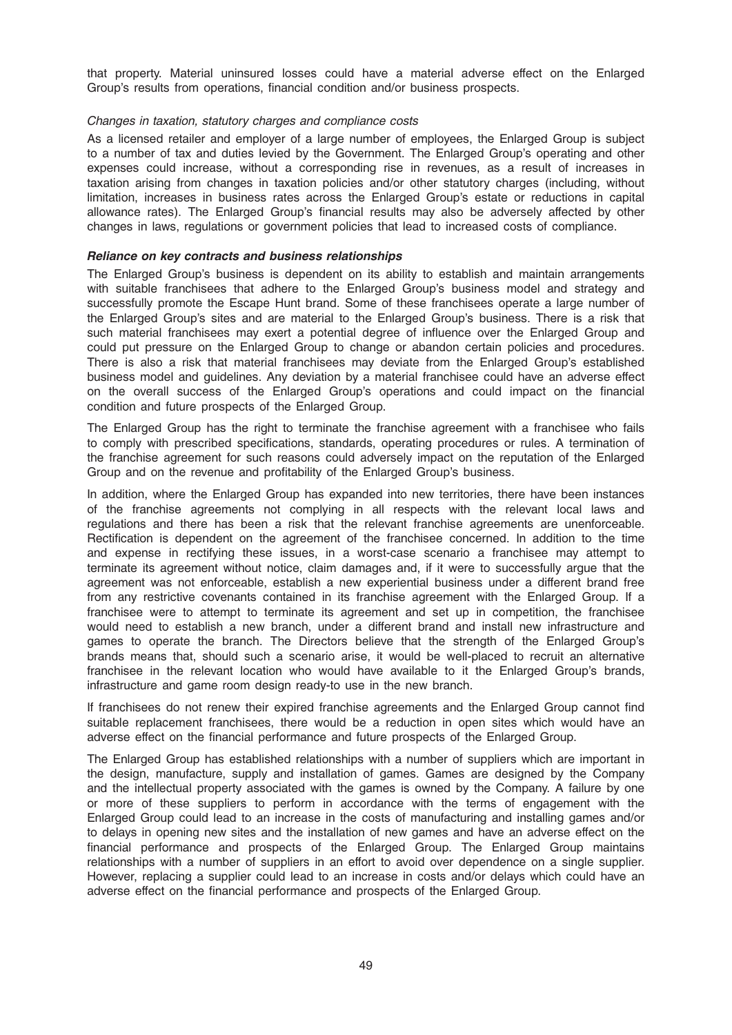that property. Material uninsured losses could have a material adverse effect on the Enlarged Group's results from operations, financial condition and/or business prospects.

### Changes in taxation, statutory charges and compliance costs

As a licensed retailer and employer of a large number of employees, the Enlarged Group is subject to a number of tax and duties levied by the Government. The Enlarged Group's operating and other expenses could increase, without a corresponding rise in revenues, as a result of increases in taxation arising from changes in taxation policies and/or other statutory charges (including, without limitation, increases in business rates across the Enlarged Group's estate or reductions in capital allowance rates). The Enlarged Group's financial results may also be adversely affected by other changes in laws, regulations or government policies that lead to increased costs of compliance.

### Reliance on key contracts and business relationships

The Enlarged Group's business is dependent on its ability to establish and maintain arrangements with suitable franchisees that adhere to the Enlarged Group's business model and strategy and successfully promote the Escape Hunt brand. Some of these franchisees operate a large number of the Enlarged Group's sites and are material to the Enlarged Group's business. There is a risk that such material franchisees may exert a potential degree of influence over the Enlarged Group and could put pressure on the Enlarged Group to change or abandon certain policies and procedures. There is also a risk that material franchisees may deviate from the Enlarged Group's established business model and guidelines. Any deviation by a material franchisee could have an adverse effect on the overall success of the Enlarged Group's operations and could impact on the financial condition and future prospects of the Enlarged Group.

The Enlarged Group has the right to terminate the franchise agreement with a franchisee who fails to comply with prescribed specifications, standards, operating procedures or rules. A termination of the franchise agreement for such reasons could adversely impact on the reputation of the Enlarged Group and on the revenue and profitability of the Enlarged Group's business.

In addition, where the Enlarged Group has expanded into new territories, there have been instances of the franchise agreements not complying in all respects with the relevant local laws and regulations and there has been a risk that the relevant franchise agreements are unenforceable. Rectification is dependent on the agreement of the franchisee concerned. In addition to the time and expense in rectifying these issues, in a worst-case scenario a franchisee may attempt to terminate its agreement without notice, claim damages and, if it were to successfully argue that the agreement was not enforceable, establish a new experiential business under a different brand free from any restrictive covenants contained in its franchise agreement with the Enlarged Group. If a franchisee were to attempt to terminate its agreement and set up in competition, the franchisee would need to establish a new branch, under a different brand and install new infrastructure and games to operate the branch. The Directors believe that the strength of the Enlarged Group's brands means that, should such a scenario arise, it would be well-placed to recruit an alternative franchisee in the relevant location who would have available to it the Enlarged Group's brands, infrastructure and game room design ready-to use in the new branch.

If franchisees do not renew their expired franchise agreements and the Enlarged Group cannot find suitable replacement franchisees, there would be a reduction in open sites which would have an adverse effect on the financial performance and future prospects of the Enlarged Group.

The Enlarged Group has established relationships with a number of suppliers which are important in the design, manufacture, supply and installation of games. Games are designed by the Company and the intellectual property associated with the games is owned by the Company. A failure by one or more of these suppliers to perform in accordance with the terms of engagement with the Enlarged Group could lead to an increase in the costs of manufacturing and installing games and/or to delays in opening new sites and the installation of new games and have an adverse effect on the financial performance and prospects of the Enlarged Group. The Enlarged Group maintains relationships with a number of suppliers in an effort to avoid over dependence on a single supplier. However, replacing a supplier could lead to an increase in costs and/or delays which could have an adverse effect on the financial performance and prospects of the Enlarged Group.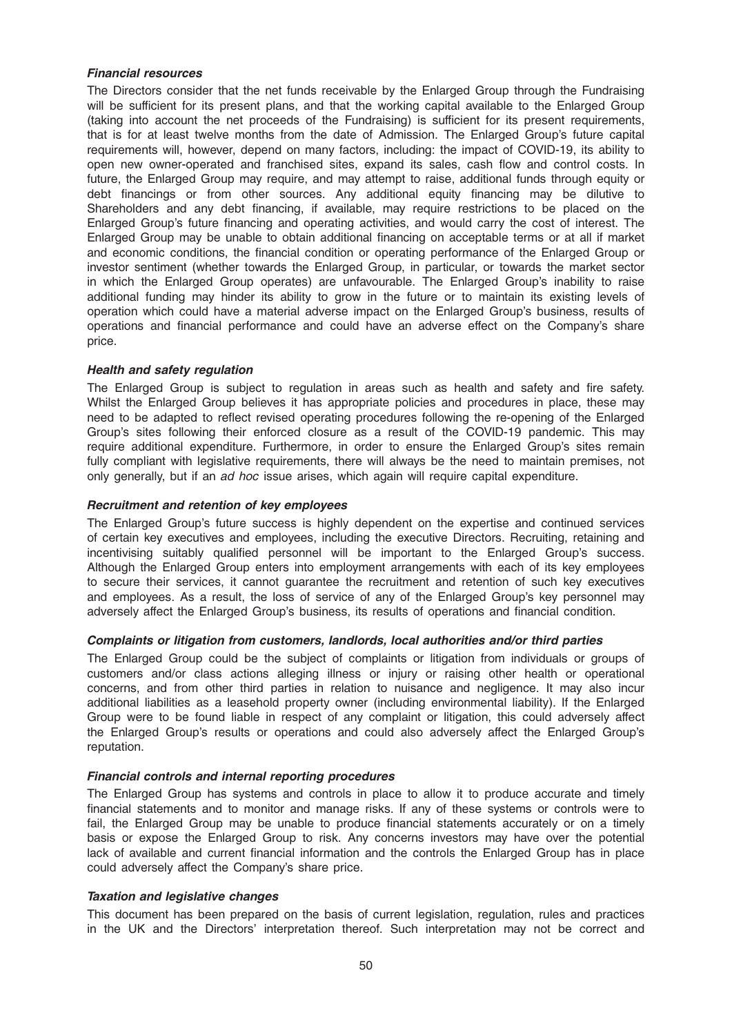### Financial resources

The Directors consider that the net funds receivable by the Enlarged Group through the Fundraising will be sufficient for its present plans, and that the working capital available to the Enlarged Group (taking into account the net proceeds of the Fundraising) is sufficient for its present requirements, that is for at least twelve months from the date of Admission. The Enlarged Group's future capital requirements will, however, depend on many factors, including: the impact of COVID-19, its ability to open new owner-operated and franchised sites, expand its sales, cash flow and control costs. In future, the Enlarged Group may require, and may attempt to raise, additional funds through equity or debt financings or from other sources. Any additional equity financing may be dilutive to Shareholders and any debt financing, if available, may require restrictions to be placed on the Enlarged Group's future financing and operating activities, and would carry the cost of interest. The Enlarged Group may be unable to obtain additional financing on acceptable terms or at all if market and economic conditions, the financial condition or operating performance of the Enlarged Group or investor sentiment (whether towards the Enlarged Group, in particular, or towards the market sector in which the Enlarged Group operates) are unfavourable. The Enlarged Group's inability to raise additional funding may hinder its ability to grow in the future or to maintain its existing levels of operation which could have a material adverse impact on the Enlarged Group's business, results of operations and financial performance and could have an adverse effect on the Company's share price.

# Health and safety regulation

The Enlarged Group is subject to regulation in areas such as health and safety and fire safety. Whilst the Enlarged Group believes it has appropriate policies and procedures in place, these may need to be adapted to reflect revised operating procedures following the re-opening of the Enlarged Group's sites following their enforced closure as a result of the COVID-19 pandemic. This may require additional expenditure. Furthermore, in order to ensure the Enlarged Group's sites remain fully compliant with legislative requirements, there will always be the need to maintain premises, not only generally, but if an ad hoc issue arises, which again will require capital expenditure.

### Recruitment and retention of key employees

The Enlarged Group's future success is highly dependent on the expertise and continued services of certain key executives and employees, including the executive Directors. Recruiting, retaining and incentivising suitably qualified personnel will be important to the Enlarged Group's success. Although the Enlarged Group enters into employment arrangements with each of its key employees to secure their services, it cannot guarantee the recruitment and retention of such key executives and employees. As a result, the loss of service of any of the Enlarged Group's key personnel may adversely affect the Enlarged Group's business, its results of operations and financial condition.

# Complaints or litigation from customers, landlords, local authorities and/or third parties

The Enlarged Group could be the subject of complaints or litigation from individuals or groups of customers and/or class actions alleging illness or injury or raising other health or operational concerns, and from other third parties in relation to nuisance and negligence. It may also incur additional liabilities as a leasehold property owner (including environmental liability). If the Enlarged Group were to be found liable in respect of any complaint or litigation, this could adversely affect the Enlarged Group's results or operations and could also adversely affect the Enlarged Group's reputation.

#### Financial controls and internal reporting procedures

The Enlarged Group has systems and controls in place to allow it to produce accurate and timely financial statements and to monitor and manage risks. If any of these systems or controls were to fail, the Enlarged Group may be unable to produce financial statements accurately or on a timely basis or expose the Enlarged Group to risk. Any concerns investors may have over the potential lack of available and current financial information and the controls the Enlarged Group has in place could adversely affect the Company's share price.

# Taxation and legislative changes

This document has been prepared on the basis of current legislation, regulation, rules and practices in the UK and the Directors' interpretation thereof. Such interpretation may not be correct and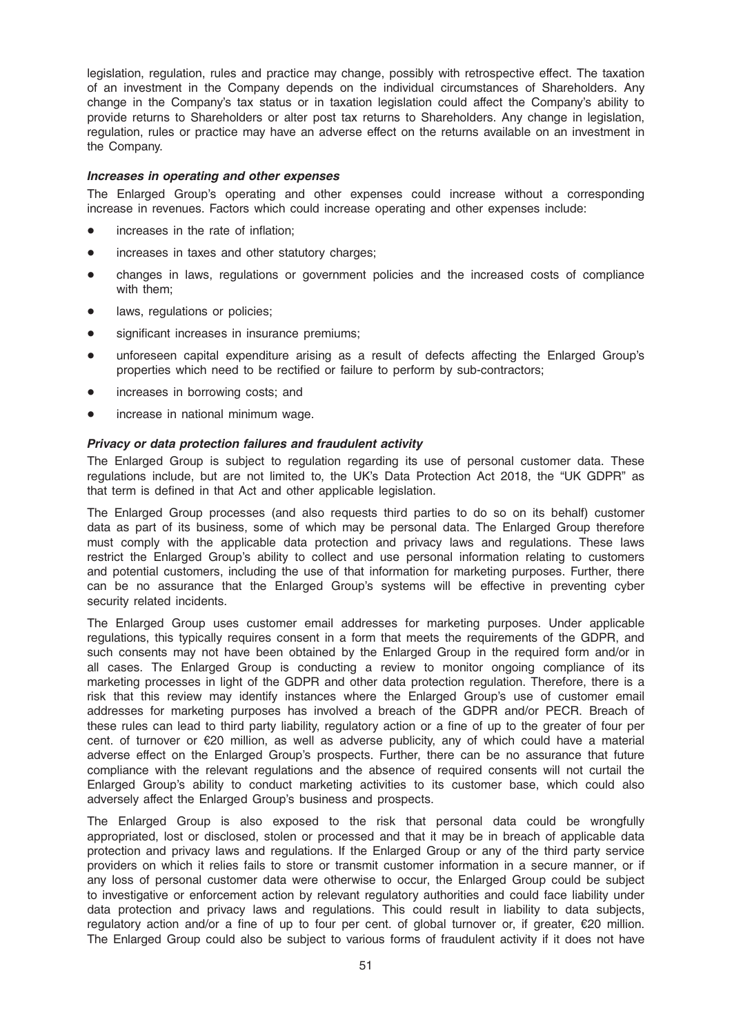legislation, regulation, rules and practice may change, possibly with retrospective effect. The taxation of an investment in the Company depends on the individual circumstances of Shareholders. Any change in the Company's tax status or in taxation legislation could affect the Company's ability to provide returns to Shareholders or alter post tax returns to Shareholders. Any change in legislation, regulation, rules or practice may have an adverse effect on the returns available on an investment in the Company.

#### Increases in operating and other expenses

The Enlarged Group's operating and other expenses could increase without a corresponding increase in revenues. Factors which could increase operating and other expenses include:

- increases in the rate of inflation;
- increases in taxes and other statutory charges;
- changes in laws, regulations or government policies and the increased costs of compliance with them;
- laws, regulations or policies;
- significant increases in insurance premiums;
- unforeseen capital expenditure arising as a result of defects affecting the Enlarged Group's properties which need to be rectified or failure to perform by sub-contractors;
- increases in borrowing costs; and
- increase in national minimum wage.

#### Privacy or data protection failures and fraudulent activity

The Enlarged Group is subject to regulation regarding its use of personal customer data. These regulations include, but are not limited to, the UK's Data Protection Act 2018, the "UK GDPR" as that term is defined in that Act and other applicable legislation.

The Enlarged Group processes (and also requests third parties to do so on its behalf) customer data as part of its business, some of which may be personal data. The Enlarged Group therefore must comply with the applicable data protection and privacy laws and regulations. These laws restrict the Enlarged Group's ability to collect and use personal information relating to customers and potential customers, including the use of that information for marketing purposes. Further, there can be no assurance that the Enlarged Group's systems will be effective in preventing cyber security related incidents.

The Enlarged Group uses customer email addresses for marketing purposes. Under applicable regulations, this typically requires consent in a form that meets the requirements of the GDPR, and such consents may not have been obtained by the Enlarged Group in the required form and/or in all cases. The Enlarged Group is conducting a review to monitor ongoing compliance of its marketing processes in light of the GDPR and other data protection regulation. Therefore, there is a risk that this review may identify instances where the Enlarged Group's use of customer email addresses for marketing purposes has involved a breach of the GDPR and/or PECR. Breach of these rules can lead to third party liability, regulatory action or a fine of up to the greater of four per cent. of turnover or €20 million, as well as adverse publicity, any of which could have a material adverse effect on the Enlarged Group's prospects. Further, there can be no assurance that future compliance with the relevant regulations and the absence of required consents will not curtail the Enlarged Group's ability to conduct marketing activities to its customer base, which could also adversely affect the Enlarged Group's business and prospects.

The Enlarged Group is also exposed to the risk that personal data could be wrongfully appropriated, lost or disclosed, stolen or processed and that it may be in breach of applicable data protection and privacy laws and regulations. If the Enlarged Group or any of the third party service providers on which it relies fails to store or transmit customer information in a secure manner, or if any loss of personal customer data were otherwise to occur, the Enlarged Group could be subject to investigative or enforcement action by relevant regulatory authorities and could face liability under data protection and privacy laws and regulations. This could result in liability to data subjects, regulatory action and/or a fine of up to four per cent. of global turnover or, if greater, €20 million. The Enlarged Group could also be subject to various forms of fraudulent activity if it does not have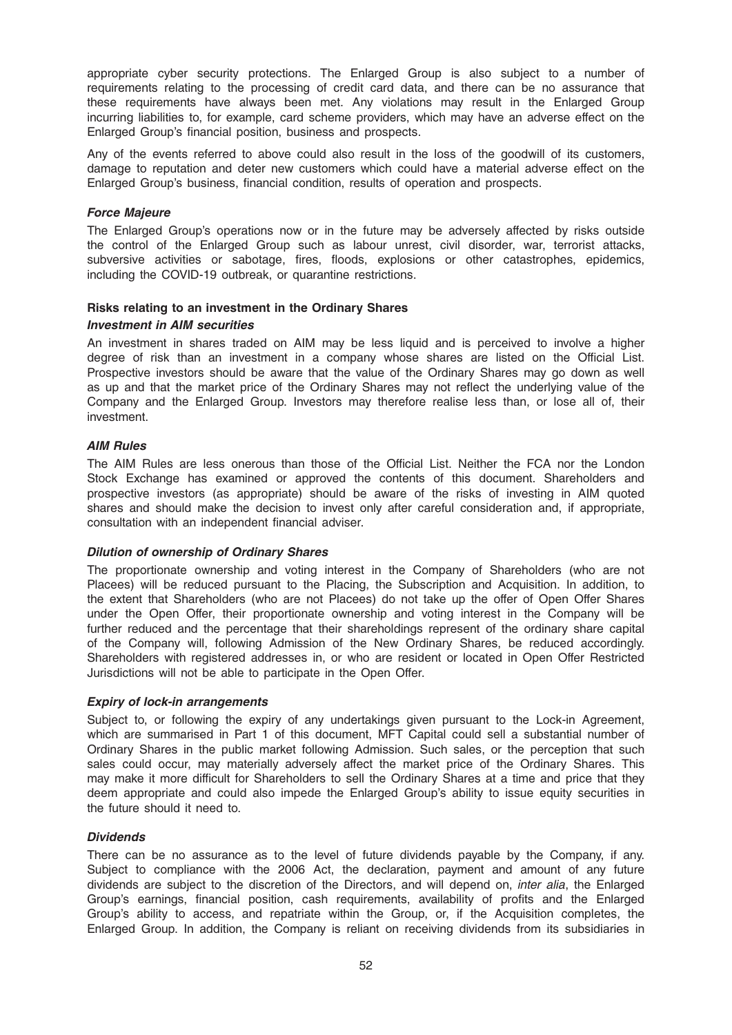appropriate cyber security protections. The Enlarged Group is also subject to a number of requirements relating to the processing of credit card data, and there can be no assurance that these requirements have always been met. Any violations may result in the Enlarged Group incurring liabilities to, for example, card scheme providers, which may have an adverse effect on the Enlarged Group's financial position, business and prospects.

Any of the events referred to above could also result in the loss of the goodwill of its customers, damage to reputation and deter new customers which could have a material adverse effect on the Enlarged Group's business, financial condition, results of operation and prospects.

### Force Majeure

The Enlarged Group's operations now or in the future may be adversely affected by risks outside the control of the Enlarged Group such as labour unrest, civil disorder, war, terrorist attacks, subversive activities or sabotage, fires, floods, explosions or other catastrophes, epidemics, including the COVID-19 outbreak, or quarantine restrictions.

#### Risks relating to an investment in the Ordinary Shares

#### Investment in AIM securities

An investment in shares traded on AIM may be less liquid and is perceived to involve a higher degree of risk than an investment in a company whose shares are listed on the Official List. Prospective investors should be aware that the value of the Ordinary Shares may go down as well as up and that the market price of the Ordinary Shares may not reflect the underlying value of the Company and the Enlarged Group. Investors may therefore realise less than, or lose all of, their investment.

### AIM Rules

The AIM Rules are less onerous than those of the Official List. Neither the FCA nor the London Stock Exchange has examined or approved the contents of this document. Shareholders and prospective investors (as appropriate) should be aware of the risks of investing in AIM quoted shares and should make the decision to invest only after careful consideration and, if appropriate, consultation with an independent financial adviser.

#### Dilution of ownership of Ordinary Shares

The proportionate ownership and voting interest in the Company of Shareholders (who are not Placees) will be reduced pursuant to the Placing, the Subscription and Acquisition. In addition, to the extent that Shareholders (who are not Placees) do not take up the offer of Open Offer Shares under the Open Offer, their proportionate ownership and voting interest in the Company will be further reduced and the percentage that their shareholdings represent of the ordinary share capital of the Company will, following Admission of the New Ordinary Shares, be reduced accordingly. Shareholders with registered addresses in, or who are resident or located in Open Offer Restricted Jurisdictions will not be able to participate in the Open Offer.

### Expiry of lock-in arrangements

Subject to, or following the expiry of any undertakings given pursuant to the Lock-in Agreement, which are summarised in Part 1 of this document, MFT Capital could sell a substantial number of Ordinary Shares in the public market following Admission. Such sales, or the perception that such sales could occur, may materially adversely affect the market price of the Ordinary Shares. This may make it more difficult for Shareholders to sell the Ordinary Shares at a time and price that they deem appropriate and could also impede the Enlarged Group's ability to issue equity securities in the future should it need to.

#### **Dividends**

There can be no assurance as to the level of future dividends payable by the Company, if any. Subject to compliance with the 2006 Act, the declaration, payment and amount of any future dividends are subject to the discretion of the Directors, and will depend on, *inter alia*, the Enlarged Group's earnings, financial position, cash requirements, availability of profits and the Enlarged Group's ability to access, and repatriate within the Group, or, if the Acquisition completes, the Enlarged Group. In addition, the Company is reliant on receiving dividends from its subsidiaries in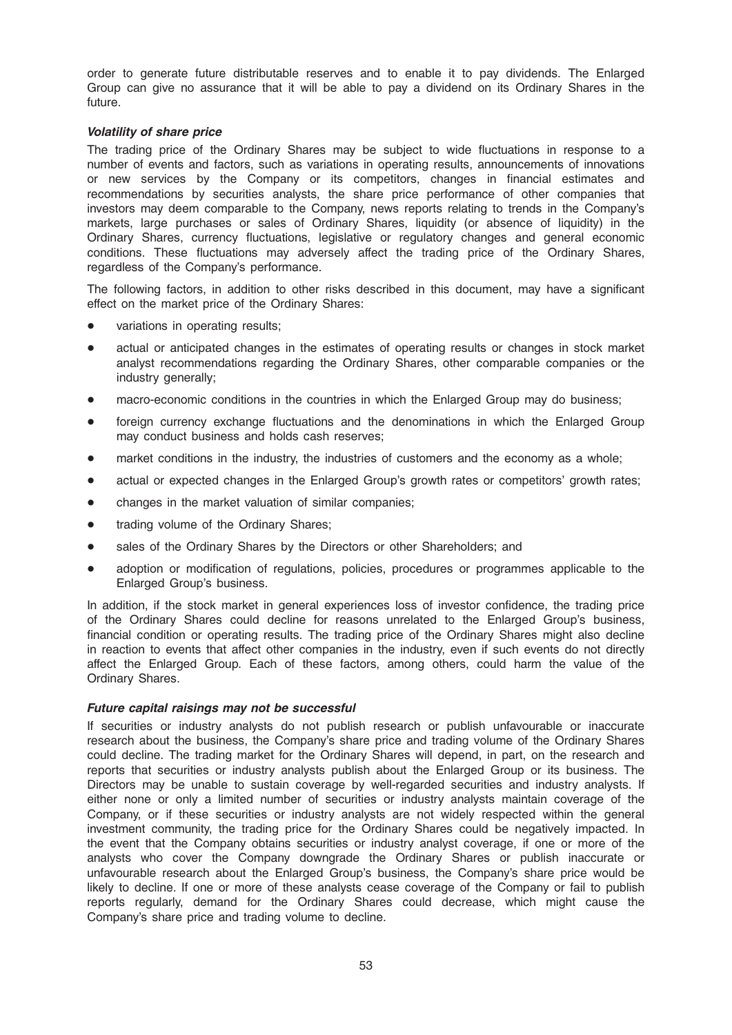order to generate future distributable reserves and to enable it to pay dividends. The Enlarged Group can give no assurance that it will be able to pay a dividend on its Ordinary Shares in the future.

### Volatility of share price

The trading price of the Ordinary Shares may be subject to wide fluctuations in response to a number of events and factors, such as variations in operating results, announcements of innovations or new services by the Company or its competitors, changes in financial estimates and recommendations by securities analysts, the share price performance of other companies that investors may deem comparable to the Company, news reports relating to trends in the Company's markets, large purchases or sales of Ordinary Shares, liquidity (or absence of liquidity) in the Ordinary Shares, currency fluctuations, legislative or regulatory changes and general economic conditions. These fluctuations may adversely affect the trading price of the Ordinary Shares, regardless of the Company's performance.

The following factors, in addition to other risks described in this document, may have a significant effect on the market price of the Ordinary Shares:

- variations in operating results;
- actual or anticipated changes in the estimates of operating results or changes in stock market analyst recommendations regarding the Ordinary Shares, other comparable companies or the industry generally;
- macro-economic conditions in the countries in which the Enlarged Group may do business;
- foreign currency exchange fluctuations and the denominations in which the Enlarged Group may conduct business and holds cash reserves;
- market conditions in the industry, the industries of customers and the economy as a whole;
- actual or expected changes in the Enlarged Group's growth rates or competitors' growth rates;
- changes in the market valuation of similar companies;
- trading volume of the Ordinary Shares;
- sales of the Ordinary Shares by the Directors or other Shareholders; and
- adoption or modification of regulations, policies, procedures or programmes applicable to the Enlarged Group's business.

In addition, if the stock market in general experiences loss of investor confidence, the trading price of the Ordinary Shares could decline for reasons unrelated to the Enlarged Group's business, financial condition or operating results. The trading price of the Ordinary Shares might also decline in reaction to events that affect other companies in the industry, even if such events do not directly affect the Enlarged Group. Each of these factors, among others, could harm the value of the Ordinary Shares.

#### Future capital raisings may not be successful

If securities or industry analysts do not publish research or publish unfavourable or inaccurate research about the business, the Company's share price and trading volume of the Ordinary Shares could decline. The trading market for the Ordinary Shares will depend, in part, on the research and reports that securities or industry analysts publish about the Enlarged Group or its business. The Directors may be unable to sustain coverage by well-regarded securities and industry analysts. If either none or only a limited number of securities or industry analysts maintain coverage of the Company, or if these securities or industry analysts are not widely respected within the general investment community, the trading price for the Ordinary Shares could be negatively impacted. In the event that the Company obtains securities or industry analyst coverage, if one or more of the analysts who cover the Company downgrade the Ordinary Shares or publish inaccurate or unfavourable research about the Enlarged Group's business, the Company's share price would be likely to decline. If one or more of these analysts cease coverage of the Company or fail to publish reports regularly, demand for the Ordinary Shares could decrease, which might cause the Company's share price and trading volume to decline.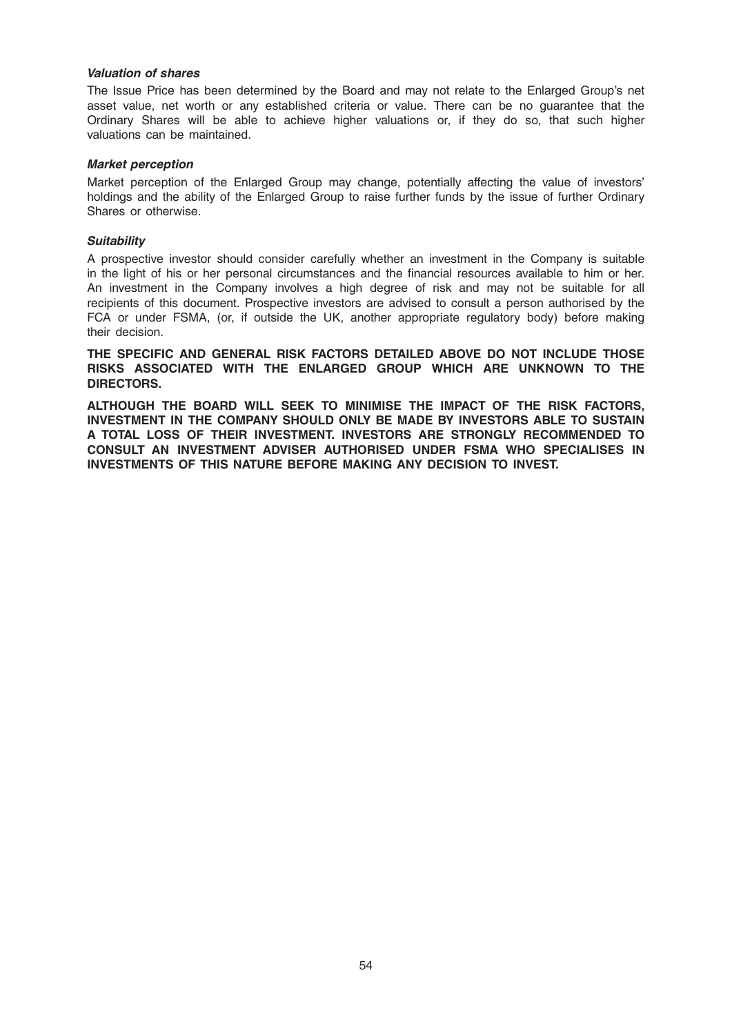### Valuation of shares

The Issue Price has been determined by the Board and may not relate to the Enlarged Group's net asset value, net worth or any established criteria or value. There can be no guarantee that the Ordinary Shares will be able to achieve higher valuations or, if they do so, that such higher valuations can be maintained.

#### Market perception

Market perception of the Enlarged Group may change, potentially affecting the value of investors' holdings and the ability of the Enlarged Group to raise further funds by the issue of further Ordinary Shares or otherwise.

#### **Suitability**

A prospective investor should consider carefully whether an investment in the Company is suitable in the light of his or her personal circumstances and the financial resources available to him or her. An investment in the Company involves a high degree of risk and may not be suitable for all recipients of this document. Prospective investors are advised to consult a person authorised by the FCA or under FSMA, (or, if outside the UK, another appropriate regulatory body) before making their decision.

THE SPECIFIC AND GENERAL RISK FACTORS DETAILED ABOVE DO NOT INCLUDE THOSE RISKS ASSOCIATED WITH THE ENLARGED GROUP WHICH ARE UNKNOWN TO THE DIRECTORS.

ALTHOUGH THE BOARD WILL SEEK TO MINIMISE THE IMPACT OF THE RISK FACTORS, INVESTMENT IN THE COMPANY SHOULD ONLY BE MADE BY INVESTORS ABLE TO SUSTAIN A TOTAL LOSS OF THEIR INVESTMENT. INVESTORS ARE STRONGLY RECOMMENDED TO CONSULT AN INVESTMENT ADVISER AUTHORISED UNDER FSMA WHO SPECIALISES IN INVESTMENTS OF THIS NATURE BEFORE MAKING ANY DECISION TO INVEST.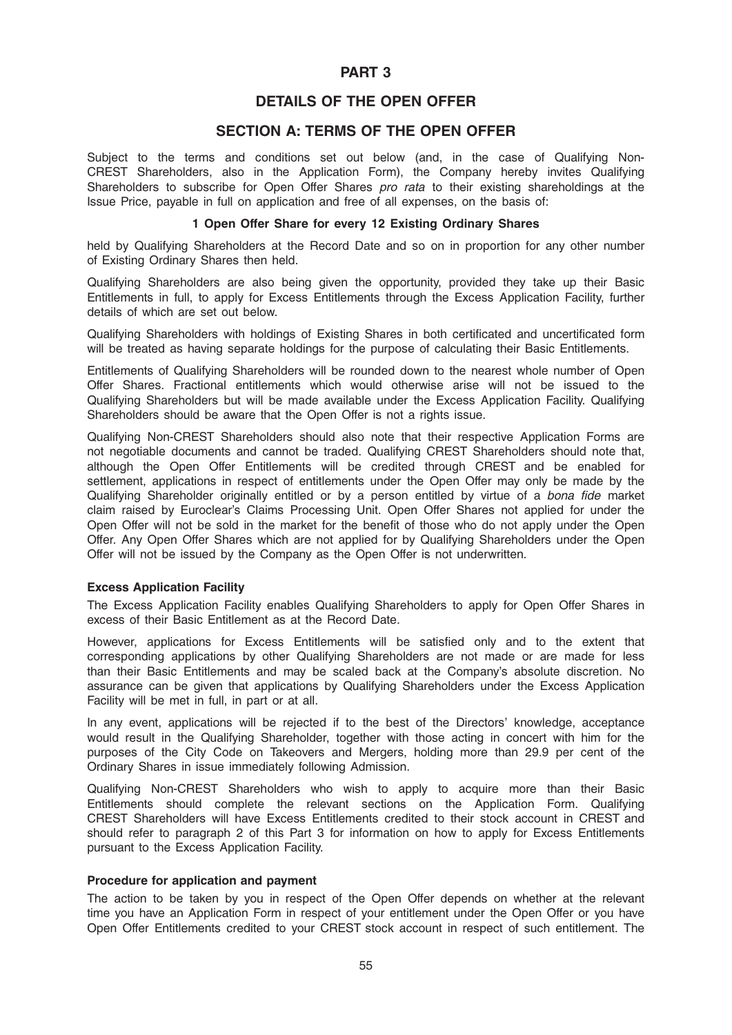# PART 3

# DETAILS OF THE OPEN OFFER

# SECTION A: TERMS OF THE OPEN OFFER

Subject to the terms and conditions set out below (and, in the case of Qualifying Non-CREST Shareholders, also in the Application Form), the Company hereby invites Qualifying Shareholders to subscribe for Open Offer Shares pro rata to their existing shareholdings at the Issue Price, payable in full on application and free of all expenses, on the basis of:

### 1 Open Offer Share for every 12 Existing Ordinary Shares

held by Qualifying Shareholders at the Record Date and so on in proportion for any other number of Existing Ordinary Shares then held.

Qualifying Shareholders are also being given the opportunity, provided they take up their Basic Entitlements in full, to apply for Excess Entitlements through the Excess Application Facility, further details of which are set out below.

Qualifying Shareholders with holdings of Existing Shares in both certificated and uncertificated form will be treated as having separate holdings for the purpose of calculating their Basic Entitlements.

Entitlements of Qualifying Shareholders will be rounded down to the nearest whole number of Open Offer Shares. Fractional entitlements which would otherwise arise will not be issued to the Qualifying Shareholders but will be made available under the Excess Application Facility. Qualifying Shareholders should be aware that the Open Offer is not a rights issue.

Qualifying Non-CREST Shareholders should also note that their respective Application Forms are not negotiable documents and cannot be traded. Qualifying CREST Shareholders should note that, although the Open Offer Entitlements will be credited through CREST and be enabled for settlement, applications in respect of entitlements under the Open Offer may only be made by the Qualifying Shareholder originally entitled or by a person entitled by virtue of a bona fide market claim raised by Euroclear's Claims Processing Unit. Open Offer Shares not applied for under the Open Offer will not be sold in the market for the benefit of those who do not apply under the Open Offer. Any Open Offer Shares which are not applied for by Qualifying Shareholders under the Open Offer will not be issued by the Company as the Open Offer is not underwritten.

#### Excess Application Facility

The Excess Application Facility enables Qualifying Shareholders to apply for Open Offer Shares in excess of their Basic Entitlement as at the Record Date.

However, applications for Excess Entitlements will be satisfied only and to the extent that corresponding applications by other Qualifying Shareholders are not made or are made for less than their Basic Entitlements and may be scaled back at the Company's absolute discretion. No assurance can be given that applications by Qualifying Shareholders under the Excess Application Facility will be met in full, in part or at all.

In any event, applications will be rejected if to the best of the Directors' knowledge, acceptance would result in the Qualifying Shareholder, together with those acting in concert with him for the purposes of the City Code on Takeovers and Mergers, holding more than 29.9 per cent of the Ordinary Shares in issue immediately following Admission.

Qualifying Non-CREST Shareholders who wish to apply to acquire more than their Basic Entitlements should complete the relevant sections on the Application Form. Qualifying CREST Shareholders will have Excess Entitlements credited to their stock account in CREST and should refer to paragraph 2 of this Part 3 for information on how to apply for Excess Entitlements pursuant to the Excess Application Facility.

# Procedure for application and payment

The action to be taken by you in respect of the Open Offer depends on whether at the relevant time you have an Application Form in respect of your entitlement under the Open Offer or you have Open Offer Entitlements credited to your CREST stock account in respect of such entitlement. The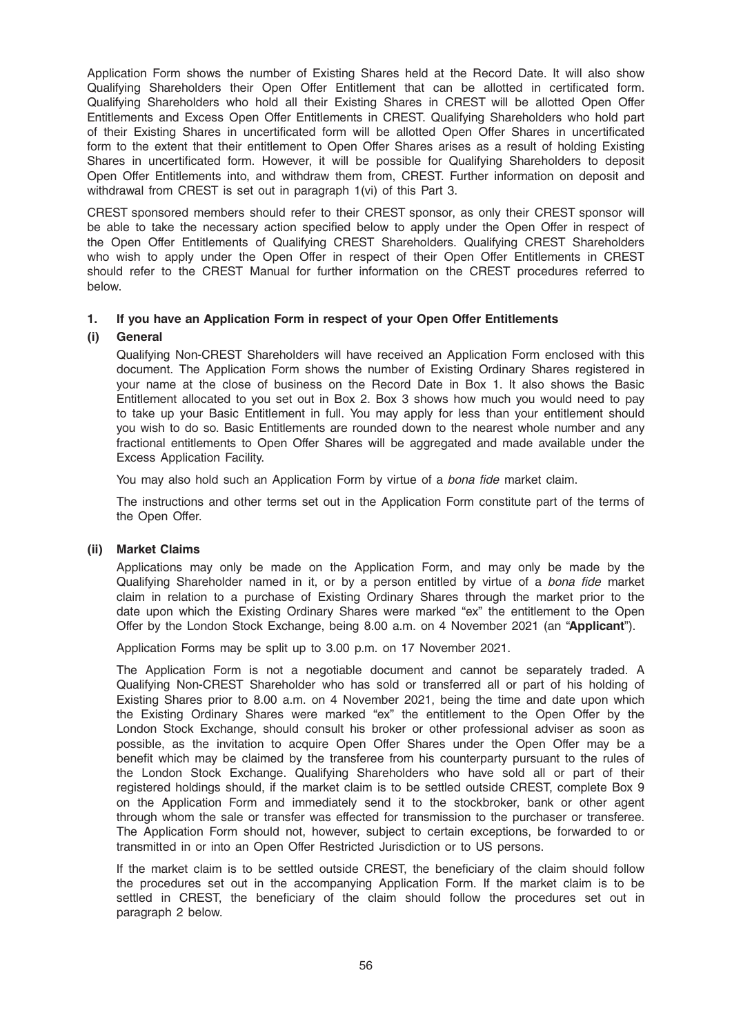Application Form shows the number of Existing Shares held at the Record Date. It will also show Qualifying Shareholders their Open Offer Entitlement that can be allotted in certificated form. Qualifying Shareholders who hold all their Existing Shares in CREST will be allotted Open Offer Entitlements and Excess Open Offer Entitlements in CREST. Qualifying Shareholders who hold part of their Existing Shares in uncertificated form will be allotted Open Offer Shares in uncertificated form to the extent that their entitlement to Open Offer Shares arises as a result of holding Existing Shares in uncertificated form. However, it will be possible for Qualifying Shareholders to deposit Open Offer Entitlements into, and withdraw them from, CREST. Further information on deposit and withdrawal from CREST is set out in paragraph 1(vi) of this Part 3.

CREST sponsored members should refer to their CREST sponsor, as only their CREST sponsor will be able to take the necessary action specified below to apply under the Open Offer in respect of the Open Offer Entitlements of Qualifying CREST Shareholders. Qualifying CREST Shareholders who wish to apply under the Open Offer in respect of their Open Offer Entitlements in CREST should refer to the CREST Manual for further information on the CREST procedures referred to below.

# 1. If you have an Application Form in respect of your Open Offer Entitlements

### (i) General

Qualifying Non-CREST Shareholders will have received an Application Form enclosed with this document. The Application Form shows the number of Existing Ordinary Shares registered in your name at the close of business on the Record Date in Box 1. It also shows the Basic Entitlement allocated to you set out in Box 2. Box 3 shows how much you would need to pay to take up your Basic Entitlement in full. You may apply for less than your entitlement should you wish to do so. Basic Entitlements are rounded down to the nearest whole number and any fractional entitlements to Open Offer Shares will be aggregated and made available under the Excess Application Facility.

You may also hold such an Application Form by virtue of a bona fide market claim.

The instructions and other terms set out in the Application Form constitute part of the terms of the Open Offer.

#### (ii) Market Claims

Applications may only be made on the Application Form, and may only be made by the Qualifying Shareholder named in it, or by a person entitled by virtue of a bona fide market claim in relation to a purchase of Existing Ordinary Shares through the market prior to the date upon which the Existing Ordinary Shares were marked "ex" the entitlement to the Open Offer by the London Stock Exchange, being 8.00 a.m. on 4 November 2021 (an "Applicant").

Application Forms may be split up to 3.00 p.m. on 17 November 2021.

The Application Form is not a negotiable document and cannot be separately traded. A Qualifying Non-CREST Shareholder who has sold or transferred all or part of his holding of Existing Shares prior to 8.00 a.m. on 4 November 2021, being the time and date upon which the Existing Ordinary Shares were marked "ex" the entitlement to the Open Offer by the London Stock Exchange, should consult his broker or other professional adviser as soon as possible, as the invitation to acquire Open Offer Shares under the Open Offer may be a benefit which may be claimed by the transferee from his counterparty pursuant to the rules of the London Stock Exchange. Qualifying Shareholders who have sold all or part of their registered holdings should, if the market claim is to be settled outside CREST, complete Box 9 on the Application Form and immediately send it to the stockbroker, bank or other agent through whom the sale or transfer was effected for transmission to the purchaser or transferee. The Application Form should not, however, subject to certain exceptions, be forwarded to or transmitted in or into an Open Offer Restricted Jurisdiction or to US persons.

If the market claim is to be settled outside CREST, the beneficiary of the claim should follow the procedures set out in the accompanying Application Form. If the market claim is to be settled in CREST, the beneficiary of the claim should follow the procedures set out in paragraph 2 below.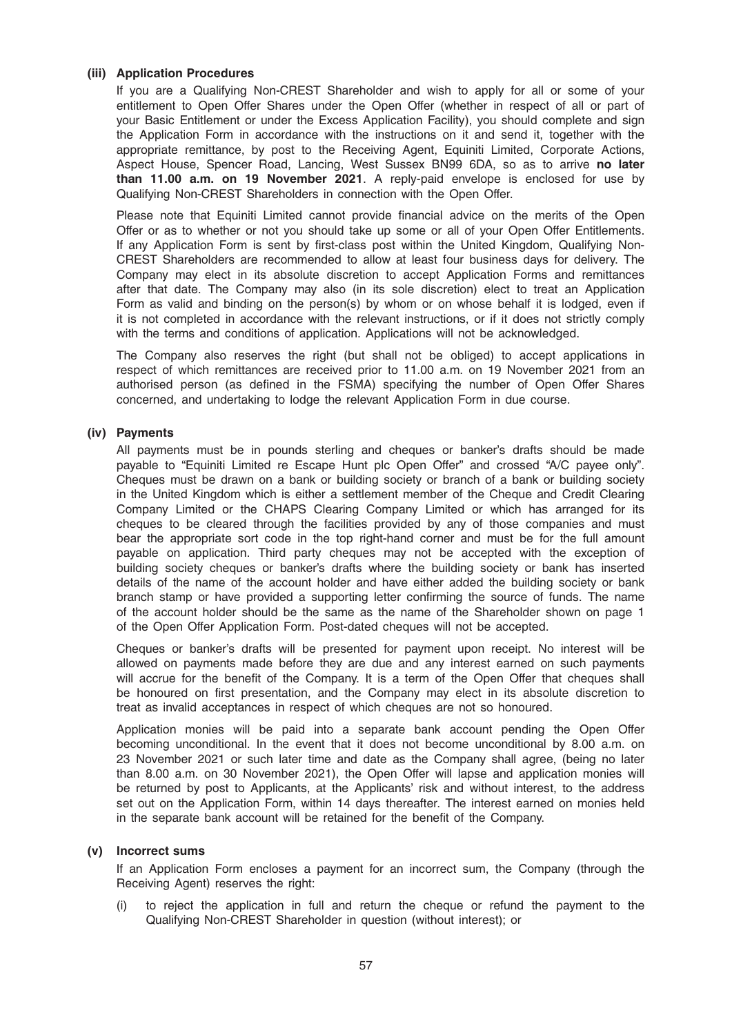### (iii) Application Procedures

If you are a Qualifying Non-CREST Shareholder and wish to apply for all or some of your entitlement to Open Offer Shares under the Open Offer (whether in respect of all or part of your Basic Entitlement or under the Excess Application Facility), you should complete and sign the Application Form in accordance with the instructions on it and send it, together with the appropriate remittance, by post to the Receiving Agent, Equiniti Limited, Corporate Actions, Aspect House, Spencer Road, Lancing, West Sussex BN99 6DA, so as to arrive no later than 11.00 a.m. on 19 November 2021. A reply-paid envelope is enclosed for use by Qualifying Non-CREST Shareholders in connection with the Open Offer.

Please note that Equiniti Limited cannot provide financial advice on the merits of the Open Offer or as to whether or not you should take up some or all of your Open Offer Entitlements. If any Application Form is sent by first-class post within the United Kingdom, Qualifying Non-CREST Shareholders are recommended to allow at least four business days for delivery. The Company may elect in its absolute discretion to accept Application Forms and remittances after that date. The Company may also (in its sole discretion) elect to treat an Application Form as valid and binding on the person(s) by whom or on whose behalf it is lodged, even if it is not completed in accordance with the relevant instructions, or if it does not strictly comply with the terms and conditions of application. Applications will not be acknowledged.

The Company also reserves the right (but shall not be obliged) to accept applications in respect of which remittances are received prior to 11.00 a.m. on 19 November 2021 from an authorised person (as defined in the FSMA) specifying the number of Open Offer Shares concerned, and undertaking to lodge the relevant Application Form in due course.

#### (iv) Payments

All payments must be in pounds sterling and cheques or banker's drafts should be made payable to "Equiniti Limited re Escape Hunt plc Open Offer" and crossed "A/C payee only". Cheques must be drawn on a bank or building society or branch of a bank or building society in the United Kingdom which is either a settlement member of the Cheque and Credit Clearing Company Limited or the CHAPS Clearing Company Limited or which has arranged for its cheques to be cleared through the facilities provided by any of those companies and must bear the appropriate sort code in the top right-hand corner and must be for the full amount payable on application. Third party cheques may not be accepted with the exception of building society cheques or banker's drafts where the building society or bank has inserted details of the name of the account holder and have either added the building society or bank branch stamp or have provided a supporting letter confirming the source of funds. The name of the account holder should be the same as the name of the Shareholder shown on page 1 of the Open Offer Application Form. Post-dated cheques will not be accepted.

Cheques or banker's drafts will be presented for payment upon receipt. No interest will be allowed on payments made before they are due and any interest earned on such payments will accrue for the benefit of the Company. It is a term of the Open Offer that cheques shall be honoured on first presentation, and the Company may elect in its absolute discretion to treat as invalid acceptances in respect of which cheques are not so honoured.

Application monies will be paid into a separate bank account pending the Open Offer becoming unconditional. In the event that it does not become unconditional by 8.00 a.m. on 23 November 2021 or such later time and date as the Company shall agree, (being no later than 8.00 a.m. on 30 November 2021), the Open Offer will lapse and application monies will be returned by post to Applicants, at the Applicants' risk and without interest, to the address set out on the Application Form, within 14 days thereafter. The interest earned on monies held in the separate bank account will be retained for the benefit of the Company.

#### (v) Incorrect sums

If an Application Form encloses a payment for an incorrect sum, the Company (through the Receiving Agent) reserves the right:

(i) to reject the application in full and return the cheque or refund the payment to the Qualifying Non-CREST Shareholder in question (without interest); or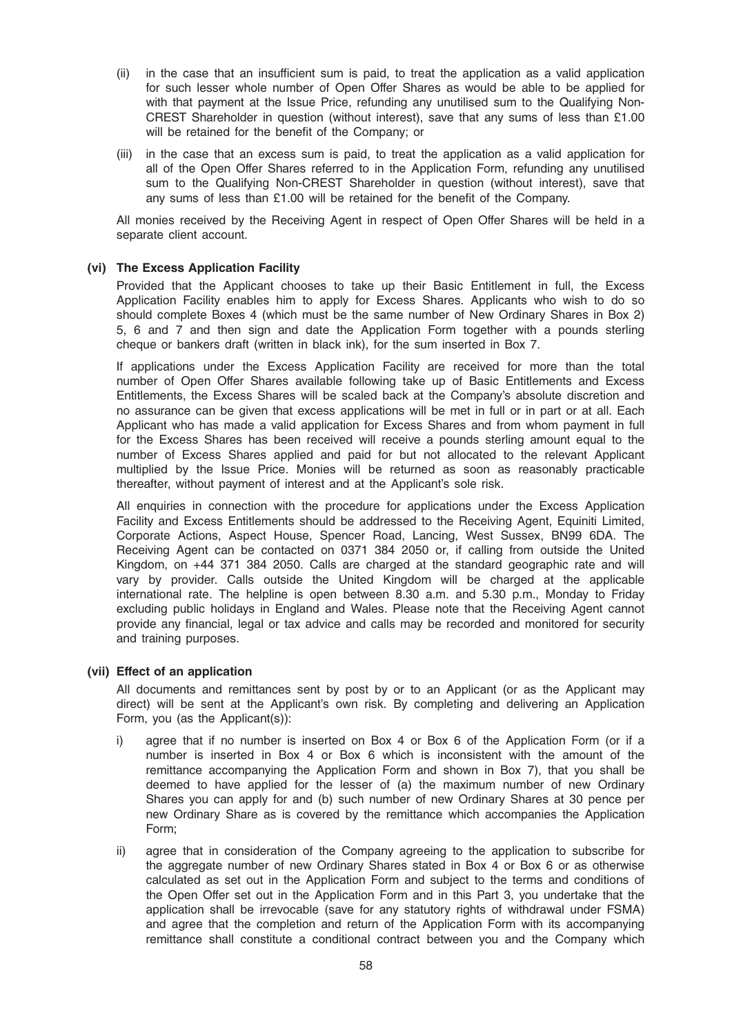- (ii) in the case that an insufficient sum is paid, to treat the application as a valid application for such lesser whole number of Open Offer Shares as would be able to be applied for with that payment at the Issue Price, refunding any unutilised sum to the Qualifying Non-CREST Shareholder in question (without interest), save that any sums of less than £1.00 will be retained for the benefit of the Company; or
- (iii) in the case that an excess sum is paid, to treat the application as a valid application for all of the Open Offer Shares referred to in the Application Form, refunding any unutilised sum to the Qualifying Non-CREST Shareholder in question (without interest), save that any sums of less than £1.00 will be retained for the benefit of the Company.

All monies received by the Receiving Agent in respect of Open Offer Shares will be held in a separate client account.

### (vi) The Excess Application Facility

Provided that the Applicant chooses to take up their Basic Entitlement in full, the Excess Application Facility enables him to apply for Excess Shares. Applicants who wish to do so should complete Boxes 4 (which must be the same number of New Ordinary Shares in Box 2) 5, 6 and 7 and then sign and date the Application Form together with a pounds sterling cheque or bankers draft (written in black ink), for the sum inserted in Box 7.

If applications under the Excess Application Facility are received for more than the total number of Open Offer Shares available following take up of Basic Entitlements and Excess Entitlements, the Excess Shares will be scaled back at the Company's absolute discretion and no assurance can be given that excess applications will be met in full or in part or at all. Each Applicant who has made a valid application for Excess Shares and from whom payment in full for the Excess Shares has been received will receive a pounds sterling amount equal to the number of Excess Shares applied and paid for but not allocated to the relevant Applicant multiplied by the Issue Price. Monies will be returned as soon as reasonably practicable thereafter, without payment of interest and at the Applicant's sole risk.

All enquiries in connection with the procedure for applications under the Excess Application Facility and Excess Entitlements should be addressed to the Receiving Agent, Equiniti Limited, Corporate Actions, Aspect House, Spencer Road, Lancing, West Sussex, BN99 6DA. The Receiving Agent can be contacted on 0371 384 2050 or, if calling from outside the United Kingdom, on +44 371 384 2050. Calls are charged at the standard geographic rate and will vary by provider. Calls outside the United Kingdom will be charged at the applicable international rate. The helpline is open between 8.30 a.m. and 5.30 p.m., Monday to Friday excluding public holidays in England and Wales. Please note that the Receiving Agent cannot provide any financial, legal or tax advice and calls may be recorded and monitored for security and training purposes.

#### (vii) Effect of an application

All documents and remittances sent by post by or to an Applicant (or as the Applicant may direct) will be sent at the Applicant's own risk. By completing and delivering an Application Form, you (as the Applicant(s)):

- i) agree that if no number is inserted on Box 4 or Box 6 of the Application Form (or if a number is inserted in Box 4 or Box 6 which is inconsistent with the amount of the remittance accompanying the Application Form and shown in Box 7), that you shall be deemed to have applied for the lesser of (a) the maximum number of new Ordinary Shares you can apply for and (b) such number of new Ordinary Shares at 30 pence per new Ordinary Share as is covered by the remittance which accompanies the Application Form;
- ii) agree that in consideration of the Company agreeing to the application to subscribe for the aggregate number of new Ordinary Shares stated in Box 4 or Box 6 or as otherwise calculated as set out in the Application Form and subject to the terms and conditions of the Open Offer set out in the Application Form and in this Part 3, you undertake that the application shall be irrevocable (save for any statutory rights of withdrawal under FSMA) and agree that the completion and return of the Application Form with its accompanying remittance shall constitute a conditional contract between you and the Company which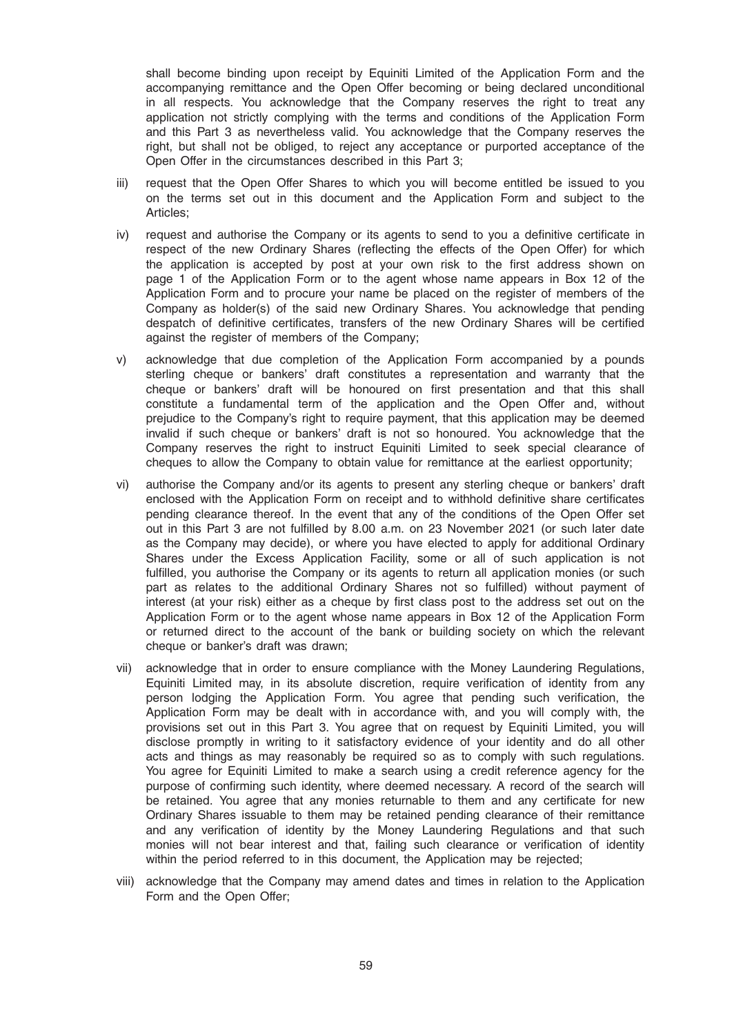shall become binding upon receipt by Equiniti Limited of the Application Form and the accompanying remittance and the Open Offer becoming or being declared unconditional in all respects. You acknowledge that the Company reserves the right to treat any application not strictly complying with the terms and conditions of the Application Form and this Part 3 as nevertheless valid. You acknowledge that the Company reserves the right, but shall not be obliged, to reject any acceptance or purported acceptance of the Open Offer in the circumstances described in this Part 3;

- iii) request that the Open Offer Shares to which you will become entitled be issued to you on the terms set out in this document and the Application Form and subject to the Articles;
- iv) request and authorise the Company or its agents to send to you a definitive certificate in respect of the new Ordinary Shares (reflecting the effects of the Open Offer) for which the application is accepted by post at your own risk to the first address shown on page 1 of the Application Form or to the agent whose name appears in Box 12 of the Application Form and to procure your name be placed on the register of members of the Company as holder(s) of the said new Ordinary Shares. You acknowledge that pending despatch of definitive certificates, transfers of the new Ordinary Shares will be certified against the register of members of the Company;
- v) acknowledge that due completion of the Application Form accompanied by a pounds sterling cheque or bankers' draft constitutes a representation and warranty that the cheque or bankers' draft will be honoured on first presentation and that this shall constitute a fundamental term of the application and the Open Offer and, without prejudice to the Company's right to require payment, that this application may be deemed invalid if such cheque or bankers' draft is not so honoured. You acknowledge that the Company reserves the right to instruct Equiniti Limited to seek special clearance of cheques to allow the Company to obtain value for remittance at the earliest opportunity;
- vi) authorise the Company and/or its agents to present any sterling cheque or bankers' draft enclosed with the Application Form on receipt and to withhold definitive share certificates pending clearance thereof. In the event that any of the conditions of the Open Offer set out in this Part 3 are not fulfilled by 8.00 a.m. on 23 November 2021 (or such later date as the Company may decide), or where you have elected to apply for additional Ordinary Shares under the Excess Application Facility, some or all of such application is not fulfilled, you authorise the Company or its agents to return all application monies (or such part as relates to the additional Ordinary Shares not so fulfilled) without payment of interest (at your risk) either as a cheque by first class post to the address set out on the Application Form or to the agent whose name appears in Box 12 of the Application Form or returned direct to the account of the bank or building society on which the relevant cheque or banker's draft was drawn;
- vii) acknowledge that in order to ensure compliance with the Money Laundering Regulations, Equiniti Limited may, in its absolute discretion, require verification of identity from any person lodging the Application Form. You agree that pending such verification, the Application Form may be dealt with in accordance with, and you will comply with, the provisions set out in this Part 3. You agree that on request by Equiniti Limited, you will disclose promptly in writing to it satisfactory evidence of your identity and do all other acts and things as may reasonably be required so as to comply with such regulations. You agree for Equiniti Limited to make a search using a credit reference agency for the purpose of confirming such identity, where deemed necessary. A record of the search will be retained. You agree that any monies returnable to them and any certificate for new Ordinary Shares issuable to them may be retained pending clearance of their remittance and any verification of identity by the Money Laundering Regulations and that such monies will not bear interest and that, failing such clearance or verification of identity within the period referred to in this document, the Application may be rejected;
- viii) acknowledge that the Company may amend dates and times in relation to the Application Form and the Open Offer;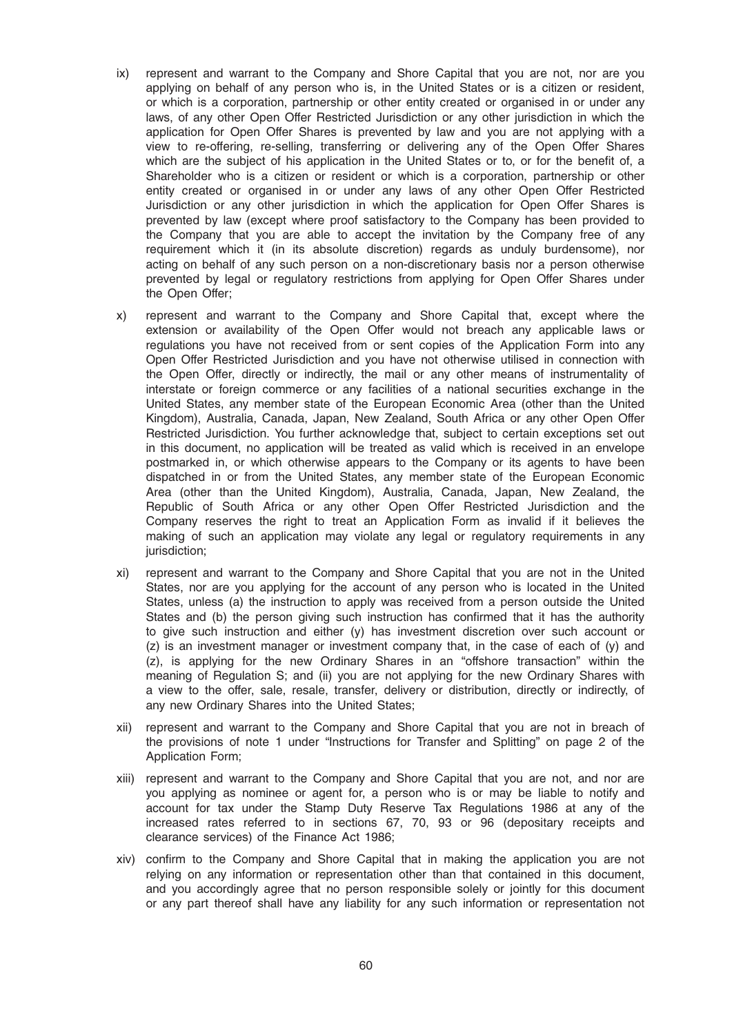- ix) represent and warrant to the Company and Shore Capital that you are not, nor are you applying on behalf of any person who is, in the United States or is a citizen or resident, or which is a corporation, partnership or other entity created or organised in or under any laws, of any other Open Offer Restricted Jurisdiction or any other jurisdiction in which the application for Open Offer Shares is prevented by law and you are not applying with a view to re-offering, re-selling, transferring or delivering any of the Open Offer Shares which are the subject of his application in the United States or to, or for the benefit of, a Shareholder who is a citizen or resident or which is a corporation, partnership or other entity created or organised in or under any laws of any other Open Offer Restricted Jurisdiction or any other jurisdiction in which the application for Open Offer Shares is prevented by law (except where proof satisfactory to the Company has been provided to the Company that you are able to accept the invitation by the Company free of any requirement which it (in its absolute discretion) regards as unduly burdensome), nor acting on behalf of any such person on a non-discretionary basis nor a person otherwise prevented by legal or regulatory restrictions from applying for Open Offer Shares under the Open Offer;
- x) represent and warrant to the Company and Shore Capital that, except where the extension or availability of the Open Offer would not breach any applicable laws or regulations you have not received from or sent copies of the Application Form into any Open Offer Restricted Jurisdiction and you have not otherwise utilised in connection with the Open Offer, directly or indirectly, the mail or any other means of instrumentality of interstate or foreign commerce or any facilities of a national securities exchange in the United States, any member state of the European Economic Area (other than the United Kingdom), Australia, Canada, Japan, New Zealand, South Africa or any other Open Offer Restricted Jurisdiction. You further acknowledge that, subject to certain exceptions set out in this document, no application will be treated as valid which is received in an envelope postmarked in, or which otherwise appears to the Company or its agents to have been dispatched in or from the United States, any member state of the European Economic Area (other than the United Kingdom), Australia, Canada, Japan, New Zealand, the Republic of South Africa or any other Open Offer Restricted Jurisdiction and the Company reserves the right to treat an Application Form as invalid if it believes the making of such an application may violate any legal or regulatory requirements in any jurisdiction;
- xi) represent and warrant to the Company and Shore Capital that you are not in the United States, nor are you applying for the account of any person who is located in the United States, unless (a) the instruction to apply was received from a person outside the United States and (b) the person giving such instruction has confirmed that it has the authority to give such instruction and either (y) has investment discretion over such account or  $(z)$  is an investment manager or investment company that, in the case of each of  $(y)$  and (z), is applying for the new Ordinary Shares in an "offshore transaction" within the meaning of Regulation S; and (ii) you are not applying for the new Ordinary Shares with a view to the offer, sale, resale, transfer, delivery or distribution, directly or indirectly, of any new Ordinary Shares into the United States;
- xii) represent and warrant to the Company and Shore Capital that you are not in breach of the provisions of note 1 under "Instructions for Transfer and Splitting" on page 2 of the Application Form;
- xiii) represent and warrant to the Company and Shore Capital that you are not, and nor are you applying as nominee or agent for, a person who is or may be liable to notify and account for tax under the Stamp Duty Reserve Tax Regulations 1986 at any of the increased rates referred to in sections 67, 70, 93 or 96 (depositary receipts and clearance services) of the Finance Act 1986;
- xiv) confirm to the Company and Shore Capital that in making the application you are not relying on any information or representation other than that contained in this document, and you accordingly agree that no person responsible solely or jointly for this document or any part thereof shall have any liability for any such information or representation not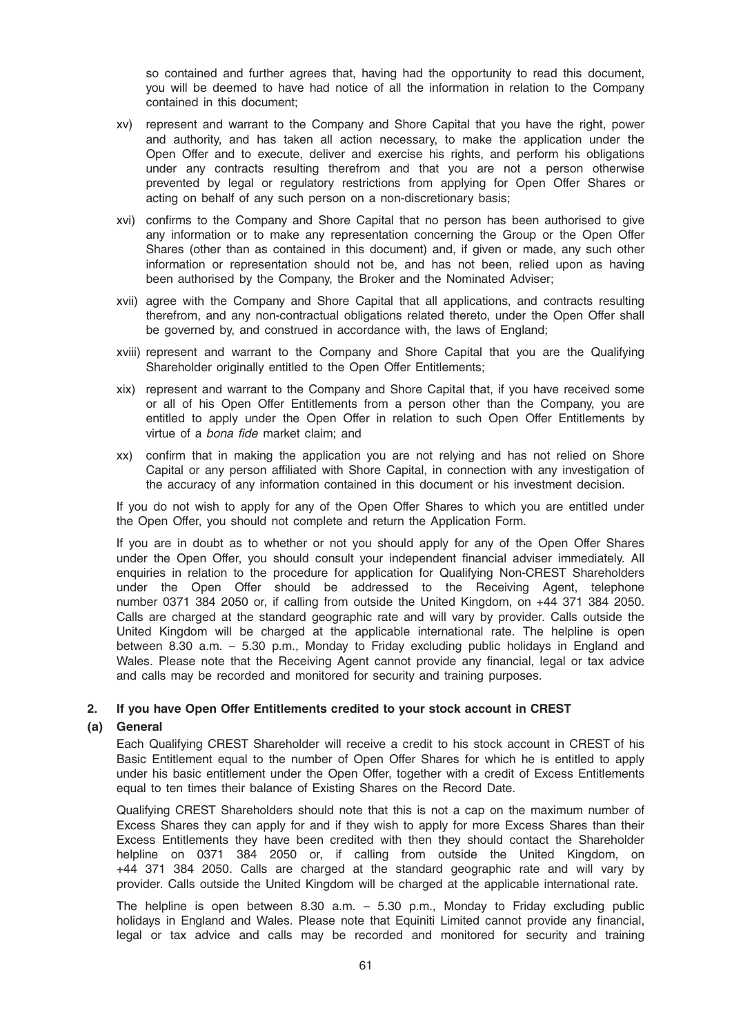so contained and further agrees that, having had the opportunity to read this document, you will be deemed to have had notice of all the information in relation to the Company contained in this document;

- xv) represent and warrant to the Company and Shore Capital that you have the right, power and authority, and has taken all action necessary, to make the application under the Open Offer and to execute, deliver and exercise his rights, and perform his obligations under any contracts resulting therefrom and that you are not a person otherwise prevented by legal or regulatory restrictions from applying for Open Offer Shares or acting on behalf of any such person on a non-discretionary basis;
- xvi) confirms to the Company and Shore Capital that no person has been authorised to give any information or to make any representation concerning the Group or the Open Offer Shares (other than as contained in this document) and, if given or made, any such other information or representation should not be, and has not been, relied upon as having been authorised by the Company, the Broker and the Nominated Adviser;
- xvii) agree with the Company and Shore Capital that all applications, and contracts resulting therefrom, and any non-contractual obligations related thereto, under the Open Offer shall be governed by, and construed in accordance with, the laws of England;
- xviii) represent and warrant to the Company and Shore Capital that you are the Qualifying Shareholder originally entitled to the Open Offer Entitlements;
- xix) represent and warrant to the Company and Shore Capital that, if you have received some or all of his Open Offer Entitlements from a person other than the Company, you are entitled to apply under the Open Offer in relation to such Open Offer Entitlements by virtue of a bona fide market claim; and
- xx) confirm that in making the application you are not relying and has not relied on Shore Capital or any person affiliated with Shore Capital, in connection with any investigation of the accuracy of any information contained in this document or his investment decision.

If you do not wish to apply for any of the Open Offer Shares to which you are entitled under the Open Offer, you should not complete and return the Application Form.

If you are in doubt as to whether or not you should apply for any of the Open Offer Shares under the Open Offer, you should consult your independent financial adviser immediately. All enquiries in relation to the procedure for application for Qualifying Non-CREST Shareholders under the Open Offer should be addressed to the Receiving Agent, telephone number 0371 384 2050 or, if calling from outside the United Kingdom, on +44 371 384 2050. Calls are charged at the standard geographic rate and will vary by provider. Calls outside the United Kingdom will be charged at the applicable international rate. The helpline is open between 8.30 a.m. – 5.30 p.m., Monday to Friday excluding public holidays in England and Wales. Please note that the Receiving Agent cannot provide any financial, legal or tax advice and calls may be recorded and monitored for security and training purposes.

### 2. If you have Open Offer Entitlements credited to your stock account in CREST

#### (a) General

Each Qualifying CREST Shareholder will receive a credit to his stock account in CREST of his Basic Entitlement equal to the number of Open Offer Shares for which he is entitled to apply under his basic entitlement under the Open Offer, together with a credit of Excess Entitlements equal to ten times their balance of Existing Shares on the Record Date.

Qualifying CREST Shareholders should note that this is not a cap on the maximum number of Excess Shares they can apply for and if they wish to apply for more Excess Shares than their Excess Entitlements they have been credited with then they should contact the Shareholder helpline on 0371 384 2050 or, if calling from outside the United Kingdom, on +44 371 384 2050. Calls are charged at the standard geographic rate and will vary by provider. Calls outside the United Kingdom will be charged at the applicable international rate.

The helpline is open between 8.30 a.m. – 5.30 p.m., Monday to Friday excluding public holidays in England and Wales. Please note that Equiniti Limited cannot provide any financial, legal or tax advice and calls may be recorded and monitored for security and training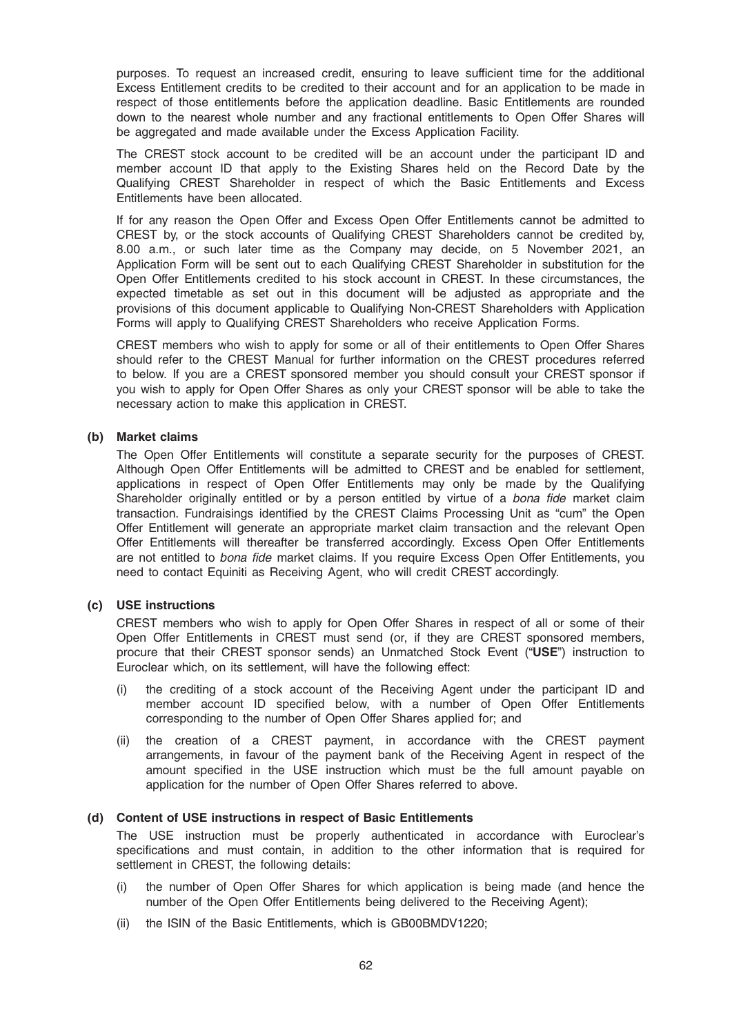purposes. To request an increased credit, ensuring to leave sufficient time for the additional Excess Entitlement credits to be credited to their account and for an application to be made in respect of those entitlements before the application deadline. Basic Entitlements are rounded down to the nearest whole number and any fractional entitlements to Open Offer Shares will be aggregated and made available under the Excess Application Facility.

The CREST stock account to be credited will be an account under the participant ID and member account ID that apply to the Existing Shares held on the Record Date by the Qualifying CREST Shareholder in respect of which the Basic Entitlements and Excess Entitlements have been allocated.

If for any reason the Open Offer and Excess Open Offer Entitlements cannot be admitted to CREST by, or the stock accounts of Qualifying CREST Shareholders cannot be credited by, 8.00 a.m., or such later time as the Company may decide, on 5 November 2021, an Application Form will be sent out to each Qualifying CREST Shareholder in substitution for the Open Offer Entitlements credited to his stock account in CREST. In these circumstances, the expected timetable as set out in this document will be adjusted as appropriate and the provisions of this document applicable to Qualifying Non-CREST Shareholders with Application Forms will apply to Qualifying CREST Shareholders who receive Application Forms.

CREST members who wish to apply for some or all of their entitlements to Open Offer Shares should refer to the CREST Manual for further information on the CREST procedures referred to below. If you are a CREST sponsored member you should consult your CREST sponsor if you wish to apply for Open Offer Shares as only your CREST sponsor will be able to take the necessary action to make this application in CREST.

### (b) Market claims

The Open Offer Entitlements will constitute a separate security for the purposes of CREST. Although Open Offer Entitlements will be admitted to CREST and be enabled for settlement, applications in respect of Open Offer Entitlements may only be made by the Qualifying Shareholder originally entitled or by a person entitled by virtue of a bona fide market claim transaction. Fundraisings identified by the CREST Claims Processing Unit as "cum" the Open Offer Entitlement will generate an appropriate market claim transaction and the relevant Open Offer Entitlements will thereafter be transferred accordingly. Excess Open Offer Entitlements are not entitled to bona fide market claims. If you require Excess Open Offer Entitlements, you need to contact Equiniti as Receiving Agent, who will credit CREST accordingly.

#### (c) USE instructions

CREST members who wish to apply for Open Offer Shares in respect of all or some of their Open Offer Entitlements in CREST must send (or, if they are CREST sponsored members, procure that their CREST sponsor sends) an Unmatched Stock Event ("USE") instruction to Euroclear which, on its settlement, will have the following effect:

- (i) the crediting of a stock account of the Receiving Agent under the participant ID and member account ID specified below, with a number of Open Offer Entitlements corresponding to the number of Open Offer Shares applied for; and
- (ii) the creation of a CREST payment, in accordance with the CREST payment arrangements, in favour of the payment bank of the Receiving Agent in respect of the amount specified in the USE instruction which must be the full amount payable on application for the number of Open Offer Shares referred to above.

#### (d) Content of USE instructions in respect of Basic Entitlements

The USE instruction must be properly authenticated in accordance with Euroclear's specifications and must contain, in addition to the other information that is required for settlement in CREST, the following details:

- (i) the number of Open Offer Shares for which application is being made (and hence the number of the Open Offer Entitlements being delivered to the Receiving Agent);
- (ii) the ISIN of the Basic Entitlements, which is GB00BMDV1220;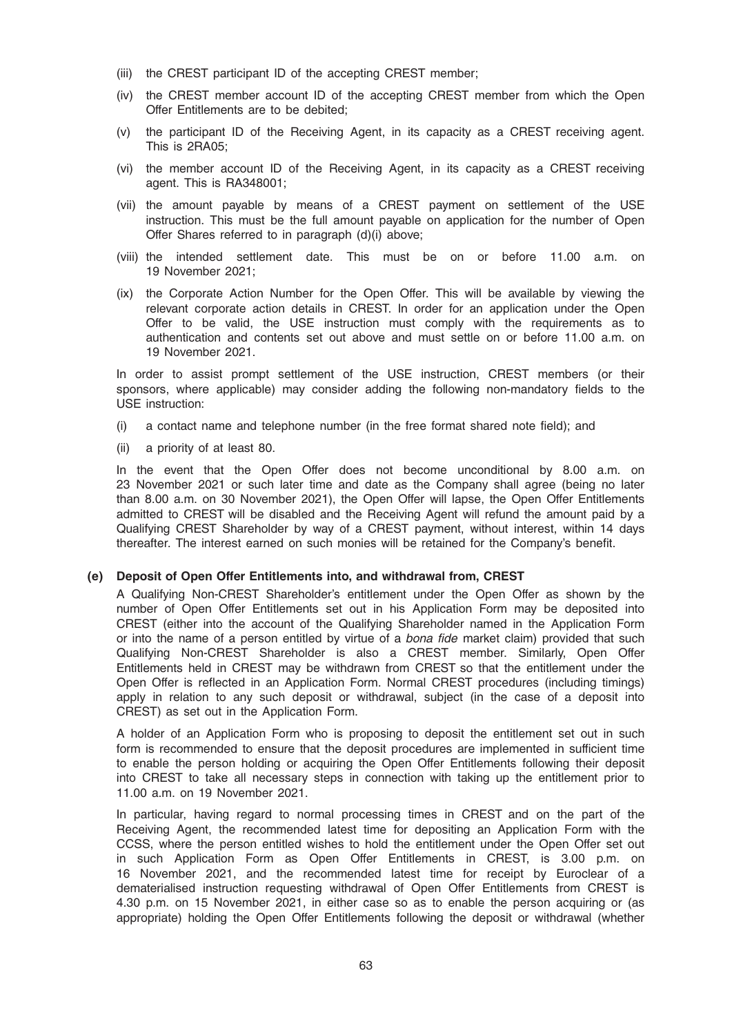- (iii) the CREST participant ID of the accepting CREST member;
- (iv) the CREST member account ID of the accepting CREST member from which the Open Offer Entitlements are to be debited;
- (v) the participant ID of the Receiving Agent, in its capacity as a CREST receiving agent. This is 2RA05;
- (vi) the member account ID of the Receiving Agent, in its capacity as a CREST receiving agent. This is RA348001;
- (vii) the amount payable by means of a CREST payment on settlement of the USE instruction. This must be the full amount payable on application for the number of Open Offer Shares referred to in paragraph (d)(i) above;
- (viii) the intended settlement date. This must be on or before 11.00 a.m. on 19 November 2021;
- (ix) the Corporate Action Number for the Open Offer. This will be available by viewing the relevant corporate action details in CREST. In order for an application under the Open Offer to be valid, the USE instruction must comply with the requirements as to authentication and contents set out above and must settle on or before 11.00 a.m. on 19 November 2021.

In order to assist prompt settlement of the USE instruction, CREST members (or their sponsors, where applicable) may consider adding the following non-mandatory fields to the USE instruction:

- (i) a contact name and telephone number (in the free format shared note field); and
- (ii) a priority of at least 80.

In the event that the Open Offer does not become unconditional by 8.00 a.m. on 23 November 2021 or such later time and date as the Company shall agree (being no later than 8.00 a.m. on 30 November 2021), the Open Offer will lapse, the Open Offer Entitlements admitted to CREST will be disabled and the Receiving Agent will refund the amount paid by a Qualifying CREST Shareholder by way of a CREST payment, without interest, within 14 days thereafter. The interest earned on such monies will be retained for the Company's benefit.

#### (e) Deposit of Open Offer Entitlements into, and withdrawal from, CREST

A Qualifying Non-CREST Shareholder's entitlement under the Open Offer as shown by the number of Open Offer Entitlements set out in his Application Form may be deposited into CREST (either into the account of the Qualifying Shareholder named in the Application Form or into the name of a person entitled by virtue of a *bona fide* market claim) provided that such Qualifying Non-CREST Shareholder is also a CREST member. Similarly, Open Offer Entitlements held in CREST may be withdrawn from CREST so that the entitlement under the Open Offer is reflected in an Application Form. Normal CREST procedures (including timings) apply in relation to any such deposit or withdrawal, subject (in the case of a deposit into CREST) as set out in the Application Form.

A holder of an Application Form who is proposing to deposit the entitlement set out in such form is recommended to ensure that the deposit procedures are implemented in sufficient time to enable the person holding or acquiring the Open Offer Entitlements following their deposit into CREST to take all necessary steps in connection with taking up the entitlement prior to 11.00 a.m. on 19 November 2021.

In particular, having regard to normal processing times in CREST and on the part of the Receiving Agent, the recommended latest time for depositing an Application Form with the CCSS, where the person entitled wishes to hold the entitlement under the Open Offer set out in such Application Form as Open Offer Entitlements in CREST, is 3.00 p.m. on 16 November 2021, and the recommended latest time for receipt by Euroclear of a dematerialised instruction requesting withdrawal of Open Offer Entitlements from CREST is 4.30 p.m. on 15 November 2021, in either case so as to enable the person acquiring or (as appropriate) holding the Open Offer Entitlements following the deposit or withdrawal (whether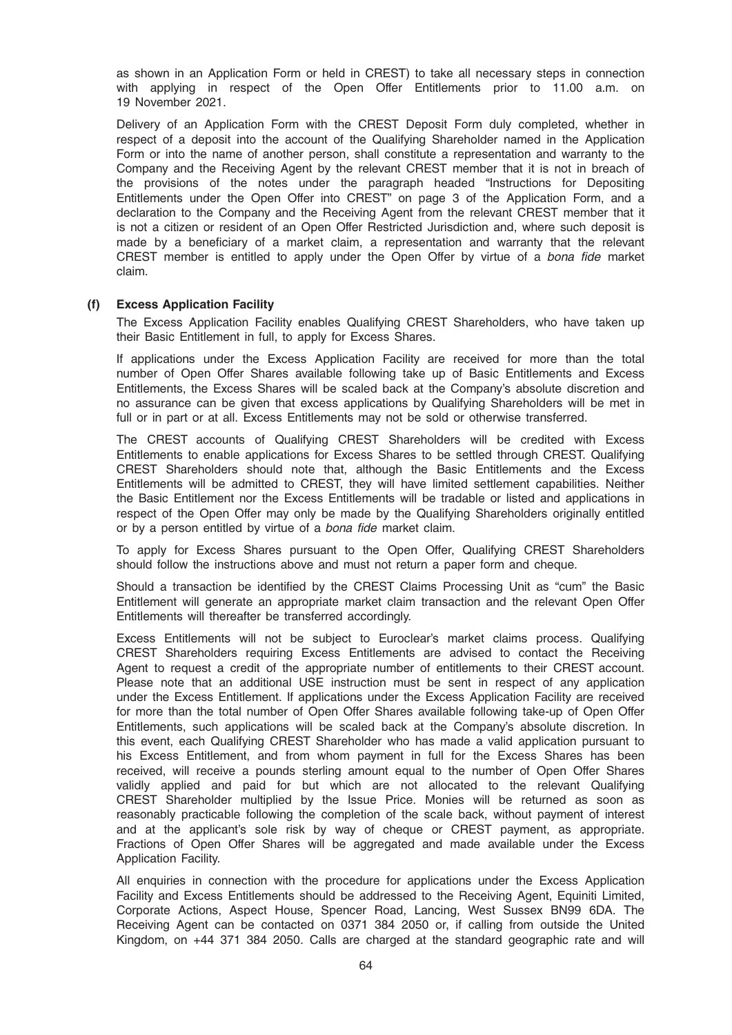as shown in an Application Form or held in CREST) to take all necessary steps in connection with applying in respect of the Open Offer Entitlements prior to 11.00 a.m. on 19 November 2021.

Delivery of an Application Form with the CREST Deposit Form duly completed, whether in respect of a deposit into the account of the Qualifying Shareholder named in the Application Form or into the name of another person, shall constitute a representation and warranty to the Company and the Receiving Agent by the relevant CREST member that it is not in breach of the provisions of the notes under the paragraph headed "Instructions for Depositing Entitlements under the Open Offer into CREST" on page 3 of the Application Form, and a declaration to the Company and the Receiving Agent from the relevant CREST member that it is not a citizen or resident of an Open Offer Restricted Jurisdiction and, where such deposit is made by a beneficiary of a market claim, a representation and warranty that the relevant CREST member is entitled to apply under the Open Offer by virtue of a bona fide market claim.

# (f) Excess Application Facility

The Excess Application Facility enables Qualifying CREST Shareholders, who have taken up their Basic Entitlement in full, to apply for Excess Shares.

If applications under the Excess Application Facility are received for more than the total number of Open Offer Shares available following take up of Basic Entitlements and Excess Entitlements, the Excess Shares will be scaled back at the Company's absolute discretion and no assurance can be given that excess applications by Qualifying Shareholders will be met in full or in part or at all. Excess Entitlements may not be sold or otherwise transferred.

The CREST accounts of Qualifying CREST Shareholders will be credited with Excess Entitlements to enable applications for Excess Shares to be settled through CREST. Qualifying CREST Shareholders should note that, although the Basic Entitlements and the Excess Entitlements will be admitted to CREST, they will have limited settlement capabilities. Neither the Basic Entitlement nor the Excess Entitlements will be tradable or listed and applications in respect of the Open Offer may only be made by the Qualifying Shareholders originally entitled or by a person entitled by virtue of a bona fide market claim.

To apply for Excess Shares pursuant to the Open Offer, Qualifying CREST Shareholders should follow the instructions above and must not return a paper form and cheque.

Should a transaction be identified by the CREST Claims Processing Unit as "cum" the Basic Entitlement will generate an appropriate market claim transaction and the relevant Open Offer Entitlements will thereafter be transferred accordingly.

Excess Entitlements will not be subject to Euroclear's market claims process. Qualifying CREST Shareholders requiring Excess Entitlements are advised to contact the Receiving Agent to request a credit of the appropriate number of entitlements to their CREST account. Please note that an additional USE instruction must be sent in respect of any application under the Excess Entitlement. If applications under the Excess Application Facility are received for more than the total number of Open Offer Shares available following take-up of Open Offer Entitlements, such applications will be scaled back at the Company's absolute discretion. In this event, each Qualifying CREST Shareholder who has made a valid application pursuant to his Excess Entitlement, and from whom payment in full for the Excess Shares has been received, will receive a pounds sterling amount equal to the number of Open Offer Shares validly applied and paid for but which are not allocated to the relevant Qualifying CREST Shareholder multiplied by the Issue Price. Monies will be returned as soon as reasonably practicable following the completion of the scale back, without payment of interest and at the applicant's sole risk by way of cheque or CREST payment, as appropriate. Fractions of Open Offer Shares will be aggregated and made available under the Excess Application Facility.

All enquiries in connection with the procedure for applications under the Excess Application Facility and Excess Entitlements should be addressed to the Receiving Agent, Equiniti Limited, Corporate Actions, Aspect House, Spencer Road, Lancing, West Sussex BN99 6DA. The Receiving Agent can be contacted on 0371 384 2050 or, if calling from outside the United Kingdom, on +44 371 384 2050. Calls are charged at the standard geographic rate and will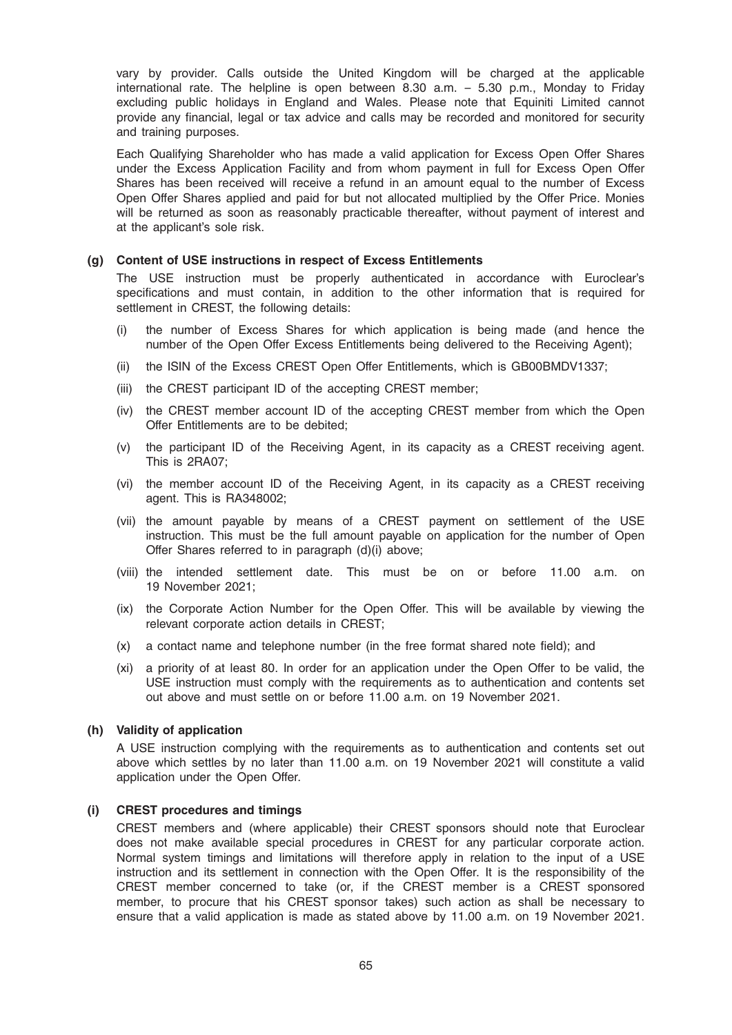vary by provider. Calls outside the United Kingdom will be charged at the applicable international rate. The helpline is open between 8.30 a.m. – 5.30 p.m., Monday to Friday excluding public holidays in England and Wales. Please note that Equiniti Limited cannot provide any financial, legal or tax advice and calls may be recorded and monitored for security and training purposes.

Each Qualifying Shareholder who has made a valid application for Excess Open Offer Shares under the Excess Application Facility and from whom payment in full for Excess Open Offer Shares has been received will receive a refund in an amount equal to the number of Excess Open Offer Shares applied and paid for but not allocated multiplied by the Offer Price. Monies will be returned as soon as reasonably practicable thereafter, without payment of interest and at the applicant's sole risk.

#### (g) Content of USE instructions in respect of Excess Entitlements

The USE instruction must be properly authenticated in accordance with Euroclear's specifications and must contain, in addition to the other information that is required for settlement in CREST, the following details:

- (i) the number of Excess Shares for which application is being made (and hence the number of the Open Offer Excess Entitlements being delivered to the Receiving Agent);
- (ii) the ISIN of the Excess CREST Open Offer Entitlements, which is GB00BMDV1337;
- (iii) the CREST participant ID of the accepting CREST member;
- (iv) the CREST member account ID of the accepting CREST member from which the Open Offer Entitlements are to be debited;
- (v) the participant ID of the Receiving Agent, in its capacity as a CREST receiving agent. This is 2RA07;
- (vi) the member account ID of the Receiving Agent, in its capacity as a CREST receiving agent. This is RA348002;
- (vii) the amount payable by means of a CREST payment on settlement of the USE instruction. This must be the full amount payable on application for the number of Open Offer Shares referred to in paragraph (d)(i) above;
- (viii) the intended settlement date. This must be on or before 11.00 a.m. on 19 November 2021;
- (ix) the Corporate Action Number for the Open Offer. This will be available by viewing the relevant corporate action details in CREST;
- (x) a contact name and telephone number (in the free format shared note field); and
- (xi) a priority of at least 80. In order for an application under the Open Offer to be valid, the USE instruction must comply with the requirements as to authentication and contents set out above and must settle on or before 11.00 a.m. on 19 November 2021.

#### (h) Validity of application

A USE instruction complying with the requirements as to authentication and contents set out above which settles by no later than 11.00 a.m. on 19 November 2021 will constitute a valid application under the Open Offer.

#### (i) CREST procedures and timings

CREST members and (where applicable) their CREST sponsors should note that Euroclear does not make available special procedures in CREST for any particular corporate action. Normal system timings and limitations will therefore apply in relation to the input of a USE instruction and its settlement in connection with the Open Offer. It is the responsibility of the CREST member concerned to take (or, if the CREST member is a CREST sponsored member, to procure that his CREST sponsor takes) such action as shall be necessary to ensure that a valid application is made as stated above by 11.00 a.m. on 19 November 2021.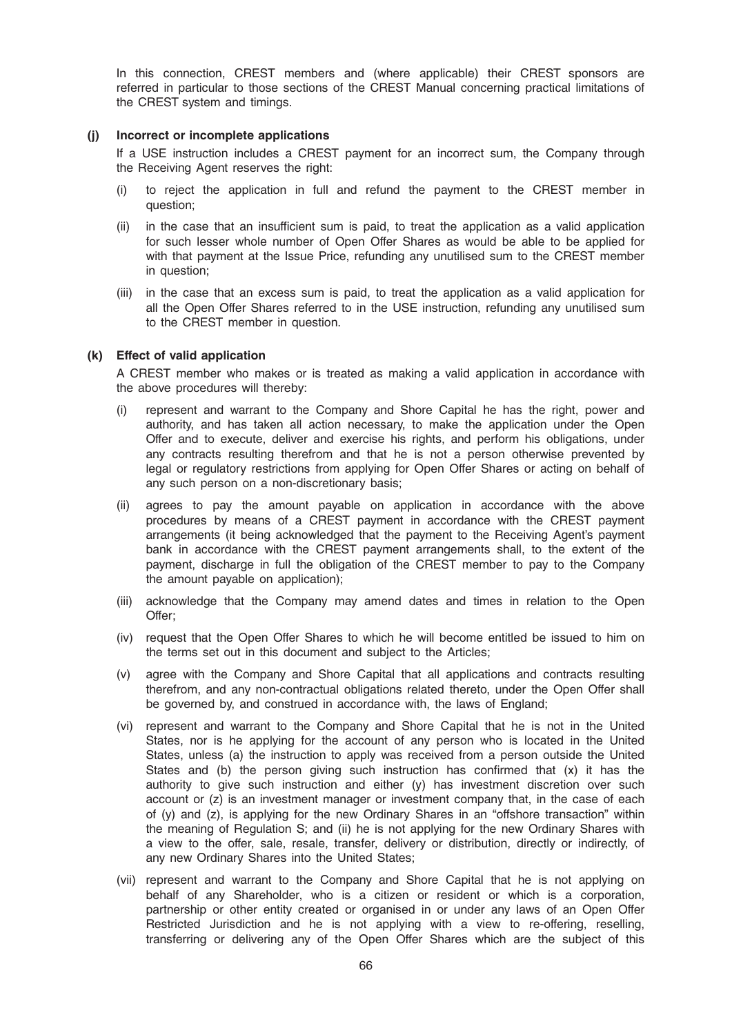In this connection, CREST members and (where applicable) their CREST sponsors are referred in particular to those sections of the CREST Manual concerning practical limitations of the CREST system and timings.

#### (j) Incorrect or incomplete applications

If a USE instruction includes a CREST payment for an incorrect sum, the Company through the Receiving Agent reserves the right:

- (i) to reject the application in full and refund the payment to the CREST member in question;
- (ii) in the case that an insufficient sum is paid, to treat the application as a valid application for such lesser whole number of Open Offer Shares as would be able to be applied for with that payment at the Issue Price, refunding any unutilised sum to the CREST member in question;
- (iii) in the case that an excess sum is paid, to treat the application as a valid application for all the Open Offer Shares referred to in the USE instruction, refunding any unutilised sum to the CREST member in question.

### (k) Effect of valid application

A CREST member who makes or is treated as making a valid application in accordance with the above procedures will thereby:

- (i) represent and warrant to the Company and Shore Capital he has the right, power and authority, and has taken all action necessary, to make the application under the Open Offer and to execute, deliver and exercise his rights, and perform his obligations, under any contracts resulting therefrom and that he is not a person otherwise prevented by legal or regulatory restrictions from applying for Open Offer Shares or acting on behalf of any such person on a non-discretionary basis;
- (ii) agrees to pay the amount payable on application in accordance with the above procedures by means of a CREST payment in accordance with the CREST payment arrangements (it being acknowledged that the payment to the Receiving Agent's payment bank in accordance with the CREST payment arrangements shall, to the extent of the payment, discharge in full the obligation of the CREST member to pay to the Company the amount payable on application);
- (iii) acknowledge that the Company may amend dates and times in relation to the Open Offer;
- (iv) request that the Open Offer Shares to which he will become entitled be issued to him on the terms set out in this document and subject to the Articles;
- (v) agree with the Company and Shore Capital that all applications and contracts resulting therefrom, and any non-contractual obligations related thereto, under the Open Offer shall be governed by, and construed in accordance with, the laws of England;
- (vi) represent and warrant to the Company and Shore Capital that he is not in the United States, nor is he applying for the account of any person who is located in the United States, unless (a) the instruction to apply was received from a person outside the United States and (b) the person giving such instruction has confirmed that (x) it has the authority to give such instruction and either (y) has investment discretion over such account or (z) is an investment manager or investment company that, in the case of each of (y) and (z), is applying for the new Ordinary Shares in an "offshore transaction" within the meaning of Regulation S; and (ii) he is not applying for the new Ordinary Shares with a view to the offer, sale, resale, transfer, delivery or distribution, directly or indirectly, of any new Ordinary Shares into the United States;
- (vii) represent and warrant to the Company and Shore Capital that he is not applying on behalf of any Shareholder, who is a citizen or resident or which is a corporation, partnership or other entity created or organised in or under any laws of an Open Offer Restricted Jurisdiction and he is not applying with a view to re-offering, reselling, transferring or delivering any of the Open Offer Shares which are the subject of this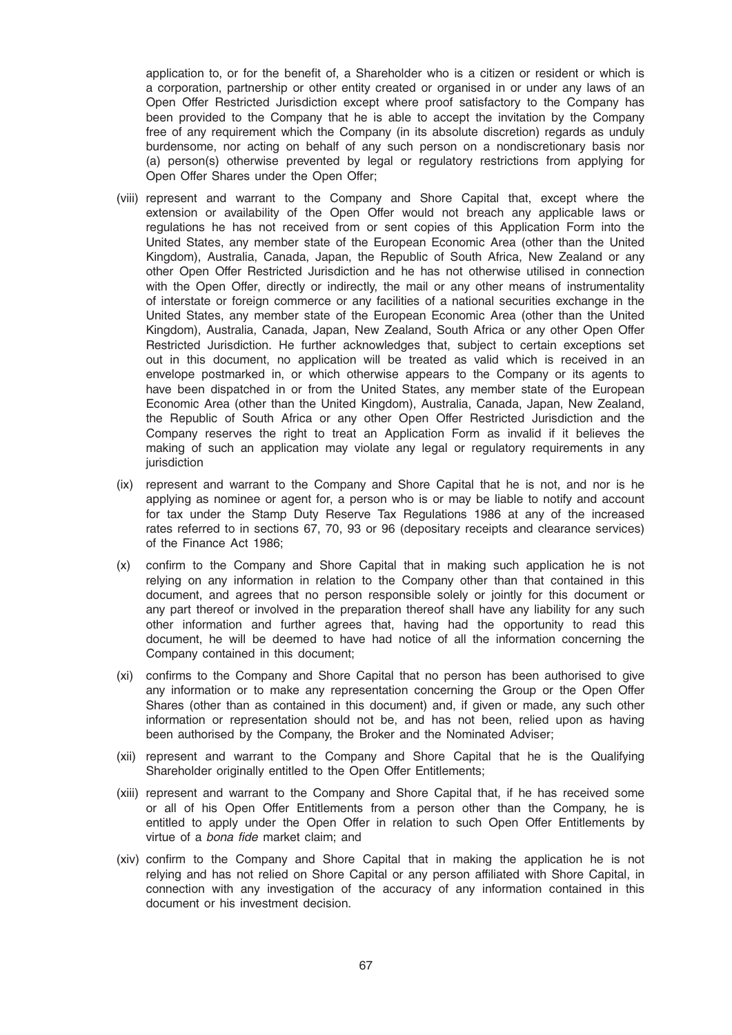application to, or for the benefit of, a Shareholder who is a citizen or resident or which is a corporation, partnership or other entity created or organised in or under any laws of an Open Offer Restricted Jurisdiction except where proof satisfactory to the Company has been provided to the Company that he is able to accept the invitation by the Company free of any requirement which the Company (in its absolute discretion) regards as unduly burdensome, nor acting on behalf of any such person on a nondiscretionary basis nor (a) person(s) otherwise prevented by legal or regulatory restrictions from applying for Open Offer Shares under the Open Offer;

- (viii) represent and warrant to the Company and Shore Capital that, except where the extension or availability of the Open Offer would not breach any applicable laws or regulations he has not received from or sent copies of this Application Form into the United States, any member state of the European Economic Area (other than the United Kingdom), Australia, Canada, Japan, the Republic of South Africa, New Zealand or any other Open Offer Restricted Jurisdiction and he has not otherwise utilised in connection with the Open Offer, directly or indirectly, the mail or any other means of instrumentality of interstate or foreign commerce or any facilities of a national securities exchange in the United States, any member state of the European Economic Area (other than the United Kingdom), Australia, Canada, Japan, New Zealand, South Africa or any other Open Offer Restricted Jurisdiction. He further acknowledges that, subject to certain exceptions set out in this document, no application will be treated as valid which is received in an envelope postmarked in, or which otherwise appears to the Company or its agents to have been dispatched in or from the United States, any member state of the European Economic Area (other than the United Kingdom), Australia, Canada, Japan, New Zealand, the Republic of South Africa or any other Open Offer Restricted Jurisdiction and the Company reserves the right to treat an Application Form as invalid if it believes the making of such an application may violate any legal or regulatory requirements in any jurisdiction
- (ix) represent and warrant to the Company and Shore Capital that he is not, and nor is he applying as nominee or agent for, a person who is or may be liable to notify and account for tax under the Stamp Duty Reserve Tax Regulations 1986 at any of the increased rates referred to in sections 67, 70, 93 or 96 (depositary receipts and clearance services) of the Finance Act 1986;
- (x) confirm to the Company and Shore Capital that in making such application he is not relying on any information in relation to the Company other than that contained in this document, and agrees that no person responsible solely or jointly for this document or any part thereof or involved in the preparation thereof shall have any liability for any such other information and further agrees that, having had the opportunity to read this document, he will be deemed to have had notice of all the information concerning the Company contained in this document;
- (xi) confirms to the Company and Shore Capital that no person has been authorised to give any information or to make any representation concerning the Group or the Open Offer Shares (other than as contained in this document) and, if given or made, any such other information or representation should not be, and has not been, relied upon as having been authorised by the Company, the Broker and the Nominated Adviser;
- (xii) represent and warrant to the Company and Shore Capital that he is the Qualifying Shareholder originally entitled to the Open Offer Entitlements;
- (xiii) represent and warrant to the Company and Shore Capital that, if he has received some or all of his Open Offer Entitlements from a person other than the Company, he is entitled to apply under the Open Offer in relation to such Open Offer Entitlements by virtue of a bona fide market claim; and
- (xiv) confirm to the Company and Shore Capital that in making the application he is not relying and has not relied on Shore Capital or any person affiliated with Shore Capital, in connection with any investigation of the accuracy of any information contained in this document or his investment decision.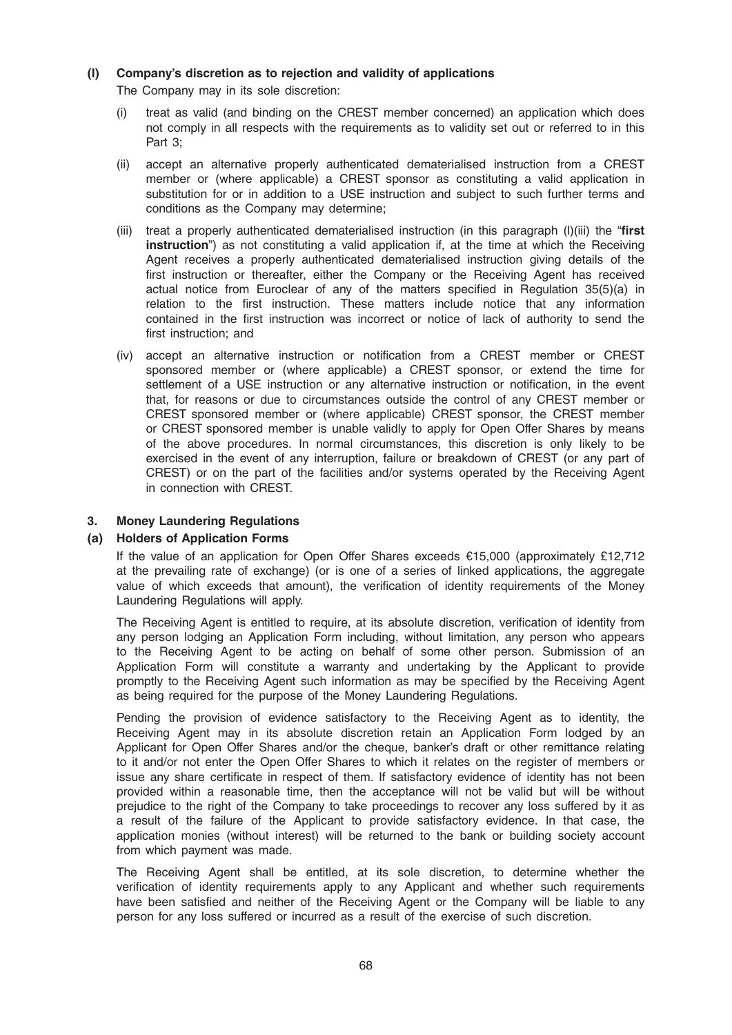# (l) Company's discretion as to rejection and validity of applications

The Company may in its sole discretion:

- (i) treat as valid (and binding on the CREST member concerned) an application which does not comply in all respects with the requirements as to validity set out or referred to in this Part 3;
- (ii) accept an alternative properly authenticated dematerialised instruction from a CREST member or (where applicable) a CREST sponsor as constituting a valid application in substitution for or in addition to a USE instruction and subject to such further terms and conditions as the Company may determine;
- (iii) treat a properly authenticated dematerialised instruction (in this paragraph (l)(iii) the "first instruction") as not constituting a valid application if, at the time at which the Receiving Agent receives a properly authenticated dematerialised instruction giving details of the first instruction or thereafter, either the Company or the Receiving Agent has received actual notice from Euroclear of any of the matters specified in Regulation 35(5)(a) in relation to the first instruction. These matters include notice that any information contained in the first instruction was incorrect or notice of lack of authority to send the first instruction; and
- (iv) accept an alternative instruction or notification from a CREST member or CREST sponsored member or (where applicable) a CREST sponsor, or extend the time for settlement of a USE instruction or any alternative instruction or notification, in the event that, for reasons or due to circumstances outside the control of any CREST member or CREST sponsored member or (where applicable) CREST sponsor, the CREST member or CREST sponsored member is unable validly to apply for Open Offer Shares by means of the above procedures. In normal circumstances, this discretion is only likely to be exercised in the event of any interruption, failure or breakdown of CREST (or any part of CREST) or on the part of the facilities and/or systems operated by the Receiving Agent in connection with CREST.

## 3. Money Laundering Regulations

# (a) Holders of Application Forms

If the value of an application for Open Offer Shares exceeds €15,000 (approximately £12,712 at the prevailing rate of exchange) (or is one of a series of linked applications, the aggregate value of which exceeds that amount), the verification of identity requirements of the Money Laundering Regulations will apply.

The Receiving Agent is entitled to require, at its absolute discretion, verification of identity from any person lodging an Application Form including, without limitation, any person who appears to the Receiving Agent to be acting on behalf of some other person. Submission of an Application Form will constitute a warranty and undertaking by the Applicant to provide promptly to the Receiving Agent such information as may be specified by the Receiving Agent as being required for the purpose of the Money Laundering Regulations.

Pending the provision of evidence satisfactory to the Receiving Agent as to identity, the Receiving Agent may in its absolute discretion retain an Application Form lodged by an Applicant for Open Offer Shares and/or the cheque, banker's draft or other remittance relating to it and/or not enter the Open Offer Shares to which it relates on the register of members or issue any share certificate in respect of them. If satisfactory evidence of identity has not been provided within a reasonable time, then the acceptance will not be valid but will be without prejudice to the right of the Company to take proceedings to recover any loss suffered by it as a result of the failure of the Applicant to provide satisfactory evidence. In that case, the application monies (without interest) will be returned to the bank or building society account from which payment was made.

The Receiving Agent shall be entitled, at its sole discretion, to determine whether the verification of identity requirements apply to any Applicant and whether such requirements have been satisfied and neither of the Receiving Agent or the Company will be liable to any person for any loss suffered or incurred as a result of the exercise of such discretion.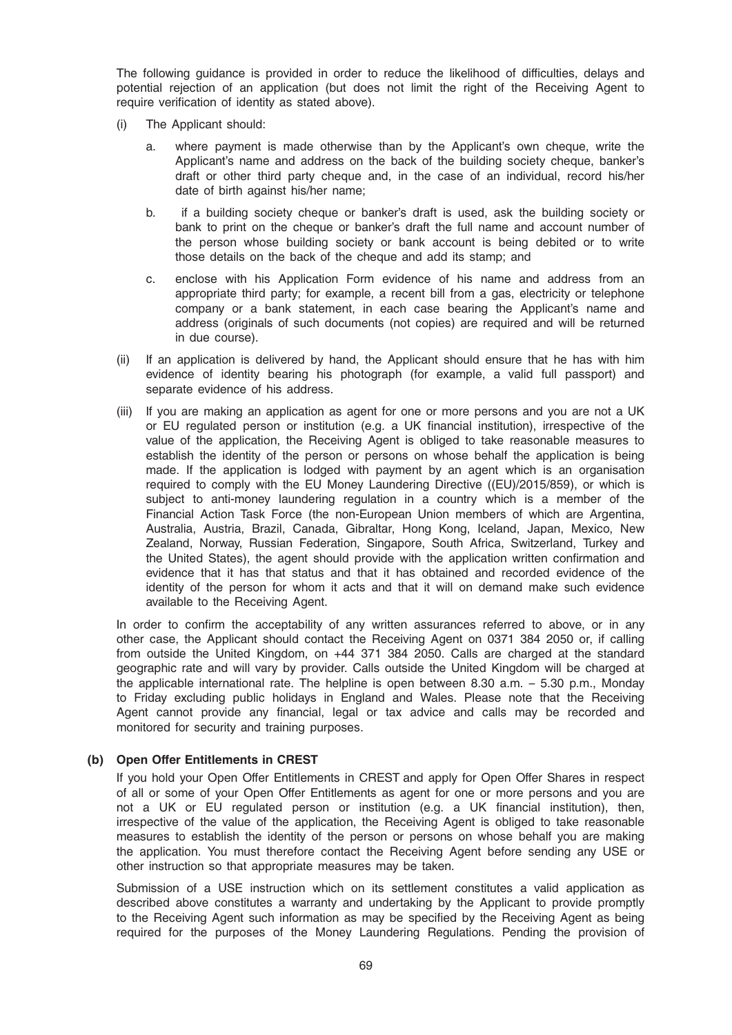The following guidance is provided in order to reduce the likelihood of difficulties, delays and potential rejection of an application (but does not limit the right of the Receiving Agent to require verification of identity as stated above).

- (i) The Applicant should:
	- a. where payment is made otherwise than by the Applicant's own cheque, write the Applicant's name and address on the back of the building society cheque, banker's draft or other third party cheque and, in the case of an individual, record his/her date of birth against his/her name;
	- b. if a building society cheque or banker's draft is used, ask the building society or bank to print on the cheque or banker's draft the full name and account number of the person whose building society or bank account is being debited or to write those details on the back of the cheque and add its stamp; and
	- c. enclose with his Application Form evidence of his name and address from an appropriate third party; for example, a recent bill from a gas, electricity or telephone company or a bank statement, in each case bearing the Applicant's name and address (originals of such documents (not copies) are required and will be returned in due course).
- (ii) If an application is delivered by hand, the Applicant should ensure that he has with him evidence of identity bearing his photograph (for example, a valid full passport) and separate evidence of his address.
- (iii) If you are making an application as agent for one or more persons and you are not a UK or EU regulated person or institution (e.g. a UK financial institution), irrespective of the value of the application, the Receiving Agent is obliged to take reasonable measures to establish the identity of the person or persons on whose behalf the application is being made. If the application is lodged with payment by an agent which is an organisation required to comply with the EU Money Laundering Directive ((EU)/2015/859), or which is subject to anti-money laundering regulation in a country which is a member of the Financial Action Task Force (the non-European Union members of which are Argentina, Australia, Austria, Brazil, Canada, Gibraltar, Hong Kong, Iceland, Japan, Mexico, New Zealand, Norway, Russian Federation, Singapore, South Africa, Switzerland, Turkey and the United States), the agent should provide with the application written confirmation and evidence that it has that status and that it has obtained and recorded evidence of the identity of the person for whom it acts and that it will on demand make such evidence available to the Receiving Agent.

In order to confirm the acceptability of any written assurances referred to above, or in any other case, the Applicant should contact the Receiving Agent on 0371 384 2050 or, if calling from outside the United Kingdom, on +44 371 384 2050. Calls are charged at the standard geographic rate and will vary by provider. Calls outside the United Kingdom will be charged at the applicable international rate. The helpline is open between 8.30 a.m. – 5.30 p.m., Monday to Friday excluding public holidays in England and Wales. Please note that the Receiving Agent cannot provide any financial, legal or tax advice and calls may be recorded and monitored for security and training purposes.

# (b) Open Offer Entitlements in CREST

If you hold your Open Offer Entitlements in CREST and apply for Open Offer Shares in respect of all or some of your Open Offer Entitlements as agent for one or more persons and you are not a UK or EU regulated person or institution (e.g. a UK financial institution), then, irrespective of the value of the application, the Receiving Agent is obliged to take reasonable measures to establish the identity of the person or persons on whose behalf you are making the application. You must therefore contact the Receiving Agent before sending any USE or other instruction so that appropriate measures may be taken.

Submission of a USE instruction which on its settlement constitutes a valid application as described above constitutes a warranty and undertaking by the Applicant to provide promptly to the Receiving Agent such information as may be specified by the Receiving Agent as being required for the purposes of the Money Laundering Regulations. Pending the provision of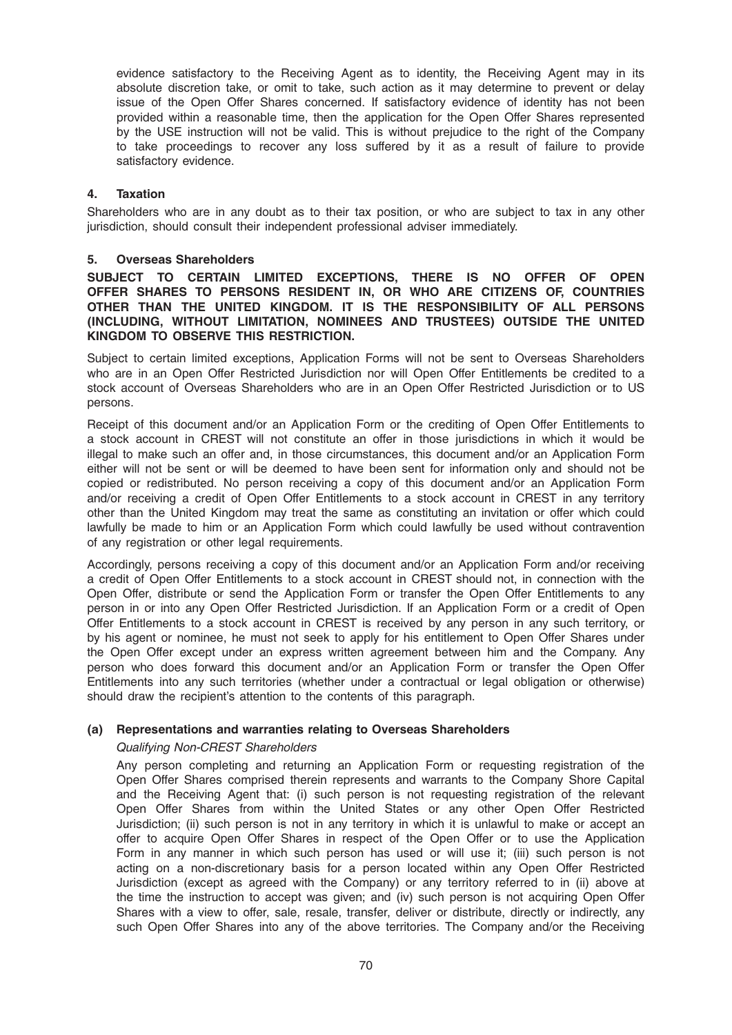evidence satisfactory to the Receiving Agent as to identity, the Receiving Agent may in its absolute discretion take, or omit to take, such action as it may determine to prevent or delay issue of the Open Offer Shares concerned. If satisfactory evidence of identity has not been provided within a reasonable time, then the application for the Open Offer Shares represented by the USE instruction will not be valid. This is without prejudice to the right of the Company to take proceedings to recover any loss suffered by it as a result of failure to provide satisfactory evidence.

# 4. Taxation

Shareholders who are in any doubt as to their tax position, or who are subject to tax in any other jurisdiction, should consult their independent professional adviser immediately.

### 5. Overseas Shareholders

### SUBJECT TO CERTAIN LIMITED EXCEPTIONS, THERE IS NO OFFER OF OPEN OFFER SHARES TO PERSONS RESIDENT IN, OR WHO ARE CITIZENS OF, COUNTRIES OTHER THAN THE UNITED KINGDOM. IT IS THE RESPONSIBILITY OF ALL PERSONS (INCLUDING, WITHOUT LIMITATION, NOMINEES AND TRUSTEES) OUTSIDE THE UNITED KINGDOM TO OBSERVE THIS RESTRICTION.

Subject to certain limited exceptions, Application Forms will not be sent to Overseas Shareholders who are in an Open Offer Restricted Jurisdiction nor will Open Offer Entitlements be credited to a stock account of Overseas Shareholders who are in an Open Offer Restricted Jurisdiction or to US persons.

Receipt of this document and/or an Application Form or the crediting of Open Offer Entitlements to a stock account in CREST will not constitute an offer in those jurisdictions in which it would be illegal to make such an offer and, in those circumstances, this document and/or an Application Form either will not be sent or will be deemed to have been sent for information only and should not be copied or redistributed. No person receiving a copy of this document and/or an Application Form and/or receiving a credit of Open Offer Entitlements to a stock account in CREST in any territory other than the United Kingdom may treat the same as constituting an invitation or offer which could lawfully be made to him or an Application Form which could lawfully be used without contravention of any registration or other legal requirements.

Accordingly, persons receiving a copy of this document and/or an Application Form and/or receiving a credit of Open Offer Entitlements to a stock account in CREST should not, in connection with the Open Offer, distribute or send the Application Form or transfer the Open Offer Entitlements to any person in or into any Open Offer Restricted Jurisdiction. If an Application Form or a credit of Open Offer Entitlements to a stock account in CREST is received by any person in any such territory, or by his agent or nominee, he must not seek to apply for his entitlement to Open Offer Shares under the Open Offer except under an express written agreement between him and the Company. Any person who does forward this document and/or an Application Form or transfer the Open Offer Entitlements into any such territories (whether under a contractual or legal obligation or otherwise) should draw the recipient's attention to the contents of this paragraph.

# (a) Representations and warranties relating to Overseas Shareholders

# Qualifying Non-CREST Shareholders

Any person completing and returning an Application Form or requesting registration of the Open Offer Shares comprised therein represents and warrants to the Company Shore Capital and the Receiving Agent that: (i) such person is not requesting registration of the relevant Open Offer Shares from within the United States or any other Open Offer Restricted Jurisdiction; (ii) such person is not in any territory in which it is unlawful to make or accept an offer to acquire Open Offer Shares in respect of the Open Offer or to use the Application Form in any manner in which such person has used or will use it; (iii) such person is not acting on a non-discretionary basis for a person located within any Open Offer Restricted Jurisdiction (except as agreed with the Company) or any territory referred to in (ii) above at the time the instruction to accept was given; and (iv) such person is not acquiring Open Offer Shares with a view to offer, sale, resale, transfer, deliver or distribute, directly or indirectly, any such Open Offer Shares into any of the above territories. The Company and/or the Receiving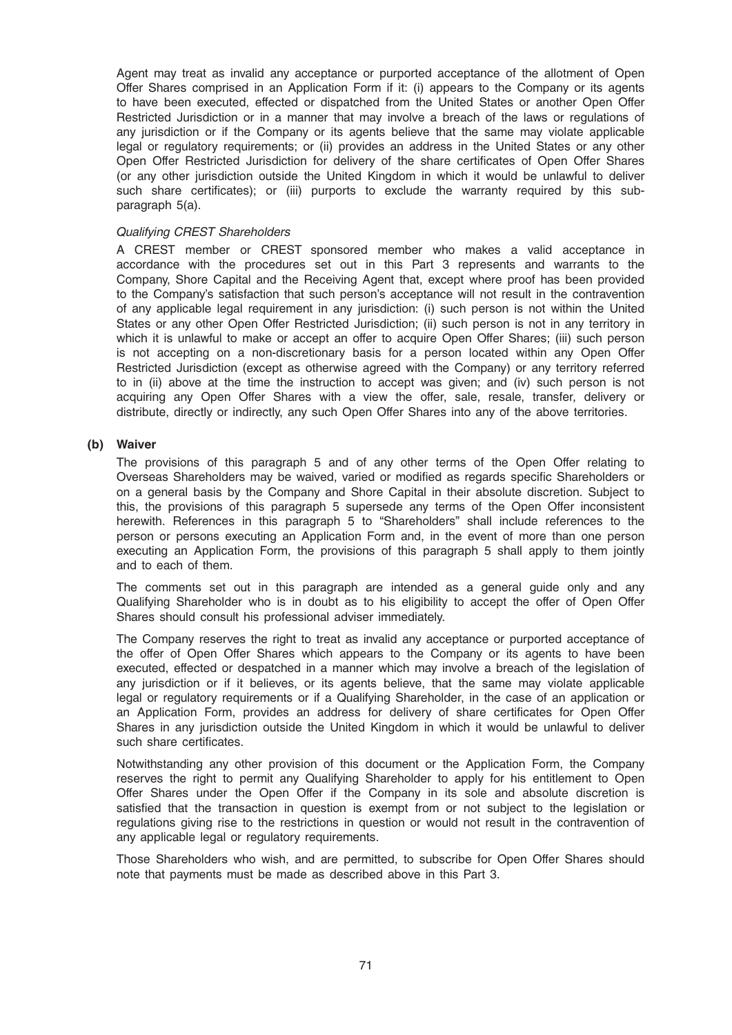Agent may treat as invalid any acceptance or purported acceptance of the allotment of Open Offer Shares comprised in an Application Form if it: (i) appears to the Company or its agents to have been executed, effected or dispatched from the United States or another Open Offer Restricted Jurisdiction or in a manner that may involve a breach of the laws or regulations of any jurisdiction or if the Company or its agents believe that the same may violate applicable legal or regulatory requirements; or (ii) provides an address in the United States or any other Open Offer Restricted Jurisdiction for delivery of the share certificates of Open Offer Shares (or any other jurisdiction outside the United Kingdom in which it would be unlawful to deliver such share certificates); or (iii) purports to exclude the warranty required by this subparagraph 5(a).

### Qualifying CREST Shareholders

A CREST member or CREST sponsored member who makes a valid acceptance in accordance with the procedures set out in this Part 3 represents and warrants to the Company, Shore Capital and the Receiving Agent that, except where proof has been provided to the Company's satisfaction that such person's acceptance will not result in the contravention of any applicable legal requirement in any jurisdiction: (i) such person is not within the United States or any other Open Offer Restricted Jurisdiction; (ii) such person is not in any territory in which it is unlawful to make or accept an offer to acquire Open Offer Shares; (iii) such person is not accepting on a non-discretionary basis for a person located within any Open Offer Restricted Jurisdiction (except as otherwise agreed with the Company) or any territory referred to in (ii) above at the time the instruction to accept was given; and (iv) such person is not acquiring any Open Offer Shares with a view the offer, sale, resale, transfer, delivery or distribute, directly or indirectly, any such Open Offer Shares into any of the above territories.

### (b) Waiver

The provisions of this paragraph 5 and of any other terms of the Open Offer relating to Overseas Shareholders may be waived, varied or modified as regards specific Shareholders or on a general basis by the Company and Shore Capital in their absolute discretion. Subject to this, the provisions of this paragraph 5 supersede any terms of the Open Offer inconsistent herewith. References in this paragraph 5 to "Shareholders" shall include references to the person or persons executing an Application Form and, in the event of more than one person executing an Application Form, the provisions of this paragraph 5 shall apply to them jointly and to each of them.

The comments set out in this paragraph are intended as a general guide only and any Qualifying Shareholder who is in doubt as to his eligibility to accept the offer of Open Offer Shares should consult his professional adviser immediately.

The Company reserves the right to treat as invalid any acceptance or purported acceptance of the offer of Open Offer Shares which appears to the Company or its agents to have been executed, effected or despatched in a manner which may involve a breach of the legislation of any jurisdiction or if it believes, or its agents believe, that the same may violate applicable legal or regulatory requirements or if a Qualifying Shareholder, in the case of an application or an Application Form, provides an address for delivery of share certificates for Open Offer Shares in any jurisdiction outside the United Kingdom in which it would be unlawful to deliver such share certificates.

Notwithstanding any other provision of this document or the Application Form, the Company reserves the right to permit any Qualifying Shareholder to apply for his entitlement to Open Offer Shares under the Open Offer if the Company in its sole and absolute discretion is satisfied that the transaction in question is exempt from or not subject to the legislation or regulations giving rise to the restrictions in question or would not result in the contravention of any applicable legal or regulatory requirements.

Those Shareholders who wish, and are permitted, to subscribe for Open Offer Shares should note that payments must be made as described above in this Part 3.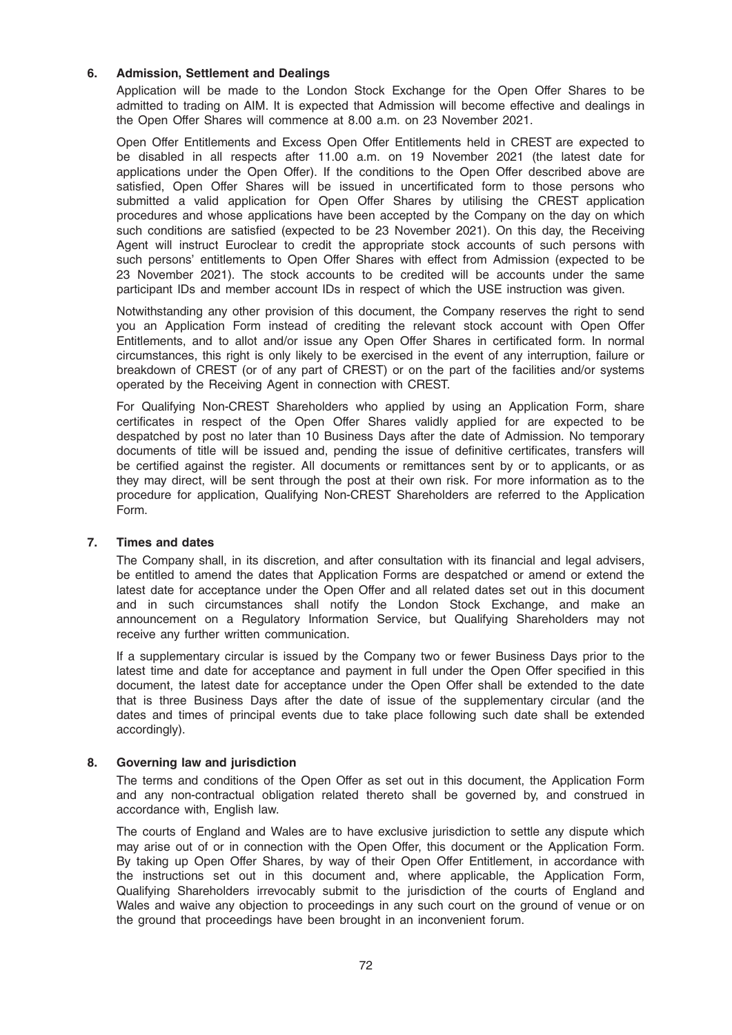## 6. Admission, Settlement and Dealings

Application will be made to the London Stock Exchange for the Open Offer Shares to be admitted to trading on AIM. It is expected that Admission will become effective and dealings in the Open Offer Shares will commence at 8.00 a.m. on 23 November 2021.

Open Offer Entitlements and Excess Open Offer Entitlements held in CREST are expected to be disabled in all respects after 11.00 a.m. on 19 November 2021 (the latest date for applications under the Open Offer). If the conditions to the Open Offer described above are satisfied, Open Offer Shares will be issued in uncertificated form to those persons who submitted a valid application for Open Offer Shares by utilising the CREST application procedures and whose applications have been accepted by the Company on the day on which such conditions are satisfied (expected to be 23 November 2021). On this day, the Receiving Agent will instruct Euroclear to credit the appropriate stock accounts of such persons with such persons' entitlements to Open Offer Shares with effect from Admission (expected to be 23 November 2021). The stock accounts to be credited will be accounts under the same participant IDs and member account IDs in respect of which the USE instruction was given.

Notwithstanding any other provision of this document, the Company reserves the right to send you an Application Form instead of crediting the relevant stock account with Open Offer Entitlements, and to allot and/or issue any Open Offer Shares in certificated form. In normal circumstances, this right is only likely to be exercised in the event of any interruption, failure or breakdown of CREST (or of any part of CREST) or on the part of the facilities and/or systems operated by the Receiving Agent in connection with CREST.

For Qualifying Non-CREST Shareholders who applied by using an Application Form, share certificates in respect of the Open Offer Shares validly applied for are expected to be despatched by post no later than 10 Business Days after the date of Admission. No temporary documents of title will be issued and, pending the issue of definitive certificates, transfers will be certified against the register. All documents or remittances sent by or to applicants, or as they may direct, will be sent through the post at their own risk. For more information as to the procedure for application, Qualifying Non-CREST Shareholders are referred to the Application Form.

#### 7. Times and dates

The Company shall, in its discretion, and after consultation with its financial and legal advisers, be entitled to amend the dates that Application Forms are despatched or amend or extend the latest date for acceptance under the Open Offer and all related dates set out in this document and in such circumstances shall notify the London Stock Exchange, and make an announcement on a Regulatory Information Service, but Qualifying Shareholders may not receive any further written communication.

If a supplementary circular is issued by the Company two or fewer Business Days prior to the latest time and date for acceptance and payment in full under the Open Offer specified in this document, the latest date for acceptance under the Open Offer shall be extended to the date that is three Business Days after the date of issue of the supplementary circular (and the dates and times of principal events due to take place following such date shall be extended accordingly).

#### 8. Governing law and jurisdiction

The terms and conditions of the Open Offer as set out in this document, the Application Form and any non-contractual obligation related thereto shall be governed by, and construed in accordance with, English law.

The courts of England and Wales are to have exclusive jurisdiction to settle any dispute which may arise out of or in connection with the Open Offer, this document or the Application Form. By taking up Open Offer Shares, by way of their Open Offer Entitlement, in accordance with the instructions set out in this document and, where applicable, the Application Form, Qualifying Shareholders irrevocably submit to the jurisdiction of the courts of England and Wales and waive any objection to proceedings in any such court on the ground of venue or on the ground that proceedings have been brought in an inconvenient forum.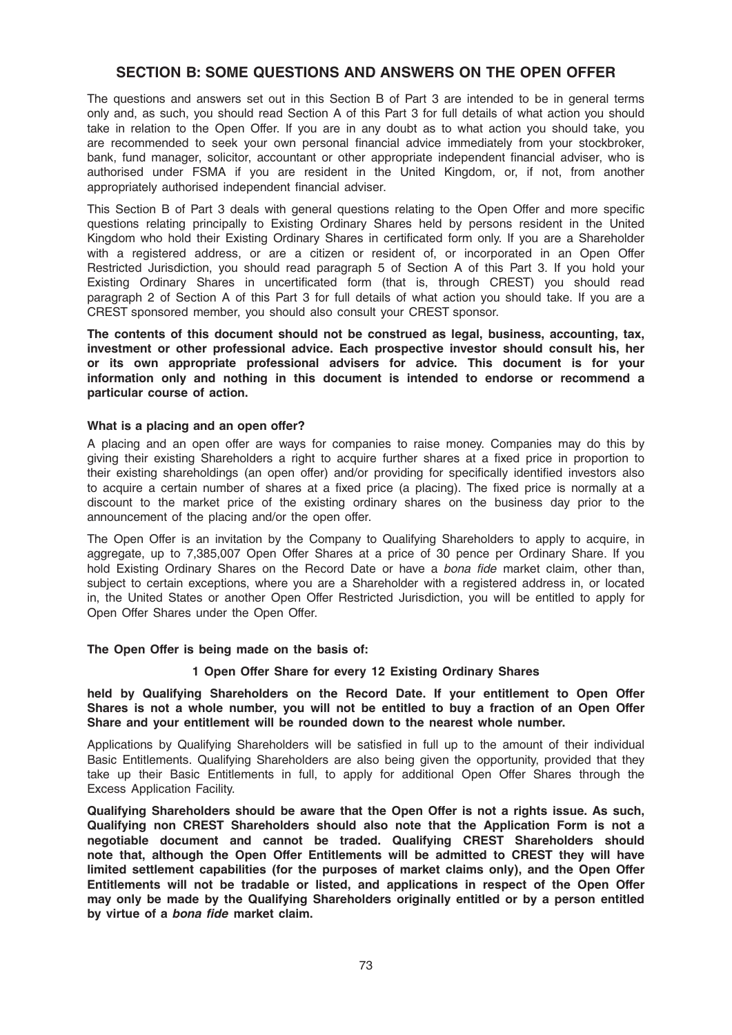# SECTION B: SOME QUESTIONS AND ANSWERS ON THE OPEN OFFER

The questions and answers set out in this Section B of Part 3 are intended to be in general terms only and, as such, you should read Section A of this Part 3 for full details of what action you should take in relation to the Open Offer. If you are in any doubt as to what action you should take, you are recommended to seek your own personal financial advice immediately from your stockbroker, bank, fund manager, solicitor, accountant or other appropriate independent financial adviser, who is authorised under FSMA if you are resident in the United Kingdom, or, if not, from another appropriately authorised independent financial adviser.

This Section B of Part 3 deals with general questions relating to the Open Offer and more specific questions relating principally to Existing Ordinary Shares held by persons resident in the United Kingdom who hold their Existing Ordinary Shares in certificated form only. If you are a Shareholder with a registered address, or are a citizen or resident of, or incorporated in an Open Offer Restricted Jurisdiction, you should read paragraph 5 of Section A of this Part 3. If you hold your Existing Ordinary Shares in uncertificated form (that is, through CREST) you should read paragraph 2 of Section A of this Part 3 for full details of what action you should take. If you are a CREST sponsored member, you should also consult your CREST sponsor.

The contents of this document should not be construed as legal, business, accounting, tax, investment or other professional advice. Each prospective investor should consult his, her or its own appropriate professional advisers for advice. This document is for your information only and nothing in this document is intended to endorse or recommend a particular course of action.

## What is a placing and an open offer?

A placing and an open offer are ways for companies to raise money. Companies may do this by giving their existing Shareholders a right to acquire further shares at a fixed price in proportion to their existing shareholdings (an open offer) and/or providing for specifically identified investors also to acquire a certain number of shares at a fixed price (a placing). The fixed price is normally at a discount to the market price of the existing ordinary shares on the business day prior to the announcement of the placing and/or the open offer.

The Open Offer is an invitation by the Company to Qualifying Shareholders to apply to acquire, in aggregate, up to 7,385,007 Open Offer Shares at a price of 30 pence per Ordinary Share. If you hold Existing Ordinary Shares on the Record Date or have a bona fide market claim, other than, subject to certain exceptions, where you are a Shareholder with a registered address in, or located in, the United States or another Open Offer Restricted Jurisdiction, you will be entitled to apply for Open Offer Shares under the Open Offer.

#### The Open Offer is being made on the basis of:

#### 1 Open Offer Share for every 12 Existing Ordinary Shares

held by Qualifying Shareholders on the Record Date. If your entitlement to Open Offer Shares is not a whole number, you will not be entitled to buy a fraction of an Open Offer Share and your entitlement will be rounded down to the nearest whole number.

Applications by Qualifying Shareholders will be satisfied in full up to the amount of their individual Basic Entitlements. Qualifying Shareholders are also being given the opportunity, provided that they take up their Basic Entitlements in full, to apply for additional Open Offer Shares through the Excess Application Facility.

Qualifying Shareholders should be aware that the Open Offer is not a rights issue. As such, Qualifying non CREST Shareholders should also note that the Application Form is not a negotiable document and cannot be traded. Qualifying CREST Shareholders should note that, although the Open Offer Entitlements will be admitted to CREST they will have limited settlement capabilities (for the purposes of market claims only), and the Open Offer Entitlements will not be tradable or listed, and applications in respect of the Open Offer may only be made by the Qualifying Shareholders originally entitled or by a person entitled by virtue of a bona fide market claim.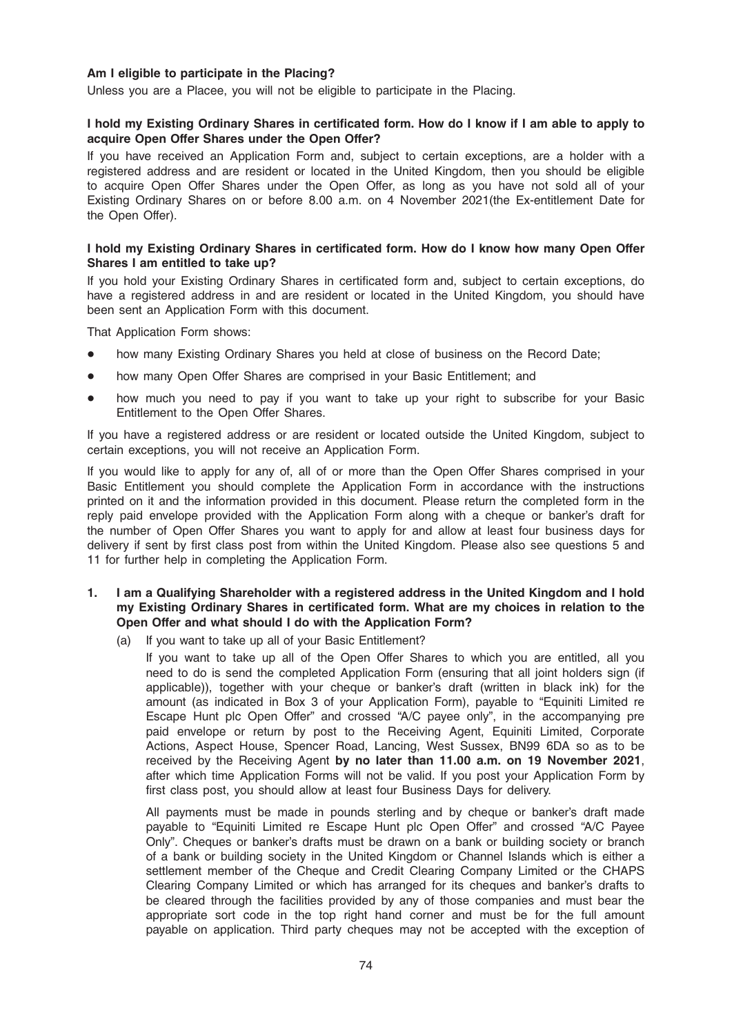## Am I eligible to participate in the Placing?

Unless you are a Placee, you will not be eligible to participate in the Placing.

#### I hold my Existing Ordinary Shares in certificated form. How do I know if I am able to apply to acquire Open Offer Shares under the Open Offer?

If you have received an Application Form and, subject to certain exceptions, are a holder with a registered address and are resident or located in the United Kingdom, then you should be eligible to acquire Open Offer Shares under the Open Offer, as long as you have not sold all of your Existing Ordinary Shares on or before 8.00 a.m. on 4 November 2021(the Ex-entitlement Date for the Open Offer).

#### I hold my Existing Ordinary Shares in certificated form. How do I know how many Open Offer Shares I am entitled to take up?

If you hold your Existing Ordinary Shares in certificated form and, subject to certain exceptions, do have a registered address in and are resident or located in the United Kingdom, you should have been sent an Application Form with this document.

That Application Form shows:

- how many Existing Ordinary Shares you held at close of business on the Record Date;
- how many Open Offer Shares are comprised in your Basic Entitlement; and
- how much you need to pay if you want to take up your right to subscribe for your Basic Entitlement to the Open Offer Shares.

If you have a registered address or are resident or located outside the United Kingdom, subject to certain exceptions, you will not receive an Application Form.

If you would like to apply for any of, all of or more than the Open Offer Shares comprised in your Basic Entitlement you should complete the Application Form in accordance with the instructions printed on it and the information provided in this document. Please return the completed form in the reply paid envelope provided with the Application Form along with a cheque or banker's draft for the number of Open Offer Shares you want to apply for and allow at least four business days for delivery if sent by first class post from within the United Kingdom. Please also see questions 5 and 11 for further help in completing the Application Form.

## 1. I am a Qualifying Shareholder with a registered address in the United Kingdom and I hold my Existing Ordinary Shares in certificated form. What are my choices in relation to the Open Offer and what should I do with the Application Form?

(a) If you want to take up all of your Basic Entitlement?

If you want to take up all of the Open Offer Shares to which you are entitled, all you need to do is send the completed Application Form (ensuring that all joint holders sign (if applicable)), together with your cheque or banker's draft (written in black ink) for the amount (as indicated in Box 3 of your Application Form), payable to "Equiniti Limited re Escape Hunt plc Open Offer" and crossed "A/C payee only", in the accompanying pre paid envelope or return by post to the Receiving Agent, Equiniti Limited, Corporate Actions, Aspect House, Spencer Road, Lancing, West Sussex, BN99 6DA so as to be received by the Receiving Agent by no later than 11.00 a.m. on 19 November 2021, after which time Application Forms will not be valid. If you post your Application Form by first class post, you should allow at least four Business Days for delivery.

All payments must be made in pounds sterling and by cheque or banker's draft made payable to "Equiniti Limited re Escape Hunt plc Open Offer" and crossed "A/C Payee Only". Cheques or banker's drafts must be drawn on a bank or building society or branch of a bank or building society in the United Kingdom or Channel Islands which is either a settlement member of the Cheque and Credit Clearing Company Limited or the CHAPS Clearing Company Limited or which has arranged for its cheques and banker's drafts to be cleared through the facilities provided by any of those companies and must bear the appropriate sort code in the top right hand corner and must be for the full amount payable on application. Third party cheques may not be accepted with the exception of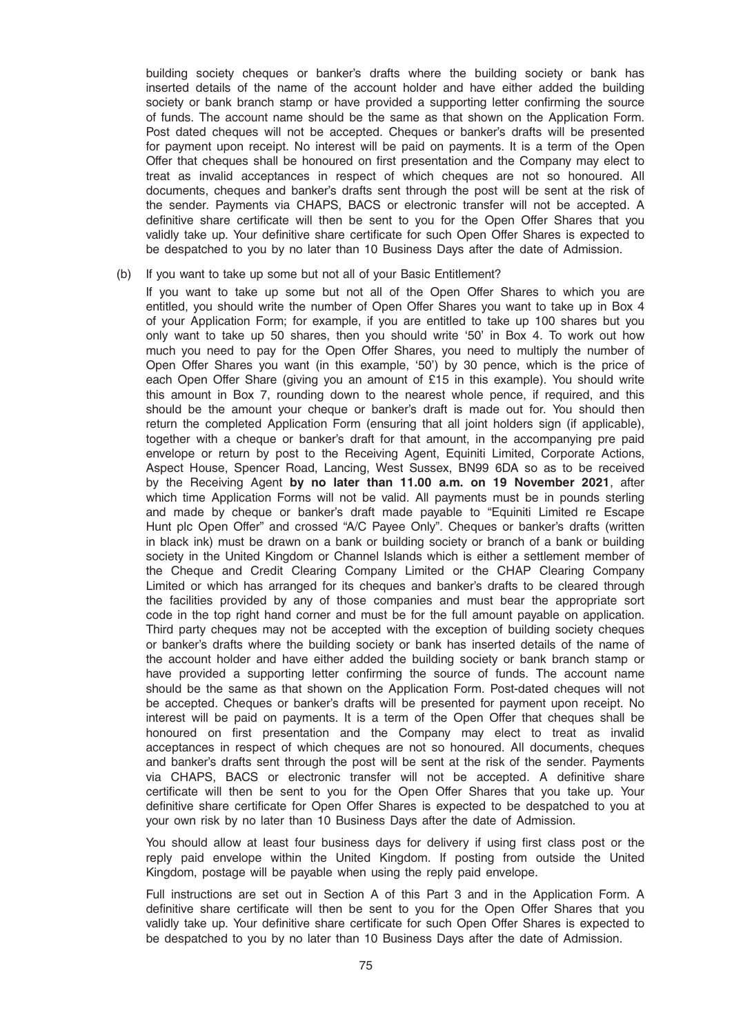building society cheques or banker's drafts where the building society or bank has inserted details of the name of the account holder and have either added the building society or bank branch stamp or have provided a supporting letter confirming the source of funds. The account name should be the same as that shown on the Application Form. Post dated cheques will not be accepted. Cheques or banker's drafts will be presented for payment upon receipt. No interest will be paid on payments. It is a term of the Open Offer that cheques shall be honoured on first presentation and the Company may elect to treat as invalid acceptances in respect of which cheques are not so honoured. All documents, cheques and banker's drafts sent through the post will be sent at the risk of the sender. Payments via CHAPS, BACS or electronic transfer will not be accepted. A definitive share certificate will then be sent to you for the Open Offer Shares that you validly take up. Your definitive share certificate for such Open Offer Shares is expected to be despatched to you by no later than 10 Business Days after the date of Admission.

#### (b) If you want to take up some but not all of your Basic Entitlement?

If you want to take up some but not all of the Open Offer Shares to which you are entitled, you should write the number of Open Offer Shares you want to take up in Box 4 of your Application Form; for example, if you are entitled to take up 100 shares but you only want to take up 50 shares, then you should write '50' in Box 4. To work out how much you need to pay for the Open Offer Shares, you need to multiply the number of Open Offer Shares you want (in this example, '50') by 30 pence, which is the price of each Open Offer Share (giving you an amount of £15 in this example). You should write this amount in Box 7, rounding down to the nearest whole pence, if required, and this should be the amount your cheque or banker's draft is made out for. You should then return the completed Application Form (ensuring that all joint holders sign (if applicable), together with a cheque or banker's draft for that amount, in the accompanying pre paid envelope or return by post to the Receiving Agent, Equiniti Limited, Corporate Actions, Aspect House, Spencer Road, Lancing, West Sussex, BN99 6DA so as to be received by the Receiving Agent by no later than 11.00 a.m. on 19 November 2021, after which time Application Forms will not be valid. All payments must be in pounds sterling and made by cheque or banker's draft made payable to "Equiniti Limited re Escape Hunt plc Open Offer" and crossed "A/C Payee Only". Cheques or banker's drafts (written in black ink) must be drawn on a bank or building society or branch of a bank or building society in the United Kingdom or Channel Islands which is either a settlement member of the Cheque and Credit Clearing Company Limited or the CHAP Clearing Company Limited or which has arranged for its cheques and banker's drafts to be cleared through the facilities provided by any of those companies and must bear the appropriate sort code in the top right hand corner and must be for the full amount payable on application. Third party cheques may not be accepted with the exception of building society cheques or banker's drafts where the building society or bank has inserted details of the name of the account holder and have either added the building society or bank branch stamp or have provided a supporting letter confirming the source of funds. The account name should be the same as that shown on the Application Form. Post-dated cheques will not be accepted. Cheques or banker's drafts will be presented for payment upon receipt. No interest will be paid on payments. It is a term of the Open Offer that cheques shall be honoured on first presentation and the Company may elect to treat as invalid acceptances in respect of which cheques are not so honoured. All documents, cheques and banker's drafts sent through the post will be sent at the risk of the sender. Payments via CHAPS, BACS or electronic transfer will not be accepted. A definitive share certificate will then be sent to you for the Open Offer Shares that you take up. Your definitive share certificate for Open Offer Shares is expected to be despatched to you at your own risk by no later than 10 Business Days after the date of Admission.

You should allow at least four business days for delivery if using first class post or the reply paid envelope within the United Kingdom. If posting from outside the United Kingdom, postage will be payable when using the reply paid envelope.

Full instructions are set out in Section A of this Part 3 and in the Application Form. A definitive share certificate will then be sent to you for the Open Offer Shares that you validly take up. Your definitive share certificate for such Open Offer Shares is expected to be despatched to you by no later than 10 Business Days after the date of Admission.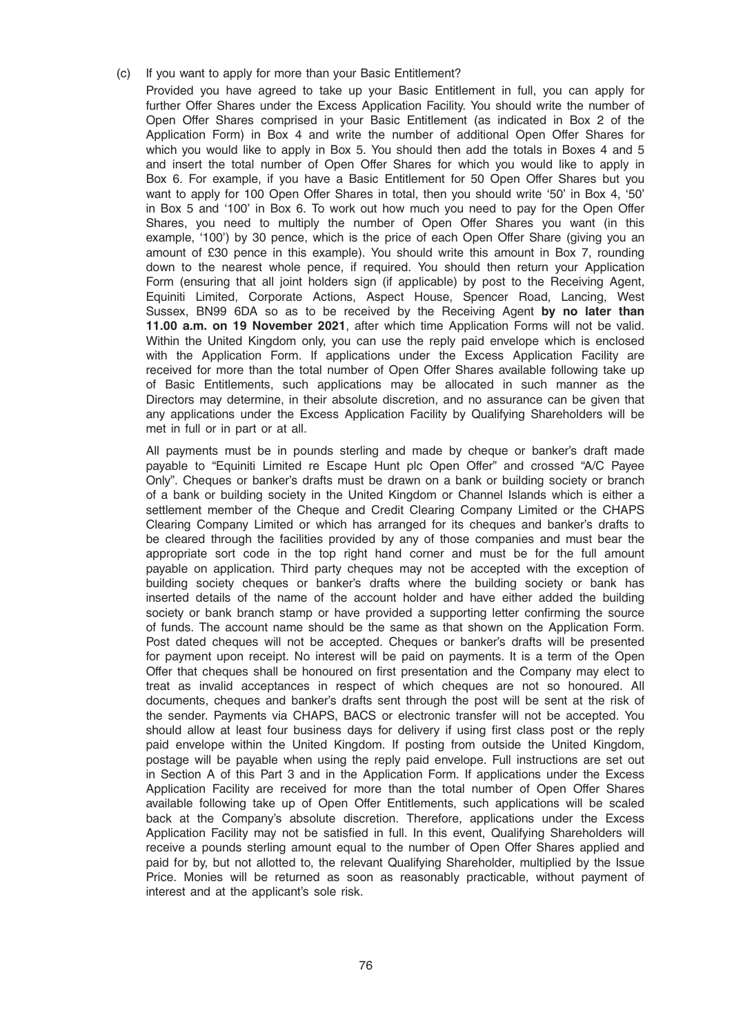#### (c) If you want to apply for more than your Basic Entitlement?

Provided you have agreed to take up your Basic Entitlement in full, you can apply for further Offer Shares under the Excess Application Facility. You should write the number of Open Offer Shares comprised in your Basic Entitlement (as indicated in Box 2 of the Application Form) in Box 4 and write the number of additional Open Offer Shares for which you would like to apply in Box 5. You should then add the totals in Boxes 4 and 5 and insert the total number of Open Offer Shares for which you would like to apply in Box 6. For example, if you have a Basic Entitlement for 50 Open Offer Shares but you want to apply for 100 Open Offer Shares in total, then you should write '50' in Box 4, '50' in Box 5 and '100' in Box 6. To work out how much you need to pay for the Open Offer Shares, you need to multiply the number of Open Offer Shares you want (in this example, '100') by 30 pence, which is the price of each Open Offer Share (giving you an amount of £30 pence in this example). You should write this amount in Box 7, rounding down to the nearest whole pence, if required. You should then return your Application Form (ensuring that all joint holders sign (if applicable) by post to the Receiving Agent, Equiniti Limited, Corporate Actions, Aspect House, Spencer Road, Lancing, West Sussex, BN99 6DA so as to be received by the Receiving Agent by no later than 11.00 a.m. on 19 November 2021, after which time Application Forms will not be valid. Within the United Kingdom only, you can use the reply paid envelope which is enclosed with the Application Form. If applications under the Excess Application Facility are received for more than the total number of Open Offer Shares available following take up of Basic Entitlements, such applications may be allocated in such manner as the Directors may determine, in their absolute discretion, and no assurance can be given that any applications under the Excess Application Facility by Qualifying Shareholders will be met in full or in part or at all.

All payments must be in pounds sterling and made by cheque or banker's draft made payable to "Equiniti Limited re Escape Hunt plc Open Offer" and crossed "A/C Payee Only". Cheques or banker's drafts must be drawn on a bank or building society or branch of a bank or building society in the United Kingdom or Channel Islands which is either a settlement member of the Cheque and Credit Clearing Company Limited or the CHAPS Clearing Company Limited or which has arranged for its cheques and banker's drafts to be cleared through the facilities provided by any of those companies and must bear the appropriate sort code in the top right hand corner and must be for the full amount payable on application. Third party cheques may not be accepted with the exception of building society cheques or banker's drafts where the building society or bank has inserted details of the name of the account holder and have either added the building society or bank branch stamp or have provided a supporting letter confirming the source of funds. The account name should be the same as that shown on the Application Form. Post dated cheques will not be accepted. Cheques or banker's drafts will be presented for payment upon receipt. No interest will be paid on payments. It is a term of the Open Offer that cheques shall be honoured on first presentation and the Company may elect to treat as invalid acceptances in respect of which cheques are not so honoured. All documents, cheques and banker's drafts sent through the post will be sent at the risk of the sender. Payments via CHAPS, BACS or electronic transfer will not be accepted. You should allow at least four business days for delivery if using first class post or the reply paid envelope within the United Kingdom. If posting from outside the United Kingdom, postage will be payable when using the reply paid envelope. Full instructions are set out in Section A of this Part 3 and in the Application Form. If applications under the Excess Application Facility are received for more than the total number of Open Offer Shares available following take up of Open Offer Entitlements, such applications will be scaled back at the Company's absolute discretion. Therefore, applications under the Excess Application Facility may not be satisfied in full. In this event, Qualifying Shareholders will receive a pounds sterling amount equal to the number of Open Offer Shares applied and paid for by, but not allotted to, the relevant Qualifying Shareholder, multiplied by the Issue Price. Monies will be returned as soon as reasonably practicable, without payment of interest and at the applicant's sole risk.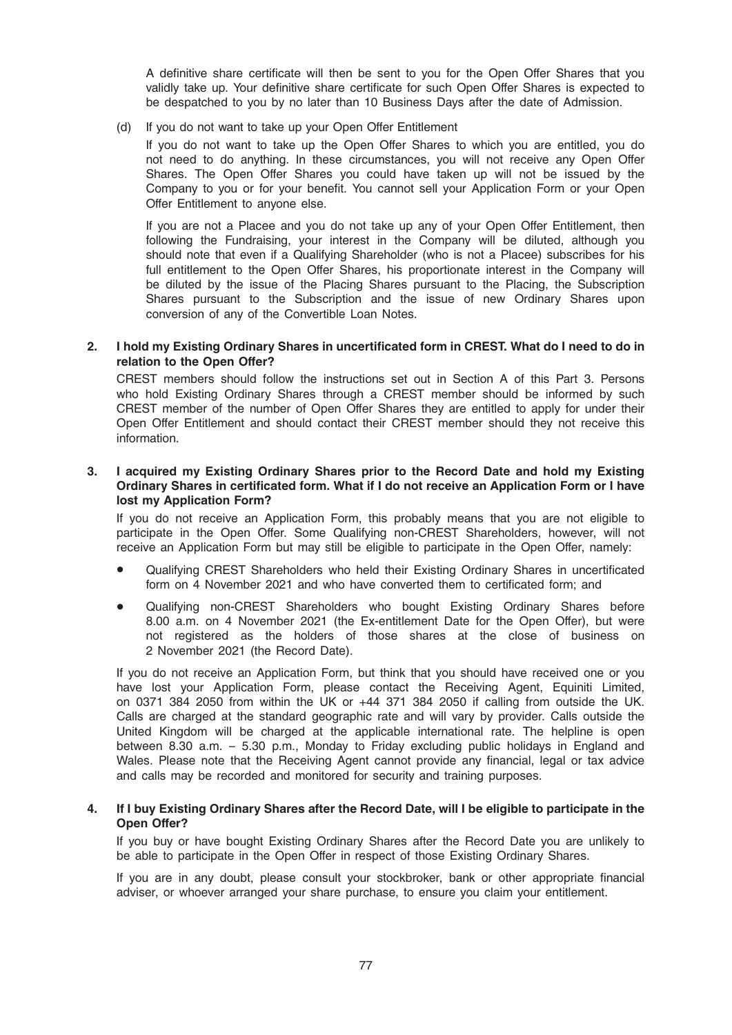A definitive share certificate will then be sent to you for the Open Offer Shares that you validly take up. Your definitive share certificate for such Open Offer Shares is expected to be despatched to you by no later than 10 Business Days after the date of Admission.

(d) If you do not want to take up your Open Offer Entitlement

If you do not want to take up the Open Offer Shares to which you are entitled, you do not need to do anything. In these circumstances, you will not receive any Open Offer Shares. The Open Offer Shares you could have taken up will not be issued by the Company to you or for your benefit. You cannot sell your Application Form or your Open Offer Entitlement to anyone else.

If you are not a Placee and you do not take up any of your Open Offer Entitlement, then following the Fundraising, your interest in the Company will be diluted, although you should note that even if a Qualifying Shareholder (who is not a Placee) subscribes for his full entitlement to the Open Offer Shares, his proportionate interest in the Company will be diluted by the issue of the Placing Shares pursuant to the Placing, the Subscription Shares pursuant to the Subscription and the issue of new Ordinary Shares upon conversion of any of the Convertible Loan Notes.

## 2. I hold my Existing Ordinary Shares in uncertificated form in CREST. What do I need to do in relation to the Open Offer?

CREST members should follow the instructions set out in Section A of this Part 3. Persons who hold Existing Ordinary Shares through a CREST member should be informed by such CREST member of the number of Open Offer Shares they are entitled to apply for under their Open Offer Entitlement and should contact their CREST member should they not receive this information.

## 3. I acquired my Existing Ordinary Shares prior to the Record Date and hold my Existing Ordinary Shares in certificated form. What if I do not receive an Application Form or I have lost my Application Form?

If you do not receive an Application Form, this probably means that you are not eligible to participate in the Open Offer. Some Qualifying non-CREST Shareholders, however, will not receive an Application Form but may still be eligible to participate in the Open Offer, namely:

- Qualifying CREST Shareholders who held their Existing Ordinary Shares in uncertificated form on 4 November 2021 and who have converted them to certificated form; and
- Qualifying non-CREST Shareholders who bought Existing Ordinary Shares before 8.00 a.m. on 4 November 2021 (the Ex-entitlement Date for the Open Offer), but were not registered as the holders of those shares at the close of business on 2 November 2021 (the Record Date).

If you do not receive an Application Form, but think that you should have received one or you have lost your Application Form, please contact the Receiving Agent, Equiniti Limited, on 0371 384 2050 from within the UK or +44 371 384 2050 if calling from outside the UK. Calls are charged at the standard geographic rate and will vary by provider. Calls outside the United Kingdom will be charged at the applicable international rate. The helpline is open between 8.30 a.m. – 5.30 p.m., Monday to Friday excluding public holidays in England and Wales. Please note that the Receiving Agent cannot provide any financial, legal or tax advice and calls may be recorded and monitored for security and training purposes.

#### 4. If I buy Existing Ordinary Shares after the Record Date, will I be eligible to participate in the Open Offer?

If you buy or have bought Existing Ordinary Shares after the Record Date you are unlikely to be able to participate in the Open Offer in respect of those Existing Ordinary Shares.

If you are in any doubt, please consult your stockbroker, bank or other appropriate financial adviser, or whoever arranged your share purchase, to ensure you claim your entitlement.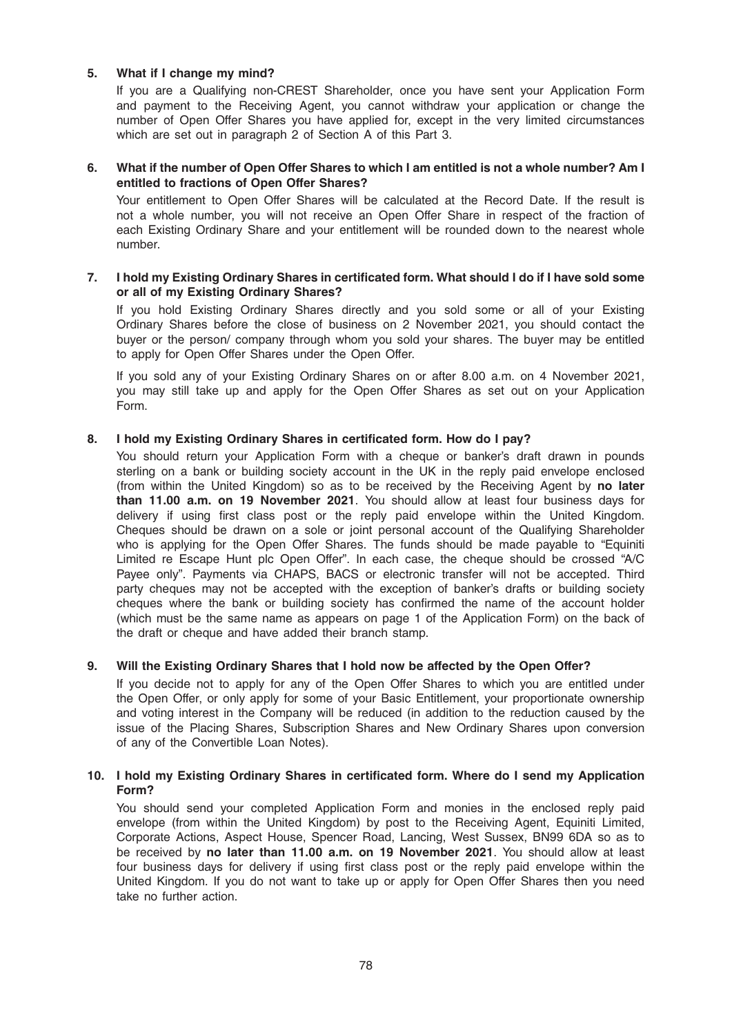## 5. What if I change my mind?

If you are a Qualifying non-CREST Shareholder, once you have sent your Application Form and payment to the Receiving Agent, you cannot withdraw your application or change the number of Open Offer Shares you have applied for, except in the very limited circumstances which are set out in paragraph 2 of Section A of this Part 3.

## 6. What if the number of Open Offer Shares to which I am entitled is not a whole number? Am I entitled to fractions of Open Offer Shares?

Your entitlement to Open Offer Shares will be calculated at the Record Date. If the result is not a whole number, you will not receive an Open Offer Share in respect of the fraction of each Existing Ordinary Share and your entitlement will be rounded down to the nearest whole number.

#### 7. I hold my Existing Ordinary Shares in certificated form. What should I do if I have sold some or all of my Existing Ordinary Shares?

If you hold Existing Ordinary Shares directly and you sold some or all of your Existing Ordinary Shares before the close of business on 2 November 2021, you should contact the buyer or the person/ company through whom you sold your shares. The buyer may be entitled to apply for Open Offer Shares under the Open Offer.

If you sold any of your Existing Ordinary Shares on or after 8.00 a.m. on 4 November 2021, you may still take up and apply for the Open Offer Shares as set out on your Application Form.

## 8. I hold my Existing Ordinary Shares in certificated form. How do I pay?

You should return your Application Form with a cheque or banker's draft drawn in pounds sterling on a bank or building society account in the UK in the reply paid envelope enclosed (from within the United Kingdom) so as to be received by the Receiving Agent by no later than 11.00 a.m. on 19 November 2021. You should allow at least four business days for delivery if using first class post or the reply paid envelope within the United Kingdom. Cheques should be drawn on a sole or joint personal account of the Qualifying Shareholder who is applying for the Open Offer Shares. The funds should be made payable to "Equiniti Limited re Escape Hunt plc Open Offer". In each case, the cheque should be crossed "A/C Payee only". Payments via CHAPS, BACS or electronic transfer will not be accepted. Third party cheques may not be accepted with the exception of banker's drafts or building society cheques where the bank or building society has confirmed the name of the account holder (which must be the same name as appears on page 1 of the Application Form) on the back of the draft or cheque and have added their branch stamp.

## 9. Will the Existing Ordinary Shares that I hold now be affected by the Open Offer?

If you decide not to apply for any of the Open Offer Shares to which you are entitled under the Open Offer, or only apply for some of your Basic Entitlement, your proportionate ownership and voting interest in the Company will be reduced (in addition to the reduction caused by the issue of the Placing Shares, Subscription Shares and New Ordinary Shares upon conversion of any of the Convertible Loan Notes).

#### 10. I hold my Existing Ordinary Shares in certificated form. Where do I send my Application Form?

You should send your completed Application Form and monies in the enclosed reply paid envelope (from within the United Kingdom) by post to the Receiving Agent, Equiniti Limited, Corporate Actions, Aspect House, Spencer Road, Lancing, West Sussex, BN99 6DA so as to be received by no later than 11.00 a.m. on 19 November 2021. You should allow at least four business days for delivery if using first class post or the reply paid envelope within the United Kingdom. If you do not want to take up or apply for Open Offer Shares then you need take no further action.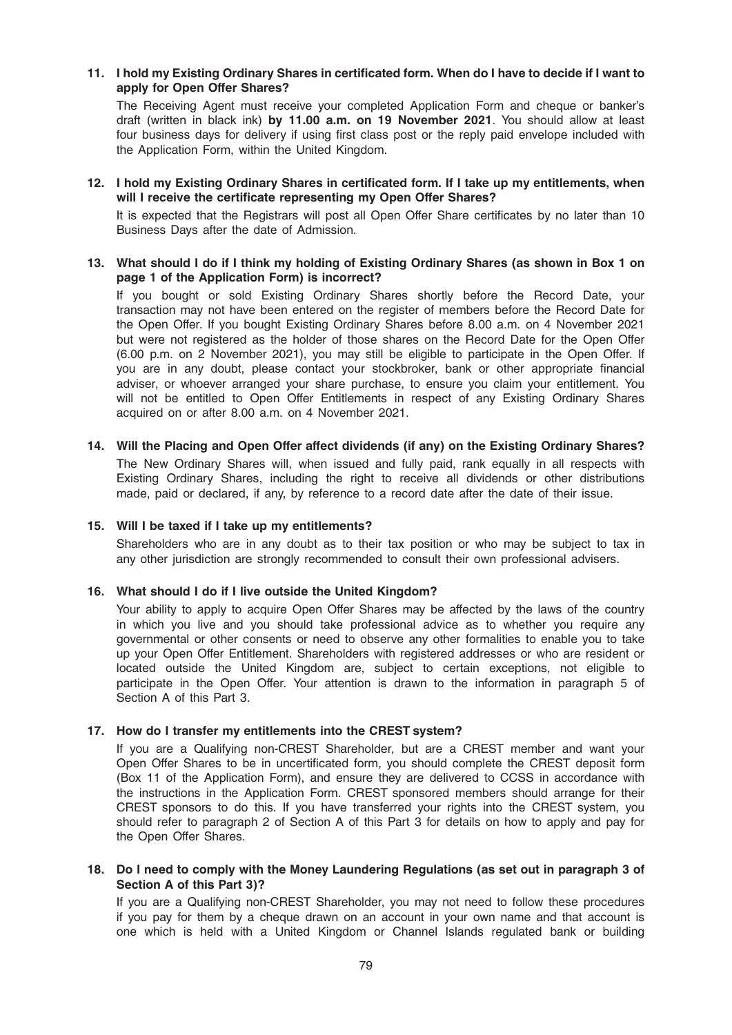## 11. I hold my Existing Ordinary Shares in certificated form. When do I have to decide if I want to apply for Open Offer Shares?

The Receiving Agent must receive your completed Application Form and cheque or banker's draft (written in black ink) by 11.00 a.m. on 19 November 2021. You should allow at least four business days for delivery if using first class post or the reply paid envelope included with the Application Form, within the United Kingdom.

## 12. I hold my Existing Ordinary Shares in certificated form. If I take up my entitlements, when will I receive the certificate representing my Open Offer Shares?

It is expected that the Registrars will post all Open Offer Share certificates by no later than 10 Business Days after the date of Admission.

#### 13. What should I do if I think my holding of Existing Ordinary Shares (as shown in Box 1 on page 1 of the Application Form) is incorrect?

If you bought or sold Existing Ordinary Shares shortly before the Record Date, your transaction may not have been entered on the register of members before the Record Date for the Open Offer. If you bought Existing Ordinary Shares before 8.00 a.m. on 4 November 2021 but were not registered as the holder of those shares on the Record Date for the Open Offer (6.00 p.m. on 2 November 2021), you may still be eligible to participate in the Open Offer. If you are in any doubt, please contact your stockbroker, bank or other appropriate financial adviser, or whoever arranged your share purchase, to ensure you claim your entitlement. You will not be entitled to Open Offer Entitlements in respect of any Existing Ordinary Shares acquired on or after 8.00 a.m. on 4 November 2021.

## 14. Will the Placing and Open Offer affect dividends (if any) on the Existing Ordinary Shares? The New Ordinary Shares will, when issued and fully paid, rank equally in all respects with Existing Ordinary Shares, including the right to receive all dividends or other distributions made, paid or declared, if any, by reference to a record date after the date of their issue.

## 15. Will I be taxed if I take up my entitlements?

Shareholders who are in any doubt as to their tax position or who may be subject to tax in any other jurisdiction are strongly recommended to consult their own professional advisers.

#### 16. What should I do if I live outside the United Kingdom?

Your ability to apply to acquire Open Offer Shares may be affected by the laws of the country in which you live and you should take professional advice as to whether you require any governmental or other consents or need to observe any other formalities to enable you to take up your Open Offer Entitlement. Shareholders with registered addresses or who are resident or located outside the United Kingdom are, subject to certain exceptions, not eligible to participate in the Open Offer. Your attention is drawn to the information in paragraph 5 of Section A of this Part 3.

#### 17. How do I transfer my entitlements into the CREST system?

If you are a Qualifying non-CREST Shareholder, but are a CREST member and want your Open Offer Shares to be in uncertificated form, you should complete the CREST deposit form (Box 11 of the Application Form), and ensure they are delivered to CCSS in accordance with the instructions in the Application Form. CREST sponsored members should arrange for their CREST sponsors to do this. If you have transferred your rights into the CREST system, you should refer to paragraph 2 of Section A of this Part 3 for details on how to apply and pay for the Open Offer Shares.

#### 18. Do I need to comply with the Money Laundering Regulations (as set out in paragraph 3 of Section A of this Part 3)?

If you are a Qualifying non-CREST Shareholder, you may not need to follow these procedures if you pay for them by a cheque drawn on an account in your own name and that account is one which is held with a United Kingdom or Channel Islands regulated bank or building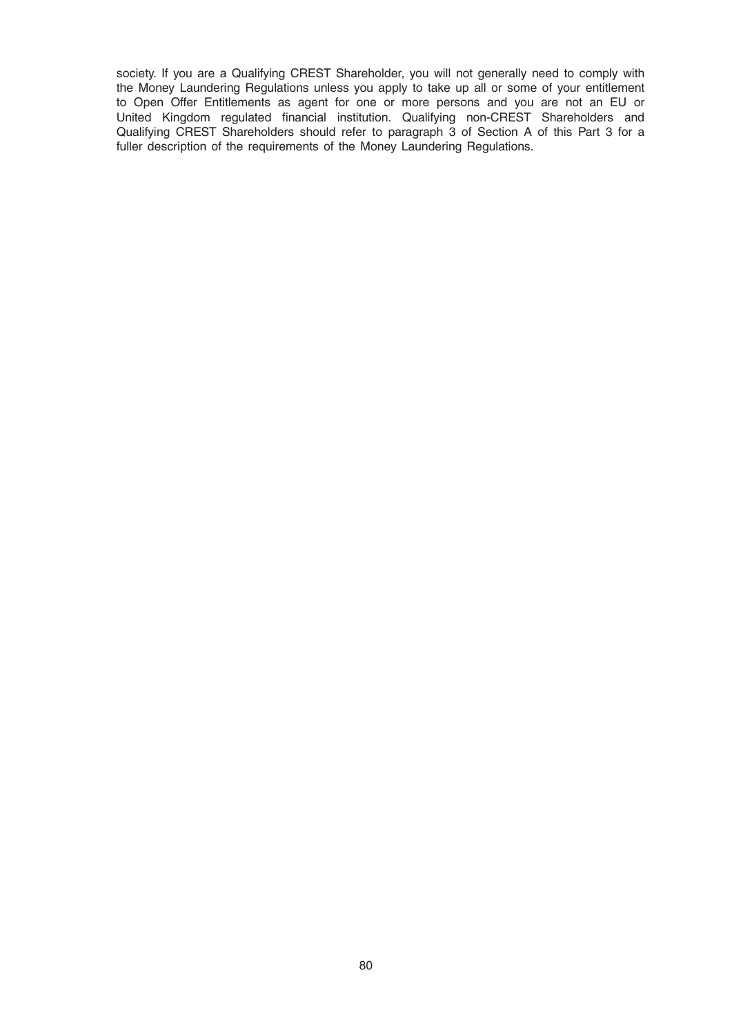society. If you are a Qualifying CREST Shareholder, you will not generally need to comply with the Money Laundering Regulations unless you apply to take up all or some of your entitlement to Open Offer Entitlements as agent for one or more persons and you are not an EU or United Kingdom regulated financial institution. Qualifying non-CREST Shareholders and Qualifying CREST Shareholders should refer to paragraph 3 of Section A of this Part 3 for a fuller description of the requirements of the Money Laundering Regulations.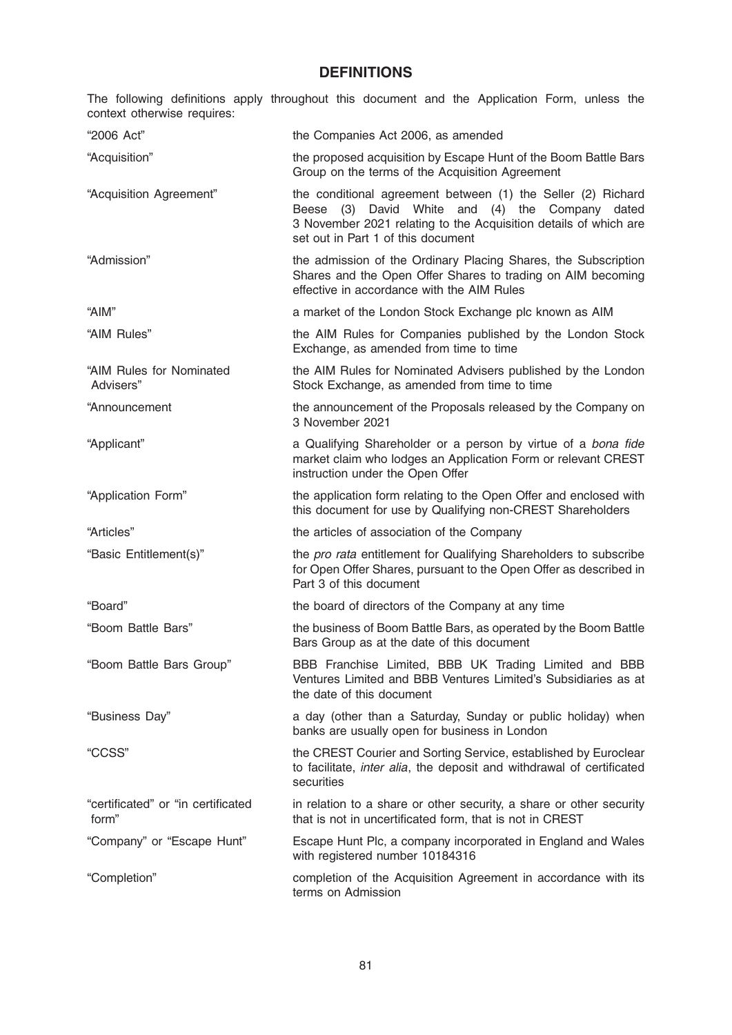# **DEFINITIONS**

The following definitions apply throughout this document and the Application Form, unless the context otherwise requires:

| "2006 Act"                                  | the Companies Act 2006, as amended                                                                                                                                                                                        |
|---------------------------------------------|---------------------------------------------------------------------------------------------------------------------------------------------------------------------------------------------------------------------------|
| "Acquisition"                               | the proposed acquisition by Escape Hunt of the Boom Battle Bars<br>Group on the terms of the Acquisition Agreement                                                                                                        |
| "Acquisition Agreement"                     | the conditional agreement between (1) the Seller (2) Richard<br>Beese (3) David White and (4) the Company dated<br>3 November 2021 relating to the Acquisition details of which are<br>set out in Part 1 of this document |
| "Admission"                                 | the admission of the Ordinary Placing Shares, the Subscription<br>Shares and the Open Offer Shares to trading on AIM becoming<br>effective in accordance with the AIM Rules                                               |
| "AIM"                                       | a market of the London Stock Exchange plc known as AIM                                                                                                                                                                    |
| "AIM Rules"                                 | the AIM Rules for Companies published by the London Stock<br>Exchange, as amended from time to time                                                                                                                       |
| "AIM Rules for Nominated<br>Advisers"       | the AIM Rules for Nominated Advisers published by the London<br>Stock Exchange, as amended from time to time                                                                                                              |
| "Announcement                               | the announcement of the Proposals released by the Company on<br>3 November 2021                                                                                                                                           |
| "Applicant"                                 | a Qualifying Shareholder or a person by virtue of a bona fide<br>market claim who lodges an Application Form or relevant CREST<br>instruction under the Open Offer                                                        |
| "Application Form"                          | the application form relating to the Open Offer and enclosed with<br>this document for use by Qualifying non-CREST Shareholders                                                                                           |
| "Articles"                                  | the articles of association of the Company                                                                                                                                                                                |
| "Basic Entitlement(s)"                      | the pro rata entitlement for Qualifying Shareholders to subscribe<br>for Open Offer Shares, pursuant to the Open Offer as described in<br>Part 3 of this document                                                         |
| "Board"                                     | the board of directors of the Company at any time                                                                                                                                                                         |
| "Boom Battle Bars"                          | the business of Boom Battle Bars, as operated by the Boom Battle<br>Bars Group as at the date of this document                                                                                                            |
| "Boom Battle Bars Group"                    | BBB Franchise Limited, BBB UK Trading Limited and BBB<br>Ventures Limited and BBB Ventures Limited's Subsidiaries as at<br>the date of this document                                                                      |
| "Business Day"                              | a day (other than a Saturday, Sunday or public holiday) when<br>banks are usually open for business in London                                                                                                             |
| "CCSS"                                      | the CREST Courier and Sorting Service, established by Euroclear<br>to facilitate, inter alia, the deposit and withdrawal of certificated<br>securities                                                                    |
| "certificated" or "in certificated<br>form" | in relation to a share or other security, a share or other security<br>that is not in uncertificated form, that is not in CREST                                                                                           |
| "Company" or "Escape Hunt"                  | Escape Hunt Plc, a company incorporated in England and Wales<br>with registered number 10184316                                                                                                                           |
| "Completion"                                | completion of the Acquisition Agreement in accordance with its<br>terms on Admission                                                                                                                                      |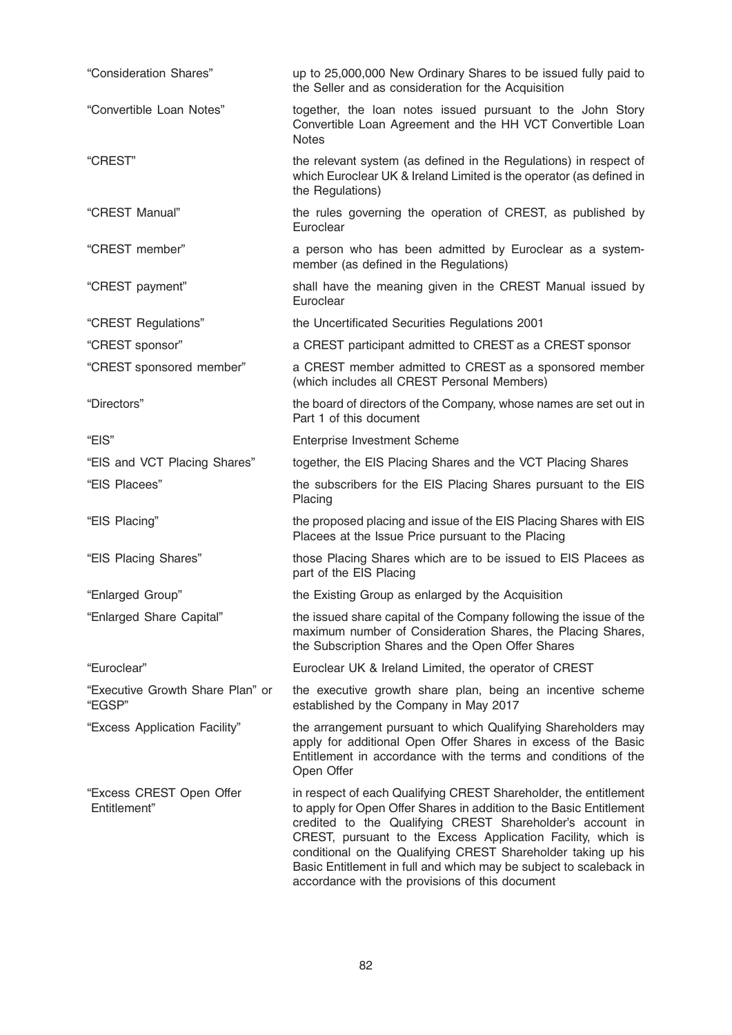| "Consideration Shares"                     | up to 25,000,000 New Ordinary Shares to be issued fully paid to<br>the Seller and as consideration for the Acquisition                                                                                                                                                                                                                                                                                                                                         |
|--------------------------------------------|----------------------------------------------------------------------------------------------------------------------------------------------------------------------------------------------------------------------------------------------------------------------------------------------------------------------------------------------------------------------------------------------------------------------------------------------------------------|
| "Convertible Loan Notes"                   | together, the loan notes issued pursuant to the John Story<br>Convertible Loan Agreement and the HH VCT Convertible Loan<br><b>Notes</b>                                                                                                                                                                                                                                                                                                                       |
| "CREST"                                    | the relevant system (as defined in the Regulations) in respect of<br>which Euroclear UK & Ireland Limited is the operator (as defined in<br>the Regulations)                                                                                                                                                                                                                                                                                                   |
| "CREST Manual"                             | the rules governing the operation of CREST, as published by<br>Euroclear                                                                                                                                                                                                                                                                                                                                                                                       |
| "CREST member"                             | a person who has been admitted by Euroclear as a system-<br>member (as defined in the Regulations)                                                                                                                                                                                                                                                                                                                                                             |
| "CREST payment"                            | shall have the meaning given in the CREST Manual issued by<br>Euroclear                                                                                                                                                                                                                                                                                                                                                                                        |
| "CREST Regulations"                        | the Uncertificated Securities Regulations 2001                                                                                                                                                                                                                                                                                                                                                                                                                 |
| "CREST sponsor"                            | a CREST participant admitted to CREST as a CREST sponsor                                                                                                                                                                                                                                                                                                                                                                                                       |
| "CREST sponsored member"                   | a CREST member admitted to CREST as a sponsored member<br>(which includes all CREST Personal Members)                                                                                                                                                                                                                                                                                                                                                          |
| "Directors"                                | the board of directors of the Company, whose names are set out in<br>Part 1 of this document                                                                                                                                                                                                                                                                                                                                                                   |
| "EIS"                                      | <b>Enterprise Investment Scheme</b>                                                                                                                                                                                                                                                                                                                                                                                                                            |
| "EIS and VCT Placing Shares"               | together, the EIS Placing Shares and the VCT Placing Shares                                                                                                                                                                                                                                                                                                                                                                                                    |
| "EIS Placees"                              | the subscribers for the EIS Placing Shares pursuant to the EIS<br>Placing                                                                                                                                                                                                                                                                                                                                                                                      |
| "EIS Placing"                              | the proposed placing and issue of the EIS Placing Shares with EIS<br>Placees at the Issue Price pursuant to the Placing                                                                                                                                                                                                                                                                                                                                        |
| "EIS Placing Shares"                       | those Placing Shares which are to be issued to EIS Placees as<br>part of the EIS Placing                                                                                                                                                                                                                                                                                                                                                                       |
| "Enlarged Group"                           | the Existing Group as enlarged by the Acquisition                                                                                                                                                                                                                                                                                                                                                                                                              |
| "Enlarged Share Capital"                   | the issued share capital of the Company following the issue of the<br>maximum number of Consideration Shares, the Placing Shares,<br>the Subscription Shares and the Open Offer Shares                                                                                                                                                                                                                                                                         |
| "Euroclear"                                | Euroclear UK & Ireland Limited, the operator of CREST                                                                                                                                                                                                                                                                                                                                                                                                          |
| "Executive Growth Share Plan" or<br>"EGSP" | the executive growth share plan, being an incentive scheme<br>established by the Company in May 2017                                                                                                                                                                                                                                                                                                                                                           |
| "Excess Application Facility"              | the arrangement pursuant to which Qualifying Shareholders may<br>apply for additional Open Offer Shares in excess of the Basic<br>Entitlement in accordance with the terms and conditions of the<br>Open Offer                                                                                                                                                                                                                                                 |
| "Excess CREST Open Offer<br>Entitlement"   | in respect of each Qualifying CREST Shareholder, the entitlement<br>to apply for Open Offer Shares in addition to the Basic Entitlement<br>credited to the Qualifying CREST Shareholder's account in<br>CREST, pursuant to the Excess Application Facility, which is<br>conditional on the Qualifying CREST Shareholder taking up his<br>Basic Entitlement in full and which may be subject to scaleback in<br>accordance with the provisions of this document |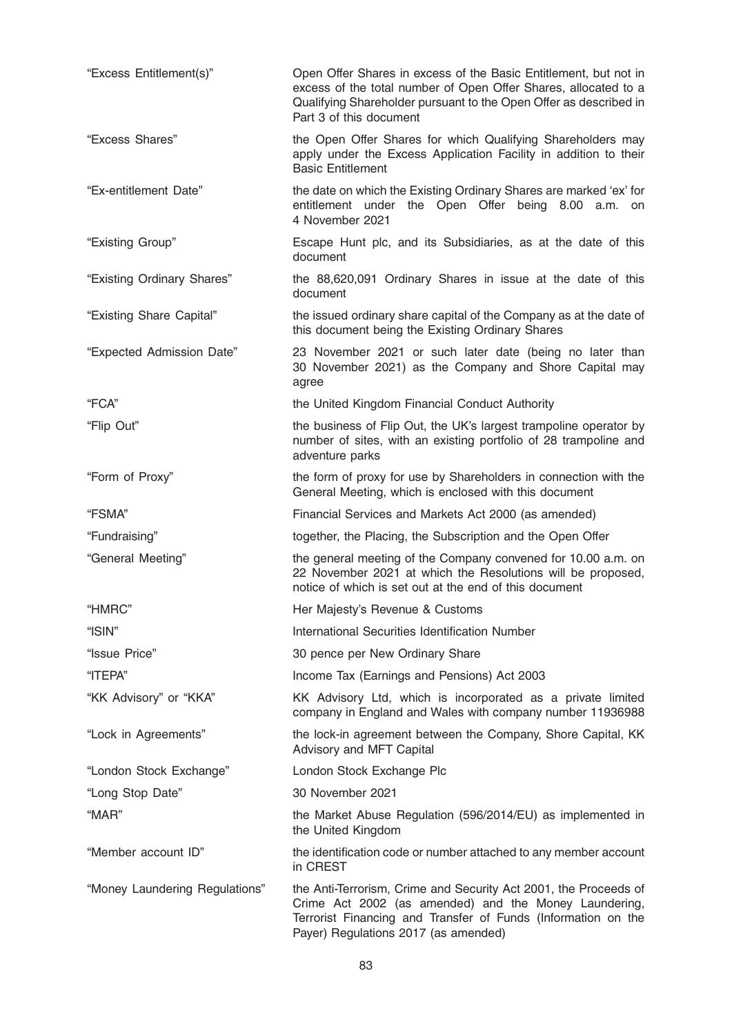| "Excess Entitlement(s)"        | Open Offer Shares in excess of the Basic Entitlement, but not in<br>excess of the total number of Open Offer Shares, allocated to a<br>Qualifying Shareholder pursuant to the Open Offer as described in<br>Part 3 of this document |
|--------------------------------|-------------------------------------------------------------------------------------------------------------------------------------------------------------------------------------------------------------------------------------|
| "Excess Shares"                | the Open Offer Shares for which Qualifying Shareholders may<br>apply under the Excess Application Facility in addition to their<br><b>Basic Entitlement</b>                                                                         |
| "Ex-entitlement Date"          | the date on which the Existing Ordinary Shares are marked 'ex' for<br>entitlement under the Open Offer being 8.00 a.m. on<br>4 November 2021                                                                                        |
| "Existing Group"               | Escape Hunt plc, and its Subsidiaries, as at the date of this<br>document                                                                                                                                                           |
| "Existing Ordinary Shares"     | the 88,620,091 Ordinary Shares in issue at the date of this<br>document                                                                                                                                                             |
| "Existing Share Capital"       | the issued ordinary share capital of the Company as at the date of<br>this document being the Existing Ordinary Shares                                                                                                              |
| "Expected Admission Date"      | 23 November 2021 or such later date (being no later than<br>30 November 2021) as the Company and Shore Capital may<br>agree                                                                                                         |
| "FCA"                          | the United Kingdom Financial Conduct Authority                                                                                                                                                                                      |
| "Flip Out"                     | the business of Flip Out, the UK's largest trampoline operator by<br>number of sites, with an existing portfolio of 28 trampoline and<br>adventure parks                                                                            |
| "Form of Proxy"                | the form of proxy for use by Shareholders in connection with the<br>General Meeting, which is enclosed with this document                                                                                                           |
| "FSMA"                         | Financial Services and Markets Act 2000 (as amended)                                                                                                                                                                                |
| "Fundraising"                  | together, the Placing, the Subscription and the Open Offer                                                                                                                                                                          |
| "General Meeting"              | the general meeting of the Company convened for 10.00 a.m. on<br>22 November 2021 at which the Resolutions will be proposed,<br>notice of which is set out at the end of this document                                              |
| "HMRC"                         | Her Majesty's Revenue & Customs                                                                                                                                                                                                     |
| "ISIN"                         | International Securities Identification Number                                                                                                                                                                                      |
| "Issue Price"                  | 30 pence per New Ordinary Share                                                                                                                                                                                                     |
| "ITEPA"                        | Income Tax (Earnings and Pensions) Act 2003                                                                                                                                                                                         |
| "KK Advisory" or "KKA"         | KK Advisory Ltd, which is incorporated as a private limited<br>company in England and Wales with company number 11936988                                                                                                            |
| "Lock in Agreements"           | the lock-in agreement between the Company, Shore Capital, KK<br>Advisory and MFT Capital                                                                                                                                            |
| "London Stock Exchange"        | London Stock Exchange Plc                                                                                                                                                                                                           |
| "Long Stop Date"               | 30 November 2021                                                                                                                                                                                                                    |
| "MAR"                          | the Market Abuse Regulation (596/2014/EU) as implemented in<br>the United Kingdom                                                                                                                                                   |
| "Member account ID"            | the identification code or number attached to any member account<br>in CREST                                                                                                                                                        |
| "Money Laundering Regulations" | the Anti-Terrorism, Crime and Security Act 2001, the Proceeds of<br>Crime Act 2002 (as amended) and the Money Laundering,<br>Terrorist Financing and Transfer of Funds (Information on the<br>Payer) Regulations 2017 (as amended)  |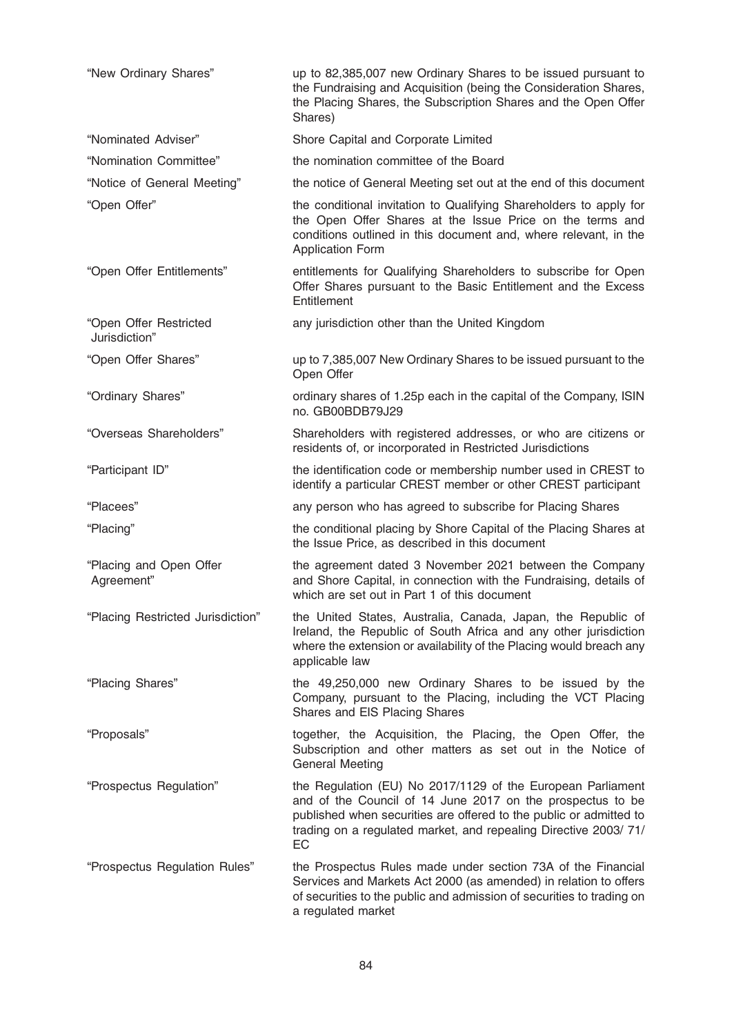| "New Ordinary Shares"                   | up to 82,385,007 new Ordinary Shares to be issued pursuant to<br>the Fundraising and Acquisition (being the Consideration Shares,<br>the Placing Shares, the Subscription Shares and the Open Offer<br>Shares)                                                           |
|-----------------------------------------|--------------------------------------------------------------------------------------------------------------------------------------------------------------------------------------------------------------------------------------------------------------------------|
| "Nominated Adviser"                     | Shore Capital and Corporate Limited                                                                                                                                                                                                                                      |
| "Nomination Committee"                  | the nomination committee of the Board                                                                                                                                                                                                                                    |
| "Notice of General Meeting"             | the notice of General Meeting set out at the end of this document                                                                                                                                                                                                        |
| "Open Offer"                            | the conditional invitation to Qualifying Shareholders to apply for<br>the Open Offer Shares at the Issue Price on the terms and<br>conditions outlined in this document and, where relevant, in the<br><b>Application Form</b>                                           |
| "Open Offer Entitlements"               | entitlements for Qualifying Shareholders to subscribe for Open<br>Offer Shares pursuant to the Basic Entitlement and the Excess<br>Entitlement                                                                                                                           |
| "Open Offer Restricted<br>Jurisdiction" | any jurisdiction other than the United Kingdom                                                                                                                                                                                                                           |
| "Open Offer Shares"                     | up to 7,385,007 New Ordinary Shares to be issued pursuant to the<br>Open Offer                                                                                                                                                                                           |
| "Ordinary Shares"                       | ordinary shares of 1.25p each in the capital of the Company, ISIN<br>no. GB00BDB79J29                                                                                                                                                                                    |
| "Overseas Shareholders"                 | Shareholders with registered addresses, or who are citizens or<br>residents of, or incorporated in Restricted Jurisdictions                                                                                                                                              |
| "Participant ID"                        | the identification code or membership number used in CREST to<br>identify a particular CREST member or other CREST participant                                                                                                                                           |
| "Placees"                               | any person who has agreed to subscribe for Placing Shares                                                                                                                                                                                                                |
| "Placing"                               | the conditional placing by Shore Capital of the Placing Shares at<br>the Issue Price, as described in this document                                                                                                                                                      |
| "Placing and Open Offer<br>Agreement"   | the agreement dated 3 November 2021 between the Company<br>and Shore Capital, in connection with the Fundraising, details of<br>which are set out in Part 1 of this document                                                                                             |
| "Placing Restricted Jurisdiction"       | the United States, Australia, Canada, Japan, the Republic of<br>Ireland, the Republic of South Africa and any other jurisdiction<br>where the extension or availability of the Placing would breach any<br>applicable law                                                |
| "Placing Shares"                        | the 49,250,000 new Ordinary Shares to be issued by the<br>Company, pursuant to the Placing, including the VCT Placing<br>Shares and EIS Placing Shares                                                                                                                   |
| "Proposals"                             | together, the Acquisition, the Placing, the Open Offer, the<br>Subscription and other matters as set out in the Notice of<br><b>General Meeting</b>                                                                                                                      |
| "Prospectus Regulation"                 | the Regulation (EU) No 2017/1129 of the European Parliament<br>and of the Council of 14 June 2017 on the prospectus to be<br>published when securities are offered to the public or admitted to<br>trading on a regulated market, and repealing Directive 2003/71/<br>EC |
| "Prospectus Regulation Rules"           | the Prospectus Rules made under section 73A of the Financial<br>Services and Markets Act 2000 (as amended) in relation to offers<br>of securities to the public and admission of securities to trading on<br>a regulated market                                          |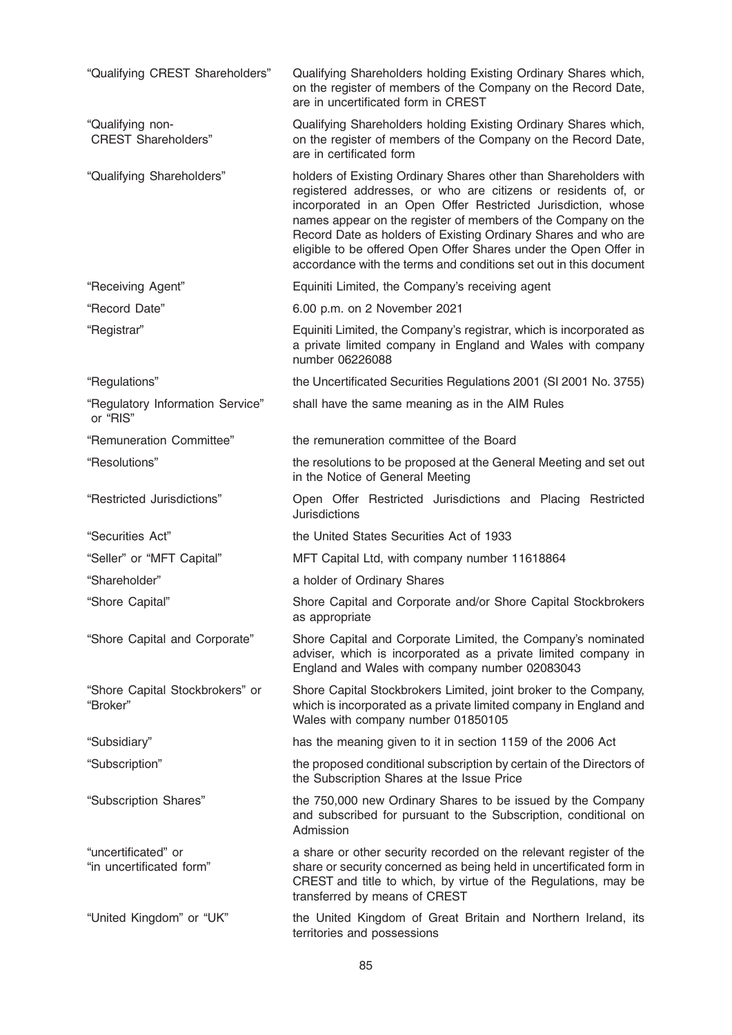| "Qualifying CREST Shareholders"                 | Qualifying Shareholders holding Existing Ordinary Shares which,<br>on the register of members of the Company on the Record Date,<br>are in uncertificated form in CREST                                                                                                                                                                                                                                                                                                       |
|-------------------------------------------------|-------------------------------------------------------------------------------------------------------------------------------------------------------------------------------------------------------------------------------------------------------------------------------------------------------------------------------------------------------------------------------------------------------------------------------------------------------------------------------|
| "Qualifying non-<br><b>CREST Shareholders"</b>  | Qualifying Shareholders holding Existing Ordinary Shares which,<br>on the register of members of the Company on the Record Date,<br>are in certificated form                                                                                                                                                                                                                                                                                                                  |
| "Qualifying Shareholders"                       | holders of Existing Ordinary Shares other than Shareholders with<br>registered addresses, or who are citizens or residents of, or<br>incorporated in an Open Offer Restricted Jurisdiction, whose<br>names appear on the register of members of the Company on the<br>Record Date as holders of Existing Ordinary Shares and who are<br>eligible to be offered Open Offer Shares under the Open Offer in<br>accordance with the terms and conditions set out in this document |
| "Receiving Agent"                               | Equiniti Limited, the Company's receiving agent                                                                                                                                                                                                                                                                                                                                                                                                                               |
| "Record Date"                                   | 6.00 p.m. on 2 November 2021                                                                                                                                                                                                                                                                                                                                                                                                                                                  |
| "Registrar"                                     | Equiniti Limited, the Company's registrar, which is incorporated as<br>a private limited company in England and Wales with company<br>number 06226088                                                                                                                                                                                                                                                                                                                         |
| "Regulations"                                   | the Uncertificated Securities Regulations 2001 (SI 2001 No. 3755)                                                                                                                                                                                                                                                                                                                                                                                                             |
| "Regulatory Information Service"<br>or "RIS"    | shall have the same meaning as in the AIM Rules                                                                                                                                                                                                                                                                                                                                                                                                                               |
| "Remuneration Committee"                        | the remuneration committee of the Board                                                                                                                                                                                                                                                                                                                                                                                                                                       |
| "Resolutions"                                   | the resolutions to be proposed at the General Meeting and set out<br>in the Notice of General Meeting                                                                                                                                                                                                                                                                                                                                                                         |
| "Restricted Jurisdictions"                      | Open Offer Restricted Jurisdictions and Placing Restricted<br><b>Jurisdictions</b>                                                                                                                                                                                                                                                                                                                                                                                            |
| "Securities Act"                                | the United States Securities Act of 1933                                                                                                                                                                                                                                                                                                                                                                                                                                      |
| "Seller" or "MFT Capital"                       | MFT Capital Ltd, with company number 11618864                                                                                                                                                                                                                                                                                                                                                                                                                                 |
| "Shareholder"                                   | a holder of Ordinary Shares                                                                                                                                                                                                                                                                                                                                                                                                                                                   |
| "Shore Capital"                                 | Shore Capital and Corporate and/or Shore Capital Stockbrokers<br>as appropriate                                                                                                                                                                                                                                                                                                                                                                                               |
| "Shore Capital and Corporate"                   | Shore Capital and Corporate Limited, the Company's nominated<br>adviser, which is incorporated as a private limited company in<br>England and Wales with company number 02083043                                                                                                                                                                                                                                                                                              |
| "Shore Capital Stockbrokers" or<br>"Broker"     | Shore Capital Stockbrokers Limited, joint broker to the Company,<br>which is incorporated as a private limited company in England and<br>Wales with company number 01850105                                                                                                                                                                                                                                                                                                   |
| "Subsidiary"                                    | has the meaning given to it in section 1159 of the 2006 Act                                                                                                                                                                                                                                                                                                                                                                                                                   |
| "Subscription"                                  | the proposed conditional subscription by certain of the Directors of<br>the Subscription Shares at the Issue Price                                                                                                                                                                                                                                                                                                                                                            |
| "Subscription Shares"                           | the 750,000 new Ordinary Shares to be issued by the Company<br>and subscribed for pursuant to the Subscription, conditional on<br>Admission                                                                                                                                                                                                                                                                                                                                   |
| "uncertificated" or<br>"in uncertificated form" | a share or other security recorded on the relevant register of the<br>share or security concerned as being held in uncertificated form in<br>CREST and title to which, by virtue of the Regulations, may be<br>transferred by means of CREST                                                                                                                                                                                                                                  |
| "United Kingdom" or "UK"                        | the United Kingdom of Great Britain and Northern Ireland, its<br>territories and possessions                                                                                                                                                                                                                                                                                                                                                                                  |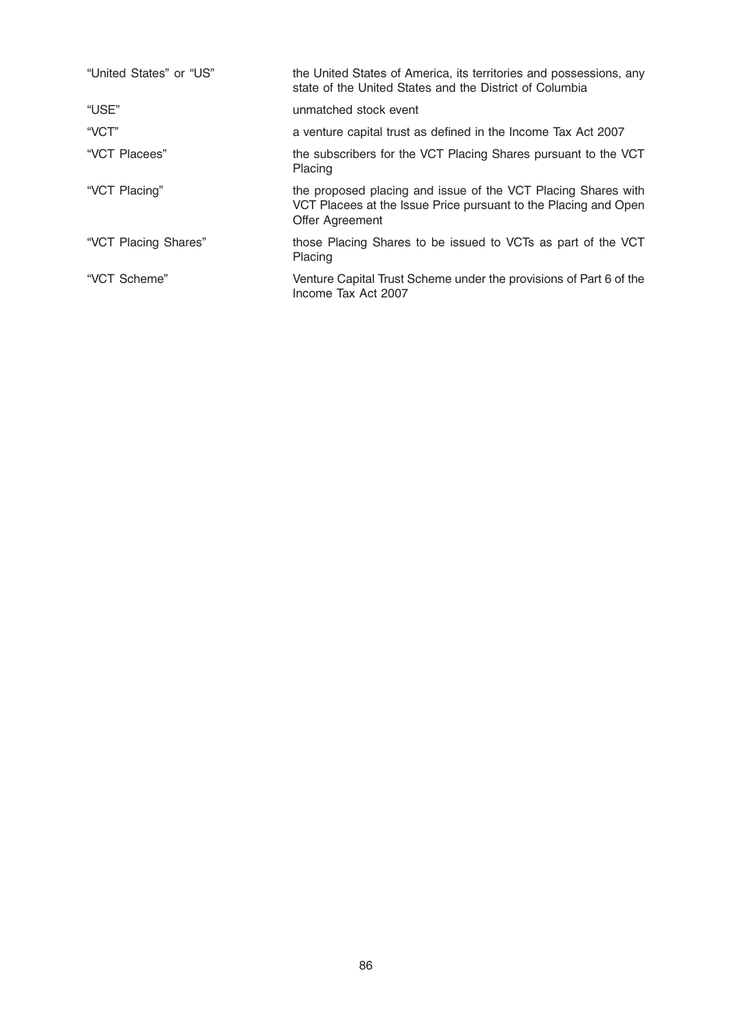| "United States" or "US" | the United States of America, its territories and possessions, any<br>state of the United States and the District of Columbia                       |
|-------------------------|-----------------------------------------------------------------------------------------------------------------------------------------------------|
| "USE"                   | unmatched stock event                                                                                                                               |
| "VCT"                   | a venture capital trust as defined in the Income Tax Act 2007                                                                                       |
| "VCT Placees"           | the subscribers for the VCT Placing Shares pursuant to the VCT<br>Placing                                                                           |
| "VCT Placing"           | the proposed placing and issue of the VCT Placing Shares with<br>VCT Placees at the Issue Price pursuant to the Placing and Open<br>Offer Agreement |
| "VCT Placing Shares"    | those Placing Shares to be issued to VCTs as part of the VCT<br>Placing                                                                             |
| "VCT Scheme"            | Venture Capital Trust Scheme under the provisions of Part 6 of the<br>Income Tax Act 2007                                                           |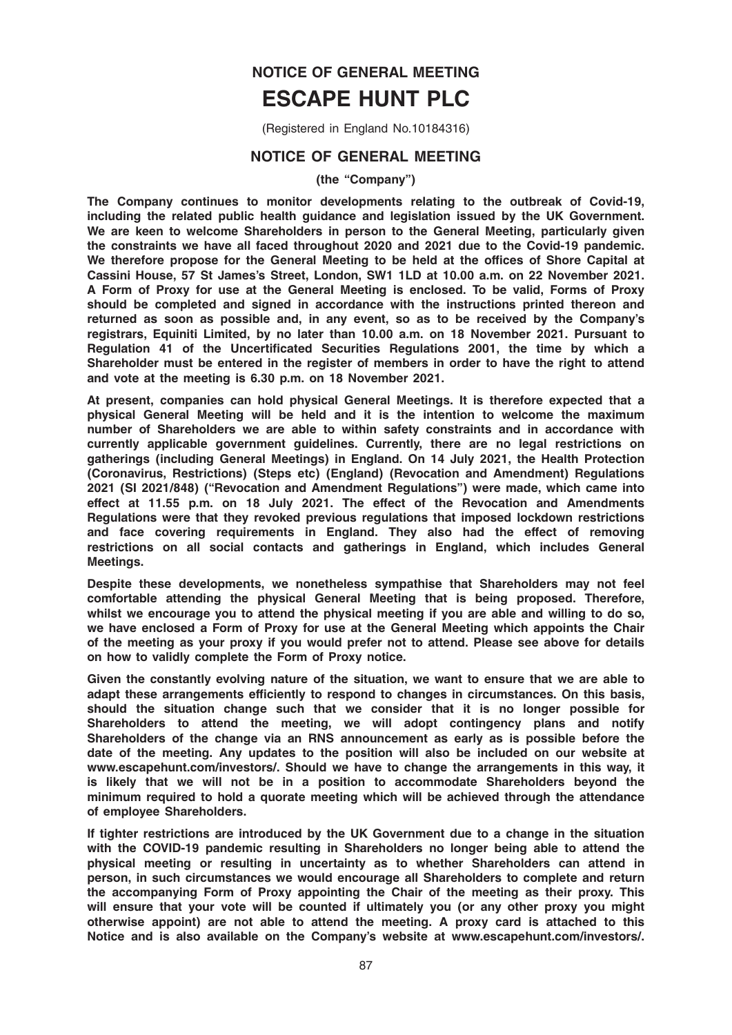# NOTICE OF GENERAL MEETING ESCAPE HUNT PLC

(Registered in England No.10184316)

# NOTICE OF GENERAL MEETING

#### (the "Company")

The Company continues to monitor developments relating to the outbreak of Covid-19, including the related public health guidance and legislation issued by the UK Government. We are keen to welcome Shareholders in person to the General Meeting, particularly given the constraints we have all faced throughout 2020 and 2021 due to the Covid-19 pandemic. We therefore propose for the General Meeting to be held at the offices of Shore Capital at Cassini House, 57 St James's Street, London, SW1 1LD at 10.00 a.m. on 22 November 2021. A Form of Proxy for use at the General Meeting is enclosed. To be valid, Forms of Proxy should be completed and signed in accordance with the instructions printed thereon and returned as soon as possible and, in any event, so as to be received by the Company's registrars, Equiniti Limited, by no later than 10.00 a.m. on 18 November 2021. Pursuant to Regulation 41 of the Uncertificated Securities Regulations 2001, the time by which a Shareholder must be entered in the register of members in order to have the right to attend and vote at the meeting is 6.30 p.m. on 18 November 2021.

At present, companies can hold physical General Meetings. It is therefore expected that a physical General Meeting will be held and it is the intention to welcome the maximum number of Shareholders we are able to within safety constraints and in accordance with currently applicable government guidelines. Currently, there are no legal restrictions on gatherings (including General Meetings) in England. On 14 July 2021, the Health Protection (Coronavirus, Restrictions) (Steps etc) (England) (Revocation and Amendment) Regulations 2021 (SI 2021/848) ("Revocation and Amendment Regulations") were made, which came into effect at 11.55 p.m. on 18 July 2021. The effect of the Revocation and Amendments Regulations were that they revoked previous regulations that imposed lockdown restrictions and face covering requirements in England. They also had the effect of removing restrictions on all social contacts and gatherings in England, which includes General Meetings.

Despite these developments, we nonetheless sympathise that Shareholders may not feel comfortable attending the physical General Meeting that is being proposed. Therefore, whilst we encourage you to attend the physical meeting if you are able and willing to do so, we have enclosed a Form of Proxy for use at the General Meeting which appoints the Chair of the meeting as your proxy if you would prefer not to attend. Please see above for details on how to validly complete the Form of Proxy notice.

Given the constantly evolving nature of the situation, we want to ensure that we are able to adapt these arrangements efficiently to respond to changes in circumstances. On this basis, should the situation change such that we consider that it is no longer possible for Shareholders to attend the meeting, we will adopt contingency plans and notify Shareholders of the change via an RNS announcement as early as is possible before the date of the meeting. Any updates to the position will also be included on our website at www.escapehunt.com/investors/. Should we have to change the arrangements in this way, it is likely that we will not be in a position to accommodate Shareholders beyond the minimum required to hold a quorate meeting which will be achieved through the attendance of employee Shareholders.

If tighter restrictions are introduced by the UK Government due to a change in the situation with the COVID-19 pandemic resulting in Shareholders no longer being able to attend the physical meeting or resulting in uncertainty as to whether Shareholders can attend in person, in such circumstances we would encourage all Shareholders to complete and return the accompanying Form of Proxy appointing the Chair of the meeting as their proxy. This will ensure that your vote will be counted if ultimately you (or any other proxy you might otherwise appoint) are not able to attend the meeting. A proxy card is attached to this Notice and is also available on the Company's website at www.escapehunt.com/investors/.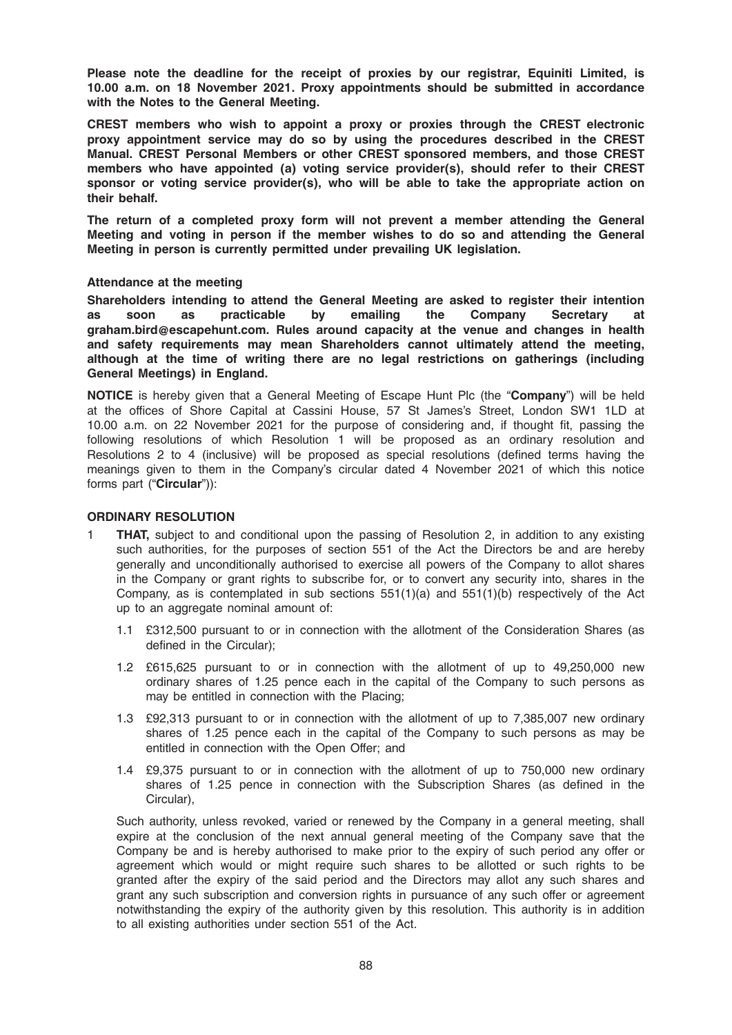Please note the deadline for the receipt of proxies by our registrar, Equiniti Limited, is 10.00 a.m. on 18 November 2021. Proxy appointments should be submitted in accordance with the Notes to the General Meeting.

CREST members who wish to appoint a proxy or proxies through the CREST electronic proxy appointment service may do so by using the procedures described in the CREST Manual. CREST Personal Members or other CREST sponsored members, and those CREST members who have appointed (a) voting service provider(s), should refer to their CREST sponsor or voting service provider(s), who will be able to take the appropriate action on their behalf.

The return of a completed proxy form will not prevent a member attending the General Meeting and voting in person if the member wishes to do so and attending the General Meeting in person is currently permitted under prevailing UK legislation.

#### Attendance at the meeting

Shareholders intending to attend the General Meeting are asked to register their intention as soon as practicable by emailing the Company Secretary at graham.bird@escapehunt.com. Rules around capacity at the venue and changes in health and safety requirements may mean Shareholders cannot ultimately attend the meeting, although at the time of writing there are no legal restrictions on gatherings (including General Meetings) in England.

NOTICE is hereby given that a General Meeting of Escape Hunt Plc (the "Company") will be held at the offices of Shore Capital at Cassini House, 57 St James's Street, London SW1 1LD at 10.00 a.m. on 22 November 2021 for the purpose of considering and, if thought fit, passing the following resolutions of which Resolution 1 will be proposed as an ordinary resolution and Resolutions 2 to 4 (inclusive) will be proposed as special resolutions (defined terms having the meanings given to them in the Company's circular dated 4 November 2021 of which this notice forms part ("Circular")):

#### ORDINARY RESOLUTION

- **1 THAT,** subject to and conditional upon the passing of Resolution 2, in addition to any existing such authorities, for the purposes of section 551 of the Act the Directors be and are hereby generally and unconditionally authorised to exercise all powers of the Company to allot shares in the Company or grant rights to subscribe for, or to convert any security into, shares in the Company, as is contemplated in sub sections  $551(1)(a)$  and  $551(1)(b)$  respectively of the Act up to an aggregate nominal amount of:
	- 1.1 £312,500 pursuant to or in connection with the allotment of the Consideration Shares (as defined in the Circular);
	- 1.2 £615,625 pursuant to or in connection with the allotment of up to 49,250,000 new ordinary shares of 1.25 pence each in the capital of the Company to such persons as may be entitled in connection with the Placing;
	- 1.3 £92,313 pursuant to or in connection with the allotment of up to 7,385,007 new ordinary shares of 1.25 pence each in the capital of the Company to such persons as may be entitled in connection with the Open Offer; and
	- 1.4 £9,375 pursuant to or in connection with the allotment of up to 750,000 new ordinary shares of 1.25 pence in connection with the Subscription Shares (as defined in the Circular),

Such authority, unless revoked, varied or renewed by the Company in a general meeting, shall expire at the conclusion of the next annual general meeting of the Company save that the Company be and is hereby authorised to make prior to the expiry of such period any offer or agreement which would or might require such shares to be allotted or such rights to be granted after the expiry of the said period and the Directors may allot any such shares and grant any such subscription and conversion rights in pursuance of any such offer or agreement notwithstanding the expiry of the authority given by this resolution. This authority is in addition to all existing authorities under section 551 of the Act.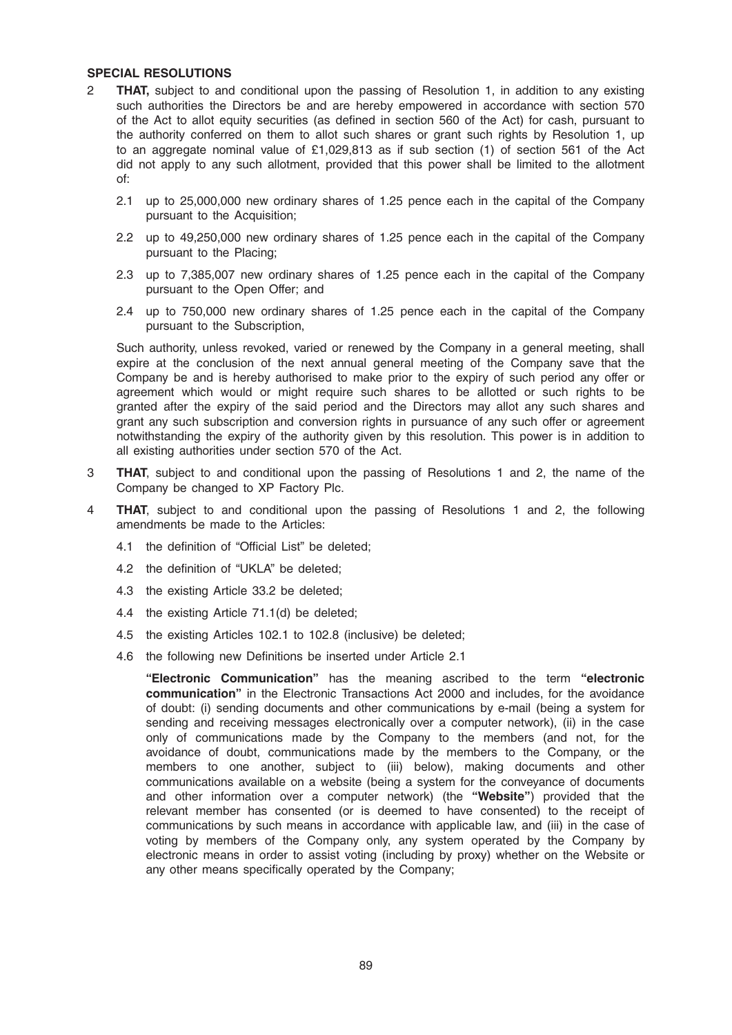#### SPECIAL RESOLUTIONS

- 2 THAT, subject to and conditional upon the passing of Resolution 1, in addition to any existing such authorities the Directors be and are hereby empowered in accordance with section 570 of the Act to allot equity securities (as defined in section 560 of the Act) for cash, pursuant to the authority conferred on them to allot such shares or grant such rights by Resolution 1, up to an aggregate nominal value of £1,029,813 as if sub section (1) of section 561 of the Act did not apply to any such allotment, provided that this power shall be limited to the allotment of:
	- 2.1 up to 25,000,000 new ordinary shares of 1.25 pence each in the capital of the Company pursuant to the Acquisition;
	- 2.2 up to 49,250,000 new ordinary shares of 1.25 pence each in the capital of the Company pursuant to the Placing;
	- 2.3 up to 7,385,007 new ordinary shares of 1.25 pence each in the capital of the Company pursuant to the Open Offer; and
	- 2.4 up to 750,000 new ordinary shares of 1.25 pence each in the capital of the Company pursuant to the Subscription,

Such authority, unless revoked, varied or renewed by the Company in a general meeting, shall expire at the conclusion of the next annual general meeting of the Company save that the Company be and is hereby authorised to make prior to the expiry of such period any offer or agreement which would or might require such shares to be allotted or such rights to be granted after the expiry of the said period and the Directors may allot any such shares and grant any such subscription and conversion rights in pursuance of any such offer or agreement notwithstanding the expiry of the authority given by this resolution. This power is in addition to all existing authorities under section 570 of the Act.

- 3 THAT, subject to and conditional upon the passing of Resolutions 1 and 2, the name of the Company be changed to XP Factory Plc.
- 4 THAT, subject to and conditional upon the passing of Resolutions 1 and 2, the following amendments be made to the Articles:
	- 4.1 the definition of "Official List" be deleted;
	- 4.2 the definition of "UKLA" be deleted;
	- 4.3 the existing Article 33.2 be deleted;
	- 4.4 the existing Article 71.1(d) be deleted;
	- 4.5 the existing Articles 102.1 to 102.8 (inclusive) be deleted;
	- 4.6 the following new Definitions be inserted under Article 2.1

"Electronic Communication" has the meaning ascribed to the term "electronic communication" in the Electronic Transactions Act 2000 and includes, for the avoidance of doubt: (i) sending documents and other communications by e-mail (being a system for sending and receiving messages electronically over a computer network), (ii) in the case only of communications made by the Company to the members (and not, for the avoidance of doubt, communications made by the members to the Company, or the members to one another, subject to (iii) below), making documents and other communications available on a website (being a system for the conveyance of documents and other information over a computer network) (the "Website") provided that the relevant member has consented (or is deemed to have consented) to the receipt of communications by such means in accordance with applicable law, and (iii) in the case of voting by members of the Company only, any system operated by the Company by electronic means in order to assist voting (including by proxy) whether on the Website or any other means specifically operated by the Company;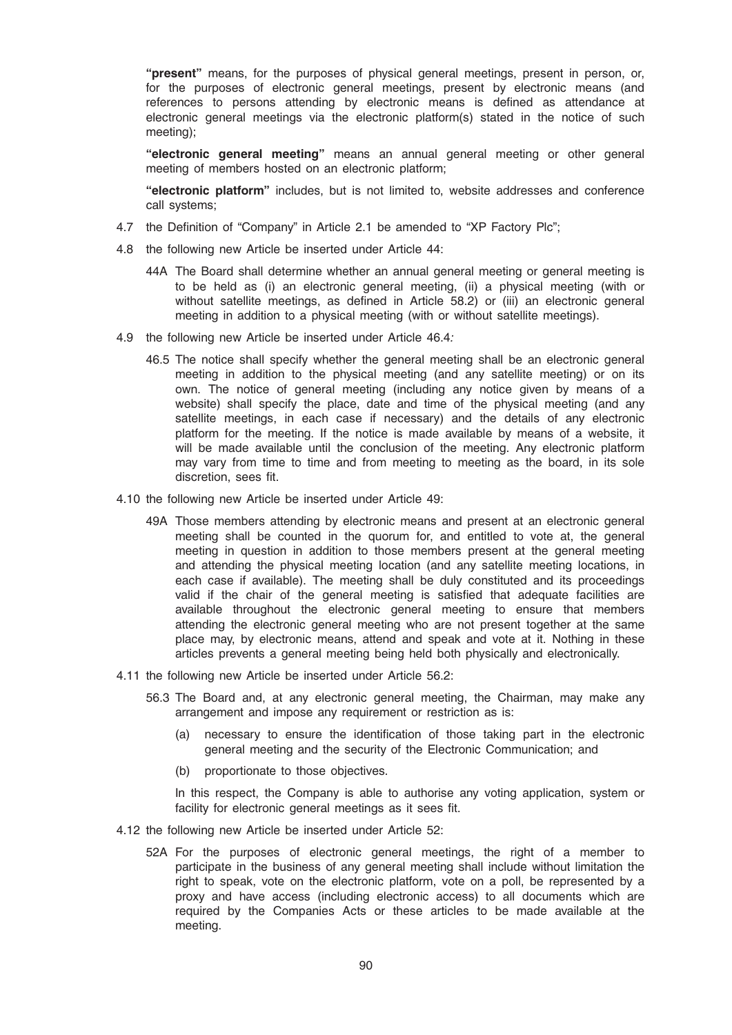"present" means, for the purposes of physical general meetings, present in person, or, for the purposes of electronic general meetings, present by electronic means (and references to persons attending by electronic means is defined as attendance at electronic general meetings via the electronic platform(s) stated in the notice of such meeting);

"electronic general meeting" means an annual general meeting or other general meeting of members hosted on an electronic platform;

"electronic platform" includes, but is not limited to, website addresses and conference call systems;

- 4.7 the Definition of "Company" in Article 2.1 be amended to "XP Factory Plc";
- 4.8 the following new Article be inserted under Article 44:
	- 44A The Board shall determine whether an annual general meeting or general meeting is to be held as (i) an electronic general meeting, (ii) a physical meeting (with or without satellite meetings, as defined in Article 58.2) or (iii) an electronic general meeting in addition to a physical meeting (with or without satellite meetings).
- 4.9 the following new Article be inserted under Article 46.4:
	- 46.5 The notice shall specify whether the general meeting shall be an electronic general meeting in addition to the physical meeting (and any satellite meeting) or on its own. The notice of general meeting (including any notice given by means of a website) shall specify the place, date and time of the physical meeting (and any satellite meetings, in each case if necessary) and the details of any electronic platform for the meeting. If the notice is made available by means of a website, it will be made available until the conclusion of the meeting. Any electronic platform may vary from time to time and from meeting to meeting as the board, in its sole discretion, sees fit.
- 4.10 the following new Article be inserted under Article 49:
	- 49A Those members attending by electronic means and present at an electronic general meeting shall be counted in the quorum for, and entitled to vote at, the general meeting in question in addition to those members present at the general meeting and attending the physical meeting location (and any satellite meeting locations, in each case if available). The meeting shall be duly constituted and its proceedings valid if the chair of the general meeting is satisfied that adequate facilities are available throughout the electronic general meeting to ensure that members attending the electronic general meeting who are not present together at the same place may, by electronic means, attend and speak and vote at it. Nothing in these articles prevents a general meeting being held both physically and electronically.
- 4.11 the following new Article be inserted under Article 56.2:
	- 56.3 The Board and, at any electronic general meeting, the Chairman, may make any arrangement and impose any requirement or restriction as is:
		- (a) necessary to ensure the identification of those taking part in the electronic general meeting and the security of the Electronic Communication; and
		- (b) proportionate to those objectives.

In this respect, the Company is able to authorise any voting application, system or facility for electronic general meetings as it sees fit.

- 4.12 the following new Article be inserted under Article 52:
	- 52A For the purposes of electronic general meetings, the right of a member to participate in the business of any general meeting shall include without limitation the right to speak, vote on the electronic platform, vote on a poll, be represented by a proxy and have access (including electronic access) to all documents which are required by the Companies Acts or these articles to be made available at the meeting.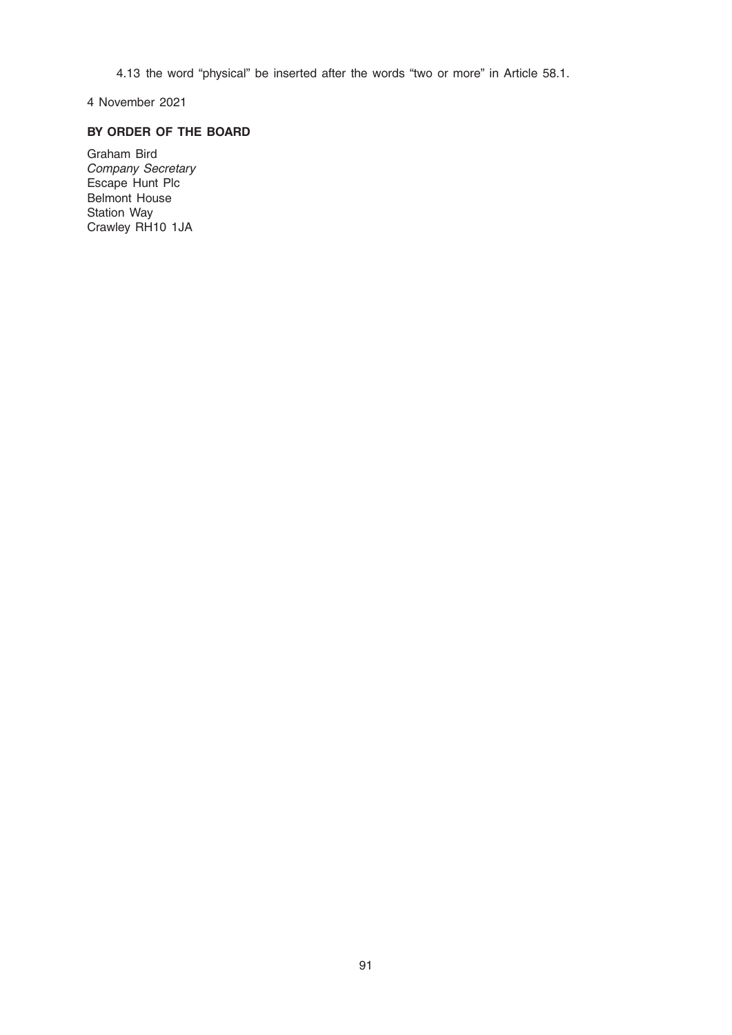4.13 the word "physical" be inserted after the words "two or more" in Article 58.1.

4 November 2021

# BY ORDER OF THE BOARD

Graham Bird Company Secretary Escape Hunt Plc Belmont House Station Way Crawley RH10 1JA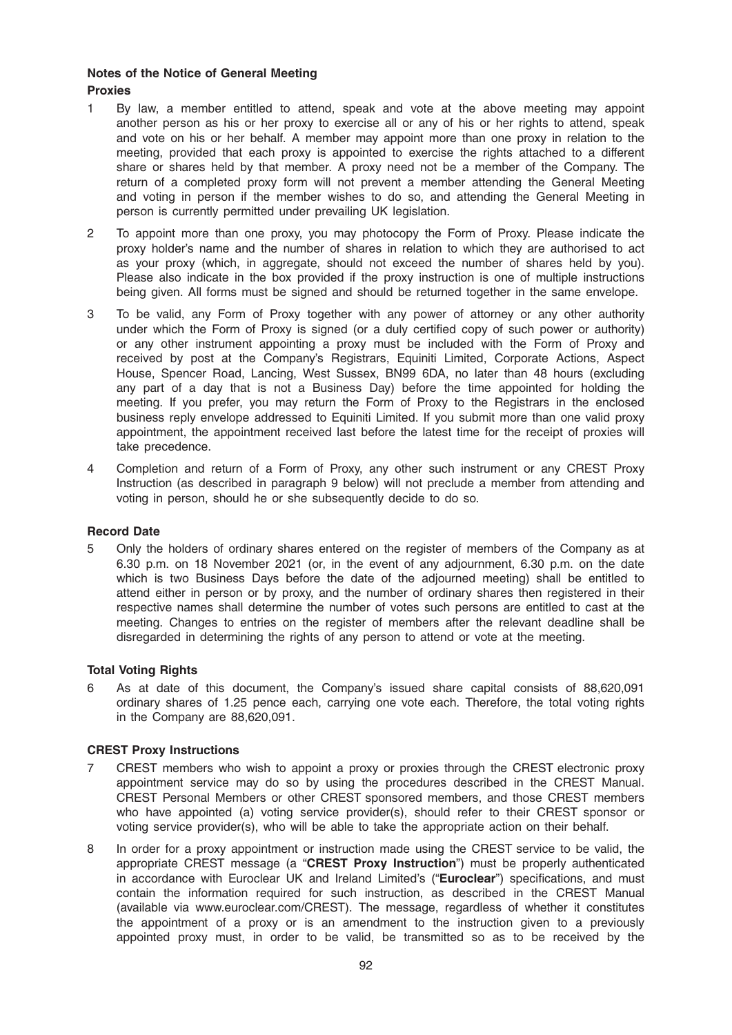## Notes of the Notice of General Meeting Proxies

- 1 By law, a member entitled to attend, speak and vote at the above meeting may appoint another person as his or her proxy to exercise all or any of his or her rights to attend, speak and vote on his or her behalf. A member may appoint more than one proxy in relation to the meeting, provided that each proxy is appointed to exercise the rights attached to a different share or shares held by that member. A proxy need not be a member of the Company. The return of a completed proxy form will not prevent a member attending the General Meeting and voting in person if the member wishes to do so, and attending the General Meeting in person is currently permitted under prevailing UK legislation.
- 2 To appoint more than one proxy, you may photocopy the Form of Proxy. Please indicate the proxy holder's name and the number of shares in relation to which they are authorised to act as your proxy (which, in aggregate, should not exceed the number of shares held by you). Please also indicate in the box provided if the proxy instruction is one of multiple instructions being given. All forms must be signed and should be returned together in the same envelope.
- 3 To be valid, any Form of Proxy together with any power of attorney or any other authority under which the Form of Proxy is signed (or a duly certified copy of such power or authority) or any other instrument appointing a proxy must be included with the Form of Proxy and received by post at the Company's Registrars, Equiniti Limited, Corporate Actions, Aspect House, Spencer Road, Lancing, West Sussex, BN99 6DA, no later than 48 hours (excluding any part of a day that is not a Business Day) before the time appointed for holding the meeting. If you prefer, you may return the Form of Proxy to the Registrars in the enclosed business reply envelope addressed to Equiniti Limited. If you submit more than one valid proxy appointment, the appointment received last before the latest time for the receipt of proxies will take precedence.
- 4 Completion and return of a Form of Proxy, any other such instrument or any CREST Proxy Instruction (as described in paragraph 9 below) will not preclude a member from attending and voting in person, should he or she subsequently decide to do so.

## Record Date

5 Only the holders of ordinary shares entered on the register of members of the Company as at 6.30 p.m. on 18 November 2021 (or, in the event of any adjournment, 6.30 p.m. on the date which is two Business Days before the date of the adjourned meeting) shall be entitled to attend either in person or by proxy, and the number of ordinary shares then registered in their respective names shall determine the number of votes such persons are entitled to cast at the meeting. Changes to entries on the register of members after the relevant deadline shall be disregarded in determining the rights of any person to attend or vote at the meeting.

## Total Voting Rights

6 As at date of this document, the Company's issued share capital consists of 88,620,091 ordinary shares of 1.25 pence each, carrying one vote each. Therefore, the total voting rights in the Company are 88,620,091.

## CREST Proxy Instructions

- 7 CREST members who wish to appoint a proxy or proxies through the CREST electronic proxy appointment service may do so by using the procedures described in the CREST Manual. CREST Personal Members or other CREST sponsored members, and those CREST members who have appointed (a) voting service provider(s), should refer to their CREST sponsor or voting service provider(s), who will be able to take the appropriate action on their behalf.
- 8 In order for a proxy appointment or instruction made using the CREST service to be valid, the appropriate CREST message (a "CREST Proxy Instruction") must be properly authenticated in accordance with Euroclear UK and Ireland Limited's ("Euroclear") specifications, and must contain the information required for such instruction, as described in the CREST Manual (available via www.euroclear.com/CREST). The message, regardless of whether it constitutes the appointment of a proxy or is an amendment to the instruction given to a previously appointed proxy must, in order to be valid, be transmitted so as to be received by the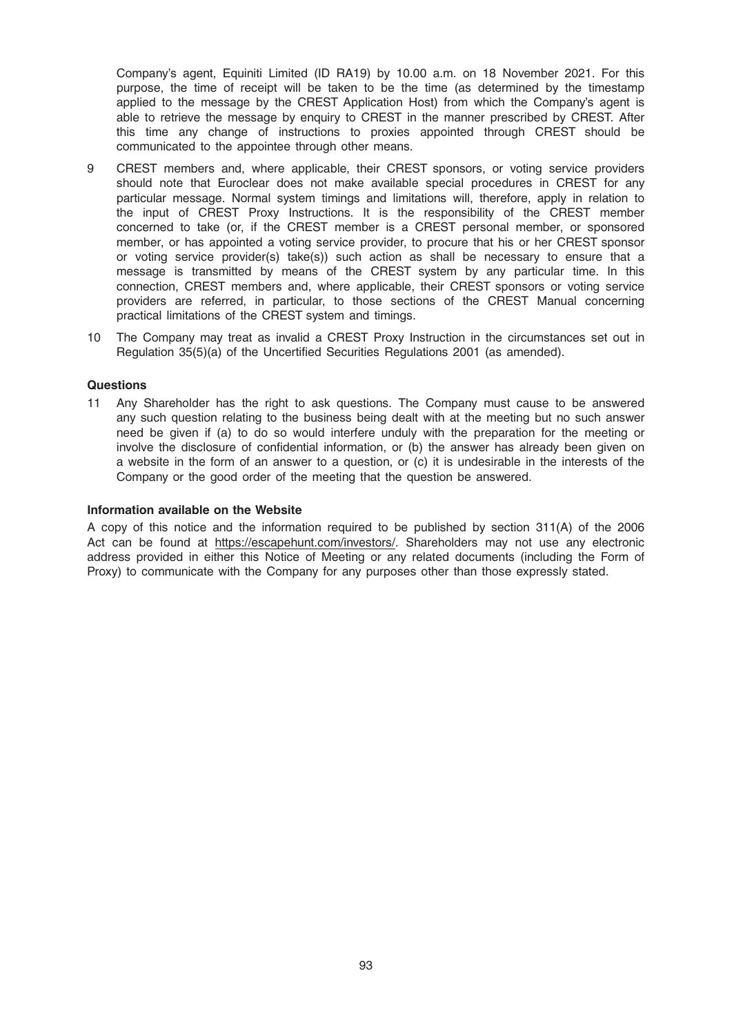Company's agent, Equiniti Limited (ID RA19) by 10.00 a.m. on 18 November 2021. For this purpose, the time of receipt will be taken to be the time (as determined by the timestamp applied to the message by the CREST Application Host) from which the Company's agent is able to retrieve the message by enquiry to CREST in the manner prescribed by CREST. After this time any change of instructions to proxies appointed through CREST should be communicated to the appointee through other means.

- 9 CREST members and, where applicable, their CREST sponsors, or voting service providers should note that Euroclear does not make available special procedures in CREST for any particular message. Normal system timings and limitations will, therefore, apply in relation to the input of CREST Proxy Instructions. It is the responsibility of the CREST member concerned to take (or, if the CREST member is a CREST personal member, or sponsored member, or has appointed a voting service provider, to procure that his or her CREST sponsor or voting service provider(s) take(s)) such action as shall be necessary to ensure that a message is transmitted by means of the CREST system by any particular time. In this connection, CREST members and, where applicable, their CREST sponsors or voting service providers are referred, in particular, to those sections of the CREST Manual concerning practical limitations of the CREST system and timings.
- 10 The Company may treat as invalid a CREST Proxy Instruction in the circumstances set out in Regulation 35(5)(a) of the Uncertified Securities Regulations 2001 (as amended).

#### **Questions**

11 Any Shareholder has the right to ask questions. The Company must cause to be answered any such question relating to the business being dealt with at the meeting but no such answer need be given if (a) to do so would interfere unduly with the preparation for the meeting or involve the disclosure of confidential information, or (b) the answer has already been given on a website in the form of an answer to a question, or (c) it is undesirable in the interests of the Company or the good order of the meeting that the question be answered.

#### Information available on the Website

A copy of this notice and the information required to be published by section 311(A) of the 2006 Act can be found at https://escapehunt.com/investors/. Shareholders may not use any electronic address provided in either this Notice of Meeting or any related documents (including the Form of Proxy) to communicate with the Company for any purposes other than those expressly stated.